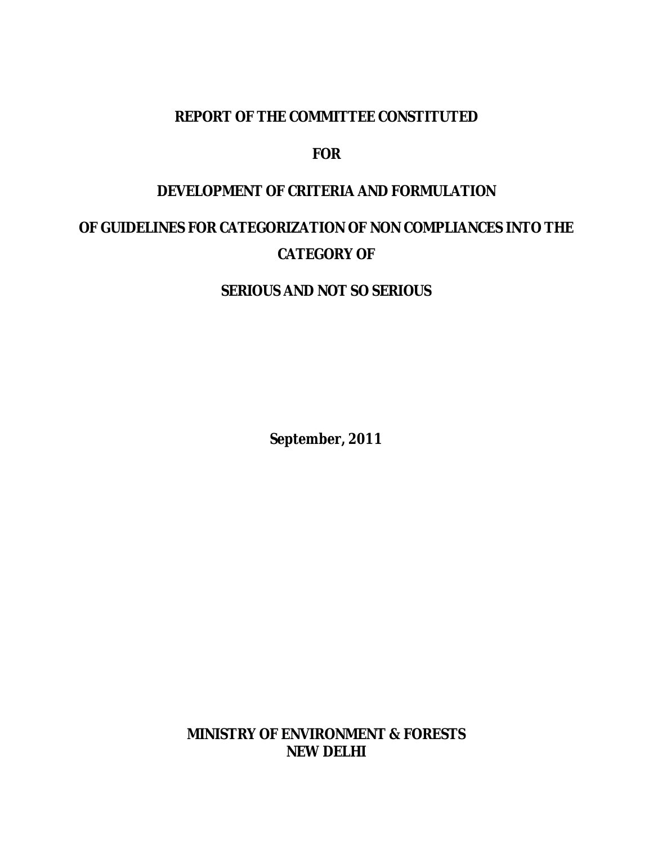#### **REPORT OF THE COMMITTEE CONSTITUTED**

#### **FOR**

#### **DEVELOPMENT OF CRITERIA AND FORMULATION**

## **OF GUIDELINES FOR CATEGORIZATION OF NON COMPLIANCES INTO THE CATEGORY OF**

### **SERIOUS AND NOT SO SERIOUS**

*September, 2011*

**MINISTRY OF ENVIRONMENT & FORESTS NEW DELHI**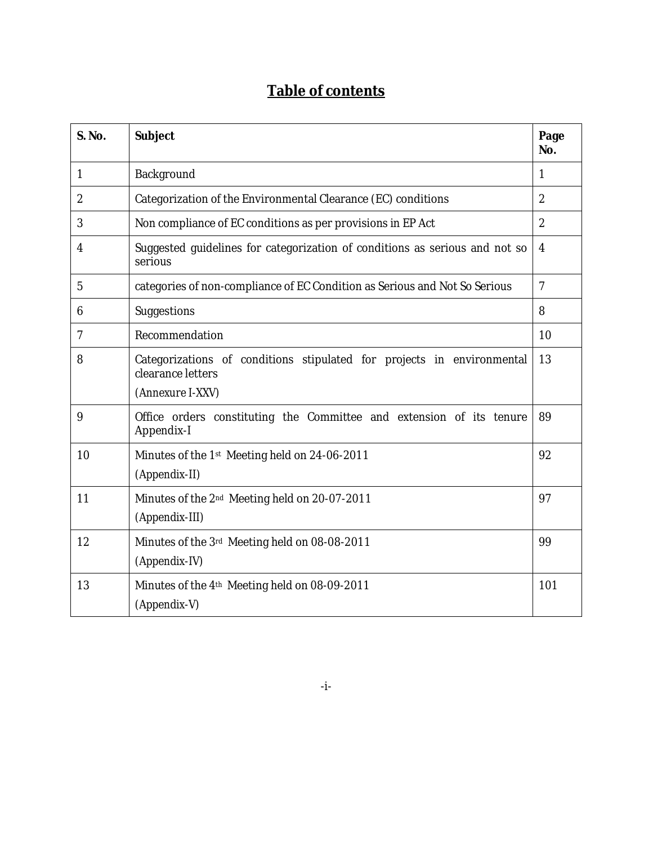### **Table of contents**

| <b>S. No.</b> | Subject                                                                                                         | Page<br>No.    |
|---------------|-----------------------------------------------------------------------------------------------------------------|----------------|
| 1             | Background                                                                                                      | 1              |
| 2             | Categorization of the Environmental Clearance (EC) conditions                                                   | $\overline{2}$ |
| 3             | Non compliance of EC conditions as per provisions in EP Act                                                     | $\overline{2}$ |
| 4             | Suggested guidelines for categorization of conditions as serious and not so<br>serious                          | 4              |
| 5             | categories of non-compliance of EC Condition as Serious and Not So Serious                                      | $\overline{7}$ |
| 6             | Suggestions                                                                                                     | 8              |
| 7             | Recommendation                                                                                                  | 10             |
| 8             | Categorizations of conditions stipulated for projects in environmental<br>clearance letters<br>(Annexure I-XXV) | 13             |
| 9             | Office orders constituting the Committee and extension of its tenure<br>Appendix-I                              | 89             |
| 10            | Minutes of the 1st Meeting held on 24-06-2011<br>(Appendix-II)                                                  | 92             |
| 11            | Minutes of the 2 <sup>nd</sup> Meeting held on 20-07-2011<br>(Appendix-III)                                     | 97             |
| 12            | Minutes of the 3rd Meeting held on 08-08-2011<br>(Appendix-IV)                                                  | 99             |
| 13            | Minutes of the 4th Meeting held on 08-09-2011<br>(Appendix-V)                                                   | 101            |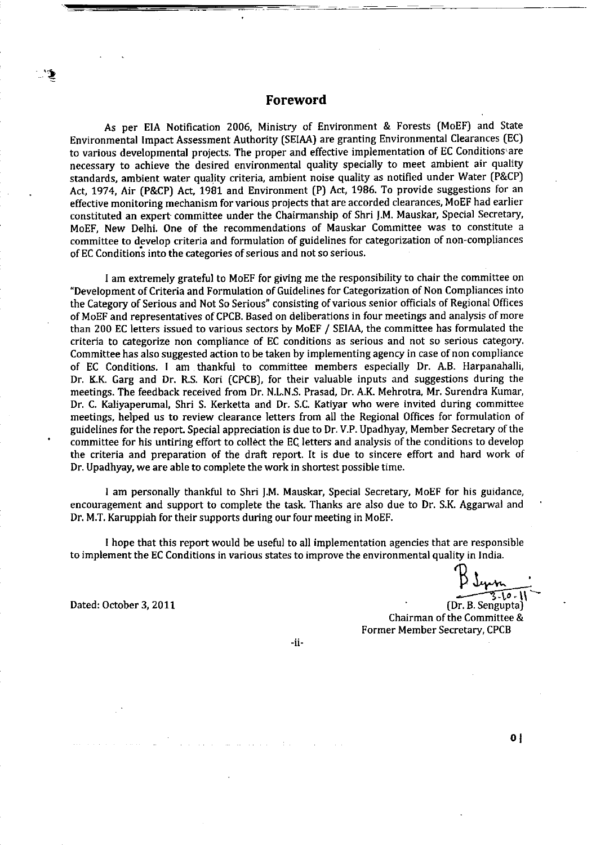#### Foreword

As per EIA Notification 2006, Ministry of Environment & Forests (MoEF) and State Environmental Impact Assessment Authority (SEIAA) are granting Environmental Clearances (EC) to various developmental projects. The proper and effective implementation of EC Conditions are necessary to achieve the desired environmental quality specially to meet ambient air quality standards, ambient water quality criteria, ambient noise quality as notified under Water (P&CP) Act, 1974, Air (P&CP) Act, 1981 and Environment (P) Act, 1986. To provide suggestions for an effective monitoring mechanism for various projects that are accorded clearances, MoEF had earlier constituted an expert committee under the Chairmanship of Shri J.M. Mauskar, Special Secretary, MoEF, New Delhi. One of the recommendations of Mauskar Committee was to constitute a committee to develop criteria and formulation of guidelines for categorization of non-compliances of EC Conditions into the categories of serious and not so serious.

I am extremely grateful to MoEF for giving me the responsibility to chair the committee on "Development of Criteria and Formulation of Guidelines for Categorization of Non Compliances into the Category of Serious and Not So Serious" consisting of various senior officials of Regional Offices of MoEF and representatives of CPCB. Based on deliberations in four meetings and analysis of more than 200 EC letters issued to various sectors by MoEF / SEIAA, the committee has formulated the criteria to categorize non compliance of EC conditions as serious and not so serious category. Committee has also suggested action to be taken by implementing agency in case of non compliance of EC Conditions. I am thankful to committee members especially Dr. A.B. Harpanahalli, Dr. K.K. Garg and Dr. R.S. Kori (CPCB), for their valuable inputs and suggestions during the meetings. The feedback received from Dr. N.L.N.S. Prasad. Dr. A.K. Mehrotra, Mr. Surendra Kumar, Dr. C. Kaliyaperumal, Shri S. Kerketta and Dr. S.C. Katiyar who were invited during committee meetings, helped us to review clearance letters from all the Regional Offices for formulation of guidelines for the report. Special appreciation is due to Dr. V.P. Upadhyay, Member Secretary of the committee for his untiring effort to collect the EC letters and analysis of the conditions to develop the criteria and preparation of the draft report. It is due to sincere effort and hard work of Dr. Upadhyay, we are able to complete the work in shortest possible time.

I am personally thankful to Shri J.M. Mauskar, Special Secretary, MoEF for his guidance, encouragement and support to complete the task. Thanks are also due to Dr. S.K. Aggarwal and Dr. M.T. Karuppiah for their supports during our four meeting in MoEF.

I hope that this report would be useful to all implementation agencies that are responsible to implement the EC Conditions in various states to improve the environmental quality in India.

 $5 - 10 - 11$ 

(Dr. B. Sengupta) Chairman of the Committee & Former Member Secretary, CPCB

 $-i$ i-

Dated: October 3, 2011

 $0<sub>1</sub>$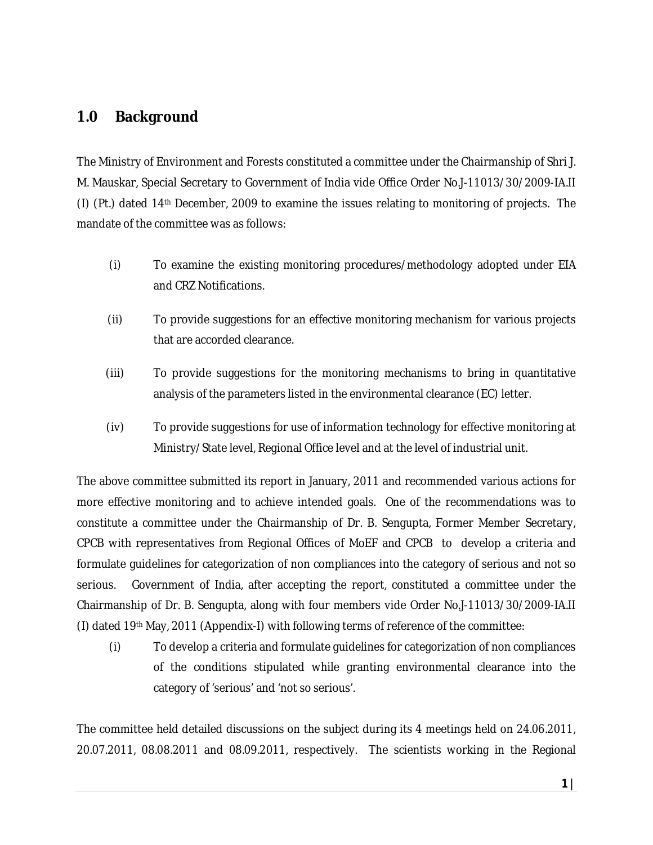#### **1.0 Background**

The Ministry of Environment and Forests constituted a committee under the Chairmanship of Shri J. M. Mauskar, Special Secretary to Government of India vide Office Order No.J-11013/30/2009-IA.II (I) (Pt.) dated 14th December, 2009 to examine the issues relating to monitoring of projects. The mandate of the committee was as follows:

- (i) To examine the existing monitoring procedures/methodology adopted under EIA and CRZ Notifications.
- (ii) To provide suggestions for an effective monitoring mechanism for various projects that are accorded clearance.
- (iii) To provide suggestions for the monitoring mechanisms to bring in quantitative analysis of the parameters listed in the environmental clearance (EC) letter.
- (iv) To provide suggestions for use of information technology for effective monitoring at Ministry/State level, Regional Office level and at the level of industrial unit.

The above committee submitted its report in January, 2011 and recommended various actions for more effective monitoring and to achieve intended goals. One of the recommendations was to constitute a committee under the Chairmanship of Dr. B. Sengupta, Former Member Secretary, CPCB with representatives from Regional Offices of MoEF and CPCB to develop a criteria and formulate guidelines for categorization of non compliances into the category of serious and not so serious. Government of India, after accepting the report, constituted a committee under the Chairmanship of Dr. B. Sengupta, along with four members vide Order No.J-11013/30/2009-IA.II (I) dated 19th May, 2011 (Appendix-I) with following terms of reference of the committee:

(i) To develop a criteria and formulate guidelines for categorization of non compliances of the conditions stipulated while granting environmental clearance into the category of 'serious' and 'not so serious'.

The committee held detailed discussions on the subject during its 4 meetings held on 24.06.2011, 20.07.2011, 08.08.2011 and 08.09.2011, respectively. The scientists working in the Regional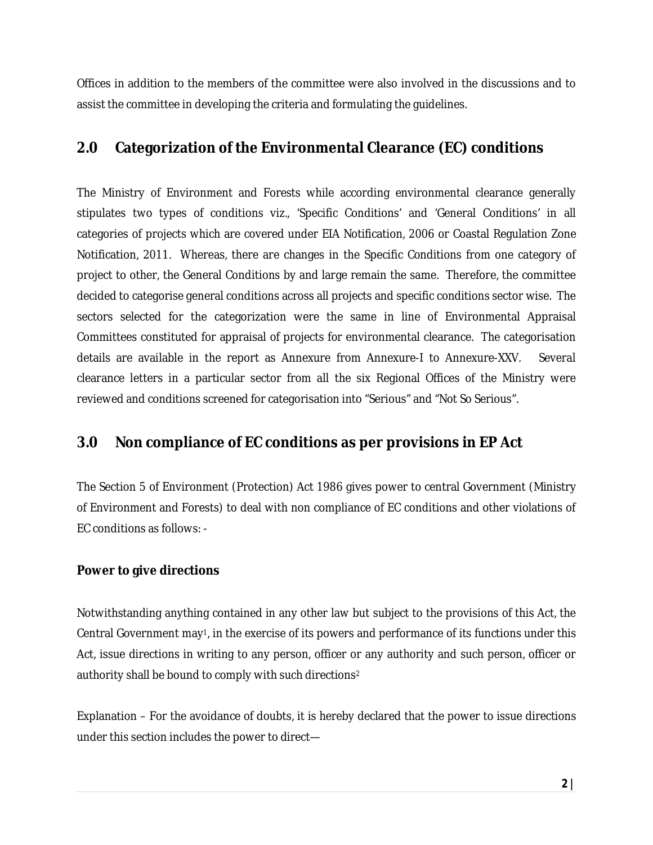Offices in addition to the members of the committee were also involved in the discussions and to assist the committee in developing the criteria and formulating the guidelines.

### **2.0 Categorization of the Environmental Clearance (EC) conditions**

The Ministry of Environment and Forests while according environmental clearance generally stipulates two types of conditions viz., 'Specific Conditions' and 'General Conditions' in all categories of projects which are covered under EIA Notification, 2006 or Coastal Regulation Zone Notification, 2011. Whereas, there are changes in the Specific Conditions from one category of project to other, the General Conditions by and large remain the same. Therefore, the committee decided to categorise general conditions across all projects and specific conditions sector wise. The sectors selected for the categorization were the same in line of Environmental Appraisal Committees constituted for appraisal of projects for environmental clearance. The categorisation details are available in the report as Annexure from Annexure-I to Annexure-XXV. Several clearance letters in a particular sector from all the six Regional Offices of the Ministry were reviewed and conditions screened for categorisation into "Serious" and "Not So Serious".

### **3.0 Non compliance of EC conditions as per provisions in EP Act**

The Section 5 of Environment (Protection) Act 1986 gives power to central Government (Ministry of Environment and Forests) to deal with non compliance of EC conditions and other violations of EC conditions as follows: -

#### **Power to give directions**

Notwithstanding anything contained in any other law but subject to the provisions of this Act, the Central Government may1, in the exercise of its powers and performance of its functions under this Act, issue directions in writing to any person, officer or any authority and such person, officer or authority shall be bound to comply with such directions<sup>2</sup>

Explanation – For the avoidance of doubts, it is hereby declared that the power to issue directions under this section includes the power to direct—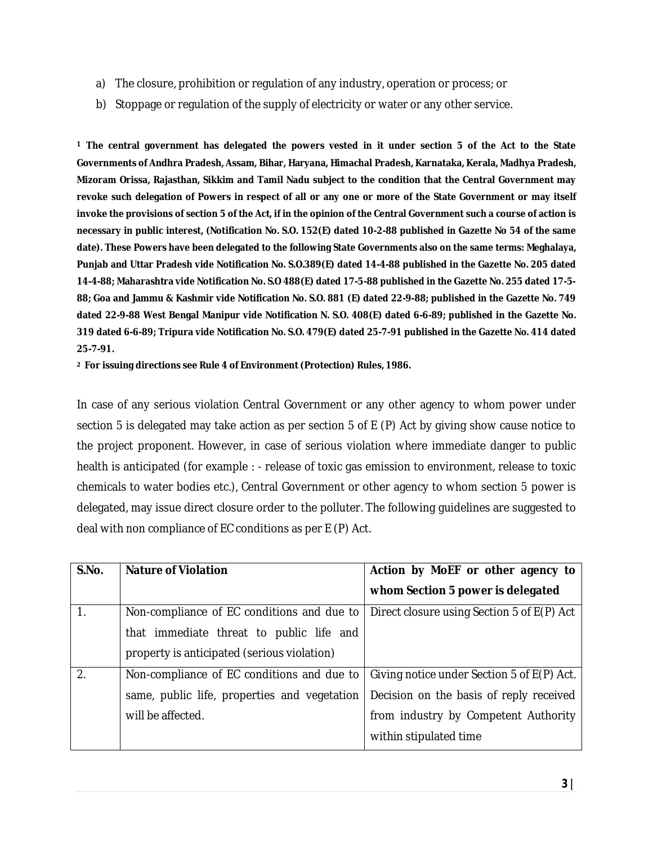- a) The closure, prohibition or regulation of any industry, operation or process; or
- b) Stoppage or regulation of the supply of electricity or water or any other service.

**<sup>1</sup> The central government has delegated the powers vested in it under section 5 of the Act to the State Governments of Andhra Pradesh, Assam, Bihar, Haryana, Himachal Pradesh, Karnataka, Kerala, Madhya Pradesh, Mizoram Orissa, Rajasthan, Sikkim and Tamil Nadu subject to the condition that the Central Government may revoke such delegation of Powers in respect of all or any one or more of the State Government or may itself invoke the provisions of section 5 of the Act, if in the opinion of the Central Government such a course of action is necessary in public interest, (Notification No. S.O. 152(E) dated 10-2-88 published in Gazette No 54 of the same date). These Powers have been delegated to the following State Governments also on the same terms: Meghalaya, Punjab and Uttar Pradesh vide Notification No. S.O.389(E) dated 14-4-88 published in the Gazette No. 205 dated 14-4-88; Maharashtra vide Notification No. S.O 488(E) dated 17-5-88 published in the Gazette No. 255 dated 17-5- 88; Goa and Jammu & Kashmir vide Notification No. S.O. 881 (E) dated 22-9-88; published in the Gazette No. 749 dated 22-9-88 West Bengal Manipur vide Notification N. S.O. 408(E) dated 6-6-89; published in the Gazette No. 319 dated 6-6-89; Tripura vide Notification No. S.O. 479(E) dated 25-7-91 published in the Gazette No. 414 dated 25-7-91.**

**<sup>2</sup> For issuing directions see Rule 4 of Environment (Protection) Rules, 1986.**

In case of any serious violation Central Government or any other agency to whom power under section 5 is delegated may take action as per section 5 of E (P) Act by giving show cause notice to the project proponent. However, in case of serious violation where immediate danger to public health is anticipated (for example : - release of toxic gas emission to environment, release to toxic chemicals to water bodies etc.), Central Government or other agency to whom section 5 power is delegated, may issue direct closure order to the polluter. The following guidelines are suggested to deal with non compliance of EC conditions as per E (P) Act.

| S.No.          | <b>Nature of Violation</b>                   | Action by MoEF or other agency to          |
|----------------|----------------------------------------------|--------------------------------------------|
|                |                                              | whom Section 5 power is delegated          |
| $\mathbf{1}$ . | Non-compliance of EC conditions and due to   | Direct closure using Section 5 of E(P) Act |
|                | that immediate threat to public life and     |                                            |
|                | property is anticipated (serious violation)  |                                            |
| 2.             | Non-compliance of EC conditions and due to   | Giving notice under Section 5 of E(P) Act. |
|                | same, public life, properties and vegetation | Decision on the basis of reply received    |
|                | will be affected.                            | from industry by Competent Authority       |
|                |                                              | within stipulated time                     |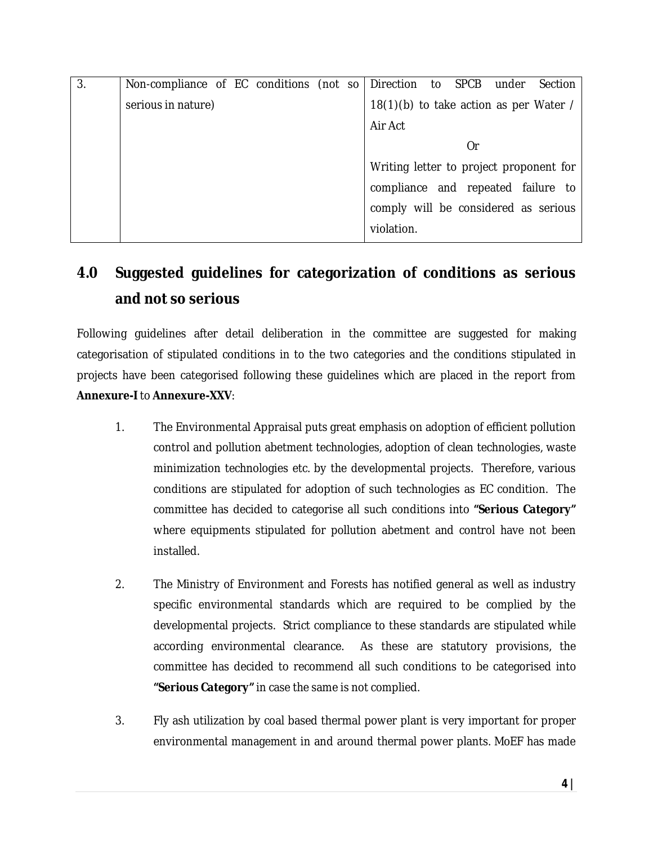| $\overline{3}$ | Non-compliance of EC conditions (not so   Direction to SPCB under |  |                                         |    | Section |
|----------------|-------------------------------------------------------------------|--|-----------------------------------------|----|---------|
|                | serious in nature)                                                |  | 18(1)(b) to take action as per Water /  |    |         |
|                |                                                                   |  | Air Act                                 |    |         |
|                |                                                                   |  |                                         | Or |         |
|                |                                                                   |  | Writing letter to project proponent for |    |         |
|                |                                                                   |  | compliance and repeated failure to      |    |         |
|                |                                                                   |  | comply will be considered as serious    |    |         |
|                |                                                                   |  | violation.                              |    |         |

## **4.0 Suggested guidelines for categorization of conditions as serious and not so serious**

Following guidelines after detail deliberation in the committee are suggested for making categorisation of stipulated conditions in to the two categories and the conditions stipulated in projects have been categorised following these guidelines which are placed in the report from **Annexure-I** to **Annexure-XXV**:

- 1. The Environmental Appraisal puts great emphasis on adoption of efficient pollution control and pollution abetment technologies, adoption of clean technologies, waste minimization technologies etc. by the developmental projects. Therefore, various conditions are stipulated for adoption of such technologies as EC condition. The committee has decided to categorise all such conditions into **"Serious Category"** where equipments stipulated for pollution abetment and control have not been installed.
- 2. The Ministry of Environment and Forests has notified general as well as industry specific environmental standards which are required to be complied by the developmental projects. Strict compliance to these standards are stipulated while according environmental clearance. As these are statutory provisions, the committee has decided to recommend all such conditions to be categorised into **"Serious Category"** in case the same is not complied.
- 3. Fly ash utilization by coal based thermal power plant is very important for proper environmental management in and around thermal power plants. MoEF has made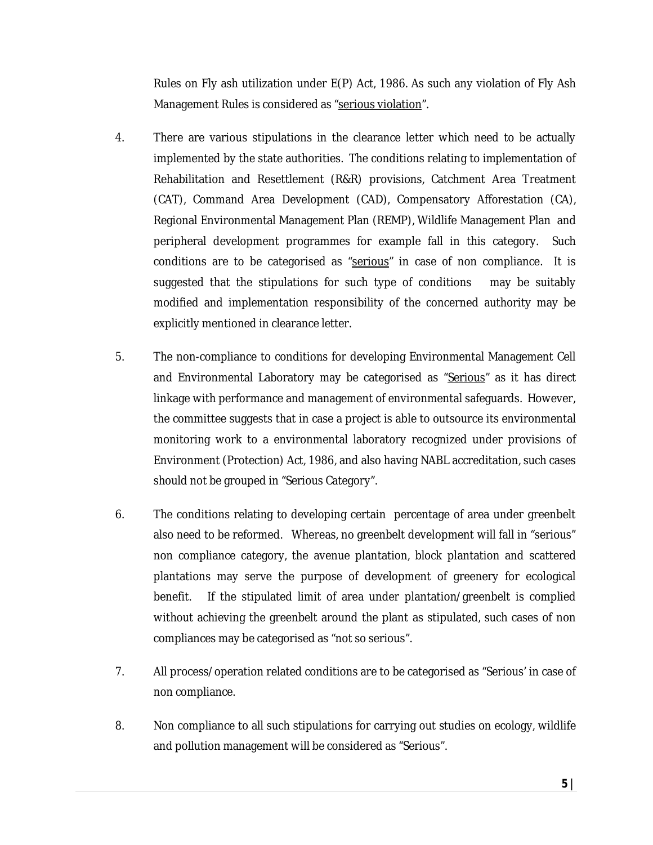Rules on Fly ash utilization under E(P) Act, 1986. As such any violation of Fly Ash Management Rules is considered as "serious violation".

- 4. There are various stipulations in the clearance letter which need to be actually implemented by the state authorities. The conditions relating to implementation of Rehabilitation and Resettlement (R&R) provisions, Catchment Area Treatment (CAT), Command Area Development (CAD), Compensatory Afforestation (CA), Regional Environmental Management Plan (REMP), Wildlife Management Plan and peripheral development programmes for example fall in this category. Such conditions are to be categorised as "serious" in case of non compliance. It is suggested that the stipulations for such type of conditions may be suitably modified and implementation responsibility of the concerned authority may be explicitly mentioned in clearance letter.
- 5. The non-compliance to conditions for developing Environmental Management Cell and Environmental Laboratory may be categorised as "Serious" as it has direct linkage with performance and management of environmental safeguards. However, the committee suggests that in case a project is able to outsource its environmental monitoring work to a environmental laboratory recognized under provisions of Environment (Protection) Act, 1986, and also having NABL accreditation, such cases should not be grouped in "Serious Category".
- 6. The conditions relating to developing certain percentage of area under greenbelt also need to be reformed. Whereas, no greenbelt development will fall in "serious" non compliance category, the avenue plantation, block plantation and scattered plantations may serve the purpose of development of greenery for ecological benefit. If the stipulated limit of area under plantation/greenbelt is complied without achieving the greenbelt around the plant as stipulated, such cases of non compliances may be categorised as "not so serious".
- 7. All process/operation related conditions are to be categorised as "Serious' in case of non compliance.
- 8. Non compliance to all such stipulations for carrying out studies on ecology, wildlife and pollution management will be considered as "Serious".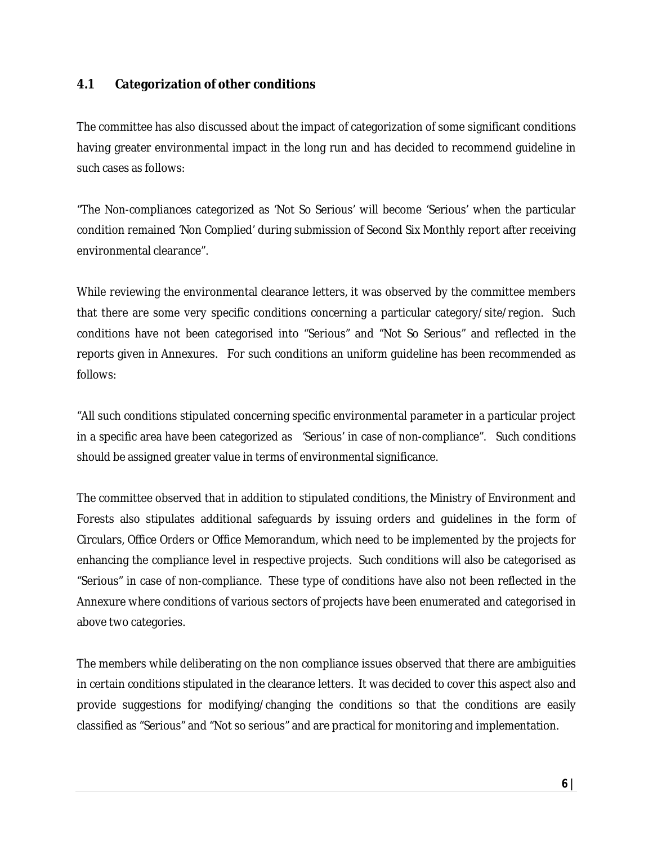#### **4.1 Categorization of other conditions**

The committee has also discussed about the impact of categorization of some significant conditions having greater environmental impact in the long run and has decided to recommend guideline in such cases as follows:

"The Non-compliances categorized as 'Not So Serious' will become 'Serious' when the particular condition remained 'Non Complied' during submission of Second Six Monthly report after receiving environmental clearance".

While reviewing the environmental clearance letters, it was observed by the committee members that there are some very specific conditions concerning a particular category/site/region. Such conditions have not been categorised into "Serious" and "Not So Serious" and reflected in the reports given in Annexures. For such conditions an uniform guideline has been recommended as follows:

"All such conditions stipulated concerning specific environmental parameter in a particular project in a specific area have been categorized as 'Serious' in case of non-compliance". Such conditions should be assigned greater value in terms of environmental significance.

The committee observed that in addition to stipulated conditions, the Ministry of Environment and Forests also stipulates additional safeguards by issuing orders and guidelines in the form of Circulars, Office Orders or Office Memorandum, which need to be implemented by the projects for enhancing the compliance level in respective projects. Such conditions will also be categorised as "Serious" in case of non-compliance. These type of conditions have also not been reflected in the Annexure where conditions of various sectors of projects have been enumerated and categorised in above two categories.

The members while deliberating on the non compliance issues observed that there are ambiguities in certain conditions stipulated in the clearance letters. It was decided to cover this aspect also and provide suggestions for modifying/changing the conditions so that the conditions are easily classified as "Serious" and "Not so serious" and are practical for monitoring and implementation.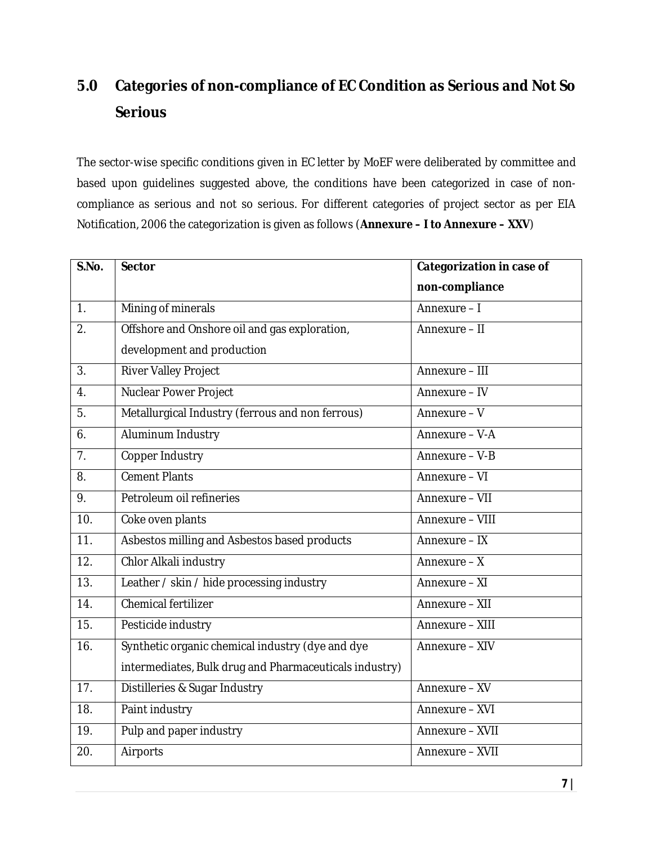# **5.0 Categories of non-compliance of EC Condition as Serious and Not So Serious**

The sector-wise specific conditions given in EC letter by MoEF were deliberated by committee and based upon guidelines suggested above, the conditions have been categorized in case of noncompliance as serious and not so serious. For different categories of project sector as per EIA Notification, 2006 the categorization is given as follows (**Annexure – I to Annexure – XXV**)

| S.No.            | <b>Sector</b>                                          | <b>Categorization in case of</b> |
|------------------|--------------------------------------------------------|----------------------------------|
|                  |                                                        | non-compliance                   |
| 1 <sub>1</sub>   | Mining of minerals                                     | Annexure-I                       |
| $\overline{2}$ . | Offshore and Onshore oil and gas exploration,          | Annexure - II                    |
|                  | development and production                             |                                  |
| 3.               | River Valley Project                                   | Annexure - III                   |
| 4.               | Nuclear Power Project                                  | Annexure - IV                    |
| 5.               | Metallurgical Industry (ferrous and non ferrous)       | Annexure - V                     |
| 6.               | Aluminum Industry                                      | Annexure - V-A                   |
| 7 <sub>1</sub>   | Copper Industry                                        | Annexure - V-B                   |
| 8.               | <b>Cement Plants</b>                                   | Annexure - VI                    |
| 9.               | Petroleum oil refineries                               | Annexure - VII                   |
| 10.              | Coke oven plants                                       | Annexure - VIII                  |
| 11.              | Asbestos milling and Asbestos based products           | Annexure - IX                    |
| 12.              | Chlor Alkali industry                                  | Annexure - X                     |
| 13.              | Leather / skin / hide processing industry              | Annexure - XI                    |
| 14.              | <b>Chemical fertilizer</b>                             | Annexure - XII                   |
| 15.              | Pesticide industry                                     | Annexure - XIII                  |
| 16.              | Synthetic organic chemical industry (dye and dye       | Annexure - XIV                   |
|                  | intermediates, Bulk drug and Pharmaceuticals industry) |                                  |
| 17.              | Distilleries & Sugar Industry                          | Annexure - XV                    |
| 18.              | Paint industry                                         | Annexure - XVI                   |
| 19.              | Pulp and paper industry                                | Annexure - XVII                  |
| 20.              | Airports                                               | Annexure - XVII                  |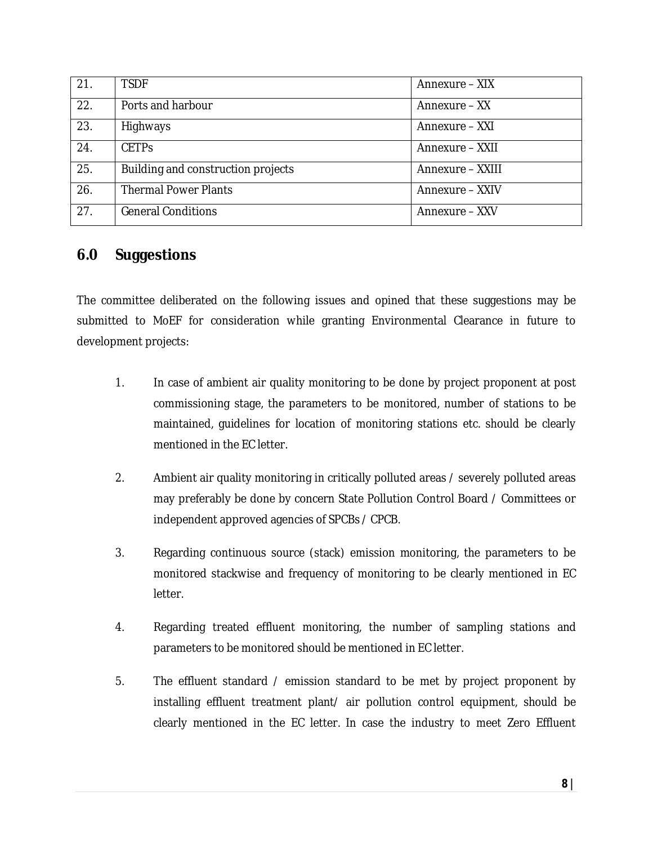| 21. | <b>TSDF</b>                        | Annexure – XIX   |
|-----|------------------------------------|------------------|
| 22. | Ports and harbour                  | Annexure - XX    |
| 23. | Highways                           | Annexure - XXI   |
| 24. | <b>CFTPS</b>                       | Annexure – XXII  |
| 25. | Building and construction projects | Annexure – XXIII |
| 26. | <b>Thermal Power Plants</b>        | Annexure - XXIV  |
| 27. | <b>General Conditions</b>          | Annexure - XXV   |

#### **6.0 Suggestions**

The committee deliberated on the following issues and opined that these suggestions may be submitted to MoEF for consideration while granting Environmental Clearance in future to development projects:

- 1. In case of ambient air quality monitoring to be done by project proponent at post commissioning stage, the parameters to be monitored, number of stations to be maintained, guidelines for location of monitoring stations etc. should be clearly mentioned in the EC letter.
- 2. Ambient air quality monitoring in critically polluted areas / severely polluted areas may preferably be done by concern State Pollution Control Board / Committees or independent approved agencies of SPCBs / CPCB.
- 3. Regarding continuous source (stack) emission monitoring, the parameters to be monitored stackwise and frequency of monitoring to be clearly mentioned in EC letter.
- 4. Regarding treated effluent monitoring, the number of sampling stations and parameters to be monitored should be mentioned in EC letter.
- 5. The effluent standard / emission standard to be met by project proponent by installing effluent treatment plant/ air pollution control equipment, should be clearly mentioned in the EC letter. In case the industry to meet Zero Effluent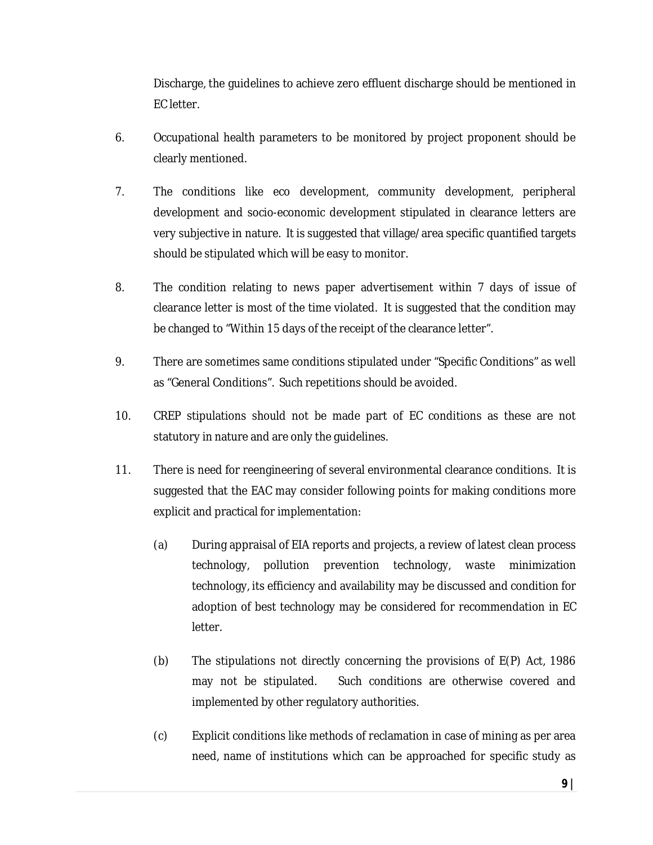Discharge, the guidelines to achieve zero effluent discharge should be mentioned in EC letter.

- 6. Occupational health parameters to be monitored by project proponent should be clearly mentioned.
- 7. The conditions like eco development, community development, peripheral development and socio-economic development stipulated in clearance letters are very subjective in nature. It is suggested that village/area specific quantified targets should be stipulated which will be easy to monitor.
- 8. The condition relating to news paper advertisement within 7 days of issue of clearance letter is most of the time violated. It is suggested that the condition may be changed to "Within 15 days of the receipt of the clearance letter".
- 9. There are sometimes same conditions stipulated under "Specific Conditions" as well as "General Conditions". Such repetitions should be avoided.
- 10. CREP stipulations should not be made part of EC conditions as these are not statutory in nature and are only the guidelines.
- 11. There is need for reengineering of several environmental clearance conditions. It is suggested that the EAC may consider following points for making conditions more explicit and practical for implementation:
	- (a) During appraisal of EIA reports and projects, a review of latest clean process technology, pollution prevention technology, waste minimization technology, its efficiency and availability may be discussed and condition for adoption of best technology may be considered for recommendation in EC letter.
	- (b) The stipulations not directly concerning the provisions of E(P) Act, 1986 may not be stipulated. Such conditions are otherwise covered and implemented by other regulatory authorities.
	- (c) Explicit conditions like methods of reclamation in case of mining as per area need, name of institutions which can be approached for specific study as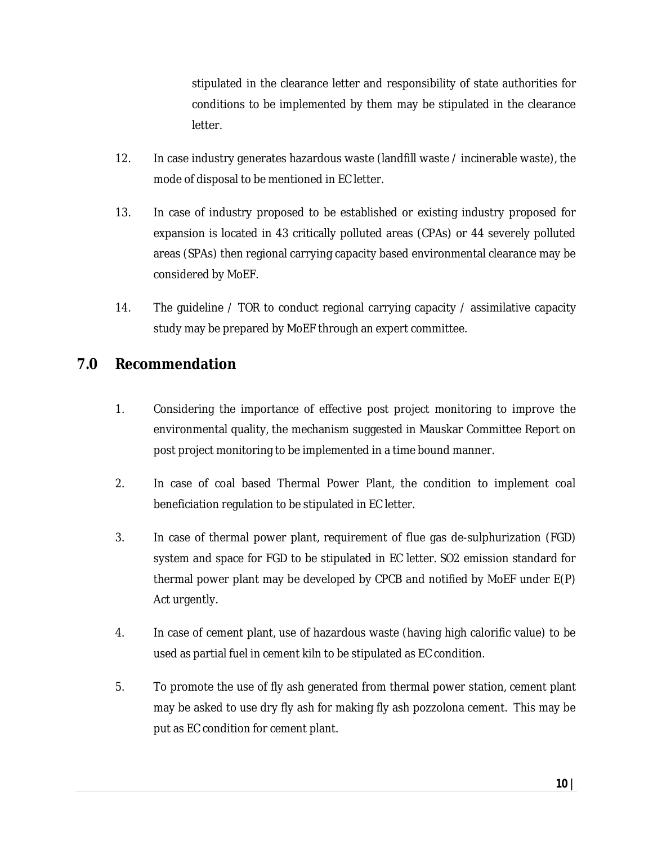stipulated in the clearance letter and responsibility of state authorities for conditions to be implemented by them may be stipulated in the clearance letter.

- 12. In case industry generates hazardous waste (landfill waste / incinerable waste), the mode of disposal to be mentioned in EC letter.
- 13. In case of industry proposed to be established or existing industry proposed for expansion is located in 43 critically polluted areas (CPAs) or 44 severely polluted areas (SPAs) then regional carrying capacity based environmental clearance may be considered by MoEF.
- 14. The guideline / TOR to conduct regional carrying capacity / assimilative capacity study may be prepared by MoEF through an expert committee.

#### **7.0 Recommendation**

- 1. Considering the importance of effective post project monitoring to improve the environmental quality, the mechanism suggested in Mauskar Committee Report on post project monitoring to be implemented in a time bound manner.
- 2. In case of coal based Thermal Power Plant, the condition to implement coal beneficiation regulation to be stipulated in EC letter.
- 3. In case of thermal power plant, requirement of flue gas de-sulphurization (FGD) system and space for FGD to be stipulated in EC letter. SO2 emission standard for thermal power plant may be developed by CPCB and notified by MoEF under E(P) Act urgently.
- 4. In case of cement plant, use of hazardous waste (having high calorific value) to be used as partial fuel in cement kiln to be stipulated as EC condition.
- 5. To promote the use of fly ash generated from thermal power station, cement plant may be asked to use dry fly ash for making fly ash pozzolona cement. This may be put as EC condition for cement plant.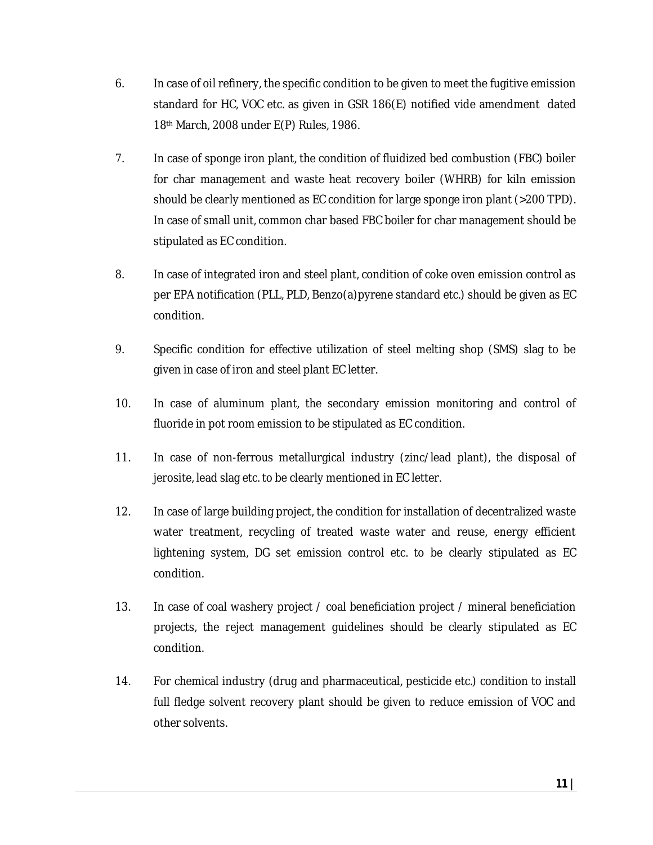- 6. In case of oil refinery, the specific condition to be given to meet the fugitive emission standard for HC, VOC etc. as given in GSR 186(E) notified vide amendment dated 18th March, 2008 under E(P) Rules, 1986.
- 7. In case of sponge iron plant, the condition of fluidized bed combustion (FBC) boiler for char management and waste heat recovery boiler (WHRB) for kiln emission should be clearly mentioned as EC condition for large sponge iron plant (>200 TPD). In case of small unit, common char based FBC boiler for char management should be stipulated as EC condition.
- 8. In case of integrated iron and steel plant, condition of coke oven emission control as per EPA notification (PLL, PLD, Benzo(a)pyrene standard etc.) should be given as EC condition.
- 9. Specific condition for effective utilization of steel melting shop (SMS) slag to be given in case of iron and steel plant EC letter.
- 10. In case of aluminum plant, the secondary emission monitoring and control of fluoride in pot room emission to be stipulated as EC condition.
- 11. In case of non-ferrous metallurgical industry (zinc/lead plant), the disposal of jerosite, lead slag etc. to be clearly mentioned in EC letter.
- 12. In case of large building project, the condition for installation of decentralized waste water treatment, recycling of treated waste water and reuse, energy efficient lightening system, DG set emission control etc. to be clearly stipulated as EC condition.
- 13. In case of coal washery project / coal beneficiation project / mineral beneficiation projects, the reject management guidelines should be clearly stipulated as EC condition.
- 14. For chemical industry (drug and pharmaceutical, pesticide etc.) condition to install full fledge solvent recovery plant should be given to reduce emission of VOC and other solvents.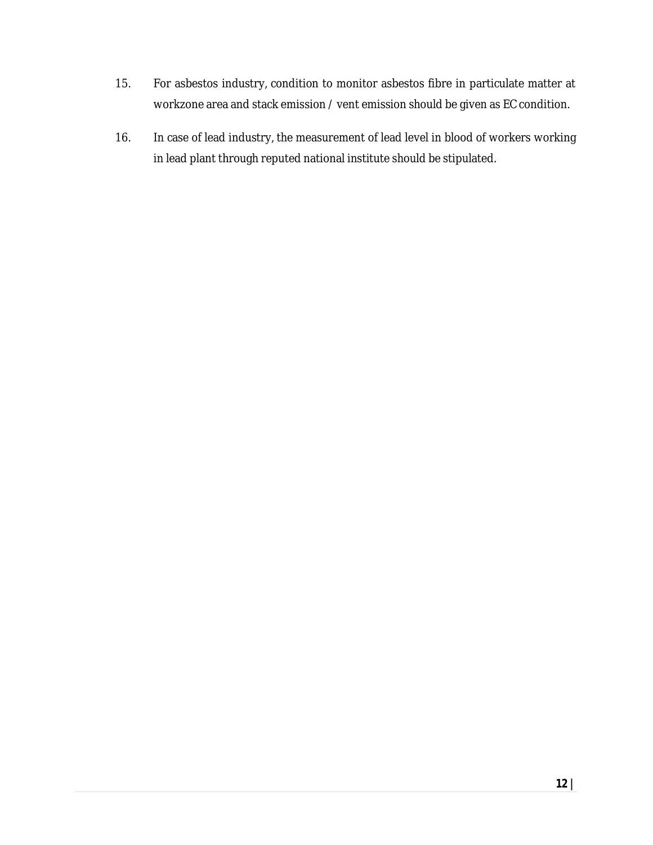- 15. For asbestos industry, condition to monitor asbestos fibre in particulate matter at workzone area and stack emission / vent emission should be given as EC condition.
- 16. In case of lead industry, the measurement of lead level in blood of workers working in lead plant through reputed national institute should be stipulated.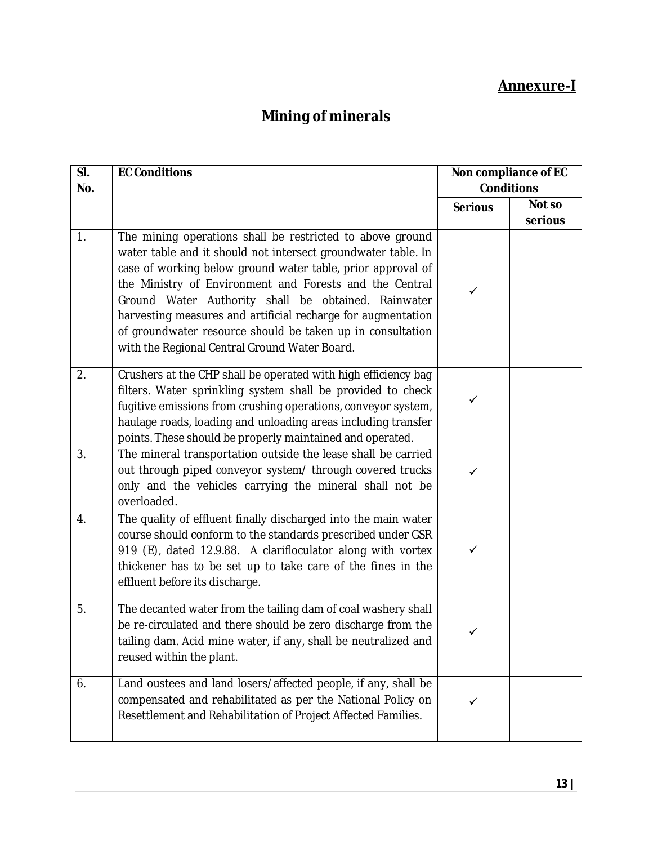### **Annexure-I**

## **Mining of minerals**

| SI. | <b>EC Conditions</b>                                                                                                                                                                                                                                                                                                                                                                                                                                                                       |                   | Non compliance of EC |
|-----|--------------------------------------------------------------------------------------------------------------------------------------------------------------------------------------------------------------------------------------------------------------------------------------------------------------------------------------------------------------------------------------------------------------------------------------------------------------------------------------------|-------------------|----------------------|
| No. |                                                                                                                                                                                                                                                                                                                                                                                                                                                                                            | <b>Conditions</b> |                      |
|     |                                                                                                                                                                                                                                                                                                                                                                                                                                                                                            | <b>Serious</b>    | Not so               |
| 1.  | The mining operations shall be restricted to above ground<br>water table and it should not intersect groundwater table. In<br>case of working below ground water table, prior approval of<br>the Ministry of Environment and Forests and the Central<br>Ground Water Authority shall be obtained. Rainwater<br>harvesting measures and artificial recharge for augmentation<br>of groundwater resource should be taken up in consultation<br>with the Regional Central Ground Water Board. | ✓                 | serious              |
| 2.  | Crushers at the CHP shall be operated with high efficiency bag<br>filters. Water sprinkling system shall be provided to check<br>fugitive emissions from crushing operations, conveyor system,<br>haulage roads, loading and unloading areas including transfer<br>points. These should be properly maintained and operated.                                                                                                                                                               | ✓                 |                      |
| 3.  | The mineral transportation outside the lease shall be carried<br>out through piped conveyor system/ through covered trucks<br>only and the vehicles carrying the mineral shall not be<br>overloaded.                                                                                                                                                                                                                                                                                       | ✓                 |                      |
| 4.  | The quality of effluent finally discharged into the main water<br>course should conform to the standards prescribed under GSR<br>919 (E), dated 12.9.88. A clarifloculator along with vortex<br>thickener has to be set up to take care of the fines in the<br>effluent before its discharge.                                                                                                                                                                                              | ✓                 |                      |
| 5.  | The decanted water from the tailing dam of coal washery shall<br>be re-circulated and there should be zero discharge from the<br>tailing dam. Acid mine water, if any, shall be neutralized and<br>reused within the plant.                                                                                                                                                                                                                                                                | ✓                 |                      |
| 6.  | Land oustees and land losers/affected people, if any, shall be<br>compensated and rehabilitated as per the National Policy on<br>Resettlement and Rehabilitation of Project Affected Families.                                                                                                                                                                                                                                                                                             | ✓                 |                      |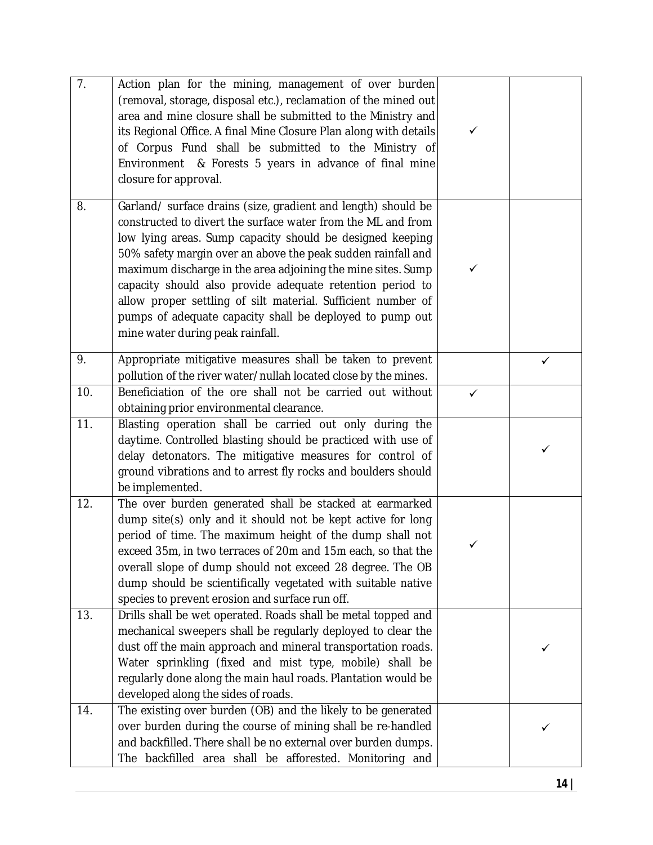| $\overline{7}$ . | Action plan for the mining, management of over burden<br>(removal, storage, disposal etc.), reclamation of the mined out<br>area and mine closure shall be submitted to the Ministry and<br>its Regional Office. A final Mine Closure Plan along with details<br>of Corpus Fund shall be submitted to the Ministry of<br>Environment & Forests 5 years in advance of final mine<br>closure for approval.                                                                                                                                                | ✓ |              |
|------------------|---------------------------------------------------------------------------------------------------------------------------------------------------------------------------------------------------------------------------------------------------------------------------------------------------------------------------------------------------------------------------------------------------------------------------------------------------------------------------------------------------------------------------------------------------------|---|--------------|
| 8.               | Garland/ surface drains (size, gradient and length) should be<br>constructed to divert the surface water from the ML and from<br>low lying areas. Sump capacity should be designed keeping<br>50% safety margin over an above the peak sudden rainfall and<br>maximum discharge in the area adjoining the mine sites. Sump<br>capacity should also provide adequate retention period to<br>allow proper settling of silt material. Sufficient number of<br>pumps of adequate capacity shall be deployed to pump out<br>mine water during peak rainfall. | ✓ |              |
| 9.               | Appropriate mitigative measures shall be taken to prevent<br>pollution of the river water/nullah located close by the mines.                                                                                                                                                                                                                                                                                                                                                                                                                            |   | $\checkmark$ |
| 10.              | Beneficiation of the ore shall not be carried out without<br>obtaining prior environmental clearance.                                                                                                                                                                                                                                                                                                                                                                                                                                                   | ✓ |              |
| 11.              | Blasting operation shall be carried out only during the<br>daytime. Controlled blasting should be practiced with use of<br>delay detonators. The mitigative measures for control of<br>ground vibrations and to arrest fly rocks and boulders should<br>be implemented.                                                                                                                                                                                                                                                                                 |   | ✓            |
| 12.              | The over burden generated shall be stacked at earmarked<br>dump site(s) only and it should not be kept active for long<br>period of time. The maximum height of the dump shall not<br>exceed 35m, in two terraces of 20m and 15m each, so that the<br>overall slope of dump should not exceed 28 degree. The OB<br>dump should be scientifically vegetated with suitable native<br>species to prevent erosion and surface run off.                                                                                                                      | ✓ |              |
| 13.              | Drills shall be wet operated. Roads shall be metal topped and<br>mechanical sweepers shall be regularly deployed to clear the<br>dust off the main approach and mineral transportation roads.<br>Water sprinkling (fixed and mist type, mobile) shall be<br>regularly done along the main haul roads. Plantation would be<br>developed along the sides of roads.                                                                                                                                                                                        |   | ✓            |
| 14.              | The existing over burden (OB) and the likely to be generated<br>over burden during the course of mining shall be re-handled<br>and backfilled. There shall be no external over burden dumps.<br>The backfilled area shall be afforested. Monitoring and                                                                                                                                                                                                                                                                                                 |   |              |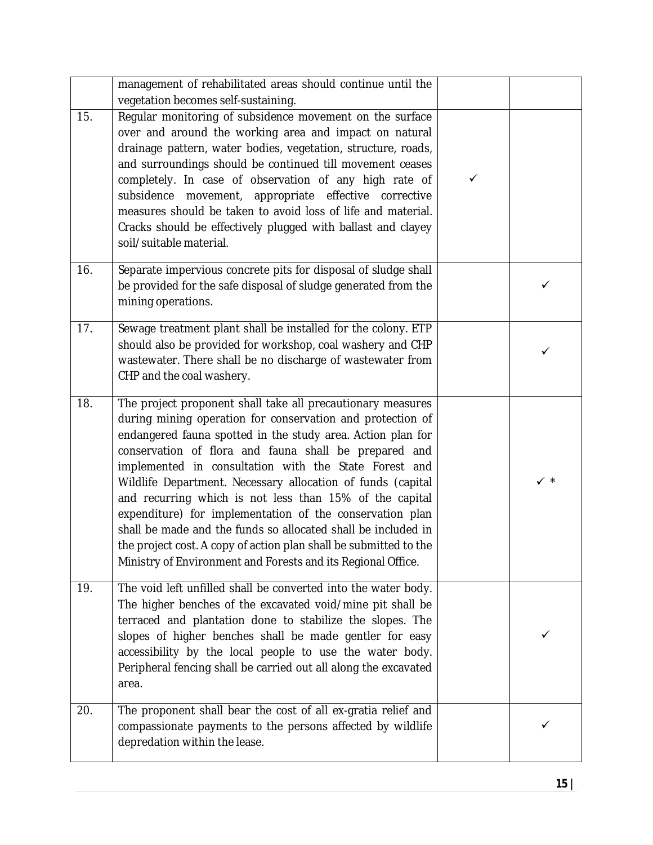|     | management of rehabilitated areas should continue until the<br>vegetation becomes self-sustaining.                                                                                                                                                                                                                                                                                                                                                                                                                                                                                                                                                                                                     |   |                |
|-----|--------------------------------------------------------------------------------------------------------------------------------------------------------------------------------------------------------------------------------------------------------------------------------------------------------------------------------------------------------------------------------------------------------------------------------------------------------------------------------------------------------------------------------------------------------------------------------------------------------------------------------------------------------------------------------------------------------|---|----------------|
| 15. | Regular monitoring of subsidence movement on the surface<br>over and around the working area and impact on natural<br>drainage pattern, water bodies, vegetation, structure, roads,<br>and surroundings should be continued till movement ceases<br>completely. In case of observation of any high rate of<br>subsidence movement, appropriate effective corrective<br>measures should be taken to avoid loss of life and material.<br>Cracks should be effectively plugged with ballast and clayey<br>soil/suitable material.                                                                                                                                                                         | ✓ |                |
| 16. | Separate impervious concrete pits for disposal of sludge shall<br>be provided for the safe disposal of sludge generated from the<br>mining operations.                                                                                                                                                                                                                                                                                                                                                                                                                                                                                                                                                 |   | ✓              |
| 17. | Sewage treatment plant shall be installed for the colony. ETP<br>should also be provided for workshop, coal washery and CHP<br>wastewater. There shall be no discharge of wastewater from<br>CHP and the coal washery.                                                                                                                                                                                                                                                                                                                                                                                                                                                                                 |   | ✓              |
| 18. | The project proponent shall take all precautionary measures<br>during mining operation for conservation and protection of<br>endangered fauna spotted in the study area. Action plan for<br>conservation of flora and fauna shall be prepared and<br>implemented in consultation with the State Forest and<br>Wildlife Department. Necessary allocation of funds (capital<br>and recurring which is not less than 15% of the capital<br>expenditure) for implementation of the conservation plan<br>shall be made and the funds so allocated shall be included in<br>the project cost. A copy of action plan shall be submitted to the<br>Ministry of Environment and Forests and its Regional Office. |   | $\checkmark$ * |
| 19. | The void left unfilled shall be converted into the water body.<br>The higher benches of the excavated void/mine pit shall be<br>terraced and plantation done to stabilize the slopes. The<br>slopes of higher benches shall be made gentler for easy<br>accessibility by the local people to use the water body.<br>Peripheral fencing shall be carried out all along the excavated<br>area.                                                                                                                                                                                                                                                                                                           |   | ✓              |
| 20. | The proponent shall bear the cost of all ex-gratia relief and<br>compassionate payments to the persons affected by wildlife<br>depredation within the lease.                                                                                                                                                                                                                                                                                                                                                                                                                                                                                                                                           |   | ✓              |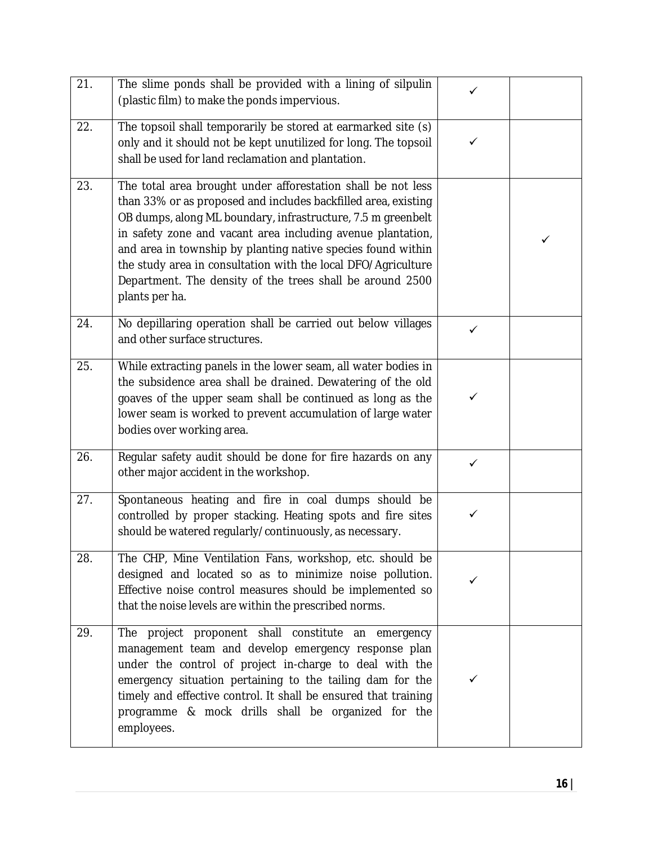| 21. | The slime ponds shall be provided with a lining of silpulin<br>(plastic film) to make the ponds impervious.                                                                                                                                                                                                                                                                                                                                                                   | ✓            |   |
|-----|-------------------------------------------------------------------------------------------------------------------------------------------------------------------------------------------------------------------------------------------------------------------------------------------------------------------------------------------------------------------------------------------------------------------------------------------------------------------------------|--------------|---|
| 22. | The topsoil shall temporarily be stored at earmarked site (s)<br>only and it should not be kept unutilized for long. The topsoil<br>shall be used for land reclamation and plantation.                                                                                                                                                                                                                                                                                        | ✓            |   |
| 23. | The total area brought under afforestation shall be not less<br>than 33% or as proposed and includes backfilled area, existing<br>OB dumps, along ML boundary, infrastructure, 7.5 m greenbelt<br>in safety zone and vacant area including avenue plantation,<br>and area in township by planting native species found within<br>the study area in consultation with the local DFO/Agriculture<br>Department. The density of the trees shall be around 2500<br>plants per ha. |              | ✓ |
| 24. | No depillaring operation shall be carried out below villages<br>and other surface structures.                                                                                                                                                                                                                                                                                                                                                                                 | $\checkmark$ |   |
| 25. | While extracting panels in the lower seam, all water bodies in<br>the subsidence area shall be drained. Dewatering of the old<br>goaves of the upper seam shall be continued as long as the<br>lower seam is worked to prevent accumulation of large water<br>bodies over working area.                                                                                                                                                                                       | ✓            |   |
| 26. | Regular safety audit should be done for fire hazards on any<br>other major accident in the workshop.                                                                                                                                                                                                                                                                                                                                                                          | $\checkmark$ |   |
| 27. | Spontaneous heating and fire in coal dumps should be<br>controlled by proper stacking. Heating spots and fire sites<br>should be watered regularly/continuously, as necessary.                                                                                                                                                                                                                                                                                                | ✓            |   |
| 28. | The CHP, Mine Ventilation Fans, workshop, etc. should be<br>designed and located so as to minimize noise pollution.<br>Effective noise control measures should be implemented so<br>that the noise levels are within the prescribed norms.                                                                                                                                                                                                                                    |              |   |
| 29. | The project proponent shall constitute an emergency<br>management team and develop emergency response plan<br>under the control of project in-charge to deal with the<br>emergency situation pertaining to the tailing dam for the<br>timely and effective control. It shall be ensured that training<br>programme & mock drills shall be organized for the<br>employees.                                                                                                     | ✓            |   |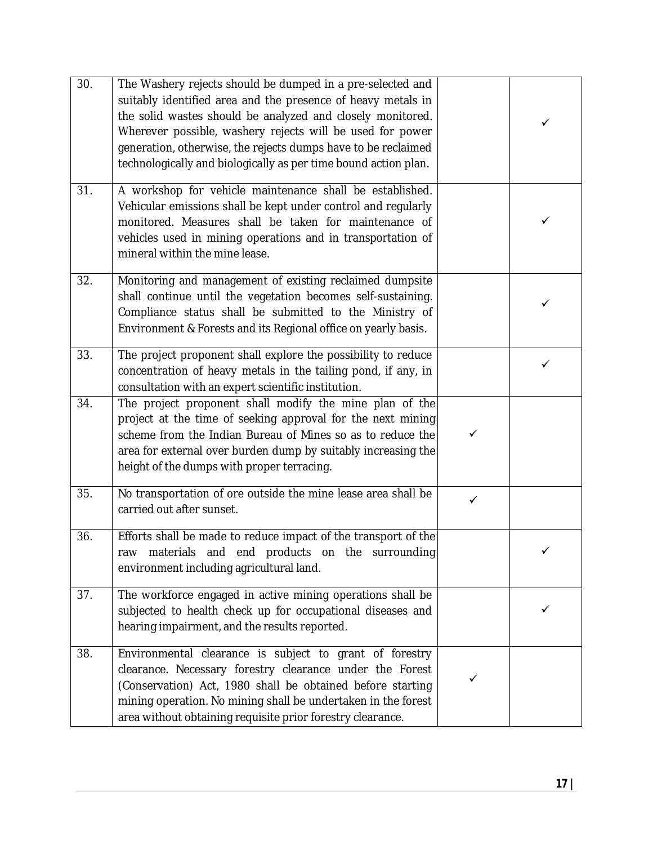| 30. | The Washery rejects should be dumped in a pre-selected and<br>suitably identified area and the presence of heavy metals in<br>the solid wastes should be analyzed and closely monitored.<br>Wherever possible, washery rejects will be used for power<br>generation, otherwise, the rejects dumps have to be reclaimed<br>technologically and biologically as per time bound action plan. |              | ✓ |
|-----|-------------------------------------------------------------------------------------------------------------------------------------------------------------------------------------------------------------------------------------------------------------------------------------------------------------------------------------------------------------------------------------------|--------------|---|
| 31. | A workshop for vehicle maintenance shall be established.<br>Vehicular emissions shall be kept under control and regularly<br>monitored. Measures shall be taken for maintenance of<br>vehicles used in mining operations and in transportation of<br>mineral within the mine lease.                                                                                                       |              | ✓ |
| 32. | Monitoring and management of existing reclaimed dumpsite<br>shall continue until the vegetation becomes self-sustaining.<br>Compliance status shall be submitted to the Ministry of<br>Environment & Forests and its Regional office on yearly basis.                                                                                                                                     |              | ✓ |
| 33. | The project proponent shall explore the possibility to reduce<br>concentration of heavy metals in the tailing pond, if any, in<br>consultation with an expert scientific institution.                                                                                                                                                                                                     |              | ✓ |
| 34. | The project proponent shall modify the mine plan of the<br>project at the time of seeking approval for the next mining<br>scheme from the Indian Bureau of Mines so as to reduce the<br>area for external over burden dump by suitably increasing the<br>height of the dumps with proper terracing.                                                                                       | ✓            |   |
| 35. | No transportation of ore outside the mine lease area shall be<br>carried out after sunset.                                                                                                                                                                                                                                                                                                | $\checkmark$ |   |
| 36. | Efforts shall be made to reduce impact of the transport of the<br>raw materials and end products on the surrounding<br>environment including agricultural land.                                                                                                                                                                                                                           |              |   |
| 37. | The workforce engaged in active mining operations shall be<br>subjected to health check up for occupational diseases and<br>hearing impairment, and the results reported.                                                                                                                                                                                                                 |              |   |
| 38. | Environmental clearance is subject to grant of forestry<br>clearance. Necessary forestry clearance under the Forest<br>(Conservation) Act, 1980 shall be obtained before starting<br>mining operation. No mining shall be undertaken in the forest<br>area without obtaining requisite prior forestry clearance.                                                                          | ✓            |   |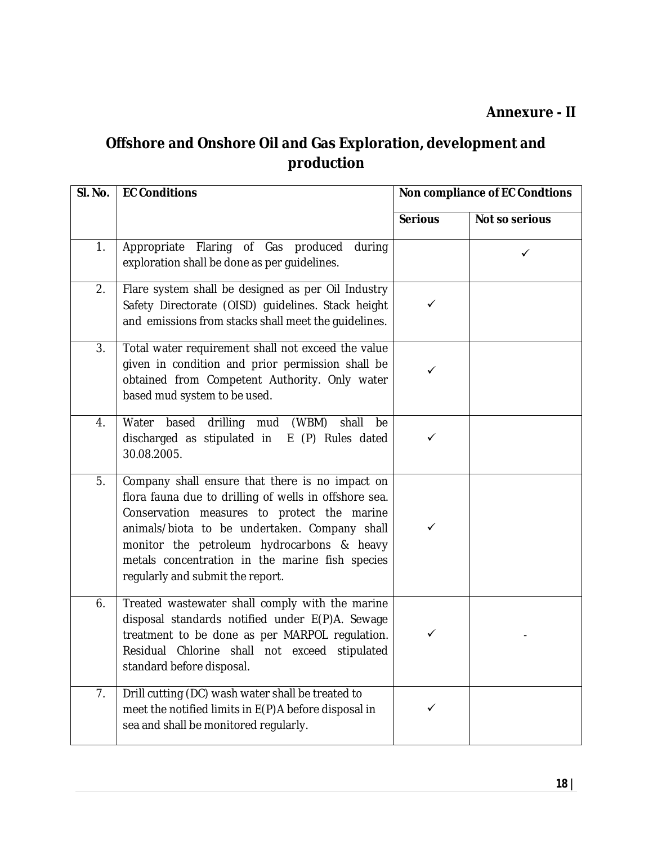### **Offshore and Onshore Oil and Gas Exploration, development and production**

| SI. No. | <b>EC Conditions</b>                                                                                                                                                                                                                                                                                                                          | Non compliance of EC Condtions |                |
|---------|-----------------------------------------------------------------------------------------------------------------------------------------------------------------------------------------------------------------------------------------------------------------------------------------------------------------------------------------------|--------------------------------|----------------|
|         |                                                                                                                                                                                                                                                                                                                                               | <b>Serious</b>                 | Not so serious |
| 1.      | Flaring of Gas<br>Appropriate<br>produced<br>during<br>exploration shall be done as per guidelines.                                                                                                                                                                                                                                           |                                | ✓              |
| 2.      | Flare system shall be designed as per Oil Industry<br>Safety Directorate (OISD) guidelines. Stack height<br>and emissions from stacks shall meet the guidelines.                                                                                                                                                                              | ✓                              |                |
| 3.      | Total water requirement shall not exceed the value<br>given in condition and prior permission shall be<br>obtained from Competent Authority. Only water<br>based mud system to be used.                                                                                                                                                       | ✓                              |                |
| 4.      | Water based drilling mud (WBM)<br>shall<br>be<br>discharged as stipulated in<br>E (P) Rules dated<br>30.08.2005.                                                                                                                                                                                                                              | ✓                              |                |
| 5.      | Company shall ensure that there is no impact on<br>flora fauna due to drilling of wells in offshore sea.<br>Conservation measures to protect the marine<br>animals/biota to be undertaken. Company shall<br>monitor the petroleum hydrocarbons & heavy<br>metals concentration in the marine fish species<br>regularly and submit the report. | ✓                              |                |
| 6.      | Treated wastewater shall comply with the marine<br>disposal standards notified under E(P)A. Sewage<br>treatment to be done as per MARPOL regulation.<br>Residual Chlorine shall not exceed stipulated<br>standard before disposal.                                                                                                            | ✓                              |                |
| 7.      | Drill cutting (DC) wash water shall be treated to<br>meet the notified limits in E(P)A before disposal in<br>sea and shall be monitored regularly.                                                                                                                                                                                            | ✓                              |                |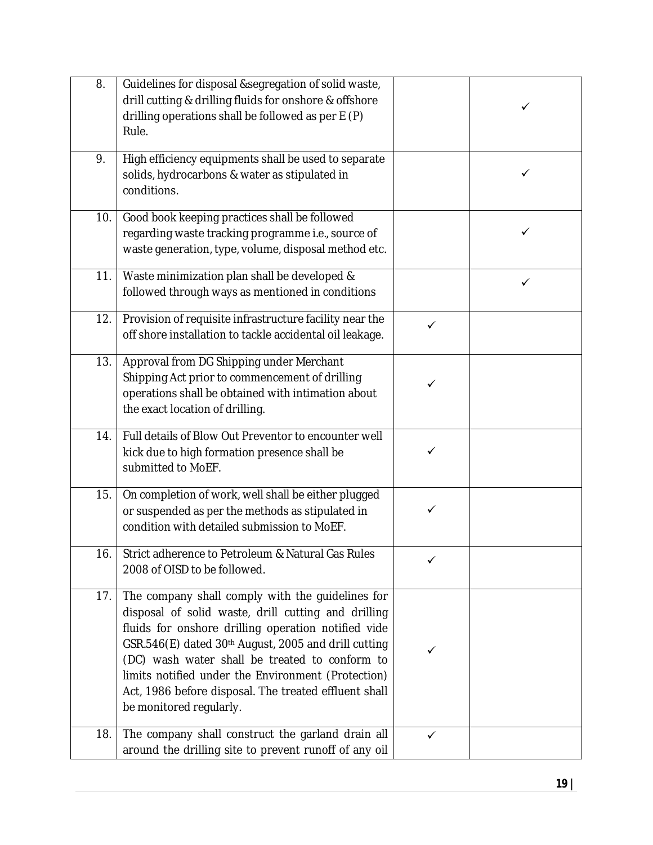| 8.  | Guidelines for disposal &segregation of solid waste,<br>drill cutting & drilling fluids for onshore & offshore<br>drilling operations shall be followed as per E (P)<br>Rule.                                                                                                                                                                                                                                      |              | ✓ |
|-----|--------------------------------------------------------------------------------------------------------------------------------------------------------------------------------------------------------------------------------------------------------------------------------------------------------------------------------------------------------------------------------------------------------------------|--------------|---|
| 9.  | High efficiency equipments shall be used to separate<br>solids, hydrocarbons & water as stipulated in<br>conditions.                                                                                                                                                                                                                                                                                               |              | ✓ |
| 10. | Good book keeping practices shall be followed<br>regarding waste tracking programme i.e., source of<br>waste generation, type, volume, disposal method etc.                                                                                                                                                                                                                                                        |              | ✓ |
| 11. | Waste minimization plan shall be developed &<br>followed through ways as mentioned in conditions                                                                                                                                                                                                                                                                                                                   |              | ✓ |
| 12. | Provision of requisite infrastructure facility near the<br>off shore installation to tackle accidental oil leakage.                                                                                                                                                                                                                                                                                                | $\checkmark$ |   |
| 13. | Approval from DG Shipping under Merchant<br>Shipping Act prior to commencement of drilling<br>operations shall be obtained with intimation about<br>the exact location of drilling.                                                                                                                                                                                                                                |              |   |
| 14. | Full details of Blow Out Preventor to encounter well<br>kick due to high formation presence shall be<br>submitted to MoEF.                                                                                                                                                                                                                                                                                         | ✓            |   |
| 15. | On completion of work, well shall be either plugged<br>or suspended as per the methods as stipulated in<br>condition with detailed submission to MoEF.                                                                                                                                                                                                                                                             |              |   |
| 16. | Strict adherence to Petroleum & Natural Gas Rules<br>2008 of OISD to be followed.                                                                                                                                                                                                                                                                                                                                  |              |   |
| 17. | The company shall comply with the guidelines for<br>disposal of solid waste, drill cutting and drilling<br>fluids for onshore drilling operation notified vide<br>GSR.546(E) dated 30th August, 2005 and drill cutting<br>(DC) wash water shall be treated to conform to<br>limits notified under the Environment (Protection)<br>Act, 1986 before disposal. The treated effluent shall<br>be monitored regularly. | ✓            |   |
| 18. | The company shall construct the garland drain all<br>around the drilling site to prevent runoff of any oil                                                                                                                                                                                                                                                                                                         | ✓            |   |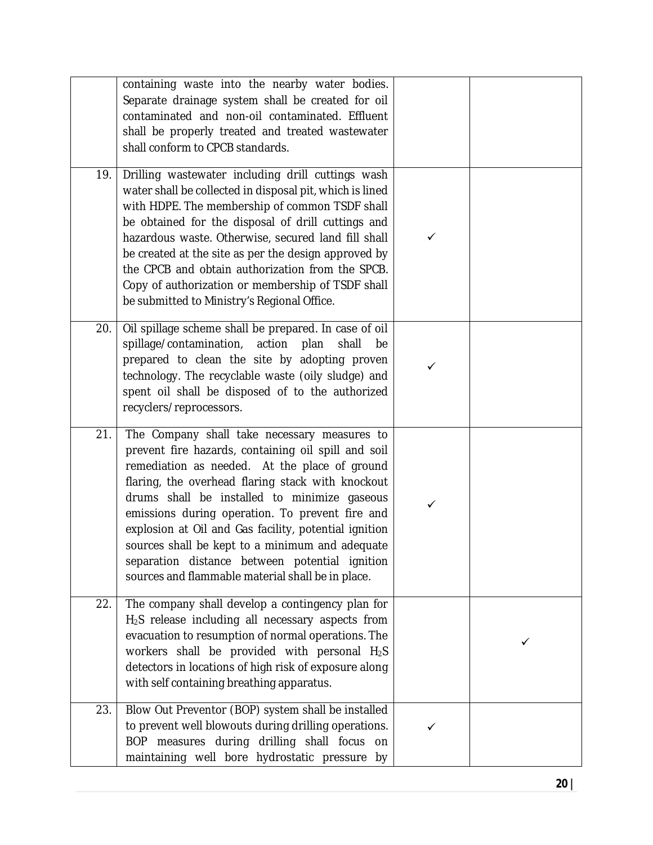|     | containing waste into the nearby water bodies.<br>Separate drainage system shall be created for oil<br>contaminated and non-oil contaminated. Effluent<br>shall be properly treated and treated wastewater<br>shall conform to CPCB standards.                                                                                                                                                                                                                                                                                  |   |   |
|-----|---------------------------------------------------------------------------------------------------------------------------------------------------------------------------------------------------------------------------------------------------------------------------------------------------------------------------------------------------------------------------------------------------------------------------------------------------------------------------------------------------------------------------------|---|---|
| 19. | Drilling wastewater including drill cuttings wash<br>water shall be collected in disposal pit, which is lined<br>with HDPE. The membership of common TSDF shall<br>be obtained for the disposal of drill cuttings and<br>hazardous waste. Otherwise, secured land fill shall<br>be created at the site as per the design approved by<br>the CPCB and obtain authorization from the SPCB.<br>Copy of authorization or membership of TSDF shall<br>be submitted to Ministry's Regional Office.                                    | ✓ |   |
| 20. | Oil spillage scheme shall be prepared. In case of oil<br>spillage/contamination,<br>action<br>plan<br>shall<br>be<br>prepared to clean the site by adopting proven<br>technology. The recyclable waste (oily sludge) and<br>spent oil shall be disposed of to the authorized<br>recyclers/reprocessors.                                                                                                                                                                                                                         | ✓ |   |
| 21. | The Company shall take necessary measures to<br>prevent fire hazards, containing oil spill and soil<br>remediation as needed. At the place of ground<br>flaring, the overhead flaring stack with knockout<br>drums shall be installed to minimize gaseous<br>emissions during operation. To prevent fire and<br>explosion at Oil and Gas facility, potential ignition<br>sources shall be kept to a minimum and adequate<br>separation distance between potential ignition<br>sources and flammable material shall be in place. | ✓ |   |
| 22. | The company shall develop a contingency plan for<br>H <sub>2</sub> S release including all necessary aspects from<br>evacuation to resumption of normal operations. The<br>workers shall be provided with personal H <sub>2</sub> S<br>detectors in locations of high risk of exposure along<br>with self containing breathing apparatus.                                                                                                                                                                                       |   | ✓ |
| 23. | Blow Out Preventor (BOP) system shall be installed<br>to prevent well blowouts during drilling operations.<br>BOP measures during drilling shall focus on<br>maintaining well bore hydrostatic pressure by                                                                                                                                                                                                                                                                                                                      | ✓ |   |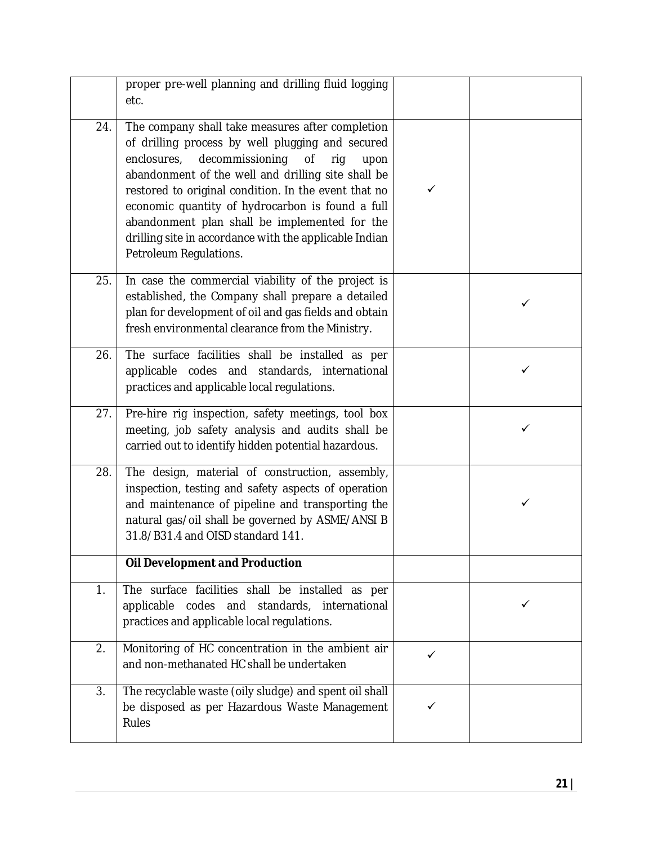|     | proper pre-well planning and drilling fluid logging<br>etc.                                                                                                                                                                                                                                                                                                                                                                                                        |   |   |
|-----|--------------------------------------------------------------------------------------------------------------------------------------------------------------------------------------------------------------------------------------------------------------------------------------------------------------------------------------------------------------------------------------------------------------------------------------------------------------------|---|---|
| 24. | The company shall take measures after completion<br>of drilling process by well plugging and secured<br>decommissioning<br>enclosures,<br>0f<br>rig<br>upon<br>abandonment of the well and drilling site shall be<br>restored to original condition. In the event that no<br>economic quantity of hydrocarbon is found a full<br>abandonment plan shall be implemented for the<br>drilling site in accordance with the applicable Indian<br>Petroleum Regulations. | ✓ |   |
| 25. | In case the commercial viability of the project is<br>established, the Company shall prepare a detailed<br>plan for development of oil and gas fields and obtain<br>fresh environmental clearance from the Ministry.                                                                                                                                                                                                                                               |   | ✓ |
| 26. | The surface facilities shall be installed as per<br>applicable codes and standards, international<br>practices and applicable local regulations.                                                                                                                                                                                                                                                                                                                   |   | ✓ |
| 27. | Pre-hire rig inspection, safety meetings, tool box<br>meeting, job safety analysis and audits shall be<br>carried out to identify hidden potential hazardous.                                                                                                                                                                                                                                                                                                      |   | ✓ |
| 28. | The design, material of construction, assembly,<br>inspection, testing and safety aspects of operation<br>and maintenance of pipeline and transporting the<br>natural gas/oil shall be governed by ASME/ANSI B<br>31.8/B31.4 and OISD standard 141.                                                                                                                                                                                                                |   | ✓ |
|     | <b>Oil Development and Production</b>                                                                                                                                                                                                                                                                                                                                                                                                                              |   |   |
| 1.  | The surface facilities shall be installed as per<br>applicable codes and standards, international<br>practices and applicable local regulations.                                                                                                                                                                                                                                                                                                                   |   | ✓ |
| 2.  | Monitoring of HC concentration in the ambient air<br>and non-methanated HC shall be undertaken                                                                                                                                                                                                                                                                                                                                                                     | ✓ |   |
| 3.  | The recyclable waste (oily sludge) and spent oil shall<br>be disposed as per Hazardous Waste Management<br>Rules                                                                                                                                                                                                                                                                                                                                                   | ✓ |   |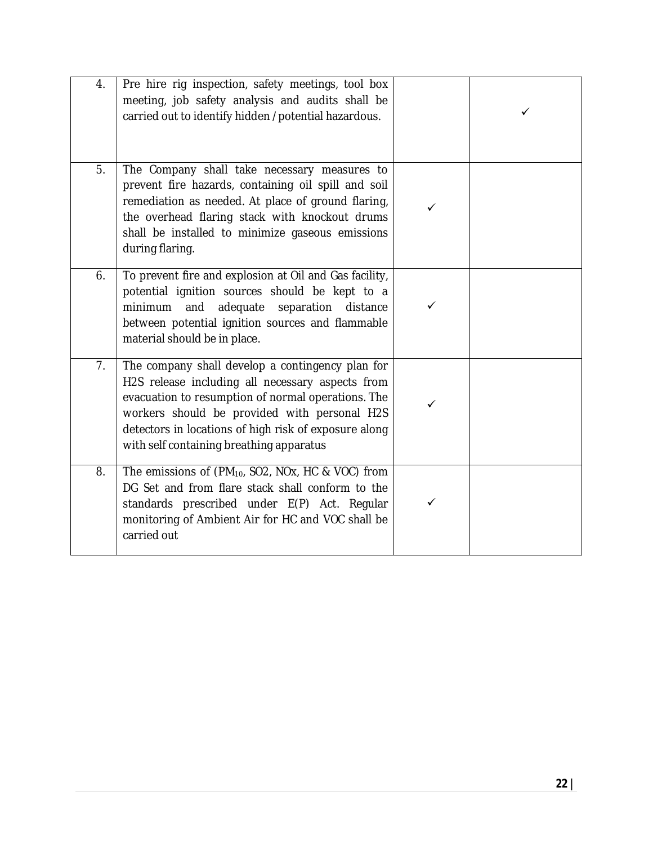| 4. | Pre hire rig inspection, safety meetings, tool box<br>meeting, job safety analysis and audits shall be<br>carried out to identify hidden /potential hazardous.                                                                                                                                                  |   |  |
|----|-----------------------------------------------------------------------------------------------------------------------------------------------------------------------------------------------------------------------------------------------------------------------------------------------------------------|---|--|
| 5. | The Company shall take necessary measures to<br>prevent fire hazards, containing oil spill and soil<br>remediation as needed. At place of ground flaring,<br>the overhead flaring stack with knockout drums<br>shall be installed to minimize gaseous emissions<br>during flaring.                              |   |  |
| 6. | To prevent fire and explosion at Oil and Gas facility,<br>potential ignition sources should be kept to a<br>and<br>adequate<br>separation<br>minimum<br>distance<br>between potential ignition sources and flammable<br>material should be in place.                                                            | ✓ |  |
| 7. | The company shall develop a contingency plan for<br>H2S release including all necessary aspects from<br>evacuation to resumption of normal operations. The<br>workers should be provided with personal H2S<br>detectors in locations of high risk of exposure along<br>with self containing breathing apparatus | ✓ |  |
| 8. | The emissions of (PM <sub>10</sub> , SO2, NOx, HC & VOC) from<br>DG Set and from flare stack shall conform to the<br>standards prescribed under E(P) Act. Regular<br>monitoring of Ambient Air for HC and VOC shall be<br>carried out                                                                           | ✓ |  |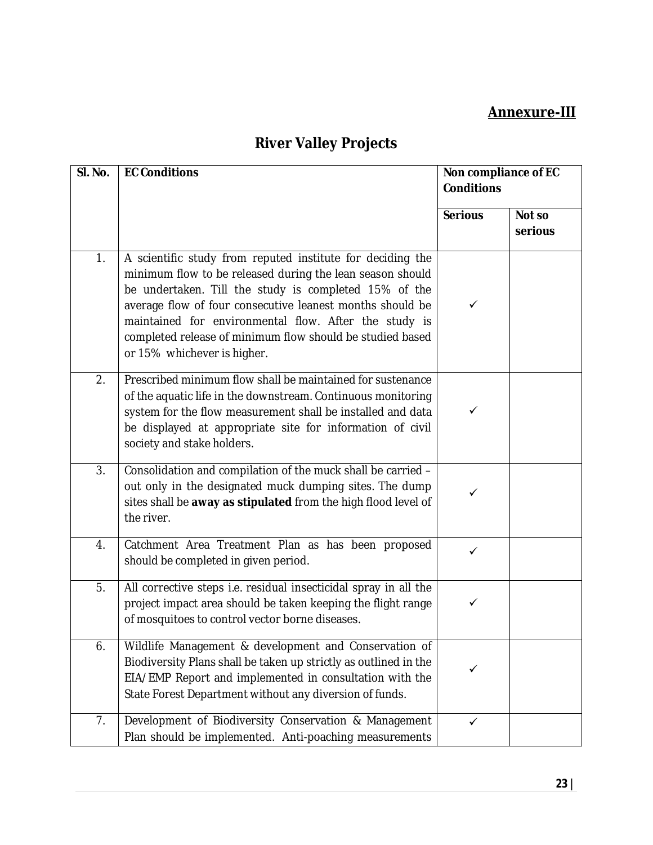### **Annexure-III**

# **River Valley Projects**

| SI. No. | <b>EC Conditions</b>                                                                                                                                                                                                                                                                                                                                                                               | Non compliance of EC<br><b>Conditions</b> |                   |
|---------|----------------------------------------------------------------------------------------------------------------------------------------------------------------------------------------------------------------------------------------------------------------------------------------------------------------------------------------------------------------------------------------------------|-------------------------------------------|-------------------|
|         |                                                                                                                                                                                                                                                                                                                                                                                                    | <b>Serious</b>                            | Not so<br>serious |
| 1.      | A scientific study from reputed institute for deciding the<br>minimum flow to be released during the lean season should<br>be undertaken. Till the study is completed 15% of the<br>average flow of four consecutive leanest months should be<br>maintained for environmental flow. After the study is<br>completed release of minimum flow should be studied based<br>or 15% whichever is higher. | ✓                                         |                   |
| 2.      | Prescribed minimum flow shall be maintained for sustenance<br>of the aquatic life in the downstream. Continuous monitoring<br>system for the flow measurement shall be installed and data<br>be displayed at appropriate site for information of civil<br>society and stake holders.                                                                                                               | ✓                                         |                   |
| 3.      | Consolidation and compilation of the muck shall be carried -<br>out only in the designated muck dumping sites. The dump<br>sites shall be away as stipulated from the high flood level of<br>the river.                                                                                                                                                                                            | $\checkmark$                              |                   |
| 4.      | Catchment Area Treatment Plan as has been proposed<br>should be completed in given period.                                                                                                                                                                                                                                                                                                         | $\checkmark$                              |                   |
| 5.      | All corrective steps i.e. residual insecticidal spray in all the<br>project impact area should be taken keeping the flight range<br>of mosquitoes to control vector borne diseases.                                                                                                                                                                                                                | $\checkmark$                              |                   |
| 6.      | Wildlife Management & development and Conservation of<br>Biodiversity Plans shall be taken up strictly as outlined in the<br>EIA/EMP Report and implemented in consultation with the<br>State Forest Department without any diversion of funds.                                                                                                                                                    | ✓                                         |                   |
| 7.      | Development of Biodiversity Conservation & Management<br>Plan should be implemented. Anti-poaching measurements                                                                                                                                                                                                                                                                                    | $\checkmark$                              |                   |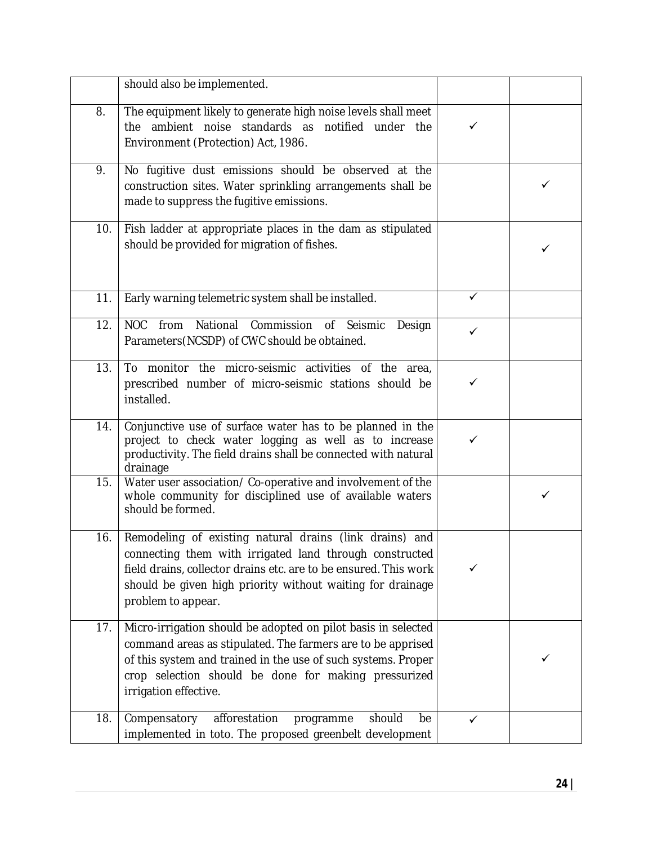|     | should also be implemented.                                                                                                                                                                                                                                                    |              |   |
|-----|--------------------------------------------------------------------------------------------------------------------------------------------------------------------------------------------------------------------------------------------------------------------------------|--------------|---|
| 8.  | The equipment likely to generate high noise levels shall meet<br>the ambient noise standards as notified under the<br>Environment (Protection) Act, 1986.                                                                                                                      | ✓            |   |
| 9.  | No fugitive dust emissions should be observed at the<br>construction sites. Water sprinkling arrangements shall be<br>made to suppress the fugitive emissions.                                                                                                                 |              | ✓ |
| 10. | Fish ladder at appropriate places in the dam as stipulated<br>should be provided for migration of fishes.                                                                                                                                                                      |              |   |
| 11. | Early warning telemetric system shall be installed.                                                                                                                                                                                                                            | ✓            |   |
| 12. | NOC from National Commission of Seismic<br>Design<br>Parameters (NCSDP) of CWC should be obtained.                                                                                                                                                                             | ✓            |   |
| 13. | To monitor the micro-seismic activities of the area,<br>prescribed number of micro-seismic stations should be<br>installed.                                                                                                                                                    | $\checkmark$ |   |
| 14. | Conjunctive use of surface water has to be planned in the<br>project to check water logging as well as to increase<br>productivity. The field drains shall be connected with natural<br>drainage                                                                               | $\checkmark$ |   |
| 15. | Water user association/Co-operative and involvement of the<br>whole community for disciplined use of available waters<br>should be formed.                                                                                                                                     |              | ✓ |
| 16. | Remodeling of existing natural drains (link drains) and<br>connecting them with irrigated land through constructed<br>field drains, collector drains etc. are to be ensured. This work<br>should be given high priority without waiting for drainage<br>problem to appear.     |              |   |
| 17. | Micro-irrigation should be adopted on pilot basis in selected<br>command areas as stipulated. The farmers are to be apprised<br>of this system and trained in the use of such systems. Proper<br>crop selection should be done for making pressurized<br>irrigation effective. |              |   |
| 18. | Compensatory<br>afforestation<br>programme<br>should<br>be<br>implemented in toto. The proposed greenbelt development                                                                                                                                                          | $\checkmark$ |   |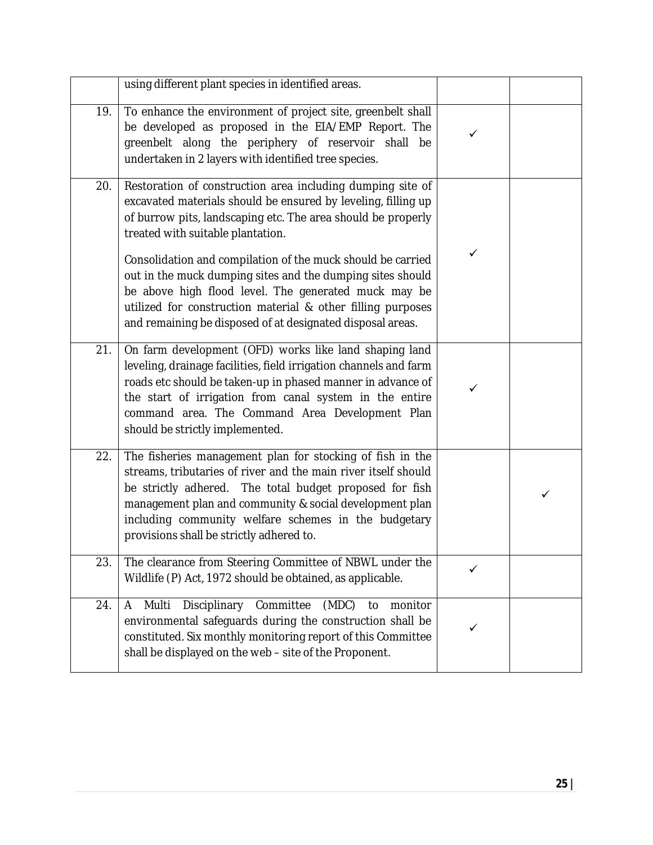|     | using different plant species in identified areas.                                                                                                                                                                                                                                                                                                            |              |   |
|-----|---------------------------------------------------------------------------------------------------------------------------------------------------------------------------------------------------------------------------------------------------------------------------------------------------------------------------------------------------------------|--------------|---|
| 19. | To enhance the environment of project site, greenbelt shall<br>be developed as proposed in the EIA/EMP Report. The<br>greenbelt along the periphery of reservoir shall be<br>undertaken in 2 layers with identified tree species.                                                                                                                             | ✓            |   |
| 20. | Restoration of construction area including dumping site of<br>excavated materials should be ensured by leveling, filling up<br>of burrow pits, landscaping etc. The area should be properly<br>treated with suitable plantation.<br>Consolidation and compilation of the muck should be carried<br>out in the muck dumping sites and the dumping sites should | $\checkmark$ |   |
|     | be above high flood level. The generated muck may be<br>utilized for construction material & other filling purposes<br>and remaining be disposed of at designated disposal areas.                                                                                                                                                                             |              |   |
| 21. | On farm development (OFD) works like land shaping land<br>leveling, drainage facilities, field irrigation channels and farm<br>roads etc should be taken-up in phased manner in advance of<br>the start of irrigation from canal system in the entire<br>command area. The Command Area Development Plan<br>should be strictly implemented.                   |              |   |
| 22. | The fisheries management plan for stocking of fish in the<br>streams, tributaries of river and the main river itself should<br>be strictly adhered. The total budget proposed for fish<br>management plan and community & social development plan<br>including community welfare schemes in the budgetary<br>provisions shall be strictly adhered to.         |              | ✓ |
| 23. | The clearance from Steering Committee of NBWL under the<br>Wildlife (P) Act, 1972 should be obtained, as applicable.                                                                                                                                                                                                                                          | ✓            |   |
| 24. | Disciplinary Committee<br>(MDC)<br>Multi<br>monitor<br>A<br>to<br>environmental safeguards during the construction shall be<br>constituted. Six monthly monitoring report of this Committee<br>shall be displayed on the web - site of the Proponent.                                                                                                         |              |   |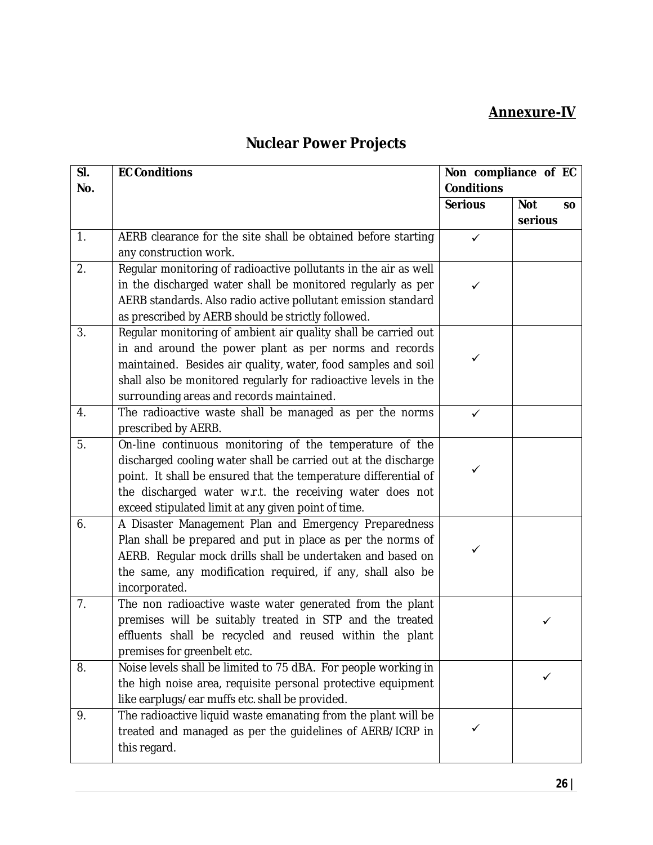### **Annexure-IV**

## **Nuclear Power Projects**

| SI. | <b>EC Conditions</b>                                            | Non compliance of EC |                         |
|-----|-----------------------------------------------------------------|----------------------|-------------------------|
| No. |                                                                 | <b>Conditions</b>    |                         |
|     |                                                                 | <b>Serious</b>       | <b>Not</b><br><b>SO</b> |
|     |                                                                 |                      | serious                 |
| 1.  | AERB clearance for the site shall be obtained before starting   | $\checkmark$         |                         |
|     | any construction work.                                          |                      |                         |
| 2.  | Regular monitoring of radioactive pollutants in the air as well |                      |                         |
|     | in the discharged water shall be monitored regularly as per     | ✓                    |                         |
|     | AERB standards. Also radio active pollutant emission standard   |                      |                         |
|     | as prescribed by AERB should be strictly followed.              |                      |                         |
| 3.  | Regular monitoring of ambient air quality shall be carried out  |                      |                         |
|     | in and around the power plant as per norms and records          | ✓                    |                         |
|     | maintained. Besides air quality, water, food samples and soil   |                      |                         |
|     | shall also be monitored regularly for radioactive levels in the |                      |                         |
|     | surrounding areas and records maintained.                       |                      |                         |
| 4.  | The radioactive waste shall be managed as per the norms         | ✓                    |                         |
|     | prescribed by AERB.                                             |                      |                         |
| 5.  | On-line continuous monitoring of the temperature of the         |                      |                         |
|     | discharged cooling water shall be carried out at the discharge  |                      |                         |
|     | point. It shall be ensured that the temperature differential of |                      |                         |
|     | the discharged water w.r.t. the receiving water does not        |                      |                         |
|     | exceed stipulated limit at any given point of time.             |                      |                         |
| 6.  | A Disaster Management Plan and Emergency Preparedness           |                      |                         |
|     | Plan shall be prepared and put in place as per the norms of     | ✓                    |                         |
|     | AERB. Regular mock drills shall be undertaken and based on      |                      |                         |
|     | the same, any modification required, if any, shall also be      |                      |                         |
|     | incorporated.                                                   |                      |                         |
| 7.  | The non radioactive waste water generated from the plant        |                      |                         |
|     | premises will be suitably treated in STP and the treated        |                      |                         |
|     | effluents shall be recycled and reused within the plant         |                      |                         |
|     | premises for greenbelt etc.                                     |                      |                         |
| 8.  | Noise levels shall be limited to 75 dBA. For people working in  |                      |                         |
|     | the high noise area, requisite personal protective equipment    |                      |                         |
|     | like earplugs/ear muffs etc. shall be provided.                 |                      |                         |
| 9.  | The radioactive liquid waste emanating from the plant will be   |                      |                         |
|     | treated and managed as per the guidelines of AERB/ICRP in       |                      |                         |
|     | this regard.                                                    |                      |                         |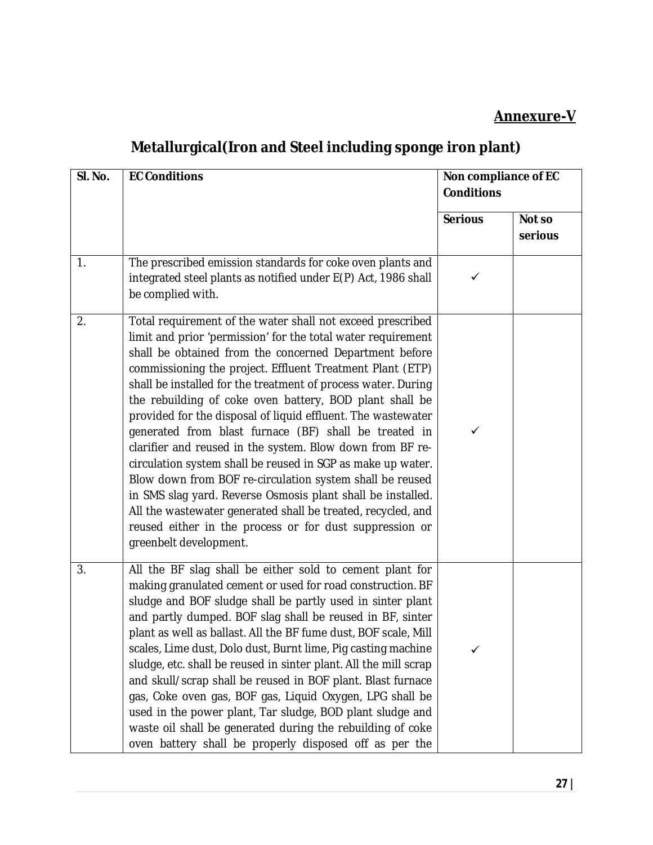### **Annexure-V**

## **Metallurgical(Iron and Steel including sponge iron plant)**

| SI. No. | <b>EC Conditions</b>                                                                                                                                                                                                                                                                                                                                                                                                                                                                                                                                                                                                                                                                                                                                                                                                                                                                                               | Non compliance of EC<br><b>Conditions</b> |                   |
|---------|--------------------------------------------------------------------------------------------------------------------------------------------------------------------------------------------------------------------------------------------------------------------------------------------------------------------------------------------------------------------------------------------------------------------------------------------------------------------------------------------------------------------------------------------------------------------------------------------------------------------------------------------------------------------------------------------------------------------------------------------------------------------------------------------------------------------------------------------------------------------------------------------------------------------|-------------------------------------------|-------------------|
|         |                                                                                                                                                                                                                                                                                                                                                                                                                                                                                                                                                                                                                                                                                                                                                                                                                                                                                                                    | <b>Serious</b>                            | Not so<br>serious |
| 1.      | The prescribed emission standards for coke oven plants and<br>integrated steel plants as notified under E(P) Act, 1986 shall<br>be complied with.                                                                                                                                                                                                                                                                                                                                                                                                                                                                                                                                                                                                                                                                                                                                                                  | ✓                                         |                   |
| 2.      | Total requirement of the water shall not exceed prescribed<br>limit and prior 'permission' for the total water requirement<br>shall be obtained from the concerned Department before<br>commissioning the project. Effluent Treatment Plant (ETP)<br>shall be installed for the treatment of process water. During<br>the rebuilding of coke oven battery, BOD plant shall be<br>provided for the disposal of liquid effluent. The wastewater<br>generated from blast furnace (BF) shall be treated in<br>clarifier and reused in the system. Blow down from BF re-<br>circulation system shall be reused in SGP as make up water.<br>Blow down from BOF re-circulation system shall be reused<br>in SMS slag yard. Reverse Osmosis plant shall be installed.<br>All the wastewater generated shall be treated, recycled, and<br>reused either in the process or for dust suppression or<br>greenbelt development. | ✓                                         |                   |
| 3.      | All the BF slag shall be either sold to cement plant for<br>making granulated cement or used for road construction. BF<br>sludge and BOF sludge shall be partly used in sinter plant<br>and partly dumped. BOF slag shall be reused in BF, sinter<br>plant as well as ballast. All the BF fume dust, BOF scale, Mill<br>scales, Lime dust, Dolo dust, Burnt lime, Pig casting machine<br>sludge, etc. shall be reused in sinter plant. All the mill scrap<br>and skull/scrap shall be reused in BOF plant. Blast furnace<br>gas, Coke oven gas, BOF gas, Liquid Oxygen, LPG shall be<br>used in the power plant, Tar sludge, BOD plant sludge and<br>waste oil shall be generated during the rebuilding of coke<br>oven battery shall be properly disposed off as per the                                                                                                                                          | ✓                                         |                   |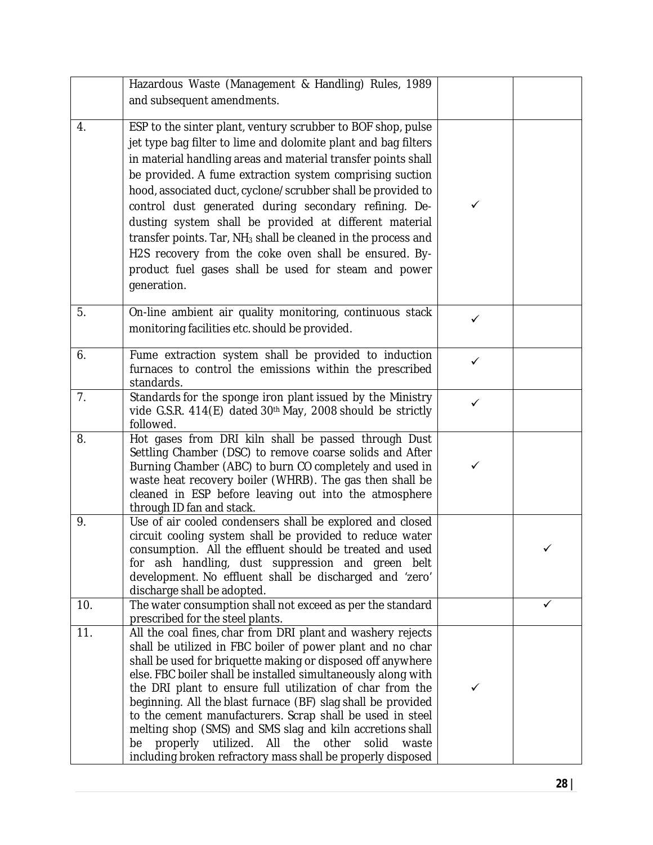|     | Hazardous Waste (Management & Handling) Rules, 1989                                                                                                                                                                                                                                                                                                                                                                                                                                                                                                                                                                                            |              |   |
|-----|------------------------------------------------------------------------------------------------------------------------------------------------------------------------------------------------------------------------------------------------------------------------------------------------------------------------------------------------------------------------------------------------------------------------------------------------------------------------------------------------------------------------------------------------------------------------------------------------------------------------------------------------|--------------|---|
|     | and subsequent amendments.                                                                                                                                                                                                                                                                                                                                                                                                                                                                                                                                                                                                                     |              |   |
|     |                                                                                                                                                                                                                                                                                                                                                                                                                                                                                                                                                                                                                                                |              |   |
| 4.  | ESP to the sinter plant, ventury scrubber to BOF shop, pulse<br>jet type bag filter to lime and dolomite plant and bag filters<br>in material handling areas and material transfer points shall<br>be provided. A fume extraction system comprising suction<br>hood, associated duct, cyclone/scrubber shall be provided to                                                                                                                                                                                                                                                                                                                    |              |   |
|     | control dust generated during secondary refining. De-<br>dusting system shall be provided at different material<br>transfer points. Tar, NH <sub>3</sub> shall be cleaned in the process and<br>H2S recovery from the coke oven shall be ensured. By-<br>product fuel gases shall be used for steam and power<br>generation.                                                                                                                                                                                                                                                                                                                   | ✓            |   |
| 5.  | On-line ambient air quality monitoring, continuous stack<br>monitoring facilities etc. should be provided.                                                                                                                                                                                                                                                                                                                                                                                                                                                                                                                                     | ✓            |   |
| 6.  | Fume extraction system shall be provided to induction<br>furnaces to control the emissions within the prescribed<br>standards.                                                                                                                                                                                                                                                                                                                                                                                                                                                                                                                 | $\checkmark$ |   |
| 7.  | Standards for the sponge iron plant issued by the Ministry<br>vide G.S.R. 414(E) dated 30 <sup>th</sup> May, 2008 should be strictly<br>followed.                                                                                                                                                                                                                                                                                                                                                                                                                                                                                              | ✓            |   |
| 8.  | Hot gases from DRI kiln shall be passed through Dust<br>Settling Chamber (DSC) to remove coarse solids and After<br>Burning Chamber (ABC) to burn CO completely and used in<br>waste heat recovery boiler (WHRB). The gas then shall be<br>cleaned in ESP before leaving out into the atmosphere<br>through ID fan and stack.                                                                                                                                                                                                                                                                                                                  | ✓            |   |
| 9.  | Use of air cooled condensers shall be explored and closed<br>circuit cooling system shall be provided to reduce water<br>consumption. All the effluent should be treated and used<br>for ash handling, dust suppression and green belt<br>development. No effluent shall be discharged and 'zero'<br>discharge shall be adopted.                                                                                                                                                                                                                                                                                                               |              | ✓ |
| 10. | The water consumption shall not exceed as per the standard<br>prescribed for the steel plants.                                                                                                                                                                                                                                                                                                                                                                                                                                                                                                                                                 |              | ✓ |
| 11. | All the coal fines, char from DRI plant and washery rejects<br>shall be utilized in FBC boiler of power plant and no char<br>shall be used for briquette making or disposed off anywhere<br>else. FBC boiler shall be installed simultaneously along with<br>the DRI plant to ensure full utilization of char from the<br>beginning. All the blast furnace (BF) slag shall be provided<br>to the cement manufacturers. Scrap shall be used in steel<br>melting shop (SMS) and SMS slag and kiln accretions shall<br>utilized. All the other<br>solid<br>properly<br>waste<br>be<br>including broken refractory mass shall be properly disposed | ✓            |   |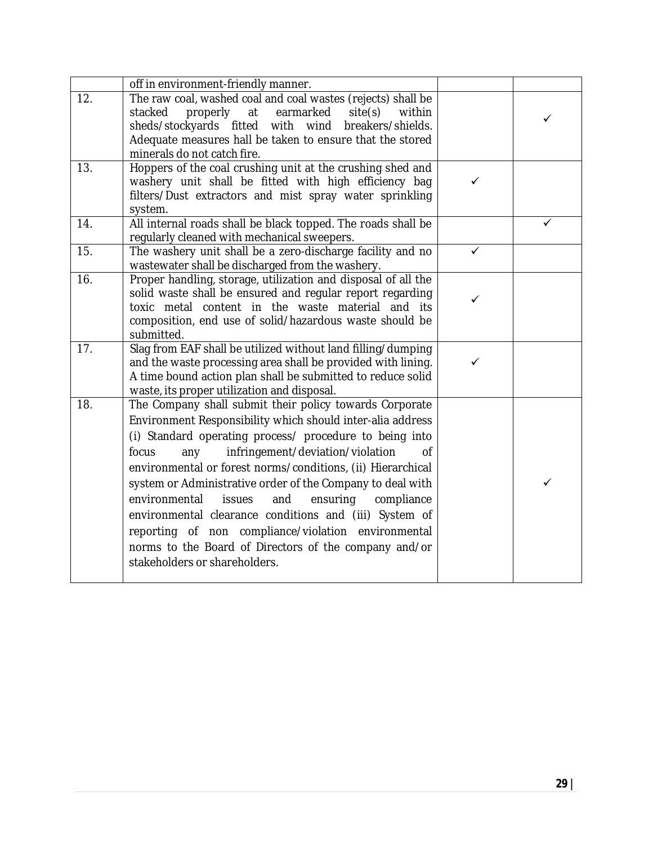|     | off in environment-friendly manner.                                                                                                                                                                                                                                                                                                                                                                                                                                                                                                                                                                                                            |   |   |
|-----|------------------------------------------------------------------------------------------------------------------------------------------------------------------------------------------------------------------------------------------------------------------------------------------------------------------------------------------------------------------------------------------------------------------------------------------------------------------------------------------------------------------------------------------------------------------------------------------------------------------------------------------------|---|---|
| 12. | The raw coal, washed coal and coal wastes (rejects) shall be<br>properly at<br>earmarked<br>stacked<br>site(s)<br>within<br>sheds/stockyards fitted with wind<br>breakers/shields.<br>Adequate measures hall be taken to ensure that the stored<br>minerals do not catch fire.                                                                                                                                                                                                                                                                                                                                                                 |   | ✓ |
| 13. | Hoppers of the coal crushing unit at the crushing shed and<br>washery unit shall be fitted with high efficiency bag<br>filters/Dust extractors and mist spray water sprinkling<br>system.                                                                                                                                                                                                                                                                                                                                                                                                                                                      | ✓ |   |
| 14. | All internal roads shall be black topped. The roads shall be<br>regularly cleaned with mechanical sweepers.                                                                                                                                                                                                                                                                                                                                                                                                                                                                                                                                    |   | ✓ |
| 15. | The washery unit shall be a zero-discharge facility and no<br>wastewater shall be discharged from the washery.                                                                                                                                                                                                                                                                                                                                                                                                                                                                                                                                 | ✓ |   |
| 16. | Proper handling, storage, utilization and disposal of all the<br>solid waste shall be ensured and regular report regarding<br>toxic metal content in the waste material<br>and its<br>composition, end use of solid/hazardous waste should be<br>submitted.                                                                                                                                                                                                                                                                                                                                                                                    |   |   |
| 17. | Slag from EAF shall be utilized without land filling/dumping<br>and the waste processing area shall be provided with lining.<br>A time bound action plan shall be submitted to reduce solid<br>waste, its proper utilization and disposal.                                                                                                                                                                                                                                                                                                                                                                                                     | ✓ |   |
| 18. | The Company shall submit their policy towards Corporate<br>Environment Responsibility which should inter-alia address<br>(i) Standard operating process/ procedure to being into<br>infringement/deviation/violation<br>focus<br>any<br>Οf<br>environmental or forest norms/conditions, (ii) Hierarchical<br>system or Administrative order of the Company to deal with<br>environmental<br>issues<br>and<br>ensuring<br>compliance<br>environmental clearance conditions and (iii) System of<br>reporting of non compliance/violation environmental<br>norms to the Board of Directors of the company and/or<br>stakeholders or shareholders. |   |   |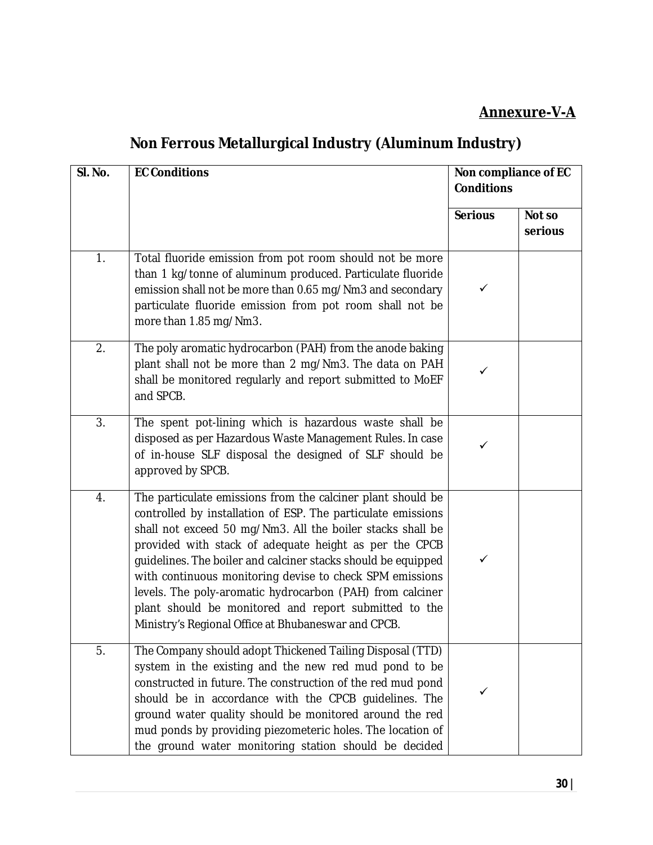### **Annexure-V-A**

## **Non Ferrous Metallurgical Industry (Aluminum Industry)**

| SI. No. | <b>EC Conditions</b>                                                                                                                                                                                                                                                                                                                                                                                                                                                                                                                                          | Non compliance of EC<br><b>Conditions</b> |                   |
|---------|---------------------------------------------------------------------------------------------------------------------------------------------------------------------------------------------------------------------------------------------------------------------------------------------------------------------------------------------------------------------------------------------------------------------------------------------------------------------------------------------------------------------------------------------------------------|-------------------------------------------|-------------------|
|         |                                                                                                                                                                                                                                                                                                                                                                                                                                                                                                                                                               | <b>Serious</b>                            | Not so<br>serious |
| 1.      | Total fluoride emission from pot room should not be more<br>than 1 kg/tonne of aluminum produced. Particulate fluoride<br>emission shall not be more than 0.65 mg/Nm3 and secondary<br>particulate fluoride emission from pot room shall not be<br>more than 1.85 mg/Nm3.                                                                                                                                                                                                                                                                                     | ✓                                         |                   |
| 2.      | The poly aromatic hydrocarbon (PAH) from the anode baking<br>plant shall not be more than 2 mg/Nm3. The data on PAH<br>shall be monitored regularly and report submitted to MoEF<br>and SPCB.                                                                                                                                                                                                                                                                                                                                                                 | ✓                                         |                   |
| 3.      | The spent pot-lining which is hazardous waste shall be<br>disposed as per Hazardous Waste Management Rules. In case<br>of in-house SLF disposal the designed of SLF should be<br>approved by SPCB.                                                                                                                                                                                                                                                                                                                                                            | ✓                                         |                   |
| 4.      | The particulate emissions from the calciner plant should be<br>controlled by installation of ESP. The particulate emissions<br>shall not exceed 50 mg/Nm3. All the boiler stacks shall be<br>provided with stack of adequate height as per the CPCB<br>guidelines. The boiler and calciner stacks should be equipped<br>with continuous monitoring devise to check SPM emissions<br>levels. The poly-aromatic hydrocarbon (PAH) from calciner<br>plant should be monitored and report submitted to the<br>Ministry's Regional Office at Bhubaneswar and CPCB. | ✓                                         |                   |
| 5.      | The Company should adopt Thickened Tailing Disposal (TTD)<br>system in the existing and the new red mud pond to be<br>constructed in future. The construction of the red mud pond<br>should be in accordance with the CPCB guidelines. The<br>ground water quality should be monitored around the red<br>mud ponds by providing piezometeric holes. The location of<br>the ground water monitoring station should be decided                                                                                                                                  | ✓                                         |                   |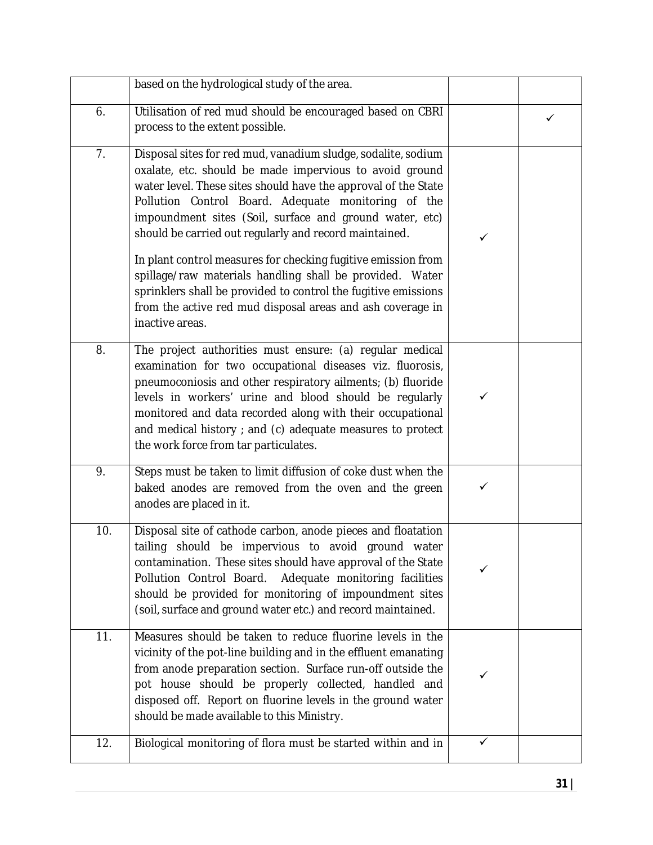|     | based on the hydrological study of the area.                                                                                                                                                                                                                                                                                                                                                                       |   |   |
|-----|--------------------------------------------------------------------------------------------------------------------------------------------------------------------------------------------------------------------------------------------------------------------------------------------------------------------------------------------------------------------------------------------------------------------|---|---|
| 6.  | Utilisation of red mud should be encouraged based on CBRI<br>process to the extent possible.                                                                                                                                                                                                                                                                                                                       |   | ✓ |
| 7.  | Disposal sites for red mud, vanadium sludge, sodalite, sodium<br>oxalate, etc. should be made impervious to avoid ground<br>water level. These sites should have the approval of the State<br>Pollution Control Board. Adequate monitoring of the<br>impoundment sites (Soil, surface and ground water, etc)<br>should be carried out regularly and record maintained.                                             | ✓ |   |
|     | In plant control measures for checking fugitive emission from<br>spillage/raw materials handling shall be provided. Water<br>sprinklers shall be provided to control the fugitive emissions<br>from the active red mud disposal areas and ash coverage in<br>inactive areas.                                                                                                                                       |   |   |
| 8.  | The project authorities must ensure: (a) regular medical<br>examination for two occupational diseases viz. fluorosis,<br>pneumoconiosis and other respiratory ailments; (b) fluoride<br>levels in workers' urine and blood should be regularly<br>monitored and data recorded along with their occupational<br>and medical history ; and (c) adequate measures to protect<br>the work force from tar particulates. | ✓ |   |
| 9.  | Steps must be taken to limit diffusion of coke dust when the<br>baked anodes are removed from the oven and the green<br>anodes are placed in it.                                                                                                                                                                                                                                                                   | ✓ |   |
| 10. | Disposal site of cathode carbon, anode pieces and floatation<br>tailing should be impervious to avoid ground water<br>contamination. These sites should have approval of the State<br>Pollution Control Board.<br>Adequate monitoring facilities<br>should be provided for monitoring of impoundment sites<br>(soil, surface and ground water etc.) and record maintained.                                         |   |   |
| 11. | Measures should be taken to reduce fluorine levels in the<br>vicinity of the pot-line building and in the effluent emanating<br>from anode preparation section. Surface run-off outside the<br>pot house should be properly collected, handled and<br>disposed off. Report on fluorine levels in the ground water<br>should be made available to this Ministry.                                                    | ✓ |   |
| 12. | Biological monitoring of flora must be started within and in                                                                                                                                                                                                                                                                                                                                                       | ✓ |   |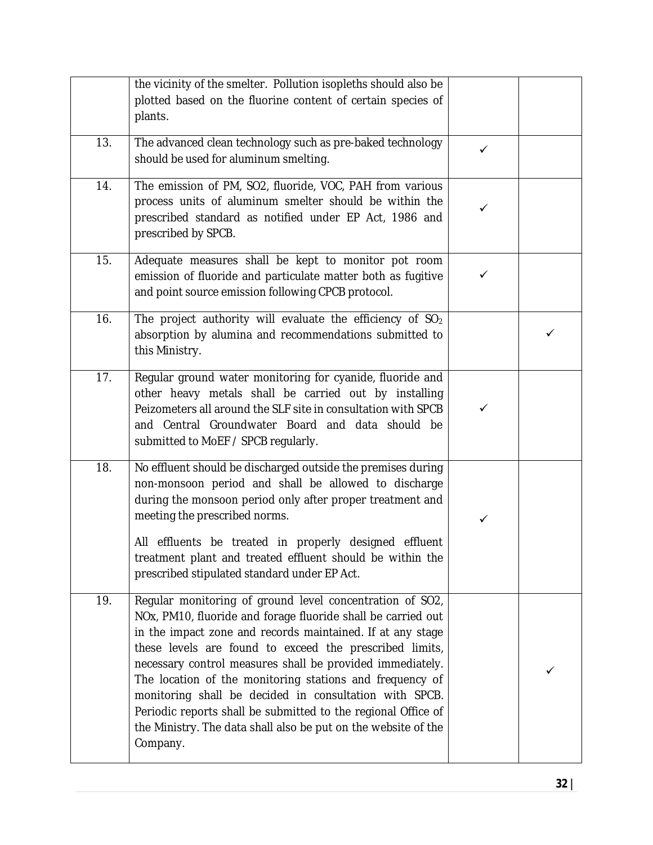|     | the vicinity of the smelter. Pollution isopleths should also be<br>plotted based on the fluorine content of certain species of<br>plants.                                                                                                                                                                                                                                                                                                                                                                                                                                           |              |   |
|-----|-------------------------------------------------------------------------------------------------------------------------------------------------------------------------------------------------------------------------------------------------------------------------------------------------------------------------------------------------------------------------------------------------------------------------------------------------------------------------------------------------------------------------------------------------------------------------------------|--------------|---|
| 13. | The advanced clean technology such as pre-baked technology<br>should be used for aluminum smelting.                                                                                                                                                                                                                                                                                                                                                                                                                                                                                 | $\checkmark$ |   |
| 14. | The emission of PM, SO2, fluoride, VOC, PAH from various<br>process units of aluminum smelter should be within the<br>prescribed standard as notified under EP Act, 1986 and<br>prescribed by SPCB.                                                                                                                                                                                                                                                                                                                                                                                 | ✓            |   |
| 15. | Adequate measures shall be kept to monitor pot room<br>emission of fluoride and particulate matter both as fugitive<br>and point source emission following CPCB protocol.                                                                                                                                                                                                                                                                                                                                                                                                           | ✓            |   |
| 16. | The project authority will evaluate the efficiency of SO <sub>2</sub><br>absorption by alumina and recommendations submitted to<br>this Ministry.                                                                                                                                                                                                                                                                                                                                                                                                                                   |              | ✓ |
| 17. | Regular ground water monitoring for cyanide, fluoride and<br>other heavy metals shall be carried out by installing<br>Peizometers all around the SLF site in consultation with SPCB<br>and Central Groundwater Board and data should be<br>submitted to MoEF / SPCB regularly.                                                                                                                                                                                                                                                                                                      | ✓            |   |
| 18. | No effluent should be discharged outside the premises during<br>non-monsoon period and shall be allowed to discharge<br>during the monsoon period only after proper treatment and<br>meeting the prescribed norms.<br>All effluents be treated in properly designed effluent<br>treatment plant and treated effluent should be within the<br>prescribed stipulated standard under EP Act.                                                                                                                                                                                           | $\checkmark$ |   |
| 19. | Regular monitoring of ground level concentration of SO2,<br>NOx, PM10, fluoride and forage fluoride shall be carried out<br>in the impact zone and records maintained. If at any stage<br>these levels are found to exceed the prescribed limits,<br>necessary control measures shall be provided immediately.<br>The location of the monitoring stations and frequency of<br>monitoring shall be decided in consultation with SPCB.<br>Periodic reports shall be submitted to the regional Office of<br>the Ministry. The data shall also be put on the website of the<br>Company. |              |   |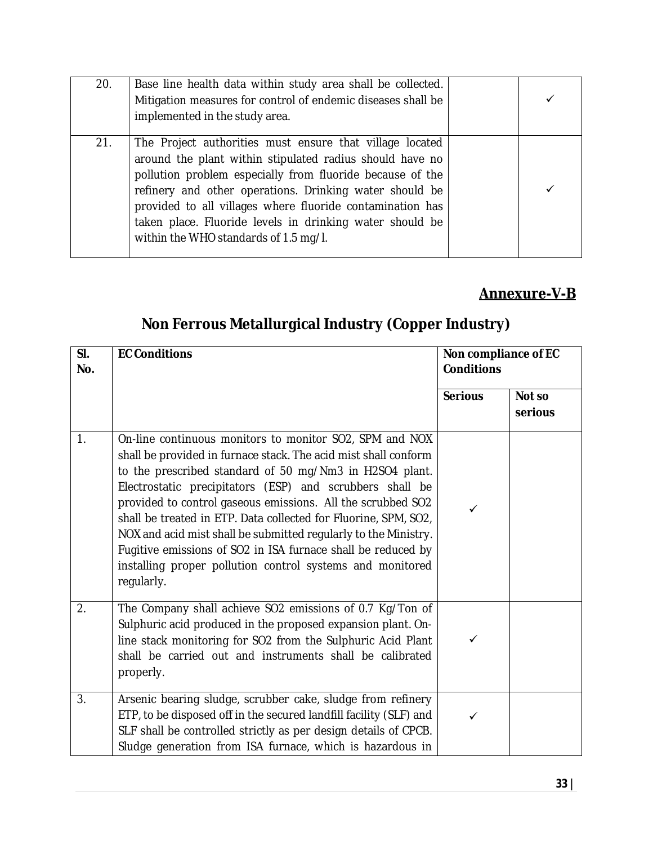| 20. | Base line health data within study area shall be collected.<br>Mitigation measures for control of endemic diseases shall be<br>implemented in the study area.                                                                                                                                                                                                                                                  |  |
|-----|----------------------------------------------------------------------------------------------------------------------------------------------------------------------------------------------------------------------------------------------------------------------------------------------------------------------------------------------------------------------------------------------------------------|--|
| 21. | The Project authorities must ensure that village located<br>around the plant within stipulated radius should have no<br>pollution problem especially from fluoride because of the<br>refinery and other operations. Drinking water should be<br>provided to all villages where fluoride contamination has<br>taken place. Fluoride levels in drinking water should be<br>within the WHO standards of 1.5 mg/l. |  |

### **Annexure-V-B**

## **Non Ferrous Metallurgical Industry (Copper Industry)**

| SI.<br>No. | <b>EC Conditions</b>                                                                                                                                                                                                                                                                                                                                                                                                                                                                                                                                                                              | Non compliance of EC<br><b>Conditions</b> |                   |
|------------|---------------------------------------------------------------------------------------------------------------------------------------------------------------------------------------------------------------------------------------------------------------------------------------------------------------------------------------------------------------------------------------------------------------------------------------------------------------------------------------------------------------------------------------------------------------------------------------------------|-------------------------------------------|-------------------|
|            |                                                                                                                                                                                                                                                                                                                                                                                                                                                                                                                                                                                                   | <b>Serious</b>                            | Not so<br>serious |
| 1.         | On-line continuous monitors to monitor SO2, SPM and NOX<br>shall be provided in furnace stack. The acid mist shall conform<br>to the prescribed standard of 50 mg/Nm3 in H2SO4 plant.<br>Electrostatic precipitators (ESP) and scrubbers shall be<br>provided to control gaseous emissions. All the scrubbed SO2<br>shall be treated in ETP. Data collected for Fluorine, SPM, SO2,<br>NOX and acid mist shall be submitted regularly to the Ministry.<br>Fugitive emissions of SO2 in ISA furnace shall be reduced by<br>installing proper pollution control systems and monitored<br>regularly. | ✓                                         |                   |
| 2.         | The Company shall achieve SO2 emissions of 0.7 Kg/Ton of<br>Sulphuric acid produced in the proposed expansion plant. On-<br>line stack monitoring for SO2 from the Sulphuric Acid Plant<br>shall be carried out and instruments shall be calibrated<br>properly.                                                                                                                                                                                                                                                                                                                                  | ✓                                         |                   |
| 3.         | Arsenic bearing sludge, scrubber cake, sludge from refinery<br>ETP, to be disposed off in the secured landfill facility (SLF) and<br>SLF shall be controlled strictly as per design details of CPCB.<br>Sludge generation from ISA furnace, which is hazardous in                                                                                                                                                                                                                                                                                                                                 | ✓                                         |                   |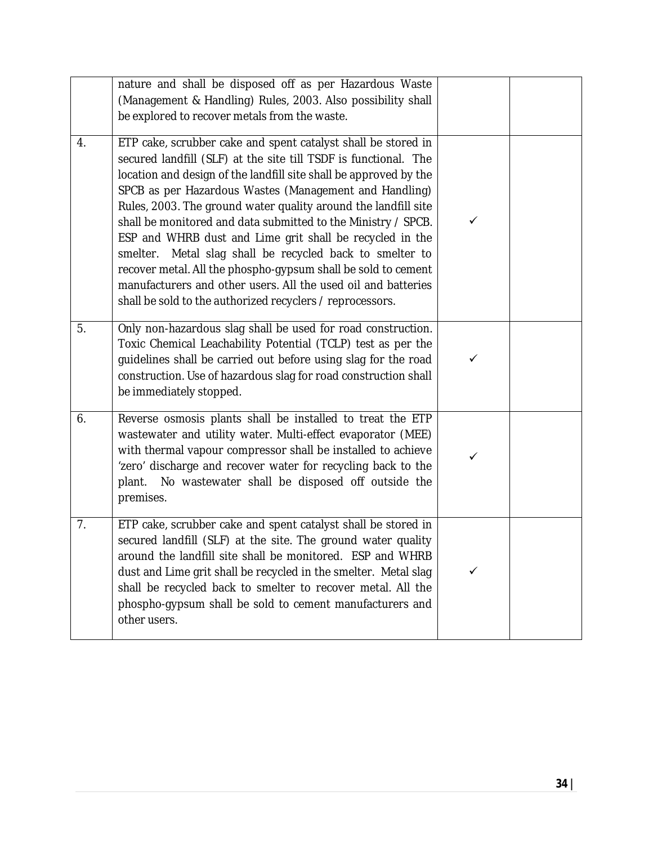|    | nature and shall be disposed off as per Hazardous Waste<br>(Management & Handling) Rules, 2003. Also possibility shall<br>be explored to recover metals from the waste.                                                                                                                                                                                                                                                                                                                                                                                                                                                                                                                                                      |              |  |
|----|------------------------------------------------------------------------------------------------------------------------------------------------------------------------------------------------------------------------------------------------------------------------------------------------------------------------------------------------------------------------------------------------------------------------------------------------------------------------------------------------------------------------------------------------------------------------------------------------------------------------------------------------------------------------------------------------------------------------------|--------------|--|
| 4. | ETP cake, scrubber cake and spent catalyst shall be stored in<br>secured landfill (SLF) at the site till TSDF is functional. The<br>location and design of the landfill site shall be approved by the<br>SPCB as per Hazardous Wastes (Management and Handling)<br>Rules, 2003. The ground water quality around the landfill site<br>shall be monitored and data submitted to the Ministry / SPCB.<br>ESP and WHRB dust and Lime grit shall be recycled in the<br>Metal slag shall be recycled back to smelter to<br>smelter.<br>recover metal. All the phospho-gypsum shall be sold to cement<br>manufacturers and other users. All the used oil and batteries<br>shall be sold to the authorized recyclers / reprocessors. | ✓            |  |
| 5. | Only non-hazardous slag shall be used for road construction.<br>Toxic Chemical Leachability Potential (TCLP) test as per the<br>guidelines shall be carried out before using slag for the road<br>construction. Use of hazardous slag for road construction shall<br>be immediately stopped.                                                                                                                                                                                                                                                                                                                                                                                                                                 | ✓            |  |
| 6. | Reverse osmosis plants shall be installed to treat the ETP<br>wastewater and utility water. Multi-effect evaporator (MEE)<br>with thermal vapour compressor shall be installed to achieve<br>'zero' discharge and recover water for recycling back to the<br>No wastewater shall be disposed off outside the<br>plant.<br>premises.                                                                                                                                                                                                                                                                                                                                                                                          | $\checkmark$ |  |
| 7. | ETP cake, scrubber cake and spent catalyst shall be stored in<br>secured landfill (SLF) at the site. The ground water quality<br>around the landfill site shall be monitored. ESP and WHRB<br>dust and Lime grit shall be recycled in the smelter. Metal slag<br>shall be recycled back to smelter to recover metal. All the<br>phospho-gypsum shall be sold to cement manufacturers and<br>other users.                                                                                                                                                                                                                                                                                                                     | ✓            |  |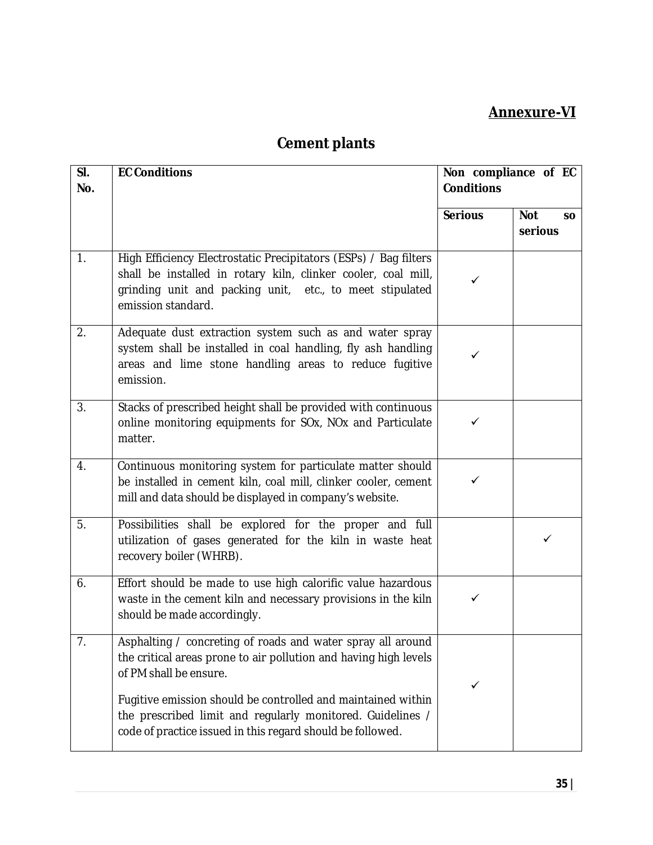#### **Annexure-VI**

| SI.<br>No.       | <b>EC Conditions</b>                                                                                                                                                                                                | Non compliance of EC<br><b>Conditions</b> |                                    |
|------------------|---------------------------------------------------------------------------------------------------------------------------------------------------------------------------------------------------------------------|-------------------------------------------|------------------------------------|
|                  |                                                                                                                                                                                                                     | <b>Serious</b>                            | <b>Not</b><br><b>SO</b><br>serious |
| $\overline{1}$ . | High Efficiency Electrostatic Precipitators (ESPs) / Bag filters<br>shall be installed in rotary kiln, clinker cooler, coal mill,<br>grinding unit and packing unit, etc., to meet stipulated<br>emission standard. |                                           |                                    |
| 2.               | Adequate dust extraction system such as and water spray<br>system shall be installed in coal handling, fly ash handling<br>areas and lime stone handling areas to reduce fugitive<br>emission.                      | ✓                                         |                                    |
| 3.               | Stacks of prescribed height shall be provided with continuous<br>online monitoring equipments for SOx, NOx and Particulate<br>matter.                                                                               | ✓                                         |                                    |
| $\overline{4}$ . | Continuous monitoring system for particulate matter should<br>be installed in cement kiln, coal mill, clinker cooler, cement<br>mill and data should be displayed in company's website.                             | ✓                                         |                                    |
| 5.               | Possibilities shall be explored for the proper and full<br>utilization of gases generated for the kiln in waste heat<br>recovery boiler (WHRB).                                                                     |                                           | ✓                                  |
| 6.               | Effort should be made to use high calorific value hazardous<br>waste in the cement kiln and necessary provisions in the kiln<br>should be made accordingly.                                                         | ✓                                         |                                    |
| 7.               | Asphalting / concreting of roads and water spray all around<br>the critical areas prone to air pollution and having high levels<br>of PM shall be ensure.                                                           | ✓                                         |                                    |
|                  | Fugitive emission should be controlled and maintained within<br>the prescribed limit and regularly monitored. Guidelines /<br>code of practice issued in this regard should be followed.                            |                                           |                                    |

# **Cement plants**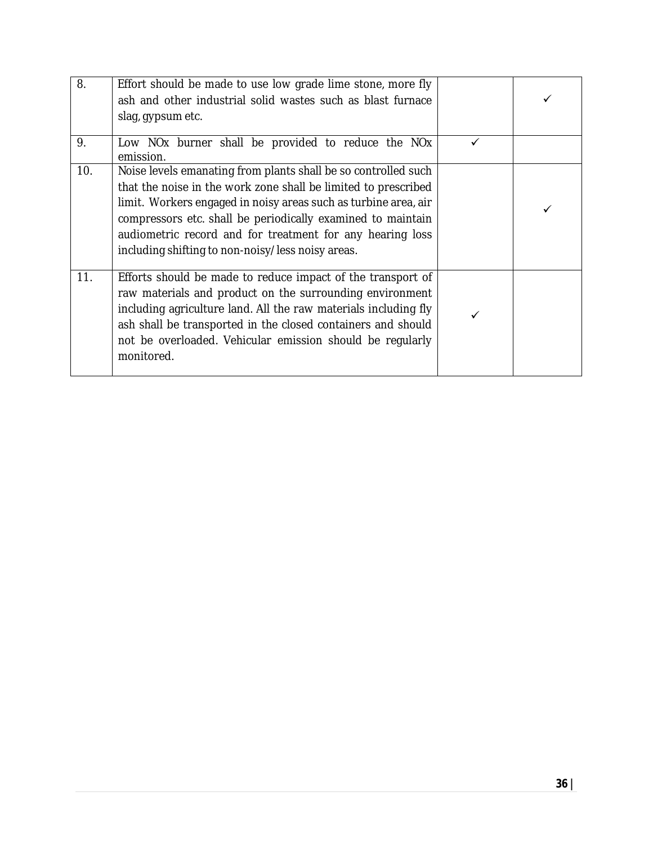| 8.  | Effort should be made to use low grade lime stone, more fly<br>ash and other industrial solid wastes such as blast furnace<br>slag, gypsum etc.                                                                                                                                                                                                                                      |   |  |
|-----|--------------------------------------------------------------------------------------------------------------------------------------------------------------------------------------------------------------------------------------------------------------------------------------------------------------------------------------------------------------------------------------|---|--|
| 9.  | Low NOx burner shall be provided to reduce the NOx<br>emission.                                                                                                                                                                                                                                                                                                                      | ✓ |  |
| 10. | Noise levels emanating from plants shall be so controlled such<br>that the noise in the work zone shall be limited to prescribed<br>limit. Workers engaged in noisy areas such as turbine area, air<br>compressors etc. shall be periodically examined to maintain<br>audiometric record and for treatment for any hearing loss<br>including shifting to non-noisy/less noisy areas. |   |  |
| 11. | Efforts should be made to reduce impact of the transport of<br>raw materials and product on the surrounding environment<br>including agriculture land. All the raw materials including fly<br>ash shall be transported in the closed containers and should<br>not be overloaded. Vehicular emission should be regularly<br>monitored.                                                |   |  |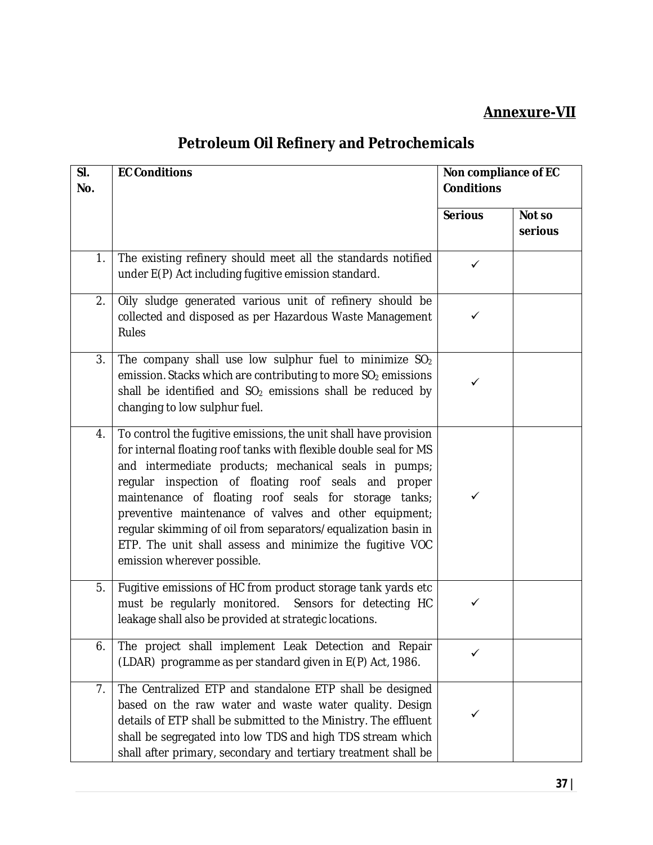#### **Annexure-VII**

# **Petroleum Oil Refinery and Petrochemicals**

| SI.<br>No. | <b>EC Conditions</b>                                                                                                                                                                                                                                                                                                                                                                                                                                                                                                                    | Non compliance of EC<br><b>Conditions</b> |                   |
|------------|-----------------------------------------------------------------------------------------------------------------------------------------------------------------------------------------------------------------------------------------------------------------------------------------------------------------------------------------------------------------------------------------------------------------------------------------------------------------------------------------------------------------------------------------|-------------------------------------------|-------------------|
|            |                                                                                                                                                                                                                                                                                                                                                                                                                                                                                                                                         | <b>Serious</b>                            | Not so<br>serious |
| 1.         | The existing refinery should meet all the standards notified<br>under E(P) Act including fugitive emission standard.                                                                                                                                                                                                                                                                                                                                                                                                                    | ✓                                         |                   |
| 2.         | Oily sludge generated various unit of refinery should be<br>collected and disposed as per Hazardous Waste Management<br><b>Rules</b>                                                                                                                                                                                                                                                                                                                                                                                                    | ✓                                         |                   |
| 3.         | The company shall use low sulphur fuel to minimize $SO_2$<br>emission. Stacks which are contributing to more SO <sub>2</sub> emissions<br>shall be identified and $SO2$ emissions shall be reduced by<br>changing to low sulphur fuel.                                                                                                                                                                                                                                                                                                  | ✓                                         |                   |
| 4.         | To control the fugitive emissions, the unit shall have provision<br>for internal floating roof tanks with flexible double seal for MS<br>and intermediate products; mechanical seals in pumps;<br>regular inspection of floating roof seals and<br>proper<br>maintenance of floating roof seals for storage tanks;<br>preventive maintenance of valves and other equipment;<br>regular skimming of oil from separators/equalization basin in<br>ETP. The unit shall assess and minimize the fugitive VOC<br>emission wherever possible. | ✓                                         |                   |
| 5.         | Fugitive emissions of HC from product storage tank yards etc<br>must be regularly monitored. Sensors for detecting HC<br>leakage shall also be provided at strategic locations.                                                                                                                                                                                                                                                                                                                                                         | ✓                                         |                   |
| 6.         | The project shall implement Leak Detection and Repair<br>(LDAR) programme as per standard given in E(P) Act, 1986.                                                                                                                                                                                                                                                                                                                                                                                                                      |                                           |                   |
| 7.         | The Centralized ETP and standalone ETP shall be designed<br>based on the raw water and waste water quality. Design<br>details of ETP shall be submitted to the Ministry. The effluent<br>shall be segregated into low TDS and high TDS stream which<br>shall after primary, secondary and tertiary treatment shall be                                                                                                                                                                                                                   |                                           |                   |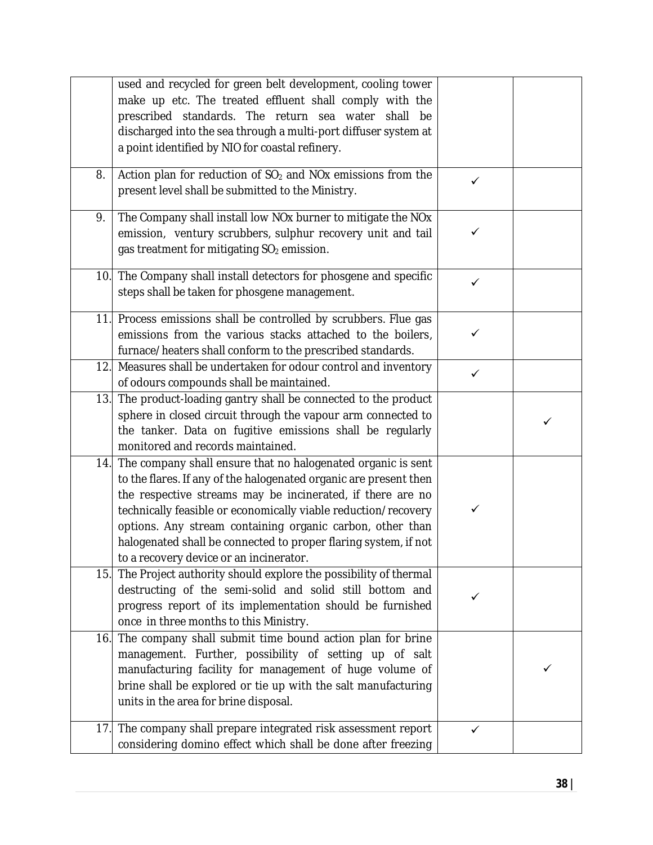|     | used and recycled for green belt development, cooling tower<br>make up etc. The treated effluent shall comply with the<br>prescribed standards. The return sea water shall<br>be<br>discharged into the sea through a multi-port diffuser system at<br>a point identified by NIO for coastal refinery.                                                                                                                                       |              |  |
|-----|----------------------------------------------------------------------------------------------------------------------------------------------------------------------------------------------------------------------------------------------------------------------------------------------------------------------------------------------------------------------------------------------------------------------------------------------|--------------|--|
| 8.  | Action plan for reduction of SO <sub>2</sub> and NO <sub>x</sub> emissions from the<br>present level shall be submitted to the Ministry.                                                                                                                                                                                                                                                                                                     | $\checkmark$ |  |
| 9.  | The Company shall install low NOx burner to mitigate the NOx<br>emission, ventury scrubbers, sulphur recovery unit and tail<br>gas treatment for mitigating SO <sub>2</sub> emission.                                                                                                                                                                                                                                                        | ✓            |  |
|     | 10. The Company shall install detectors for phosgene and specific<br>steps shall be taken for phosgene management.                                                                                                                                                                                                                                                                                                                           | $\checkmark$ |  |
|     | 11. Process emissions shall be controlled by scrubbers. Flue gas<br>emissions from the various stacks attached to the boilers,<br>furnace/heaters shall conform to the prescribed standards.                                                                                                                                                                                                                                                 | $\checkmark$ |  |
| 12. | Measures shall be undertaken for odour control and inventory<br>of odours compounds shall be maintained.                                                                                                                                                                                                                                                                                                                                     | $\checkmark$ |  |
| 13. | The product-loading gantry shall be connected to the product<br>sphere in closed circuit through the vapour arm connected to<br>the tanker. Data on fugitive emissions shall be regularly<br>monitored and records maintained.                                                                                                                                                                                                               |              |  |
| 14. | The company shall ensure that no halogenated organic is sent<br>to the flares. If any of the halogenated organic are present then<br>the respective streams may be incinerated, if there are no<br>technically feasible or economically viable reduction/recovery<br>options. Any stream containing organic carbon, other than<br>halogenated shall be connected to proper flaring system, if not<br>to a recovery device or an incinerator. | ✓            |  |
| 15. | The Project authority should explore the possibility of thermal<br>destructing of the semi-solid and solid still bottom and<br>progress report of its implementation should be furnished<br>once in three months to this Ministry.                                                                                                                                                                                                           | ✓            |  |
| 16. | The company shall submit time bound action plan for brine<br>management. Further, possibility of setting up of salt<br>manufacturing facility for management of huge volume of<br>brine shall be explored or tie up with the salt manufacturing<br>units in the area for brine disposal.                                                                                                                                                     |              |  |
| 17. | The company shall prepare integrated risk assessment report<br>considering domino effect which shall be done after freezing                                                                                                                                                                                                                                                                                                                  | ✓            |  |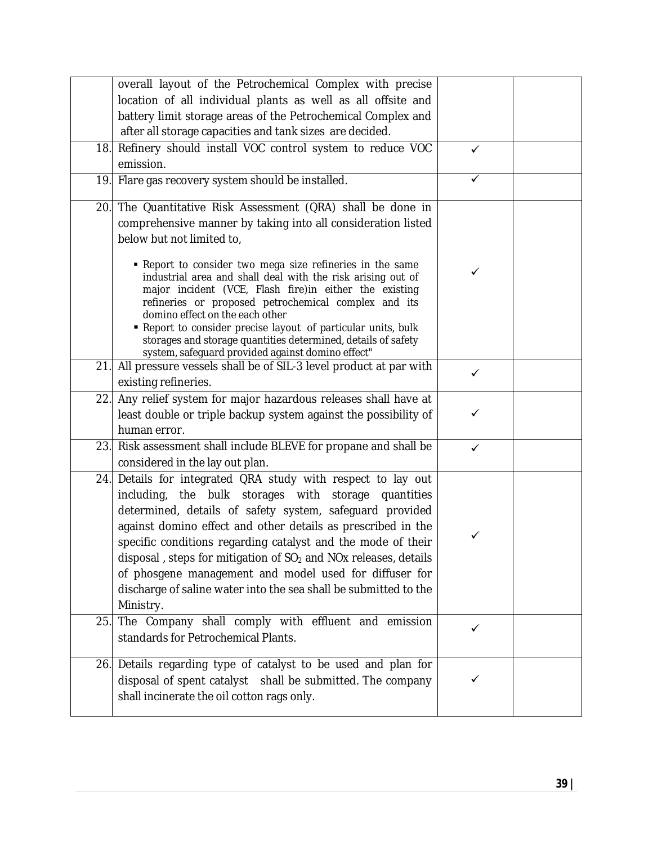|     | overall layout of the Petrochemical Complex with precise                                                                                                                                                                                                                                                                                                                                                                                                                                                                                 |              |  |
|-----|------------------------------------------------------------------------------------------------------------------------------------------------------------------------------------------------------------------------------------------------------------------------------------------------------------------------------------------------------------------------------------------------------------------------------------------------------------------------------------------------------------------------------------------|--------------|--|
|     | location of all individual plants as well as all offsite and                                                                                                                                                                                                                                                                                                                                                                                                                                                                             |              |  |
|     | battery limit storage areas of the Petrochemical Complex and                                                                                                                                                                                                                                                                                                                                                                                                                                                                             |              |  |
|     | after all storage capacities and tank sizes are decided.                                                                                                                                                                                                                                                                                                                                                                                                                                                                                 |              |  |
|     | 18. Refinery should install VOC control system to reduce VOC                                                                                                                                                                                                                                                                                                                                                                                                                                                                             | $\checkmark$ |  |
|     | emission.                                                                                                                                                                                                                                                                                                                                                                                                                                                                                                                                |              |  |
|     | 19. Flare gas recovery system should be installed.                                                                                                                                                                                                                                                                                                                                                                                                                                                                                       |              |  |
|     | 20. The Quantitative Risk Assessment (QRA) shall be done in                                                                                                                                                                                                                                                                                                                                                                                                                                                                              |              |  |
|     | comprehensive manner by taking into all consideration listed                                                                                                                                                                                                                                                                                                                                                                                                                                                                             |              |  |
|     | below but not limited to,                                                                                                                                                                                                                                                                                                                                                                                                                                                                                                                |              |  |
|     | • Report to consider two mega size refineries in the same<br>industrial area and shall deal with the risk arising out of<br>major incident (VCE, Flash fire) in either the existing<br>refineries or proposed petrochemical complex and its<br>domino effect on the each other<br>Report to consider precise layout of particular units, bulk                                                                                                                                                                                            | ✓            |  |
|     | storages and storage quantities determined, details of safety                                                                                                                                                                                                                                                                                                                                                                                                                                                                            |              |  |
| 21. | system, safeguard provided against domino effect"<br>All pressure vessels shall be of SIL-3 level product at par with                                                                                                                                                                                                                                                                                                                                                                                                                    |              |  |
|     | existing refineries.                                                                                                                                                                                                                                                                                                                                                                                                                                                                                                                     | ✓            |  |
| 22. | Any relief system for major hazardous releases shall have at                                                                                                                                                                                                                                                                                                                                                                                                                                                                             |              |  |
|     | least double or triple backup system against the possibility of                                                                                                                                                                                                                                                                                                                                                                                                                                                                          | ✓            |  |
|     | human error.                                                                                                                                                                                                                                                                                                                                                                                                                                                                                                                             |              |  |
|     | 23. Risk assessment shall include BLEVE for propane and shall be                                                                                                                                                                                                                                                                                                                                                                                                                                                                         | ✓            |  |
|     | considered in the lay out plan.                                                                                                                                                                                                                                                                                                                                                                                                                                                                                                          |              |  |
| 24. | Details for integrated QRA study with respect to lay out<br>including, the bulk storages with storage quantities<br>determined, details of safety system, safeguard provided<br>against domino effect and other details as prescribed in the<br>specific conditions regarding catalyst and the mode of their<br>disposal, steps for mitigation of $SO2$ and NO <sub>x</sub> releases, details<br>of phosgene management and model used for diffuser for<br>discharge of saline water into the sea shall be submitted to the<br>Ministry. |              |  |
| 25. | The Company shall comply with effluent and emission<br>standards for Petrochemical Plants.                                                                                                                                                                                                                                                                                                                                                                                                                                               | ✓            |  |
|     | 26. Details regarding type of catalyst to be used and plan for<br>disposal of spent catalyst shall be submitted. The company<br>shall incinerate the oil cotton rags only.                                                                                                                                                                                                                                                                                                                                                               |              |  |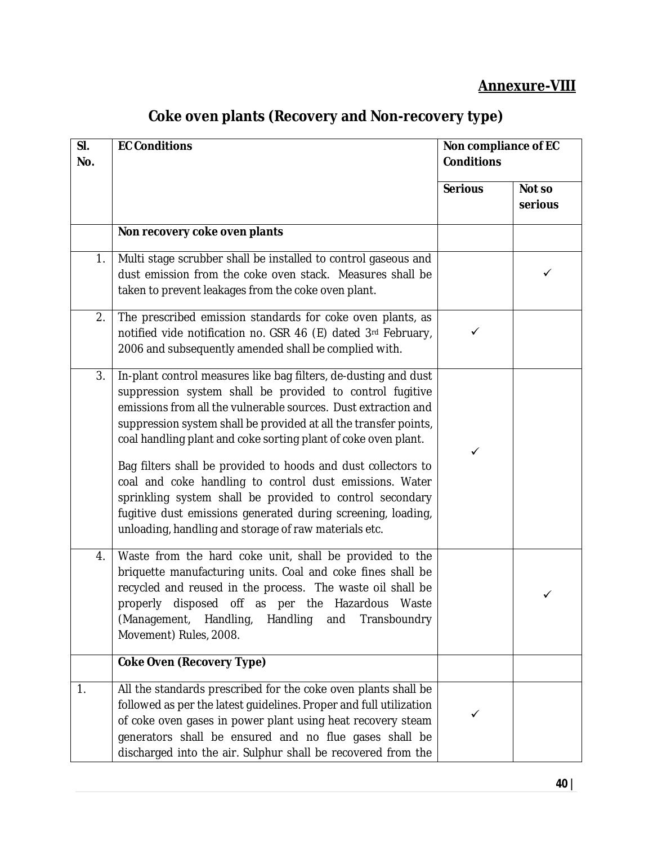### **Annexure-VIII**

| SI.<br>No. | <b>EC Conditions</b>                                                                                                                                                                                                                                                                                                                                                                                                                                                                                                                                                                                                                                 | Non compliance of EC<br><b>Conditions</b> |                   |
|------------|------------------------------------------------------------------------------------------------------------------------------------------------------------------------------------------------------------------------------------------------------------------------------------------------------------------------------------------------------------------------------------------------------------------------------------------------------------------------------------------------------------------------------------------------------------------------------------------------------------------------------------------------------|-------------------------------------------|-------------------|
|            |                                                                                                                                                                                                                                                                                                                                                                                                                                                                                                                                                                                                                                                      | <b>Serious</b>                            | Not so<br>serious |
|            | Non recovery coke oven plants                                                                                                                                                                                                                                                                                                                                                                                                                                                                                                                                                                                                                        |                                           |                   |
| 1.         | Multi stage scrubber shall be installed to control gaseous and<br>dust emission from the coke oven stack. Measures shall be<br>taken to prevent leakages from the coke oven plant.                                                                                                                                                                                                                                                                                                                                                                                                                                                                   |                                           | ✓                 |
| 2.         | The prescribed emission standards for coke oven plants, as<br>notified vide notification no. GSR 46 (E) dated 3rd February,<br>2006 and subsequently amended shall be complied with.                                                                                                                                                                                                                                                                                                                                                                                                                                                                 | ✓                                         |                   |
| 3.         | In-plant control measures like bag filters, de-dusting and dust<br>suppression system shall be provided to control fugitive<br>emissions from all the vulnerable sources. Dust extraction and<br>suppression system shall be provided at all the transfer points,<br>coal handling plant and coke sorting plant of coke oven plant.<br>Bag filters shall be provided to hoods and dust collectors to<br>coal and coke handling to control dust emissions. Water<br>sprinkling system shall be provided to control secondary<br>fugitive dust emissions generated during screening, loading,<br>unloading, handling and storage of raw materials etc. | ✓                                         |                   |
| 4.         | Waste from the hard coke unit, shall be provided to the<br>briquette manufacturing units. Coal and coke fines shall be<br>recycled and reused in the process. The waste oil shall be<br>properly disposed off as per the Hazardous Waste<br>(Management,<br>Handling,<br>Handling<br>and<br>Transboundry<br>Movement) Rules, 2008.                                                                                                                                                                                                                                                                                                                   |                                           | ✓                 |
|            | <b>Coke Oven (Recovery Type)</b>                                                                                                                                                                                                                                                                                                                                                                                                                                                                                                                                                                                                                     |                                           |                   |
| 1.         | All the standards prescribed for the coke oven plants shall be<br>followed as per the latest guidelines. Proper and full utilization<br>of coke oven gases in power plant using heat recovery steam<br>generators shall be ensured and no flue gases shall be<br>discharged into the air. Sulphur shall be recovered from the                                                                                                                                                                                                                                                                                                                        |                                           |                   |

## **Coke oven plants (Recovery and Non-recovery type)**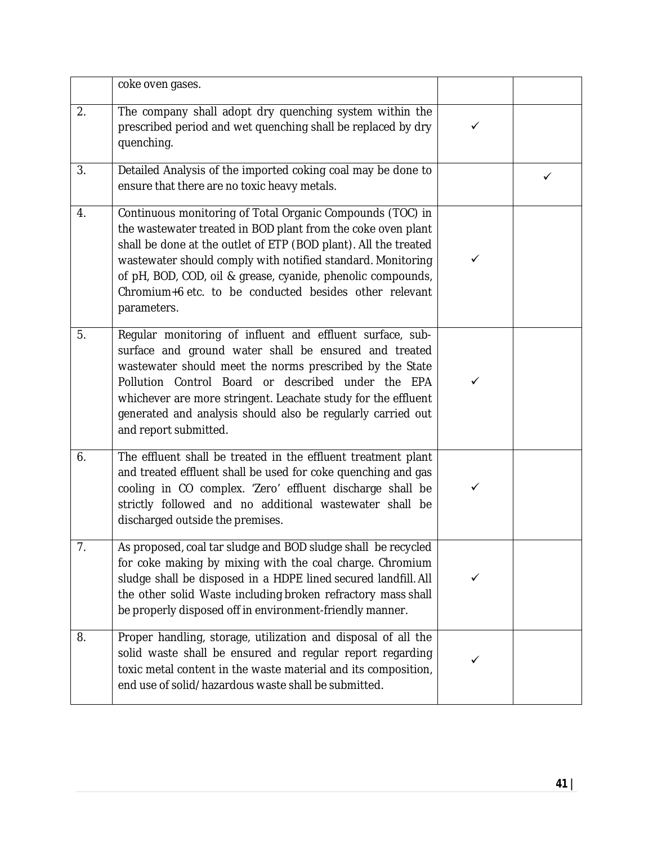|    | coke oven gases.                                                                                                                                                                                                                                                                                                                                                                                    |              |   |
|----|-----------------------------------------------------------------------------------------------------------------------------------------------------------------------------------------------------------------------------------------------------------------------------------------------------------------------------------------------------------------------------------------------------|--------------|---|
| 2. | The company shall adopt dry quenching system within the<br>prescribed period and wet quenching shall be replaced by dry<br>quenching.                                                                                                                                                                                                                                                               | $\checkmark$ |   |
| 3. | Detailed Analysis of the imported coking coal may be done to<br>ensure that there are no toxic heavy metals.                                                                                                                                                                                                                                                                                        |              | ✓ |
| 4. | Continuous monitoring of Total Organic Compounds (TOC) in<br>the wastewater treated in BOD plant from the coke oven plant<br>shall be done at the outlet of ETP (BOD plant). All the treated<br>wastewater should comply with notified standard. Monitoring<br>of pH, BOD, COD, oil & grease, cyanide, phenolic compounds,<br>Chromium+6 etc. to be conducted besides other relevant<br>parameters. | ✓            |   |
| 5. | Regular monitoring of influent and effluent surface, sub-<br>surface and ground water shall be ensured and treated<br>wastewater should meet the norms prescribed by the State<br>Pollution Control Board or described under the EPA<br>whichever are more stringent. Leachate study for the effluent<br>generated and analysis should also be regularly carried out<br>and report submitted.       | $\checkmark$ |   |
| 6. | The effluent shall be treated in the effluent treatment plant<br>and treated effluent shall be used for coke quenching and gas<br>cooling in CO complex. 'Zero' effluent discharge shall be<br>strictly followed and no additional wastewater shall be<br>discharged outside the premises.                                                                                                          | ✓            |   |
| 7. | As proposed, coal tar sludge and BOD sludge shall be recycled<br>for coke making by mixing with the coal charge. Chromium<br>sludge shall be disposed in a HDPE lined secured landfill. All<br>the other solid Waste including broken refractory mass shall<br>be properly disposed off in environment-friendly manner.                                                                             | ✓            |   |
| 8. | Proper handling, storage, utilization and disposal of all the<br>solid waste shall be ensured and regular report regarding<br>toxic metal content in the waste material and its composition,<br>end use of solid/hazardous waste shall be submitted.                                                                                                                                                |              |   |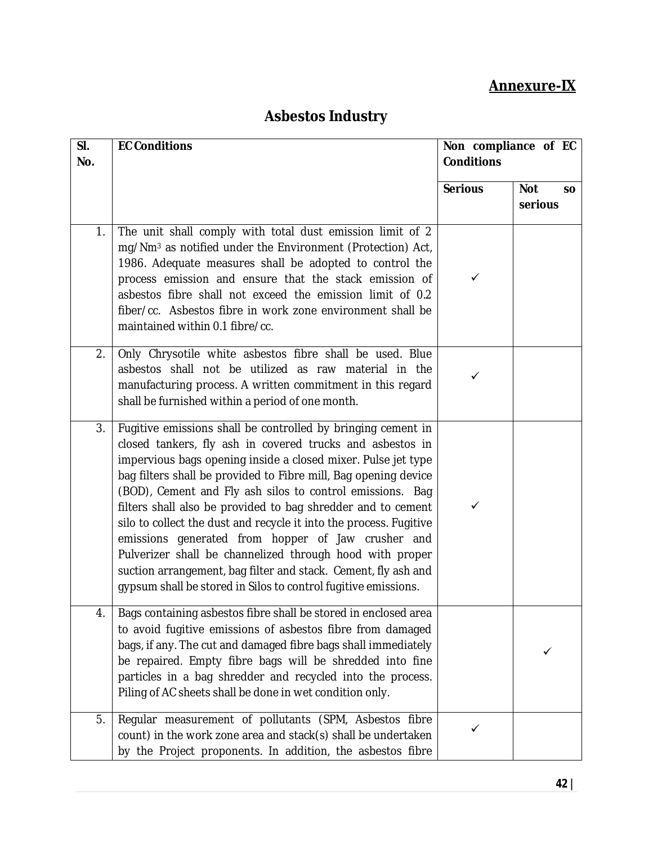## **Annexure-IX**

## **Asbestos Industry**

| SI.<br>No. | <b>EC Conditions</b>                                                                                                                                                                                                                                                                                                                                                                                                                                                                                                                                                                                                                                                                                                   | Non compliance of EC<br><b>Conditions</b> |                                    |
|------------|------------------------------------------------------------------------------------------------------------------------------------------------------------------------------------------------------------------------------------------------------------------------------------------------------------------------------------------------------------------------------------------------------------------------------------------------------------------------------------------------------------------------------------------------------------------------------------------------------------------------------------------------------------------------------------------------------------------------|-------------------------------------------|------------------------------------|
|            |                                                                                                                                                                                                                                                                                                                                                                                                                                                                                                                                                                                                                                                                                                                        | <b>Serious</b>                            | <b>Not</b><br><b>SO</b><br>serious |
| 1.         | The unit shall comply with total dust emission limit of 2<br>mg/Nm <sup>3</sup> as notified under the Environment (Protection) Act,<br>1986. Adequate measures shall be adopted to control the<br>process emission and ensure that the stack emission of<br>asbestos fibre shall not exceed the emission limit of 0.2<br>fiber/cc. Asbestos fibre in work zone environment shall be<br>maintained within 0.1 fibre/cc.                                                                                                                                                                                                                                                                                                 | ✓                                         |                                    |
| 2.         | Only Chrysotile white asbestos fibre shall be used. Blue<br>asbestos shall not be utilized as raw material in the<br>manufacturing process. A written commitment in this regard<br>shall be furnished within a period of one month.                                                                                                                                                                                                                                                                                                                                                                                                                                                                                    | ✓                                         |                                    |
| 3.         | Fugitive emissions shall be controlled by bringing cement in<br>closed tankers, fly ash in covered trucks and asbestos in<br>impervious bags opening inside a closed mixer. Pulse jet type<br>bag filters shall be provided to Fibre mill, Bag opening device<br>(BOD), Cement and Fly ash silos to control emissions. Bag<br>filters shall also be provided to bag shredder and to cement<br>silo to collect the dust and recycle it into the process. Fugitive<br>emissions generated from hopper of Jaw crusher and<br>Pulverizer shall be channelized through hood with proper<br>suction arrangement, bag filter and stack. Cement, fly ash and<br>gypsum shall be stored in Silos to control fugitive emissions. | ✓                                         |                                    |
| 4.         | Bags containing asbestos fibre shall be stored in enclosed area<br>to avoid fugitive emissions of asbestos fibre from damaged<br>bags, if any. The cut and damaged fibre bags shall immediately<br>be repaired. Empty fibre bags will be shredded into fine<br>particles in a bag shredder and recycled into the process.<br>Piling of AC sheets shall be done in wet condition only.                                                                                                                                                                                                                                                                                                                                  |                                           |                                    |
| 5.         | Regular measurement of pollutants (SPM, Asbestos fibre<br>count) in the work zone area and stack(s) shall be undertaken<br>by the Project proponents. In addition, the asbestos fibre                                                                                                                                                                                                                                                                                                                                                                                                                                                                                                                                  | ✓                                         |                                    |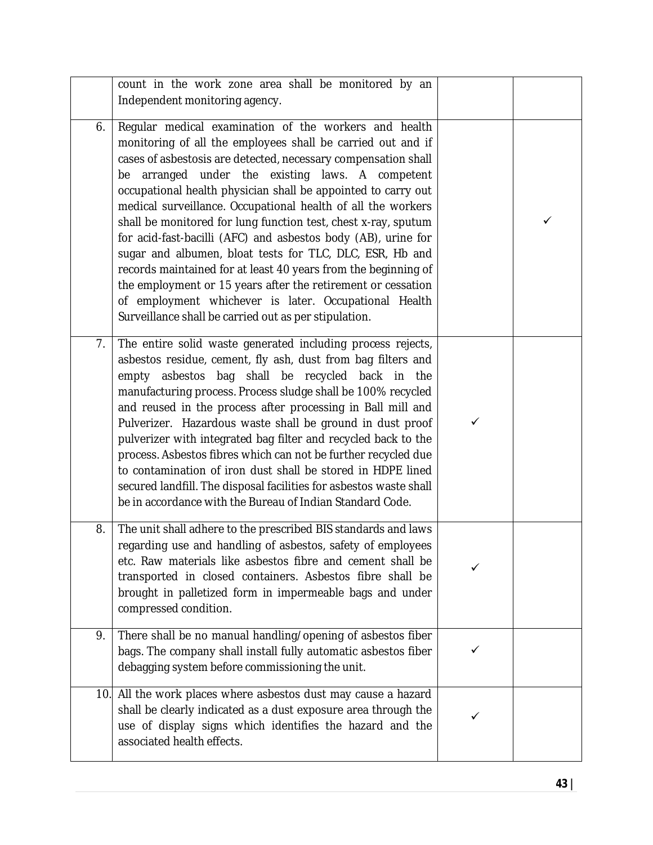|     | count in the work zone area shall be monitored by an<br>Independent monitoring agency.                                                                                                                                                                                                                                                                                                                                                                                                                                                                                                                                                                                                                                                                                                                                         |   |   |
|-----|--------------------------------------------------------------------------------------------------------------------------------------------------------------------------------------------------------------------------------------------------------------------------------------------------------------------------------------------------------------------------------------------------------------------------------------------------------------------------------------------------------------------------------------------------------------------------------------------------------------------------------------------------------------------------------------------------------------------------------------------------------------------------------------------------------------------------------|---|---|
| 6.  | Regular medical examination of the workers and health<br>monitoring of all the employees shall be carried out and if<br>cases of asbestosis are detected, necessary compensation shall<br>be arranged under the existing laws. A competent<br>occupational health physician shall be appointed to carry out<br>medical surveillance. Occupational health of all the workers<br>shall be monitored for lung function test, chest x-ray, sputum<br>for acid-fast-bacilli (AFC) and asbestos body (AB), urine for<br>sugar and albumen, bloat tests for TLC, DLC, ESR, Hb and<br>records maintained for at least 40 years from the beginning of<br>the employment or 15 years after the retirement or cessation<br>of employment whichever is later. Occupational Health<br>Surveillance shall be carried out as per stipulation. |   | ✓ |
| 7.  | The entire solid waste generated including process rejects,<br>asbestos residue, cement, fly ash, dust from bag filters and<br>empty asbestos bag shall be recycled back in the<br>manufacturing process. Process sludge shall be 100% recycled<br>and reused in the process after processing in Ball mill and<br>Pulverizer. Hazardous waste shall be ground in dust proof<br>pulverizer with integrated bag filter and recycled back to the<br>process. Asbestos fibres which can not be further recycled due<br>to contamination of iron dust shall be stored in HDPE lined<br>secured landfill. The disposal facilities for asbestos waste shall<br>be in accordance with the Bureau of Indian Standard Code.                                                                                                              | ✓ |   |
| 8.  | The unit shall adhere to the prescribed BIS standards and laws<br>regarding use and handling of asbestos, safety of employees<br>etc. Raw materials like asbestos fibre and cement shall be<br>transported in closed containers. Asbestos fibre shall be<br>brought in palletized form in impermeable bags and under<br>compressed condition.                                                                                                                                                                                                                                                                                                                                                                                                                                                                                  |   |   |
| 9.  | There shall be no manual handling/opening of asbestos fiber<br>bags. The company shall install fully automatic asbestos fiber<br>debagging system before commissioning the unit.                                                                                                                                                                                                                                                                                                                                                                                                                                                                                                                                                                                                                                               | ✓ |   |
| 10. | All the work places where asbestos dust may cause a hazard<br>shall be clearly indicated as a dust exposure area through the<br>use of display signs which identifies the hazard and the<br>associated health effects.                                                                                                                                                                                                                                                                                                                                                                                                                                                                                                                                                                                                         |   |   |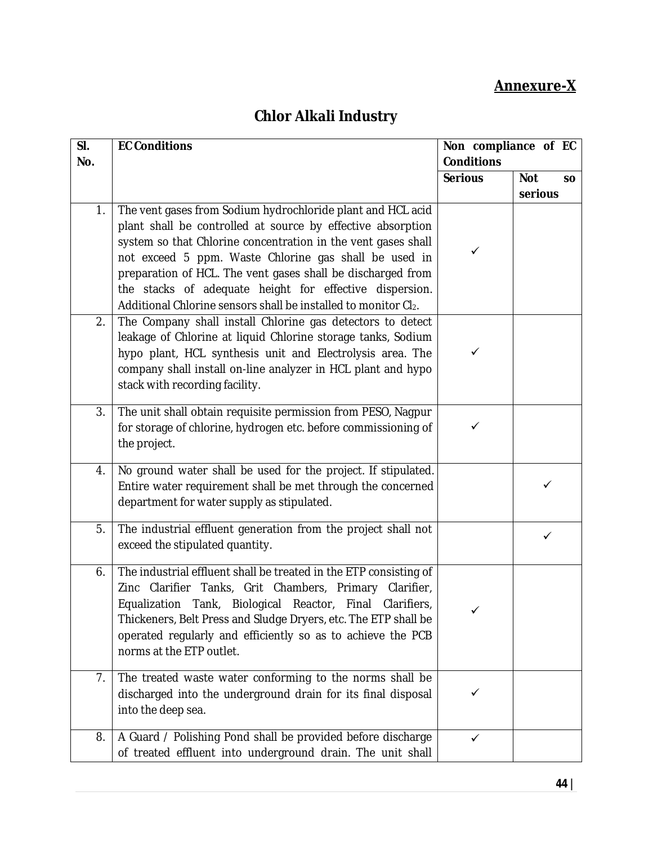## **Annexure-X**

## **Chlor Alkali Industry**

| SI. | <b>EC Conditions</b>                                                                                                                                                                                                                                                                                                                                                                                                                             | Non compliance of EC |                         |
|-----|--------------------------------------------------------------------------------------------------------------------------------------------------------------------------------------------------------------------------------------------------------------------------------------------------------------------------------------------------------------------------------------------------------------------------------------------------|----------------------|-------------------------|
| No. |                                                                                                                                                                                                                                                                                                                                                                                                                                                  | <b>Conditions</b>    |                         |
|     |                                                                                                                                                                                                                                                                                                                                                                                                                                                  | <b>Serious</b>       | <b>Not</b><br><b>SO</b> |
|     |                                                                                                                                                                                                                                                                                                                                                                                                                                                  |                      | serious                 |
| 1.  | The vent gases from Sodium hydrochloride plant and HCL acid<br>plant shall be controlled at source by effective absorption<br>system so that Chlorine concentration in the vent gases shall<br>not exceed 5 ppm. Waste Chlorine gas shall be used in<br>preparation of HCL. The vent gases shall be discharged from<br>the stacks of adequate height for effective dispersion.<br>Additional Chlorine sensors shall be installed to monitor Cl2. | ✓                    |                         |
| 2.  | The Company shall install Chlorine gas detectors to detect<br>leakage of Chlorine at liquid Chlorine storage tanks, Sodium<br>hypo plant, HCL synthesis unit and Electrolysis area. The<br>company shall install on-line analyzer in HCL plant and hypo<br>stack with recording facility.                                                                                                                                                        | ✓                    |                         |
| 3.  | The unit shall obtain requisite permission from PESO, Nagpur<br>for storage of chlorine, hydrogen etc. before commissioning of<br>the project.                                                                                                                                                                                                                                                                                                   | ✓                    |                         |
| 4.  | No ground water shall be used for the project. If stipulated.<br>Entire water requirement shall be met through the concerned<br>department for water supply as stipulated.                                                                                                                                                                                                                                                                       |                      | ✓                       |
| 5.  | The industrial effluent generation from the project shall not<br>exceed the stipulated quantity.                                                                                                                                                                                                                                                                                                                                                 |                      | ✓                       |
| 6.  | The industrial effluent shall be treated in the ETP consisting of<br>Zinc Clarifier Tanks, Grit Chambers, Primary Clarifier,<br>Equalization Tank, Biological Reactor, Final<br>Clarifiers,<br>Thickeners, Belt Press and Sludge Dryers, etc. The ETP shall be<br>operated regularly and efficiently so as to achieve the PCB<br>norms at the ETP outlet.                                                                                        |                      |                         |
| 7.  | The treated waste water conforming to the norms shall be<br>discharged into the underground drain for its final disposal<br>into the deep sea.                                                                                                                                                                                                                                                                                                   | ✓                    |                         |
| 8.  | A Guard / Polishing Pond shall be provided before discharge<br>of treated effluent into underground drain. The unit shall                                                                                                                                                                                                                                                                                                                        | ✓                    |                         |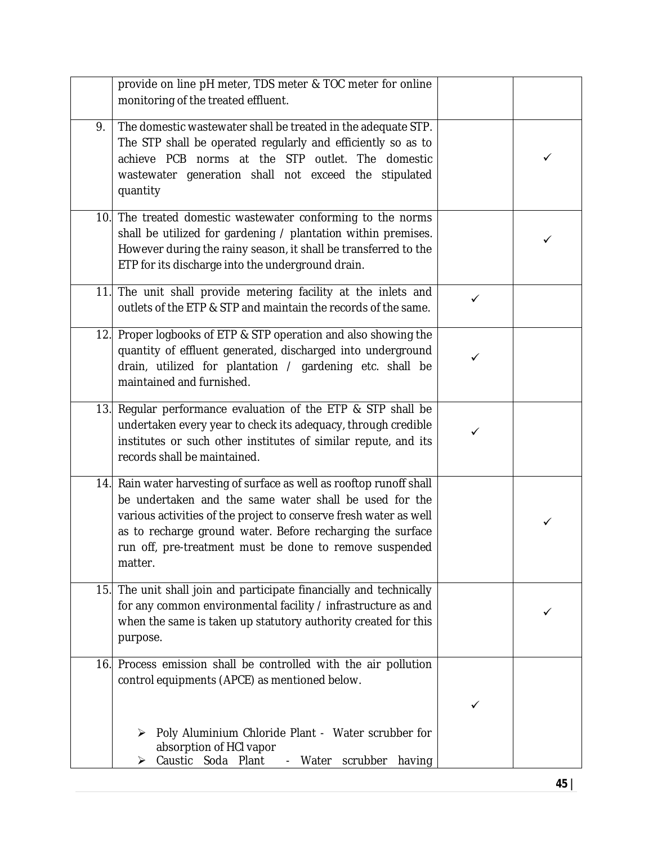|     | provide on line pH meter, TDS meter & TOC meter for online<br>monitoring of the treated effluent.                                                                                                                                                                                                                                       |              |              |
|-----|-----------------------------------------------------------------------------------------------------------------------------------------------------------------------------------------------------------------------------------------------------------------------------------------------------------------------------------------|--------------|--------------|
| 9.  | The domestic wastewater shall be treated in the adequate STP.<br>The STP shall be operated regularly and efficiently so as to<br>achieve PCB norms at the STP outlet. The domestic<br>wastewater generation shall not exceed the stipulated<br>quantity                                                                                 |              | ✓            |
|     | 10. The treated domestic wastewater conforming to the norms<br>shall be utilized for gardening / plantation within premises.<br>However during the rainy season, it shall be transferred to the<br>ETP for its discharge into the underground drain.                                                                                    |              | ✓            |
| 11. | The unit shall provide metering facility at the inlets and<br>outlets of the ETP & STP and maintain the records of the same.                                                                                                                                                                                                            | $\checkmark$ |              |
| 12. | Proper logbooks of ETP & STP operation and also showing the<br>quantity of effluent generated, discharged into underground<br>drain, utilized for plantation / gardening etc. shall be<br>maintained and furnished.                                                                                                                     | ✓            |              |
|     | 13. Regular performance evaluation of the ETP & STP shall be<br>undertaken every year to check its adequacy, through credible<br>institutes or such other institutes of similar repute, and its<br>records shall be maintained.                                                                                                         | ✓            |              |
|     | 14. Rain water harvesting of surface as well as rooftop runoff shall<br>be undertaken and the same water shall be used for the<br>various activities of the project to conserve fresh water as well<br>as to recharge ground water. Before recharging the surface<br>run off, pre-treatment must be done to remove suspended<br>matter. |              | $\checkmark$ |
| 15. | The unit shall join and participate financially and technically<br>for any common environmental facility / infrastructure as and<br>when the same is taken up statutory authority created for this<br>purpose.                                                                                                                          |              | ✓            |
| 16. | Process emission shall be controlled with the air pollution<br>control equipments (APCE) as mentioned below.                                                                                                                                                                                                                            | ✓            |              |
|     | Poly Aluminium Chloride Plant - Water scrubber for<br>absorption of HCI vapor<br>Caustic Soda Plant<br>scrubber<br>having<br>- Water<br>➤                                                                                                                                                                                               |              |              |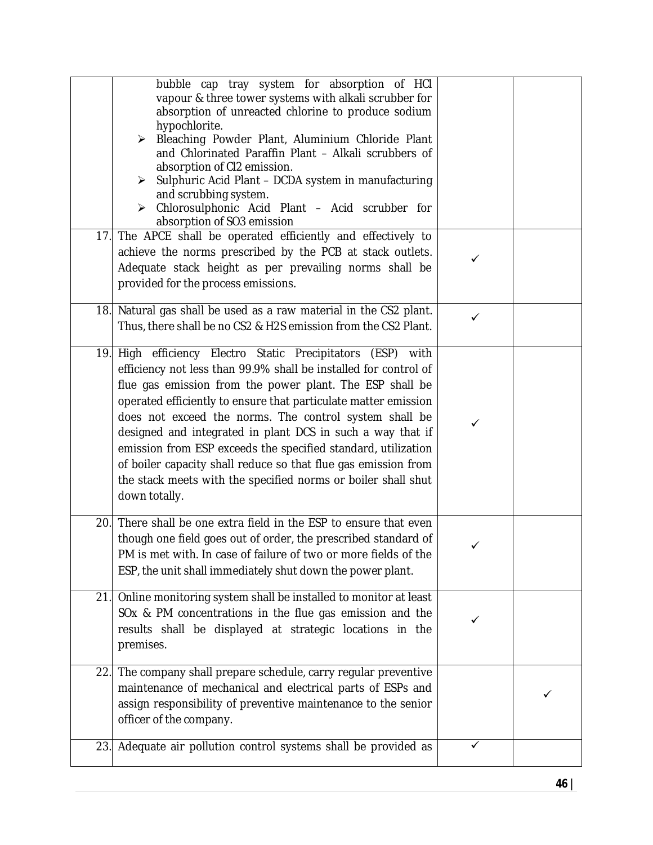|     | bubble cap tray system for absorption of HCI<br>vapour & three tower systems with alkali scrubber for<br>absorption of unreacted chlorine to produce sodium<br>hypochlorite.<br>Bleaching Powder Plant, Aluminium Chloride Plant<br>≻<br>and Chlorinated Paraffin Plant - Alkali scrubbers of<br>absorption of CI2 emission.<br>Sulphuric Acid Plant - DCDA system in manufacturing<br>≻<br>and scrubbing system.<br>> Chlorosulphonic Acid Plant - Acid scrubber for<br>absorption of SO3 emission<br>17. The APCE shall be operated efficiently and effectively to                                        |   |  |
|-----|-------------------------------------------------------------------------------------------------------------------------------------------------------------------------------------------------------------------------------------------------------------------------------------------------------------------------------------------------------------------------------------------------------------------------------------------------------------------------------------------------------------------------------------------------------------------------------------------------------------|---|--|
|     | achieve the norms prescribed by the PCB at stack outlets.<br>Adequate stack height as per prevailing norms shall be<br>provided for the process emissions.                                                                                                                                                                                                                                                                                                                                                                                                                                                  | ✓ |  |
|     | 18. Natural gas shall be used as a raw material in the CS2 plant.<br>Thus, there shall be no CS2 & H2S emission from the CS2 Plant.                                                                                                                                                                                                                                                                                                                                                                                                                                                                         | ✓ |  |
|     | 19. High efficiency Electro Static Precipitators (ESP) with<br>efficiency not less than 99.9% shall be installed for control of<br>flue gas emission from the power plant. The ESP shall be<br>operated efficiently to ensure that particulate matter emission<br>does not exceed the norms. The control system shall be<br>designed and integrated in plant DCS in such a way that if<br>emission from ESP exceeds the specified standard, utilization<br>of boiler capacity shall reduce so that flue gas emission from<br>the stack meets with the specified norms or boiler shall shut<br>down totally. | ✓ |  |
|     | 20. There shall be one extra field in the ESP to ensure that even<br>though one field goes out of order, the prescribed standard of<br>PM is met with. In case of failure of two or more fields of the<br>ESP, the unit shall immediately shut down the power plant.                                                                                                                                                                                                                                                                                                                                        | ✓ |  |
|     | 21. Online monitoring system shall be installed to monitor at least<br>SOx & PM concentrations in the flue gas emission and the<br>results shall be displayed at strategic locations in the<br>premises.                                                                                                                                                                                                                                                                                                                                                                                                    |   |  |
|     | 22. The company shall prepare schedule, carry regular preventive<br>maintenance of mechanical and electrical parts of ESPs and<br>assign responsibility of preventive maintenance to the senior<br>officer of the company.                                                                                                                                                                                                                                                                                                                                                                                  |   |  |
| 23. | Adequate air pollution control systems shall be provided as                                                                                                                                                                                                                                                                                                                                                                                                                                                                                                                                                 |   |  |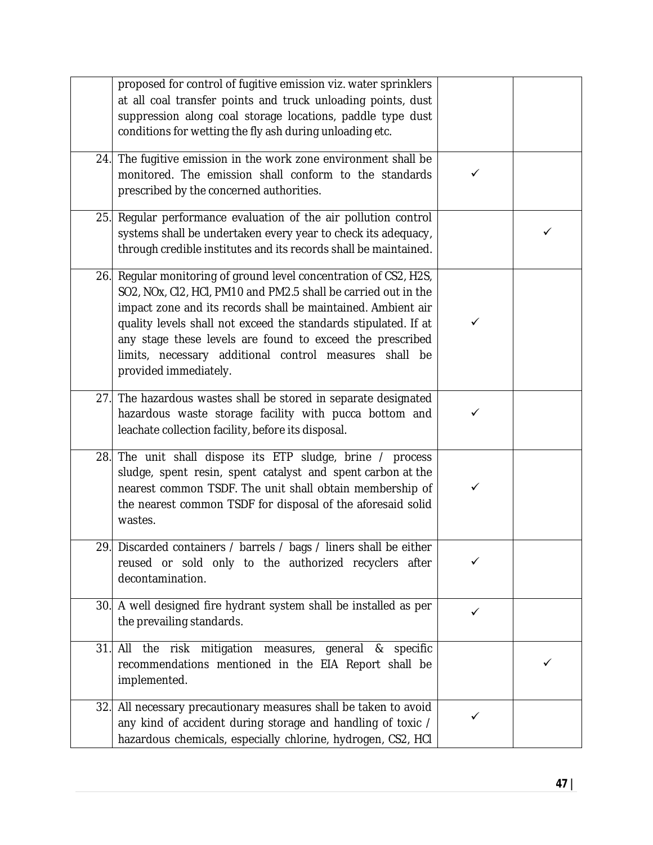|     | proposed for control of fugitive emission viz. water sprinklers<br>at all coal transfer points and truck unloading points, dust<br>suppression along coal storage locations, paddle type dust<br>conditions for wetting the fly ash during unloading etc.                                                                                                                                                          |              |   |
|-----|--------------------------------------------------------------------------------------------------------------------------------------------------------------------------------------------------------------------------------------------------------------------------------------------------------------------------------------------------------------------------------------------------------------------|--------------|---|
| 24. | The fugitive emission in the work zone environment shall be<br>monitored. The emission shall conform to the standards<br>prescribed by the concerned authorities.                                                                                                                                                                                                                                                  | ✓            |   |
| 25. | Regular performance evaluation of the air pollution control<br>systems shall be undertaken every year to check its adequacy,<br>through credible institutes and its records shall be maintained.                                                                                                                                                                                                                   |              | ✓ |
| 26. | Regular monitoring of ground level concentration of CS2, H2S,<br>SO2, NOx, CI2, HCI, PM10 and PM2.5 shall be carried out in the<br>impact zone and its records shall be maintained. Ambient air<br>quality levels shall not exceed the standards stipulated. If at<br>any stage these levels are found to exceed the prescribed<br>limits, necessary additional control measures shall be<br>provided immediately. | ✓            |   |
| 27. | The hazardous wastes shall be stored in separate designated<br>hazardous waste storage facility with pucca bottom and<br>leachate collection facility, before its disposal.                                                                                                                                                                                                                                        | ✓            |   |
|     | 28. The unit shall dispose its ETP sludge, brine / process<br>sludge, spent resin, spent catalyst and spent carbon at the<br>nearest common TSDF. The unit shall obtain membership of<br>the nearest common TSDF for disposal of the aforesaid solid<br>wastes.                                                                                                                                                    | ✓            |   |
|     | 29. Discarded containers / barrels / bags / liners shall be either<br>reused or sold only to the authorized recyclers after<br>decontamination.                                                                                                                                                                                                                                                                    | $\checkmark$ |   |
| 30. | A well designed fire hydrant system shall be installed as per<br>the prevailing standards.                                                                                                                                                                                                                                                                                                                         | ✓            |   |
| 31. | All the risk mitigation measures, general & specific<br>recommendations mentioned in the EIA Report shall be<br>implemented.                                                                                                                                                                                                                                                                                       |              | ✓ |
| 32. | All necessary precautionary measures shall be taken to avoid<br>any kind of accident during storage and handling of toxic /<br>hazardous chemicals, especially chlorine, hydrogen, CS2, HCI                                                                                                                                                                                                                        | ✓            |   |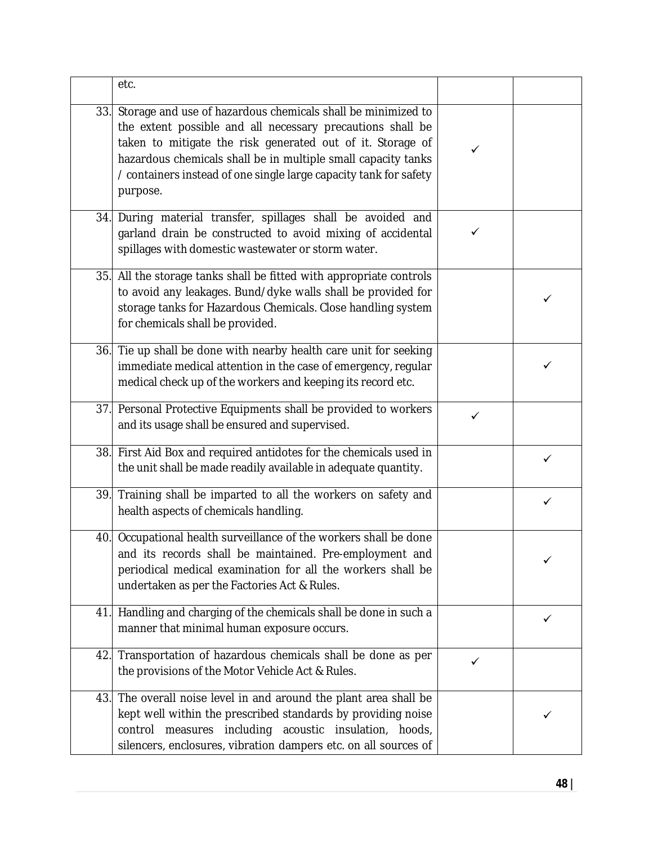|     | etc.                                                                                                                                                                                                                                                                                                                                       |              |   |
|-----|--------------------------------------------------------------------------------------------------------------------------------------------------------------------------------------------------------------------------------------------------------------------------------------------------------------------------------------------|--------------|---|
| 33. | Storage and use of hazardous chemicals shall be minimized to<br>the extent possible and all necessary precautions shall be<br>taken to mitigate the risk generated out of it. Storage of<br>hazardous chemicals shall be in multiple small capacity tanks<br>/ containers instead of one single large capacity tank for safety<br>purpose. | ✓            |   |
|     | 34. During material transfer, spillages shall be avoided and<br>garland drain be constructed to avoid mixing of accidental<br>spillages with domestic wastewater or storm water.                                                                                                                                                           | ✓            |   |
| 35. | All the storage tanks shall be fitted with appropriate controls<br>to avoid any leakages. Bund/dyke walls shall be provided for<br>storage tanks for Hazardous Chemicals. Close handling system<br>for chemicals shall be provided.                                                                                                        |              | ✓ |
|     | 36. Tie up shall be done with nearby health care unit for seeking<br>immediate medical attention in the case of emergency, regular<br>medical check up of the workers and keeping its record etc.                                                                                                                                          |              | ✓ |
|     | 37. Personal Protective Equipments shall be provided to workers<br>and its usage shall be ensured and supervised.                                                                                                                                                                                                                          | $\checkmark$ |   |
| 38. | First Aid Box and required antidotes for the chemicals used in<br>the unit shall be made readily available in adequate quantity.                                                                                                                                                                                                           |              | ✓ |
| 39. | Training shall be imparted to all the workers on safety and<br>health aspects of chemicals handling.                                                                                                                                                                                                                                       |              | ✓ |
|     | 40. Occupational health surveillance of the workers shall be done<br>and its records shall be maintained. Pre-employment and<br>periodical medical examination for all the workers shall be<br>undertaken as per the Factories Act & Rules.                                                                                                |              | ✓ |
| 41. | Handling and charging of the chemicals shall be done in such a<br>manner that minimal human exposure occurs.                                                                                                                                                                                                                               |              | ✓ |
| 42. | Transportation of hazardous chemicals shall be done as per<br>the provisions of the Motor Vehicle Act & Rules.                                                                                                                                                                                                                             | $\checkmark$ |   |
|     | 43. The overall noise level in and around the plant area shall be<br>kept well within the prescribed standards by providing noise<br>measures including acoustic insulation, hoods,<br>control<br>silencers, enclosures, vibration dampers etc. on all sources of                                                                          |              |   |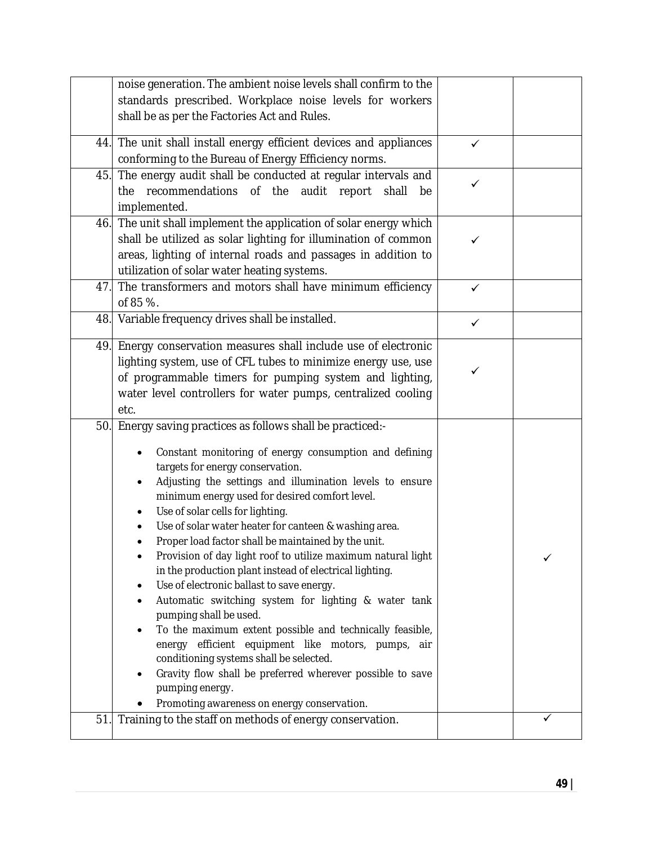|     | noise generation. The ambient noise levels shall confirm to the<br>standards prescribed. Workplace noise levels for workers                                                                                                                                                                                                                                                                                                                                                                                                                                                                                                                                                                                                                                                                                                                                                                                                                                                        |              |  |
|-----|------------------------------------------------------------------------------------------------------------------------------------------------------------------------------------------------------------------------------------------------------------------------------------------------------------------------------------------------------------------------------------------------------------------------------------------------------------------------------------------------------------------------------------------------------------------------------------------------------------------------------------------------------------------------------------------------------------------------------------------------------------------------------------------------------------------------------------------------------------------------------------------------------------------------------------------------------------------------------------|--------------|--|
|     | shall be as per the Factories Act and Rules.                                                                                                                                                                                                                                                                                                                                                                                                                                                                                                                                                                                                                                                                                                                                                                                                                                                                                                                                       |              |  |
|     | 44. The unit shall install energy efficient devices and appliances<br>conforming to the Bureau of Energy Efficiency norms.                                                                                                                                                                                                                                                                                                                                                                                                                                                                                                                                                                                                                                                                                                                                                                                                                                                         | $\checkmark$ |  |
| 45. | The energy audit shall be conducted at regular intervals and<br>recommendations of the audit report<br>the<br>shall<br>be<br>implemented.                                                                                                                                                                                                                                                                                                                                                                                                                                                                                                                                                                                                                                                                                                                                                                                                                                          | ✓            |  |
|     | 46. The unit shall implement the application of solar energy which<br>shall be utilized as solar lighting for illumination of common<br>areas, lighting of internal roads and passages in addition to<br>utilization of solar water heating systems.                                                                                                                                                                                                                                                                                                                                                                                                                                                                                                                                                                                                                                                                                                                               |              |  |
| 47. | The transformers and motors shall have minimum efficiency<br>of 85 %.                                                                                                                                                                                                                                                                                                                                                                                                                                                                                                                                                                                                                                                                                                                                                                                                                                                                                                              | ✓            |  |
|     | 48. Variable frequency drives shall be installed.                                                                                                                                                                                                                                                                                                                                                                                                                                                                                                                                                                                                                                                                                                                                                                                                                                                                                                                                  | $\checkmark$ |  |
|     | 49. Energy conservation measures shall include use of electronic<br>lighting system, use of CFL tubes to minimize energy use, use<br>of programmable timers for pumping system and lighting,<br>water level controllers for water pumps, centralized cooling<br>etc.                                                                                                                                                                                                                                                                                                                                                                                                                                                                                                                                                                                                                                                                                                               |              |  |
| 50. | Energy saving practices as follows shall be practiced:-<br>Constant monitoring of energy consumption and defining<br>targets for energy conservation.<br>Adjusting the settings and illumination levels to ensure<br>٠<br>minimum energy used for desired comfort level.<br>Use of solar cells for lighting.<br>Use of solar water heater for canteen & washing area.<br>Proper load factor shall be maintained by the unit.<br>Provision of day light roof to utilize maximum natural light<br>in the production plant instead of electrical lighting.<br>Use of electronic ballast to save energy.<br>Automatic switching system for lighting & water tank<br>pumping shall be used.<br>To the maximum extent possible and technically feasible,<br>energy efficient equipment like motors, pumps, air<br>conditioning systems shall be selected.<br>Gravity flow shall be preferred wherever possible to save<br>pumping energy.<br>Promoting awareness on energy conservation. |              |  |
| 51. | Training to the staff on methods of energy conservation.                                                                                                                                                                                                                                                                                                                                                                                                                                                                                                                                                                                                                                                                                                                                                                                                                                                                                                                           |              |  |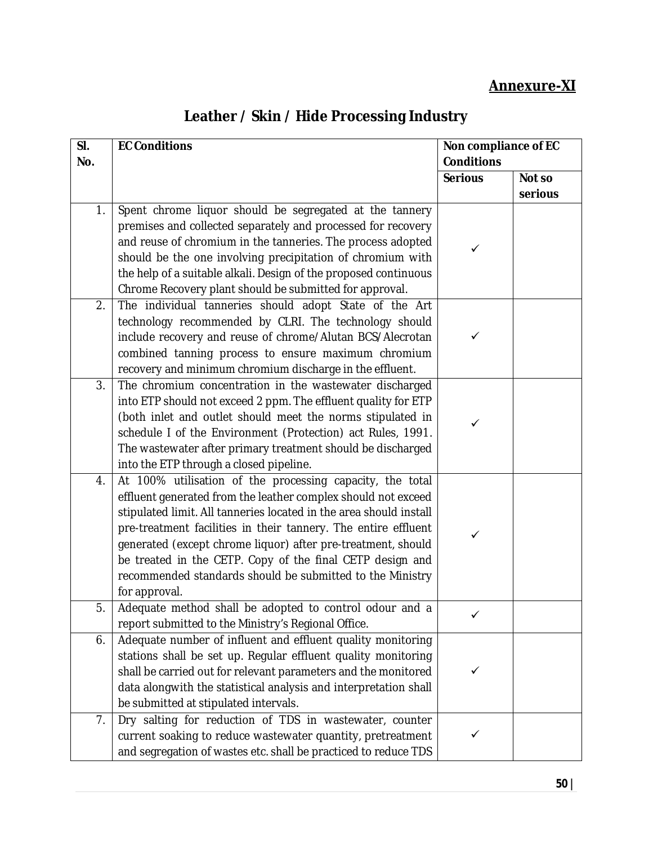### **Annexure-XI**

|  | Leather / Skin / Hide Processing Industry |  |
|--|-------------------------------------------|--|
|  |                                           |  |

| SI. | <b>EC Conditions</b>                                                       | Non compliance of EC |         |
|-----|----------------------------------------------------------------------------|----------------------|---------|
| No. |                                                                            | <b>Conditions</b>    |         |
|     |                                                                            | <b>Serious</b>       | Not so  |
|     |                                                                            |                      | serious |
| 1.  | Spent chrome liquor should be segregated at the tannery                    |                      |         |
|     | premises and collected separately and processed for recovery               |                      |         |
|     | and reuse of chromium in the tanneries. The process adopted                | ✓                    |         |
|     | should be the one involving precipitation of chromium with                 |                      |         |
|     | the help of a suitable alkali. Design of the proposed continuous           |                      |         |
|     | Chrome Recovery plant should be submitted for approval.                    |                      |         |
| 2.  | The individual tanneries should adopt State of the Art                     |                      |         |
|     | technology recommended by CLRI. The technology should                      |                      |         |
|     | include recovery and reuse of chrome/Alutan BCS/Alecrotan                  | ✓                    |         |
|     | combined tanning process to ensure maximum chromium                        |                      |         |
|     | recovery and minimum chromium discharge in the effluent.                   |                      |         |
| 3.  | The chromium concentration in the wastewater discharged                    |                      |         |
|     | into ETP should not exceed 2 ppm. The effluent quality for ETP             |                      |         |
|     | (both inlet and outlet should meet the norms stipulated in                 | ✓                    |         |
|     | schedule I of the Environment (Protection) act Rules, 1991.                |                      |         |
|     | The wastewater after primary treatment should be discharged                |                      |         |
|     | into the ETP through a closed pipeline.                                    |                      |         |
| 4.  | At 100% utilisation of the processing capacity, the total                  |                      |         |
|     | effluent generated from the leather complex should not exceed              |                      |         |
|     | stipulated limit. All tanneries located in the area should install         |                      |         |
|     | pre-treatment facilities in their tannery. The entire effluent             | ✓                    |         |
|     | generated (except chrome liquor) after pre-treatment, should               |                      |         |
|     | be treated in the CETP. Copy of the final CETP design and                  |                      |         |
|     | recommended standards should be submitted to the Ministry<br>for approval. |                      |         |
| 5.  | Adequate method shall be adopted to control odour and a                    |                      |         |
|     | report submitted to the Ministry's Regional Office.                        |                      |         |
| 6.  | Adequate number of influent and effluent quality monitoring                |                      |         |
|     | stations shall be set up. Regular effluent quality monitoring              |                      |         |
|     | shall be carried out for relevant parameters and the monitored             | ✓                    |         |
|     | data alongwith the statistical analysis and interpretation shall           |                      |         |
|     | be submitted at stipulated intervals.                                      |                      |         |
| 7.  | Dry salting for reduction of TDS in wastewater, counter                    |                      |         |
|     | current soaking to reduce wastewater quantity, pretreatment                | ✓                    |         |
|     | and segregation of wastes etc. shall be practiced to reduce TDS            |                      |         |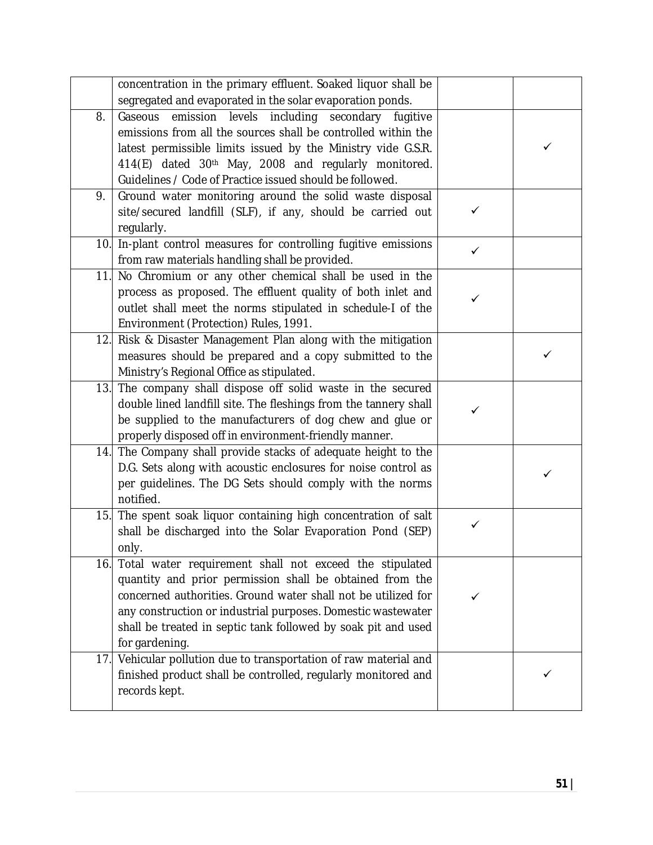|     | concentration in the primary effluent. Soaked liquor shall be                                                                                                                                                                                                                                                                           |              |   |
|-----|-----------------------------------------------------------------------------------------------------------------------------------------------------------------------------------------------------------------------------------------------------------------------------------------------------------------------------------------|--------------|---|
|     | segregated and evaporated in the solar evaporation ponds.                                                                                                                                                                                                                                                                               |              |   |
| 8.  | Gaseous emission<br>levels including secondary fugitive<br>emissions from all the sources shall be controlled within the<br>latest permissible limits issued by the Ministry vide G.S.R.<br>414(E) dated 30th May, 2008 and regularly monitored.                                                                                        |              | ✓ |
|     | Guidelines / Code of Practice issued should be followed.                                                                                                                                                                                                                                                                                |              |   |
| 9.  | Ground water monitoring around the solid waste disposal<br>site/secured landfill (SLF), if any, should be carried out<br>regularly.                                                                                                                                                                                                     | $\checkmark$ |   |
|     | 10. In-plant control measures for controlling fugitive emissions<br>from raw materials handling shall be provided.                                                                                                                                                                                                                      | $\checkmark$ |   |
| 11. | No Chromium or any other chemical shall be used in the<br>process as proposed. The effluent quality of both inlet and<br>outlet shall meet the norms stipulated in schedule-I of the<br>Environment (Protection) Rules, 1991.                                                                                                           | ✓            |   |
| 12. | Risk & Disaster Management Plan along with the mitigation<br>measures should be prepared and a copy submitted to the<br>Ministry's Regional Office as stipulated.                                                                                                                                                                       |              | ✓ |
| 13. | The company shall dispose off solid waste in the secured<br>double lined landfill site. The fleshings from the tannery shall<br>be supplied to the manufacturers of dog chew and glue or<br>properly disposed off in environment-friendly manner.                                                                                       | ✓            |   |
| 14. | The Company shall provide stacks of adequate height to the<br>D.G. Sets along with acoustic enclosures for noise control as<br>per guidelines. The DG Sets should comply with the norms<br>notified.                                                                                                                                    |              | ✓ |
| 15. | The spent soak liquor containing high concentration of salt<br>shall be discharged into the Solar Evaporation Pond (SEP)<br>only.                                                                                                                                                                                                       | ✓            |   |
| 16. | Total water requirement shall not exceed the stipulated<br>quantity and prior permission shall be obtained from the<br>concerned authorities. Ground water shall not be utilized for<br>any construction or industrial purposes. Domestic wastewater<br>shall be treated in septic tank followed by soak pit and used<br>for gardening. | ✓            |   |
| 17. | Vehicular pollution due to transportation of raw material and<br>finished product shall be controlled, regularly monitored and<br>records kept.                                                                                                                                                                                         |              | ✓ |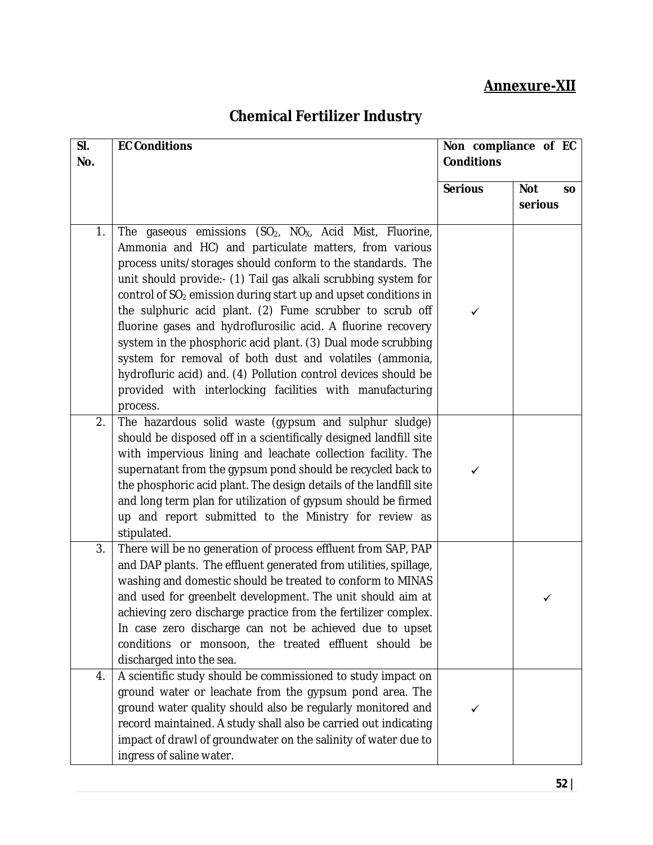### **Annexure-XII**

# **Chemical Fertilizer Industry**

| SI.<br>No. | <b>EC Conditions</b>                                                                                                                                                                                                                                                                                                                                                                                                                                                                                                                                                                                                                                                                                                                                      | Non compliance of EC<br><b>Conditions</b> |                                    |
|------------|-----------------------------------------------------------------------------------------------------------------------------------------------------------------------------------------------------------------------------------------------------------------------------------------------------------------------------------------------------------------------------------------------------------------------------------------------------------------------------------------------------------------------------------------------------------------------------------------------------------------------------------------------------------------------------------------------------------------------------------------------------------|-------------------------------------------|------------------------------------|
|            |                                                                                                                                                                                                                                                                                                                                                                                                                                                                                                                                                                                                                                                                                                                                                           | <b>Serious</b>                            | <b>Not</b><br><b>SO</b><br>serious |
| 1.         | The gaseous emissions (SO <sub>2</sub> , NO <sub>X</sub> , Acid Mist, Fluorine,<br>Ammonia and HC) and particulate matters, from various<br>process units/storages should conform to the standards. The<br>unit should provide:- (1) Tail gas alkali scrubbing system for<br>control of SO <sub>2</sub> emission during start up and upset conditions in<br>the sulphuric acid plant. (2) Fume scrubber to scrub off<br>fluorine gases and hydroflurosilic acid. A fluorine recovery<br>system in the phosphoric acid plant. (3) Dual mode scrubbing<br>system for removal of both dust and volatiles (ammonia,<br>hydrofluric acid) and. (4) Pollution control devices should be<br>provided with interlocking facilities with manufacturing<br>process. | ✓                                         |                                    |
| 2.         | The hazardous solid waste (gypsum and sulphur sludge)<br>should be disposed off in a scientifically designed landfill site<br>with impervious lining and leachate collection facility. The<br>supernatant from the gypsum pond should be recycled back to<br>the phosphoric acid plant. The design details of the landfill site<br>and long term plan for utilization of gypsum should be firmed<br>up and report submitted to the Ministry for review as<br>stipulated.                                                                                                                                                                                                                                                                                  | ✓                                         |                                    |
| 3.         | There will be no generation of process effluent from SAP, PAP<br>and DAP plants. The effluent generated from utilities, spillage,<br>washing and domestic should be treated to conform to MINAS<br>and used for greenbelt development. The unit should aim at<br>achieving zero discharge practice from the fertilizer complex.<br>In case zero discharge can not be achieved due to upset<br>conditions or monsoon, the treated effluent should be<br>discharged into the sea.                                                                                                                                                                                                                                                                           |                                           |                                    |
| 4.         | A scientific study should be commissioned to study impact on<br>ground water or leachate from the gypsum pond area. The<br>ground water quality should also be regularly monitored and<br>record maintained. A study shall also be carried out indicating<br>impact of drawl of groundwater on the salinity of water due to<br>ingress of saline water.                                                                                                                                                                                                                                                                                                                                                                                                   | ✓                                         |                                    |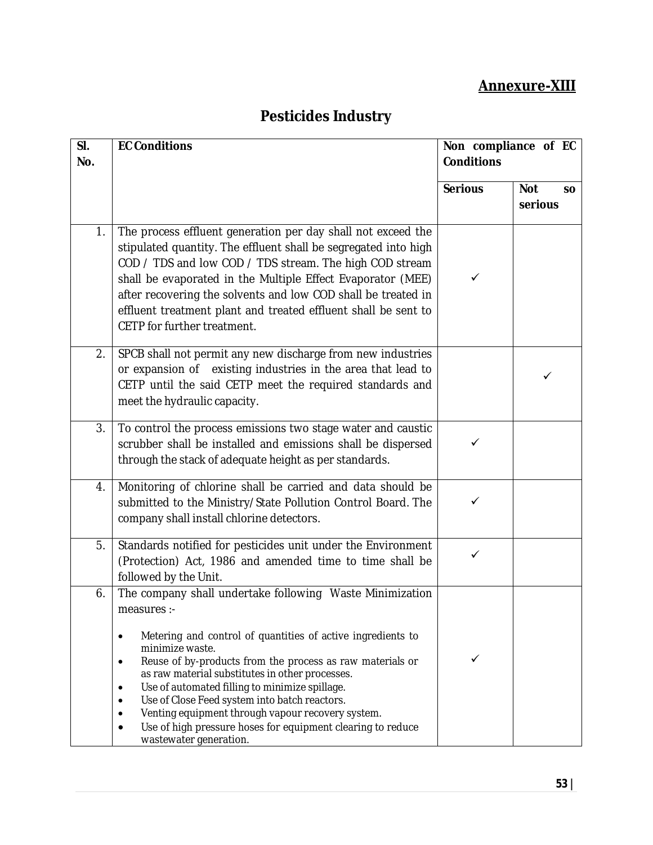### **Annexure-XIII**

## **Pesticides Industry**

| SI.<br>No. | <b>EC Conditions</b>                                                                                                                                                                                                                                                                                                                                                                                                                                                                                                                 | Non compliance of EC<br><b>Conditions</b> |                                    |
|------------|--------------------------------------------------------------------------------------------------------------------------------------------------------------------------------------------------------------------------------------------------------------------------------------------------------------------------------------------------------------------------------------------------------------------------------------------------------------------------------------------------------------------------------------|-------------------------------------------|------------------------------------|
|            |                                                                                                                                                                                                                                                                                                                                                                                                                                                                                                                                      | <b>Serious</b>                            | <b>Not</b><br><b>SO</b><br>serious |
| 1.         | The process effluent generation per day shall not exceed the<br>stipulated quantity. The effluent shall be segregated into high<br>COD / TDS and low COD / TDS stream. The high COD stream<br>shall be evaporated in the Multiple Effect Evaporator (MEE)<br>after recovering the solvents and low COD shall be treated in<br>effluent treatment plant and treated effluent shall be sent to<br>CETP for further treatment.                                                                                                          | ✓                                         |                                    |
| 2.         | SPCB shall not permit any new discharge from new industries<br>or expansion of existing industries in the area that lead to<br>CETP until the said CETP meet the required standards and<br>meet the hydraulic capacity.                                                                                                                                                                                                                                                                                                              |                                           | ✓                                  |
| 3.         | To control the process emissions two stage water and caustic<br>scrubber shall be installed and emissions shall be dispersed<br>through the stack of adequate height as per standards.                                                                                                                                                                                                                                                                                                                                               | ✓                                         |                                    |
| 4.         | Monitoring of chlorine shall be carried and data should be<br>submitted to the Ministry/State Pollution Control Board. The<br>company shall install chlorine detectors.                                                                                                                                                                                                                                                                                                                                                              | ✓                                         |                                    |
| 5.         | Standards notified for pesticides unit under the Environment<br>(Protection) Act, 1986 and amended time to time shall be<br>followed by the Unit.                                                                                                                                                                                                                                                                                                                                                                                    | ✓                                         |                                    |
| 6.         | The company shall undertake following Waste Minimization<br>measures :-<br>Metering and control of quantities of active ingredients to<br>minimize waste.<br>Reuse of by-products from the process as raw materials or<br>٠<br>as raw material substitutes in other processes.<br>Use of automated filling to minimize spillage.<br>٠<br>Use of Close Feed system into batch reactors.<br>Venting equipment through vapour recovery system.<br>Use of high pressure hoses for equipment clearing to reduce<br>wastewater generation. | ✓                                         |                                    |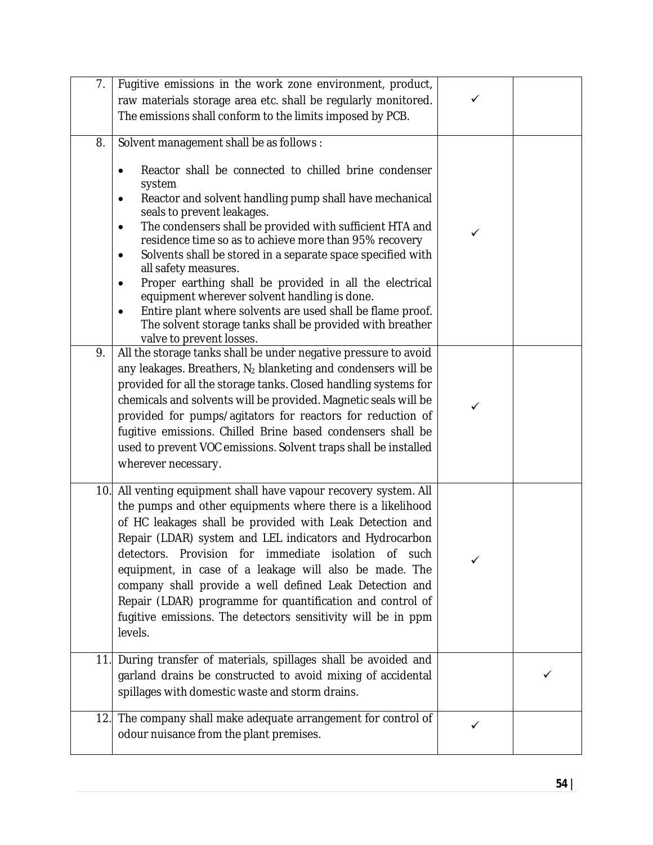| 7.  | Fugitive emissions in the work zone environment, product,                                                                                                                                                                                                                                                                                                                                                                                                                                                                                                              |              |   |
|-----|------------------------------------------------------------------------------------------------------------------------------------------------------------------------------------------------------------------------------------------------------------------------------------------------------------------------------------------------------------------------------------------------------------------------------------------------------------------------------------------------------------------------------------------------------------------------|--------------|---|
|     | raw materials storage area etc. shall be regularly monitored.                                                                                                                                                                                                                                                                                                                                                                                                                                                                                                          | ✓            |   |
|     | The emissions shall conform to the limits imposed by PCB.                                                                                                                                                                                                                                                                                                                                                                                                                                                                                                              |              |   |
|     |                                                                                                                                                                                                                                                                                                                                                                                                                                                                                                                                                                        |              |   |
| 8.  | Solvent management shall be as follows :                                                                                                                                                                                                                                                                                                                                                                                                                                                                                                                               |              |   |
|     | Reactor shall be connected to chilled brine condenser<br>$\bullet$<br>system<br>Reactor and solvent handling pump shall have mechanical<br>$\bullet$                                                                                                                                                                                                                                                                                                                                                                                                                   |              |   |
|     | seals to prevent leakages.<br>The condensers shall be provided with sufficient HTA and<br>$\bullet$<br>residence time so as to achieve more than 95% recovery<br>Solvents shall be stored in a separate space specified with<br>٠<br>all safety measures.                                                                                                                                                                                                                                                                                                              | ✓            |   |
|     | Proper earthing shall be provided in all the electrical<br>$\bullet$<br>equipment wherever solvent handling is done.<br>Entire plant where solvents are used shall be flame proof.<br>The solvent storage tanks shall be provided with breather<br>valve to prevent losses.                                                                                                                                                                                                                                                                                            |              |   |
| 9.  | All the storage tanks shall be under negative pressure to avoid<br>any leakages. Breathers, $N_2$ blanketing and condensers will be<br>provided for all the storage tanks. Closed handling systems for<br>chemicals and solvents will be provided. Magnetic seals will be<br>provided for pumps/agitators for reactors for reduction of<br>fugitive emissions. Chilled Brine based condensers shall be<br>used to prevent VOC emissions. Solvent traps shall be installed<br>wherever necessary.                                                                       | $\checkmark$ |   |
| 10. | All venting equipment shall have vapour recovery system. All<br>the pumps and other equipments where there is a likelihood<br>of HC leakages shall be provided with Leak Detection and<br>Repair (LDAR) system and LEL indicators and Hydrocarbon<br>detectors. Provision for immediate isolation of such<br>equipment, in case of a leakage will also be made. The<br>company shall provide a well defined Leak Detection and<br>Repair (LDAR) programme for quantification and control of<br>fugitive emissions. The detectors sensitivity will be in ppm<br>levels. | $\checkmark$ |   |
|     | 11. During transfer of materials, spillages shall be avoided and<br>garland drains be constructed to avoid mixing of accidental<br>spillages with domestic waste and storm drains.                                                                                                                                                                                                                                                                                                                                                                                     |              | ✓ |
| 12. | The company shall make adequate arrangement for control of<br>odour nuisance from the plant premises.                                                                                                                                                                                                                                                                                                                                                                                                                                                                  | ✓            |   |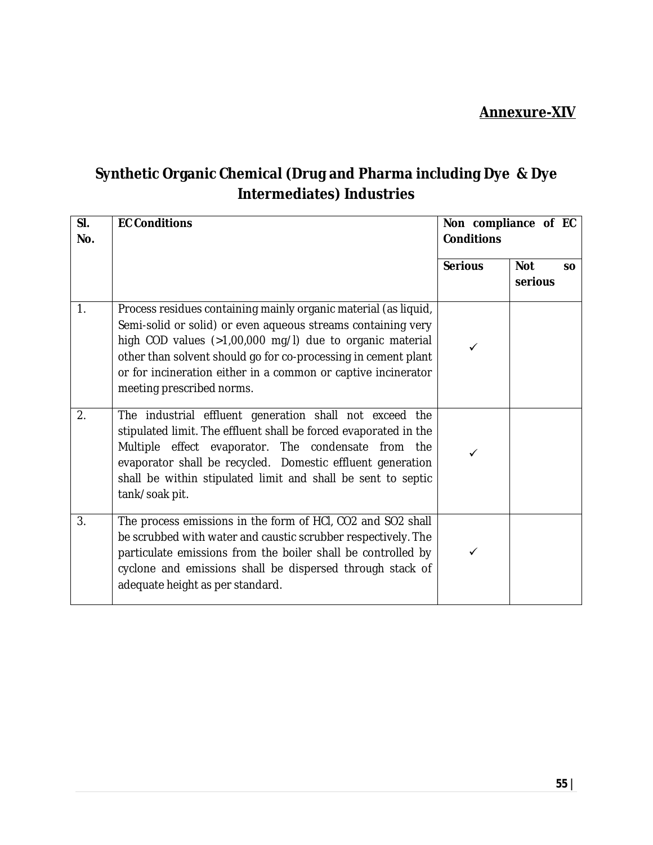## **Synthetic Organic Chemical (Drug and Pharma including Dye & Dye Intermediates) Industries**

| SI.<br>No. | <b>EC Conditions</b>                                                                                                                                                                                                                                                                                                                                        | Non compliance of EC<br><b>Conditions</b> |                                    |
|------------|-------------------------------------------------------------------------------------------------------------------------------------------------------------------------------------------------------------------------------------------------------------------------------------------------------------------------------------------------------------|-------------------------------------------|------------------------------------|
|            |                                                                                                                                                                                                                                                                                                                                                             | <b>Serious</b>                            | <b>Not</b><br><b>SO</b><br>serious |
| 1.         | Process residues containing mainly organic material (as liquid,<br>Semi-solid or solid) or even aqueous streams containing very<br>high COD values (>1,00,000 mg/l) due to organic material<br>other than solvent should go for co-processing in cement plant<br>or for incineration either in a common or captive incinerator<br>meeting prescribed norms. | ✓                                         |                                    |
| 2.         | The industrial effluent generation shall not exceed the<br>stipulated limit. The effluent shall be forced evaporated in the<br>Multiple effect evaporator. The condensate from the<br>evaporator shall be recycled. Domestic effluent generation<br>shall be within stipulated limit and shall be sent to septic<br>tank/soak pit.                          | ✓                                         |                                    |
| 3.         | The process emissions in the form of HCI, CO2 and SO2 shall<br>be scrubbed with water and caustic scrubber respectively. The<br>particulate emissions from the boiler shall be controlled by<br>cyclone and emissions shall be dispersed through stack of<br>adequate height as per standard.                                                               | ✓                                         |                                    |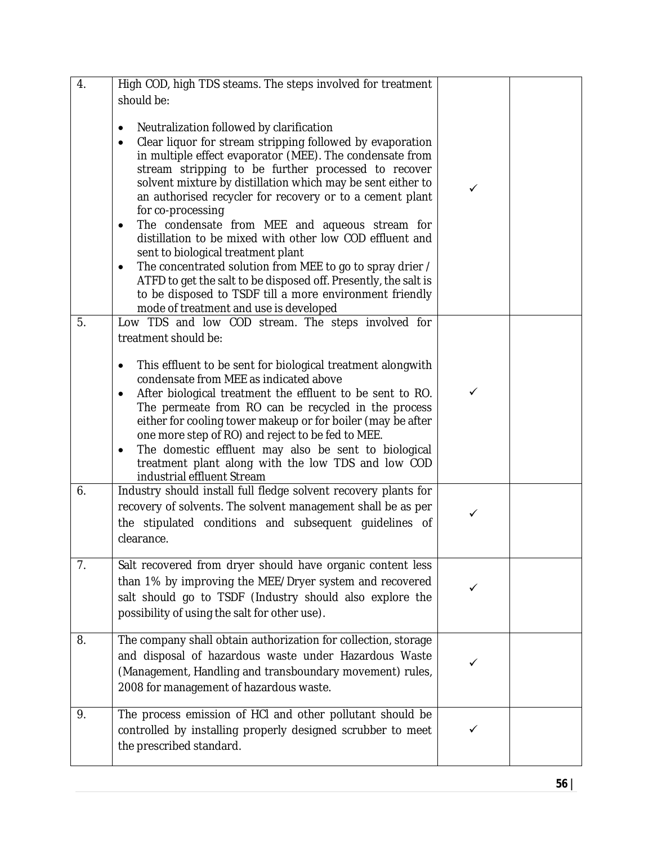| 4.               | High COD, high TDS steams. The steps involved for treatment                                                                                                                                                                                                                                                                                                                                                                                                                                                                                                                                                                                                                                                                                                                                                         |              |  |
|------------------|---------------------------------------------------------------------------------------------------------------------------------------------------------------------------------------------------------------------------------------------------------------------------------------------------------------------------------------------------------------------------------------------------------------------------------------------------------------------------------------------------------------------------------------------------------------------------------------------------------------------------------------------------------------------------------------------------------------------------------------------------------------------------------------------------------------------|--------------|--|
|                  | should be:<br>Neutralization followed by clarification<br>٠<br>Clear liquor for stream stripping followed by evaporation<br>$\bullet$<br>in multiple effect evaporator (MEE). The condensate from<br>stream stripping to be further processed to recover<br>solvent mixture by distillation which may be sent either to<br>an authorised recycler for recovery or to a cement plant<br>for co-processing<br>The condensate from MEE and aqueous stream for<br>$\bullet$<br>distillation to be mixed with other low COD effluent and<br>sent to biological treatment plant<br>The concentrated solution from MEE to go to spray drier /<br>٠<br>ATFD to get the salt to be disposed off. Presently, the salt is<br>to be disposed to TSDF till a more environment friendly<br>mode of treatment and use is developed | $\checkmark$ |  |
| 5.               | Low TDS and low COD stream. The steps involved for                                                                                                                                                                                                                                                                                                                                                                                                                                                                                                                                                                                                                                                                                                                                                                  |              |  |
|                  | treatment should be:<br>This effluent to be sent for biological treatment alongwith<br>$\bullet$<br>condensate from MEE as indicated above<br>After biological treatment the effluent to be sent to RO.<br>$\bullet$<br>The permeate from RO can be recycled in the process<br>either for cooling tower makeup or for boiler (may be after<br>one more step of RO) and reject to be fed to MEE.<br>The domestic effluent may also be sent to biological<br>$\bullet$<br>treatment plant along with the low TDS and low COD<br>industrial effluent Stream                                                                                                                                                                                                                                                            | $\checkmark$ |  |
| 6.               | Industry should install full fledge solvent recovery plants for<br>recovery of solvents. The solvent management shall be as per<br>the stipulated conditions and subsequent guidelines of<br>clearance.                                                                                                                                                                                                                                                                                                                                                                                                                                                                                                                                                                                                             | ✓            |  |
| $\overline{7}$ . | Salt recovered from dryer should have organic content less<br>than 1% by improving the MEE/Dryer system and recovered<br>salt should go to TSDF (Industry should also explore the<br>possibility of using the salt for other use).                                                                                                                                                                                                                                                                                                                                                                                                                                                                                                                                                                                  |              |  |
| 8.               | The company shall obtain authorization for collection, storage<br>and disposal of hazardous waste under Hazardous Waste<br>(Management, Handling and transboundary movement) rules,<br>2008 for management of hazardous waste.                                                                                                                                                                                                                                                                                                                                                                                                                                                                                                                                                                                      | ✓            |  |
| 9.               | The process emission of HCI and other pollutant should be<br>controlled by installing properly designed scrubber to meet<br>the prescribed standard.                                                                                                                                                                                                                                                                                                                                                                                                                                                                                                                                                                                                                                                                |              |  |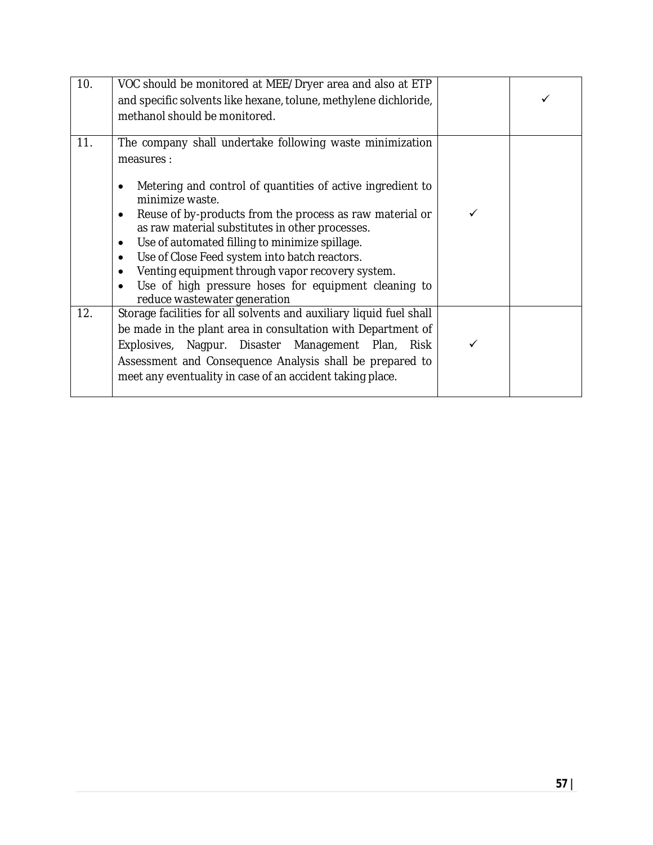| 10. | VOC should be monitored at MEE/Dryer area and also at ETP<br>and specific solvents like hexane, tolune, methylene dichloride,<br>methanol should be monitored.                                                                                                                                                                                                                                                                                                                                                                                                         |  |
|-----|------------------------------------------------------------------------------------------------------------------------------------------------------------------------------------------------------------------------------------------------------------------------------------------------------------------------------------------------------------------------------------------------------------------------------------------------------------------------------------------------------------------------------------------------------------------------|--|
| 11. | The company shall undertake following waste minimization<br>measures :<br>Metering and control of quantities of active ingredient to<br>$\bullet$<br>minimize waste.<br>Reuse of by-products from the process as raw material or<br>٠<br>as raw material substitutes in other processes.<br>Use of automated filling to minimize spillage.<br>$\bullet$<br>Use of Close Feed system into batch reactors.<br>٠<br>Venting equipment through vapor recovery system.<br>$\bullet$<br>Use of high pressure hoses for equipment cleaning to<br>reduce wastewater generation |  |
| 12. | Storage facilities for all solvents and auxiliary liquid fuel shall<br>be made in the plant area in consultation with Department of<br>Explosives, Nagpur. Disaster Management Plan, Risk<br>Assessment and Consequence Analysis shall be prepared to<br>meet any eventuality in case of an accident taking place.                                                                                                                                                                                                                                                     |  |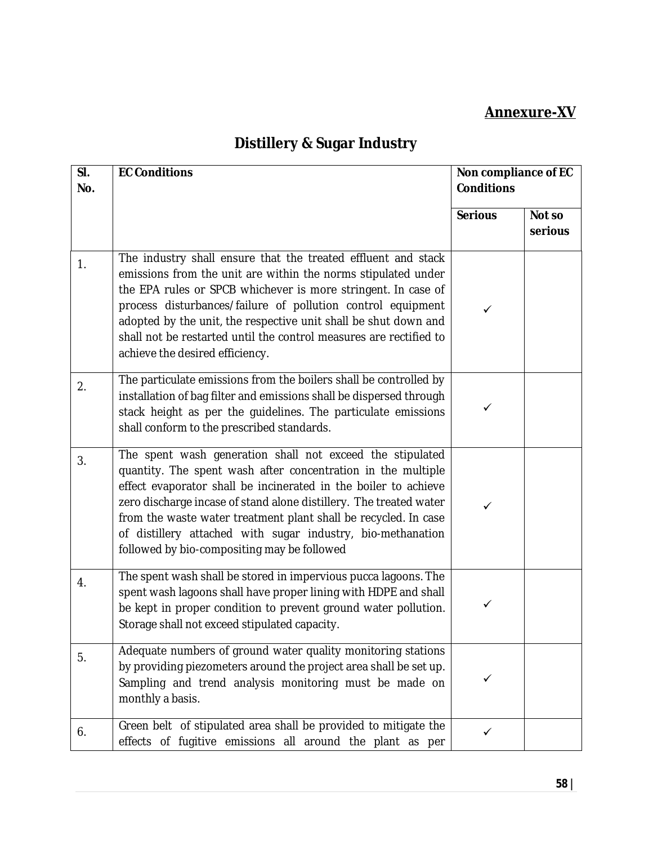### **Annexure-XV**

# **Distillery & Sugar Industry**

| SI.<br>No. | <b>EC Conditions</b>                                                                                                                                                                                                                                                                                                                                                                                                                                | Non compliance of EC<br><b>Conditions</b> |                   |
|------------|-----------------------------------------------------------------------------------------------------------------------------------------------------------------------------------------------------------------------------------------------------------------------------------------------------------------------------------------------------------------------------------------------------------------------------------------------------|-------------------------------------------|-------------------|
|            |                                                                                                                                                                                                                                                                                                                                                                                                                                                     | <b>Serious</b>                            | Not so<br>serious |
| 1.         | The industry shall ensure that the treated effluent and stack<br>emissions from the unit are within the norms stipulated under<br>the EPA rules or SPCB whichever is more stringent. In case of<br>process disturbances/failure of pollution control equipment<br>adopted by the unit, the respective unit shall be shut down and<br>shall not be restarted until the control measures are rectified to<br>achieve the desired efficiency.          | ✓                                         |                   |
| 2.         | The particulate emissions from the boilers shall be controlled by<br>installation of bag filter and emissions shall be dispersed through<br>stack height as per the guidelines. The particulate emissions<br>shall conform to the prescribed standards.                                                                                                                                                                                             | ✓                                         |                   |
| 3.         | The spent wash generation shall not exceed the stipulated<br>quantity. The spent wash after concentration in the multiple<br>effect evaporator shall be incinerated in the boiler to achieve<br>zero discharge incase of stand alone distillery. The treated water<br>from the waste water treatment plant shall be recycled. In case<br>of distillery attached with sugar industry, bio-methanation<br>followed by bio-compositing may be followed | ✓                                         |                   |
| 4.         | The spent wash shall be stored in impervious pucca lagoons. The<br>spent wash lagoons shall have proper lining with HDPE and shall<br>be kept in proper condition to prevent ground water pollution.<br>Storage shall not exceed stipulated capacity.                                                                                                                                                                                               | $\checkmark$                              |                   |
| 5.         | Adequate numbers of ground water quality monitoring stations<br>by providing piezometers around the project area shall be set up.<br>Sampling and trend analysis monitoring must be made on<br>monthly a basis.                                                                                                                                                                                                                                     | ✓                                         |                   |
| 6.         | Green belt of stipulated area shall be provided to mitigate the<br>effects of fugitive emissions all around the plant as per                                                                                                                                                                                                                                                                                                                        | ✓                                         |                   |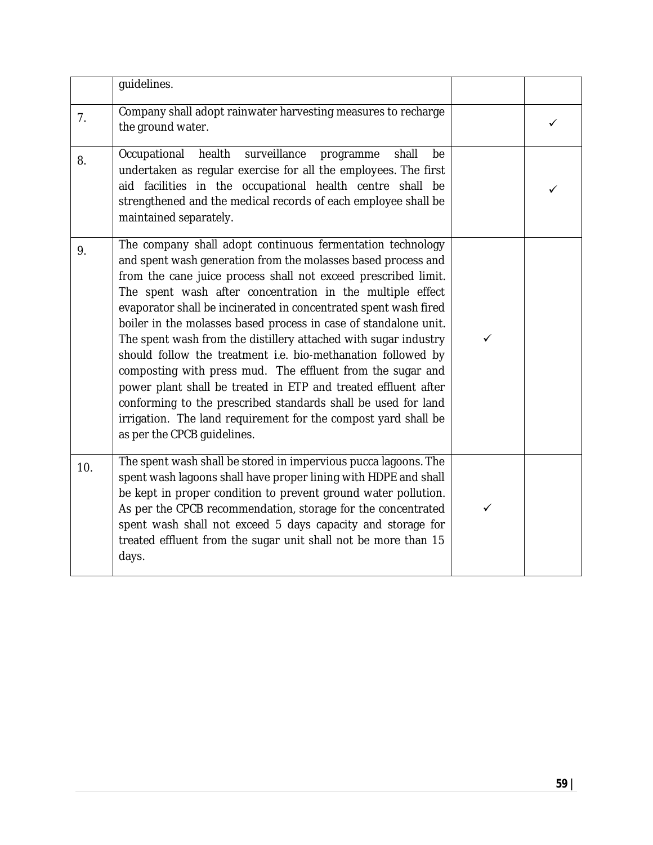|     | guidelines.                                                                                                                                                                                                                                                                                                                                                                                                                                                                                                                                                                                                                                                                                                                                                                                                                             |              |   |
|-----|-----------------------------------------------------------------------------------------------------------------------------------------------------------------------------------------------------------------------------------------------------------------------------------------------------------------------------------------------------------------------------------------------------------------------------------------------------------------------------------------------------------------------------------------------------------------------------------------------------------------------------------------------------------------------------------------------------------------------------------------------------------------------------------------------------------------------------------------|--------------|---|
| 7.  | Company shall adopt rainwater harvesting measures to recharge<br>the ground water.                                                                                                                                                                                                                                                                                                                                                                                                                                                                                                                                                                                                                                                                                                                                                      |              | ✓ |
| 8.  | surveillance<br>Occupational<br>health<br>shall<br>programme<br>be<br>undertaken as regular exercise for all the employees. The first<br>aid facilities in the occupational health centre shall<br>be<br>strengthened and the medical records of each employee shall be<br>maintained separately.                                                                                                                                                                                                                                                                                                                                                                                                                                                                                                                                       |              |   |
| 9.  | The company shall adopt continuous fermentation technology<br>and spent wash generation from the molasses based process and<br>from the cane juice process shall not exceed prescribed limit.<br>The spent wash after concentration in the multiple effect<br>evaporator shall be incinerated in concentrated spent wash fired<br>boiler in the molasses based process in case of standalone unit.<br>The spent wash from the distillery attached with sugar industry<br>should follow the treatment i.e. bio-methanation followed by<br>composting with press mud. The effluent from the sugar and<br>power plant shall be treated in ETP and treated effluent after<br>conforming to the prescribed standards shall be used for land<br>irrigation. The land requirement for the compost yard shall be<br>as per the CPCB quidelines. | $\checkmark$ |   |
| 10. | The spent wash shall be stored in impervious pucca lagoons. The<br>spent wash lagoons shall have proper lining with HDPE and shall<br>be kept in proper condition to prevent ground water pollution.<br>As per the CPCB recommendation, storage for the concentrated<br>spent wash shall not exceed 5 days capacity and storage for<br>treated effluent from the sugar unit shall not be more than 15<br>days.                                                                                                                                                                                                                                                                                                                                                                                                                          | ✓            |   |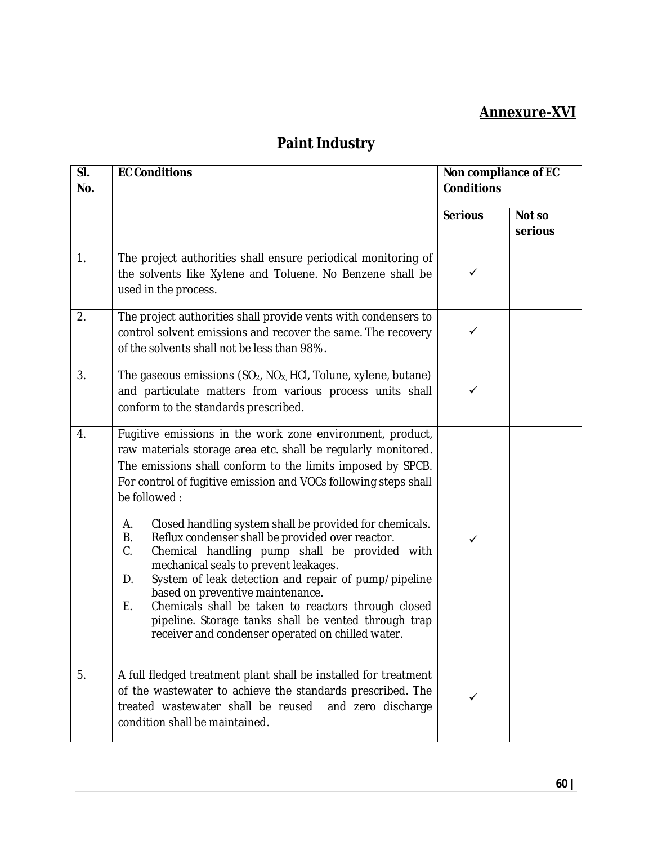### **Annexure-XVI**

| SI.<br>No.       | <b>EC Conditions</b>                                                                                                                                                                                                                                                                                                                                                                                                                                                                                                                                                                                                                                                                                                                                                               | Non compliance of EC<br><b>Conditions</b> |                   |
|------------------|------------------------------------------------------------------------------------------------------------------------------------------------------------------------------------------------------------------------------------------------------------------------------------------------------------------------------------------------------------------------------------------------------------------------------------------------------------------------------------------------------------------------------------------------------------------------------------------------------------------------------------------------------------------------------------------------------------------------------------------------------------------------------------|-------------------------------------------|-------------------|
|                  |                                                                                                                                                                                                                                                                                                                                                                                                                                                                                                                                                                                                                                                                                                                                                                                    | <b>Serious</b>                            | Not so<br>serious |
| $\overline{1}$ . | The project authorities shall ensure periodical monitoring of<br>the solvents like Xylene and Toluene. No Benzene shall be<br>used in the process.                                                                                                                                                                                                                                                                                                                                                                                                                                                                                                                                                                                                                                 | $\checkmark$                              |                   |
| 2.               | The project authorities shall provide vents with condensers to<br>control solvent emissions and recover the same. The recovery<br>of the solvents shall not be less than 98%.                                                                                                                                                                                                                                                                                                                                                                                                                                                                                                                                                                                                      | ✓                                         |                   |
| 3.               | The gaseous emissions $(SO_2, NO_X, HCl, Tollone, xylene, butane)$<br>and particulate matters from various process units shall<br>conform to the standards prescribed.                                                                                                                                                                                                                                                                                                                                                                                                                                                                                                                                                                                                             | ✓                                         |                   |
| 4.               | Fugitive emissions in the work zone environment, product,<br>raw materials storage area etc. shall be regularly monitored.<br>The emissions shall conform to the limits imposed by SPCB.<br>For control of fugitive emission and VOCs following steps shall<br>be followed:<br>Closed handling system shall be provided for chemicals.<br>А.<br>Reflux condenser shall be provided over reactor.<br>В.<br>C.<br>Chemical handling pump shall be provided with<br>mechanical seals to prevent leakages.<br>System of leak detection and repair of pump/pipeline<br>D.<br>based on preventive maintenance.<br>Chemicals shall be taken to reactors through closed<br>Е.<br>pipeline. Storage tanks shall be vented through trap<br>receiver and condenser operated on chilled water. | $\checkmark$                              |                   |
| 5.               | A full fledged treatment plant shall be installed for treatment<br>of the wastewater to achieve the standards prescribed. The<br>treated wastewater shall be reused and zero discharge<br>condition shall be maintained.                                                                                                                                                                                                                                                                                                                                                                                                                                                                                                                                                           |                                           |                   |

## **Paint Industry**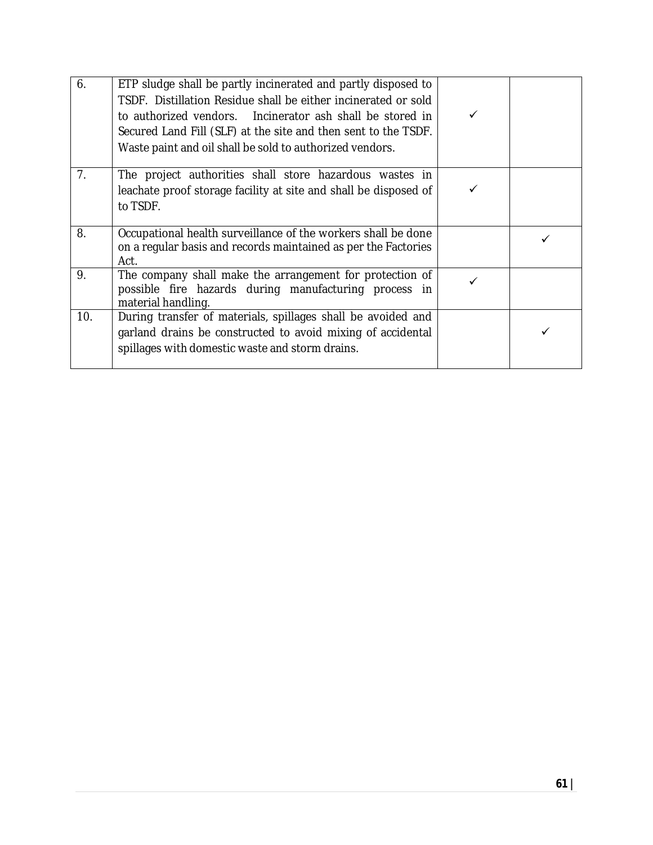| 6.             | ETP sludge shall be partly incinerated and partly disposed to<br>TSDF. Distillation Residue shall be either incinerated or sold<br>to authorized vendors. Incinerator ash shall be stored in<br>Secured Land Fill (SLF) at the site and then sent to the TSDF.<br>Waste paint and oil shall be sold to authorized vendors. |  |
|----------------|----------------------------------------------------------------------------------------------------------------------------------------------------------------------------------------------------------------------------------------------------------------------------------------------------------------------------|--|
| 7 <sub>1</sub> | The project authorities shall store hazardous wastes in<br>leachate proof storage facility at site and shall be disposed of<br>to TSDF.                                                                                                                                                                                    |  |
| 8.             | Occupational health surveillance of the workers shall be done<br>on a regular basis and records maintained as per the Factories<br>Act.                                                                                                                                                                                    |  |
| 9.             | The company shall make the arrangement for protection of<br>possible fire hazards during manufacturing process in<br>material handling.                                                                                                                                                                                    |  |
| 10.            | During transfer of materials, spillages shall be avoided and<br>garland drains be constructed to avoid mixing of accidental<br>spillages with domestic waste and storm drains.                                                                                                                                             |  |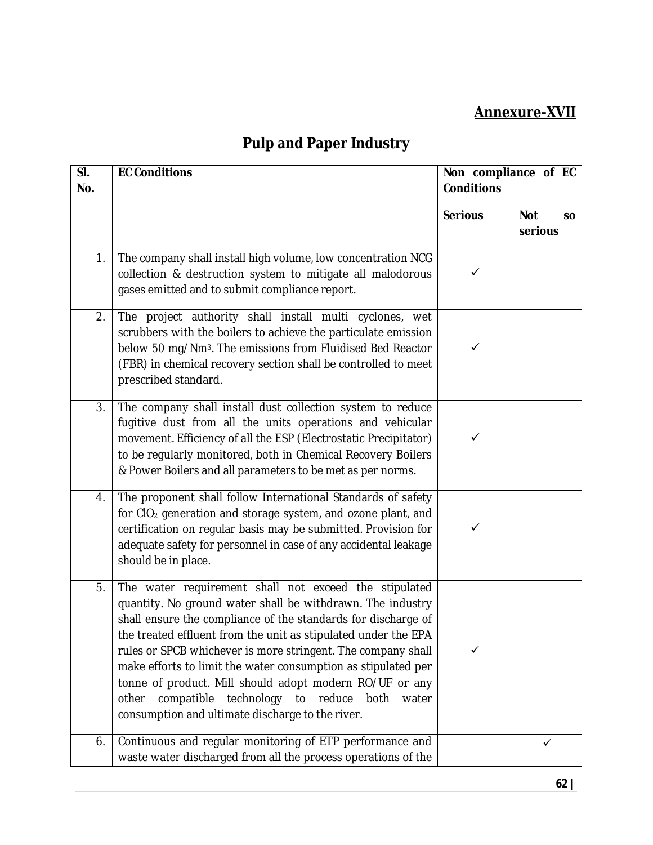#### **Annexure-XVII**

# **Pulp and Paper Industry**

| SI.<br>No. | <b>EC Conditions</b>                                                                                                                                                                                                                                                                                                                                                                                                                                                                                                                                                   | Non compliance of EC<br><b>Conditions</b> |                                    |
|------------|------------------------------------------------------------------------------------------------------------------------------------------------------------------------------------------------------------------------------------------------------------------------------------------------------------------------------------------------------------------------------------------------------------------------------------------------------------------------------------------------------------------------------------------------------------------------|-------------------------------------------|------------------------------------|
|            |                                                                                                                                                                                                                                                                                                                                                                                                                                                                                                                                                                        | <b>Serious</b>                            | <b>Not</b><br><b>SO</b><br>serious |
| 1.         | The company shall install high volume, low concentration NCG<br>collection & destruction system to mitigate all malodorous<br>gases emitted and to submit compliance report.                                                                                                                                                                                                                                                                                                                                                                                           | $\checkmark$                              |                                    |
| 2.         | The project authority shall install multi cyclones, wet<br>scrubbers with the boilers to achieve the particulate emission<br>below 50 mg/Nm <sup>3</sup> . The emissions from Fluidised Bed Reactor<br>(FBR) in chemical recovery section shall be controlled to meet<br>prescribed standard.                                                                                                                                                                                                                                                                          | ✓                                         |                                    |
| 3.         | The company shall install dust collection system to reduce<br>fugitive dust from all the units operations and vehicular<br>movement. Efficiency of all the ESP (Electrostatic Precipitator)<br>to be regularly monitored, both in Chemical Recovery Boilers<br>& Power Boilers and all parameters to be met as per norms.                                                                                                                                                                                                                                              | $\checkmark$                              |                                    |
| 4.         | The proponent shall follow International Standards of safety<br>for CIO <sub>2</sub> generation and storage system, and ozone plant, and<br>certification on regular basis may be submitted. Provision for<br>adequate safety for personnel in case of any accidental leakage<br>should be in place.                                                                                                                                                                                                                                                                   | $\checkmark$                              |                                    |
| 5.         | The water requirement shall not exceed the stipulated<br>quantity. No ground water shall be withdrawn. The industry<br>shall ensure the compliance of the standards for discharge of<br>the treated effluent from the unit as stipulated under the EPA<br>rules or SPCB whichever is more stringent. The company shall<br>make efforts to limit the water consumption as stipulated per<br>tonne of product. Mill should adopt modern RO/UF or any<br>compatible technology<br>to reduce<br>other<br>both<br>water<br>consumption and ultimate discharge to the river. | ✓                                         |                                    |
| 6.         | Continuous and regular monitoring of ETP performance and<br>waste water discharged from all the process operations of the                                                                                                                                                                                                                                                                                                                                                                                                                                              |                                           | ✓                                  |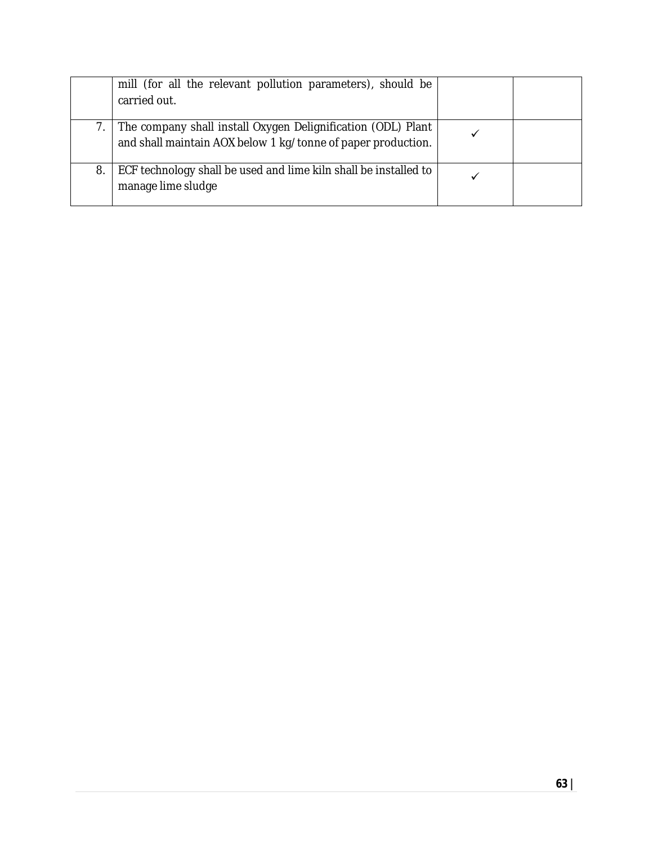|    | mill (for all the relevant pollution parameters), should be<br>carried out.                                                  |  |
|----|------------------------------------------------------------------------------------------------------------------------------|--|
|    | The company shall install Oxygen Delignification (ODL) Plant<br>and shall maintain AOX below 1 kg/tonne of paper production. |  |
| 8. | ECF technology shall be used and lime kiln shall be installed to<br>manage lime sludge                                       |  |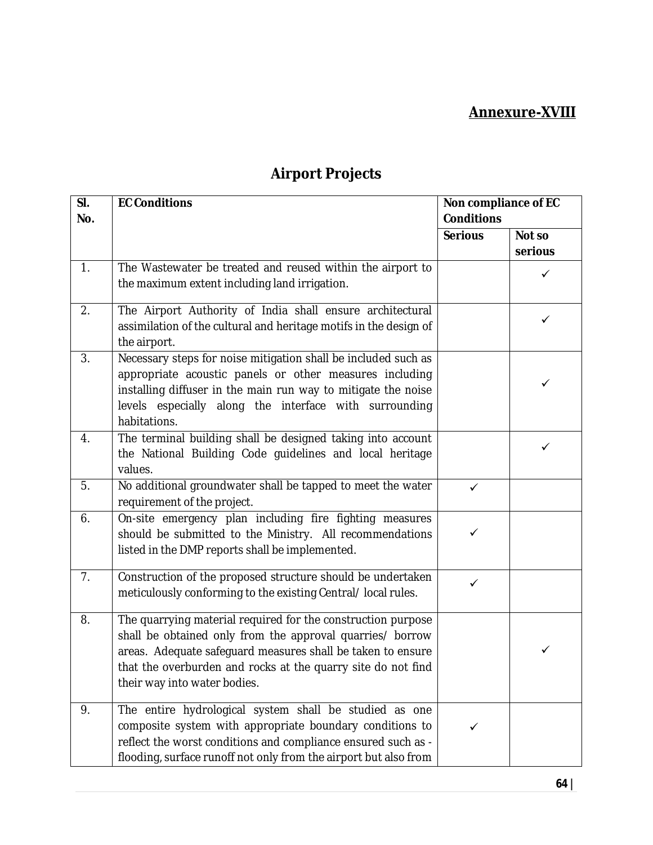#### **Annexure-XVIII**

| SI. | <b>EC Conditions</b>                                                                         | Non compliance of EC |         |
|-----|----------------------------------------------------------------------------------------------|----------------------|---------|
| No. |                                                                                              | <b>Conditions</b>    |         |
|     |                                                                                              | <b>Serious</b>       | Not so  |
|     |                                                                                              |                      | serious |
| 1.  | The Wastewater be treated and reused within the airport to                                   |                      | ✓       |
|     | the maximum extent including land irrigation.                                                |                      |         |
| 2.  | The Airport Authority of India shall ensure architectural                                    |                      |         |
|     | assimilation of the cultural and heritage motifs in the design of                            |                      | ✓       |
|     | the airport.                                                                                 |                      |         |
| 3.  | Necessary steps for noise mitigation shall be included such as                               |                      |         |
|     | appropriate acoustic panels or other measures including                                      |                      | ✓       |
|     | installing diffuser in the main run way to mitigate the noise                                |                      |         |
|     | levels especially along the interface with surrounding                                       |                      |         |
|     | habitations.                                                                                 |                      |         |
| 4.  | The terminal building shall be designed taking into account                                  |                      | ✓       |
|     | the National Building Code guidelines and local heritage                                     |                      |         |
|     | values.                                                                                      |                      |         |
| 5.  | No additional groundwater shall be tapped to meet the water                                  | $\checkmark$         |         |
|     | requirement of the project.                                                                  |                      |         |
| 6.  | On-site emergency plan including fire fighting measures                                      |                      |         |
|     | should be submitted to the Ministry. All recommendations                                     | ✓                    |         |
|     | listed in the DMP reports shall be implemented.                                              |                      |         |
| 7.  | Construction of the proposed structure should be undertaken                                  | $\checkmark$         |         |
|     | meticulously conforming to the existing Central/local rules.                                 |                      |         |
|     |                                                                                              |                      |         |
| 8.  | The quarrying material required for the construction purpose                                 |                      |         |
|     | shall be obtained only from the approval quarries/ borrow                                    |                      | ✓       |
|     | areas. Adequate safeguard measures shall be taken to ensure                                  |                      |         |
|     | that the overburden and rocks at the quarry site do not find<br>their way into water bodies. |                      |         |
|     |                                                                                              |                      |         |
| 9.  | The entire hydrological system shall be studied as one                                       |                      |         |
|     | composite system with appropriate boundary conditions to                                     | ✓                    |         |
|     | reflect the worst conditions and compliance ensured such as -                                |                      |         |
|     | flooding, surface runoff not only from the airport but also from                             |                      |         |

# **Airport Projects**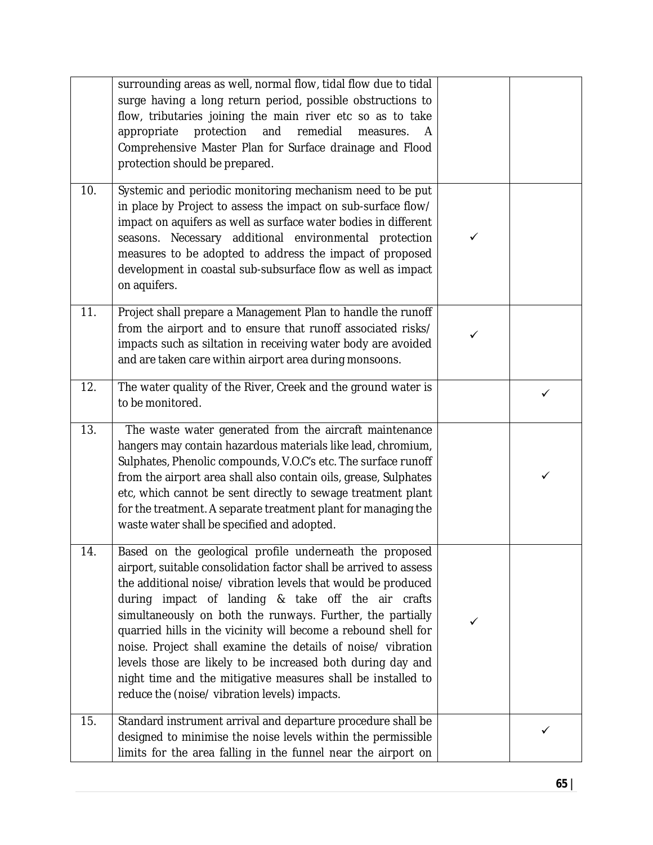|     | surrounding areas as well, normal flow, tidal flow due to tidal<br>surge having a long return period, possible obstructions to<br>flow, tributaries joining the main river etc so as to take<br>appropriate<br>protection<br>and<br>remedial<br>measures.<br>A<br>Comprehensive Master Plan for Surface drainage and Flood<br>protection should be prepared.                                                                                                                                                                                                                                                                        |   |   |
|-----|-------------------------------------------------------------------------------------------------------------------------------------------------------------------------------------------------------------------------------------------------------------------------------------------------------------------------------------------------------------------------------------------------------------------------------------------------------------------------------------------------------------------------------------------------------------------------------------------------------------------------------------|---|---|
| 10. | Systemic and periodic monitoring mechanism need to be put<br>in place by Project to assess the impact on sub-surface flow/<br>impact on aquifers as well as surface water bodies in different<br>seasons. Necessary additional environmental protection<br>measures to be adopted to address the impact of proposed<br>development in coastal sub-subsurface flow as well as impact<br>on aquifers.                                                                                                                                                                                                                                 | ✓ |   |
| 11. | Project shall prepare a Management Plan to handle the runoff<br>from the airport and to ensure that runoff associated risks/<br>impacts such as siltation in receiving water body are avoided<br>and are taken care within airport area during monsoons.                                                                                                                                                                                                                                                                                                                                                                            |   |   |
| 12. | The water quality of the River, Creek and the ground water is<br>to be monitored.                                                                                                                                                                                                                                                                                                                                                                                                                                                                                                                                                   |   | ✓ |
| 13. | The waste water generated from the aircraft maintenance<br>hangers may contain hazardous materials like lead, chromium,<br>Sulphates, Phenolic compounds, V.O.C's etc. The surface runoff<br>from the airport area shall also contain oils, grease, Sulphates<br>etc, which cannot be sent directly to sewage treatment plant<br>for the treatment. A separate treatment plant for managing the<br>waste water shall be specified and adopted.                                                                                                                                                                                      |   | ✓ |
| 14. | Based on the geological profile underneath the proposed<br>airport, suitable consolidation factor shall be arrived to assess<br>the additional noise/ vibration levels that would be produced<br>during impact of landing & take off the air crafts<br>simultaneously on both the runways. Further, the partially<br>quarried hills in the vicinity will become a rebound shell for<br>noise. Project shall examine the details of noise/ vibration<br>levels those are likely to be increased both during day and<br>night time and the mitigative measures shall be installed to<br>reduce the (noise/ vibration levels) impacts. | ✓ |   |
| 15. | Standard instrument arrival and departure procedure shall be<br>designed to minimise the noise levels within the permissible<br>limits for the area falling in the funnel near the airport on                                                                                                                                                                                                                                                                                                                                                                                                                                       |   | ✓ |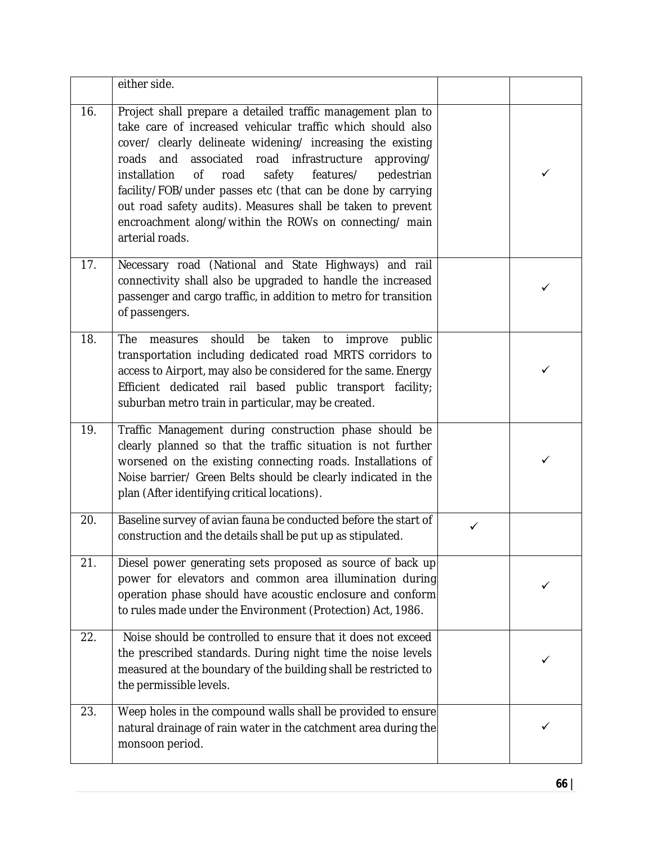|     | either side.                                                                                                                                                                                                                                                                                                                                                                                                                                                                                                                              |   |   |
|-----|-------------------------------------------------------------------------------------------------------------------------------------------------------------------------------------------------------------------------------------------------------------------------------------------------------------------------------------------------------------------------------------------------------------------------------------------------------------------------------------------------------------------------------------------|---|---|
| 16. | Project shall prepare a detailed traffic management plan to<br>take care of increased vehicular traffic which should also<br>cover/ clearly delineate widening/ increasing the existing<br>and associated road infrastructure<br>roads<br>approving/<br>features/<br>installation<br><b>of</b><br>road<br>safety<br>pedestrian<br>facility/FOB/under passes etc (that can be done by carrying<br>out road safety audits). Measures shall be taken to prevent<br>encroachment along/within the ROWs on connecting/ main<br>arterial roads. |   | ✓ |
| 17. | Necessary road (National and State Highways) and rail<br>connectivity shall also be upgraded to handle the increased<br>passenger and cargo traffic, in addition to metro for transition<br>of passengers.                                                                                                                                                                                                                                                                                                                                |   |   |
| 18. | should<br>be<br>taken<br>public<br>The<br>to<br>improve<br>measures<br>transportation including dedicated road MRTS corridors to<br>access to Airport, may also be considered for the same. Energy<br>Efficient dedicated rail based public transport facility;<br>suburban metro train in particular, may be created.                                                                                                                                                                                                                    |   |   |
| 19. | Traffic Management during construction phase should be<br>clearly planned so that the traffic situation is not further<br>worsened on the existing connecting roads. Installations of<br>Noise barrier/ Green Belts should be clearly indicated in the<br>plan (After identifying critical locations).                                                                                                                                                                                                                                    |   |   |
| 20. | Baseline survey of avian fauna be conducted before the start of<br>construction and the details shall be put up as stipulated.                                                                                                                                                                                                                                                                                                                                                                                                            | ✓ |   |
| 21. | Diesel power generating sets proposed as source of back up<br>power for elevators and common area illumination during<br>operation phase should have acoustic enclosure and conform<br>to rules made under the Environment (Protection) Act, 1986.                                                                                                                                                                                                                                                                                        |   |   |
| 22. | Noise should be controlled to ensure that it does not exceed<br>the prescribed standards. During night time the noise levels<br>measured at the boundary of the building shall be restricted to<br>the permissible levels.                                                                                                                                                                                                                                                                                                                |   |   |
| 23. | Weep holes in the compound walls shall be provided to ensure<br>natural drainage of rain water in the catchment area during the<br>monsoon period.                                                                                                                                                                                                                                                                                                                                                                                        |   |   |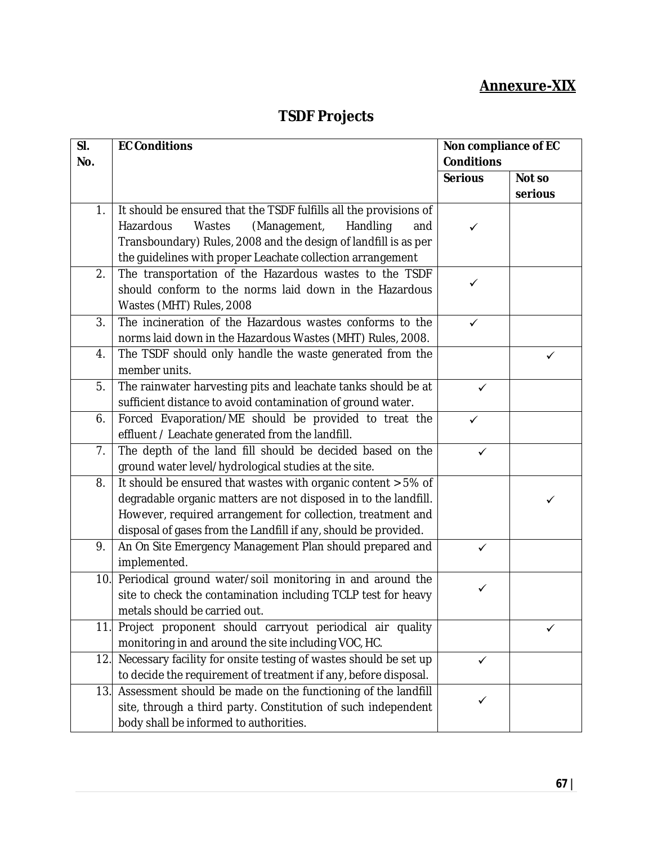### **Annexure-XIX**

## **TSDF Projects**

| SI. | <b>EC Conditions</b>                                              | Non compliance of EC |         |
|-----|-------------------------------------------------------------------|----------------------|---------|
| No. |                                                                   | <b>Conditions</b>    |         |
|     |                                                                   | <b>Serious</b>       | Not so  |
|     |                                                                   |                      | serious |
| 1.  | It should be ensured that the TSDF fulfills all the provisions of |                      |         |
|     | Hazardous<br>Wastes<br>(Management,<br>Handling<br>and            | ✓                    |         |
|     | Transboundary) Rules, 2008 and the design of landfill is as per   |                      |         |
|     | the guidelines with proper Leachate collection arrangement        |                      |         |
| 2.  | The transportation of the Hazardous wastes to the TSDF            |                      |         |
|     | should conform to the norms laid down in the Hazardous            | ✓                    |         |
|     | Wastes (MHT) Rules, 2008                                          |                      |         |
| 3.  | The incineration of the Hazardous wastes conforms to the          | ✓                    |         |
|     | norms laid down in the Hazardous Wastes (MHT) Rules, 2008.        |                      |         |
| 4.  | The TSDF should only handle the waste generated from the          |                      | ✓       |
|     | member units.                                                     |                      |         |
| 5.  | The rainwater harvesting pits and leachate tanks should be at     | ✓                    |         |
|     | sufficient distance to avoid contamination of ground water.       |                      |         |
| 6.  | Forced Evaporation/ME should be provided to treat the             | $\checkmark$         |         |
|     | effluent / Leachate generated from the landfill.                  |                      |         |
| 7.  | The depth of the land fill should be decided based on the         | ✓                    |         |
|     | ground water level/hydrological studies at the site.              |                      |         |
| 8.  | It should be ensured that wastes with organic content > 5% of     |                      |         |
|     | degradable organic matters are not disposed in to the landfill.   |                      | ✓       |
|     | However, required arrangement for collection, treatment and       |                      |         |
|     | disposal of gases from the Landfill if any, should be provided.   |                      |         |
| 9.  | An On Site Emergency Management Plan should prepared and          | ✓                    |         |
|     | implemented.                                                      |                      |         |
| 10. | Periodical ground water/soil monitoring in and around the         | ✓                    |         |
|     | site to check the contamination including TCLP test for heavy     |                      |         |
|     | metals should be carried out.                                     |                      |         |
| 11. | Project proponent should carryout periodical air quality          |                      |         |
|     | monitoring in and around the site including VOC, HC.              |                      |         |
| 12. | Necessary facility for onsite testing of wastes should be set up  | $\checkmark$         |         |
|     | to decide the requirement of treatment if any, before disposal.   |                      |         |
| 13. | Assessment should be made on the functioning of the landfill      |                      |         |
|     | site, through a third party. Constitution of such independent     |                      |         |
|     | body shall be informed to authorities.                            |                      |         |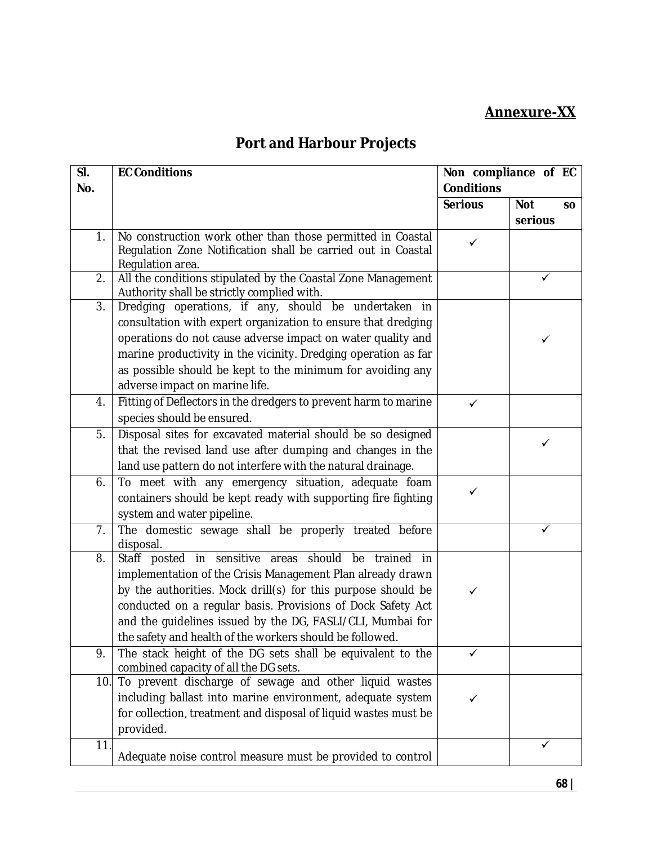### **Annexure-XX**

# **Port and Harbour Projects**

| SI. | <b>EC Conditions</b>                                                                            |                   | Non compliance of EC    |  |
|-----|-------------------------------------------------------------------------------------------------|-------------------|-------------------------|--|
| No. |                                                                                                 | <b>Conditions</b> |                         |  |
|     |                                                                                                 | <b>Serious</b>    | <b>Not</b><br><b>SO</b> |  |
|     |                                                                                                 |                   | serious                 |  |
| 1.  | No construction work other than those permitted in Coastal                                      | $\checkmark$      |                         |  |
|     | Regulation Zone Notification shall be carried out in Coastal                                    |                   |                         |  |
| 2.  | Regulation area.<br>All the conditions stipulated by the Coastal Zone Management                |                   | ✓                       |  |
|     | Authority shall be strictly complied with.                                                      |                   |                         |  |
| 3.  | Dredging operations, if any, should be undertaken in                                            |                   |                         |  |
|     | consultation with expert organization to ensure that dredging                                   |                   |                         |  |
|     | operations do not cause adverse impact on water quality and                                     |                   | ✓                       |  |
|     | marine productivity in the vicinity. Dredging operation as far                                  |                   |                         |  |
|     | as possible should be kept to the minimum for avoiding any                                      |                   |                         |  |
|     | adverse impact on marine life.                                                                  |                   |                         |  |
| 4.  | Fitting of Deflectors in the dredgers to prevent harm to marine                                 | $\checkmark$      |                         |  |
|     | species should be ensured.                                                                      |                   |                         |  |
| 5.  | Disposal sites for excavated material should be so designed                                     |                   |                         |  |
|     | that the revised land use after dumping and changes in the                                      |                   | ✓                       |  |
|     | land use pattern do not interfere with the natural drainage.                                    |                   |                         |  |
| 6.  | To meet with any emergency situation, adequate foam                                             |                   |                         |  |
|     | containers should be kept ready with supporting fire fighting                                   | ✓                 |                         |  |
|     | system and water pipeline.                                                                      |                   |                         |  |
| 7.  | The domestic sewage shall be properly treated before                                            |                   | ✓                       |  |
|     | disposal.                                                                                       |                   |                         |  |
| 8.  | Staff posted in sensitive areas should be trained<br>in                                         |                   |                         |  |
|     | implementation of the Crisis Management Plan already drawn                                      |                   |                         |  |
|     | by the authorities. Mock drill(s) for this purpose should be                                    |                   |                         |  |
|     | conducted on a regular basis. Provisions of Dock Safety Act                                     |                   |                         |  |
|     | and the quidelines issued by the DG, FASLI/CLI, Mumbai for                                      |                   |                         |  |
|     | the safety and health of the workers should be followed.                                        |                   |                         |  |
| 9.  | The stack height of the DG sets shall be equivalent to the                                      |                   |                         |  |
| 10. | combined capacity of all the DG sets.<br>To prevent discharge of sewage and other liquid wastes |                   |                         |  |
|     | including ballast into marine environment, adequate system                                      |                   |                         |  |
|     | for collection, treatment and disposal of liquid wastes must be                                 |                   |                         |  |
|     | provided.                                                                                       |                   |                         |  |
| 11. |                                                                                                 |                   |                         |  |
|     | Adequate noise control measure must be provided to control                                      |                   |                         |  |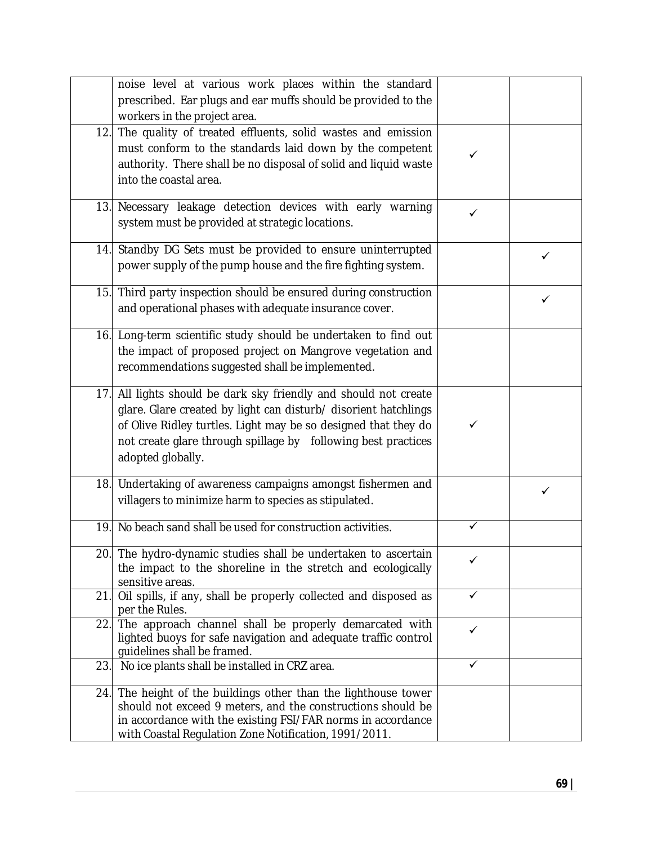|     | noise level at various work places within the standard          |              |   |
|-----|-----------------------------------------------------------------|--------------|---|
|     | prescribed. Ear plugs and ear muffs should be provided to the   |              |   |
|     |                                                                 |              |   |
|     | workers in the project area.                                    |              |   |
| 12. | The quality of treated effluents, solid wastes and emission     |              |   |
|     | must conform to the standards laid down by the competent        | ✓            |   |
|     | authority. There shall be no disposal of solid and liquid waste |              |   |
|     | into the coastal area.                                          |              |   |
|     |                                                                 |              |   |
|     | 13. Necessary leakage detection devices with early warning      |              |   |
|     | system must be provided at strategic locations.                 | ✓            |   |
|     |                                                                 |              |   |
| 14. | Standby DG Sets must be provided to ensure uninterrupted        |              |   |
|     | power supply of the pump house and the fire fighting system.    |              | ✓ |
|     |                                                                 |              |   |
| 15. | Third party inspection should be ensured during construction    |              |   |
|     |                                                                 |              | ✓ |
|     | and operational phases with adequate insurance cover.           |              |   |
|     | 16. Long-term scientific study should be undertaken to find out |              |   |
|     |                                                                 |              |   |
|     | the impact of proposed project on Mangrove vegetation and       |              |   |
|     | recommendations suggested shall be implemented.                 |              |   |
|     |                                                                 |              |   |
| 17. | All lights should be dark sky friendly and should not create    |              |   |
|     | glare. Glare created by light can disturb/ disorient hatchlings |              |   |
|     | of Olive Ridley turtles. Light may be so designed that they do  | ✓            |   |
|     | not create glare through spillage by following best practices   |              |   |
|     | adopted globally.                                               |              |   |
|     |                                                                 |              |   |
|     | 18. Undertaking of awareness campaigns amongst fishermen and    |              |   |
|     | villagers to minimize harm to species as stipulated.            |              | ✓ |
|     |                                                                 |              |   |
| 19. | No beach sand shall be used for construction activities.        | $\checkmark$ |   |
|     |                                                                 |              |   |
|     | 20. The hydro-dynamic studies shall be undertaken to ascertain  | $\checkmark$ |   |
|     | the impact to the shoreline in the stretch and ecologically     |              |   |
|     | sensitive areas.                                                |              |   |
| 21. | Oil spills, if any, shall be properly collected and disposed as | ✓            |   |
|     | per the Rules.                                                  |              |   |
| 22. | The approach channel shall be properly demarcated with          | ✓            |   |
|     | lighted buoys for safe navigation and adequate traffic control  |              |   |
|     | quidelines shall be framed.                                     |              |   |
| 23  | No ice plants shall be installed in CRZ area.                   | ✓            |   |
|     |                                                                 |              |   |
| 24. | The height of the buildings other than the lighthouse tower     |              |   |
|     | should not exceed 9 meters, and the constructions should be     |              |   |
|     | in accordance with the existing FSI/FAR norms in accordance     |              |   |
|     | with Coastal Regulation Zone Notification, 1991/2011.           |              |   |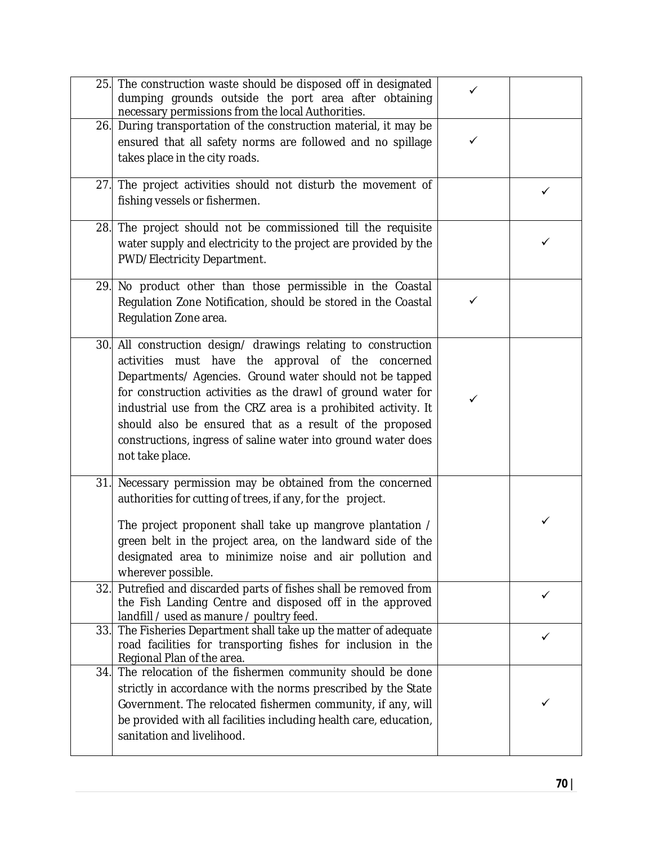|     | 25. The construction waste should be disposed off in designated<br>dumping grounds outside the port area after obtaining<br>necessary permissions from the local Authorities.                                                                                                                                                                                                                                                                                    | ✓ |   |
|-----|------------------------------------------------------------------------------------------------------------------------------------------------------------------------------------------------------------------------------------------------------------------------------------------------------------------------------------------------------------------------------------------------------------------------------------------------------------------|---|---|
|     | 26. During transportation of the construction material, it may be<br>ensured that all safety norms are followed and no spillage<br>takes place in the city roads.                                                                                                                                                                                                                                                                                                | ✓ |   |
|     | 27. The project activities should not disturb the movement of<br>fishing vessels or fishermen.                                                                                                                                                                                                                                                                                                                                                                   |   | ✓ |
|     | 28. The project should not be commissioned till the requisite<br>water supply and electricity to the project are provided by the<br>PWD/Electricity Department.                                                                                                                                                                                                                                                                                                  |   |   |
|     | 29. No product other than those permissible in the Coastal<br>Regulation Zone Notification, should be stored in the Coastal<br>Regulation Zone area.                                                                                                                                                                                                                                                                                                             | ✓ |   |
|     | 30. All construction design/ drawings relating to construction<br>activities must have the approval of the concerned<br>Departments/ Agencies. Ground water should not be tapped<br>for construction activities as the drawl of ground water for<br>industrial use from the CRZ area is a prohibited activity. It<br>should also be ensured that as a result of the proposed<br>constructions, ingress of saline water into ground water does<br>not take place. | ✓ |   |
|     | 31. Necessary permission may be obtained from the concerned<br>authorities for cutting of trees, if any, for the project.<br>The project proponent shall take up mangrove plantation /<br>green belt in the project area, on the landward side of the<br>designated area to minimize noise and air pollution and<br>wherever possible.                                                                                                                           |   | ✓ |
| 32. | Putrefied and discarded parts of fishes shall be removed from<br>the Fish Landing Centre and disposed off in the approved<br>landfill / used as manure / poultry feed.                                                                                                                                                                                                                                                                                           |   | ✓ |
| 33. | The Fisheries Department shall take up the matter of adequate<br>road facilities for transporting fishes for inclusion in the<br>Regional Plan of the area.                                                                                                                                                                                                                                                                                                      |   | ✓ |
|     | 34. The relocation of the fishermen community should be done<br>strictly in accordance with the norms prescribed by the State<br>Government. The relocated fishermen community, if any, will<br>be provided with all facilities including health care, education,<br>sanitation and livelihood.                                                                                                                                                                  |   |   |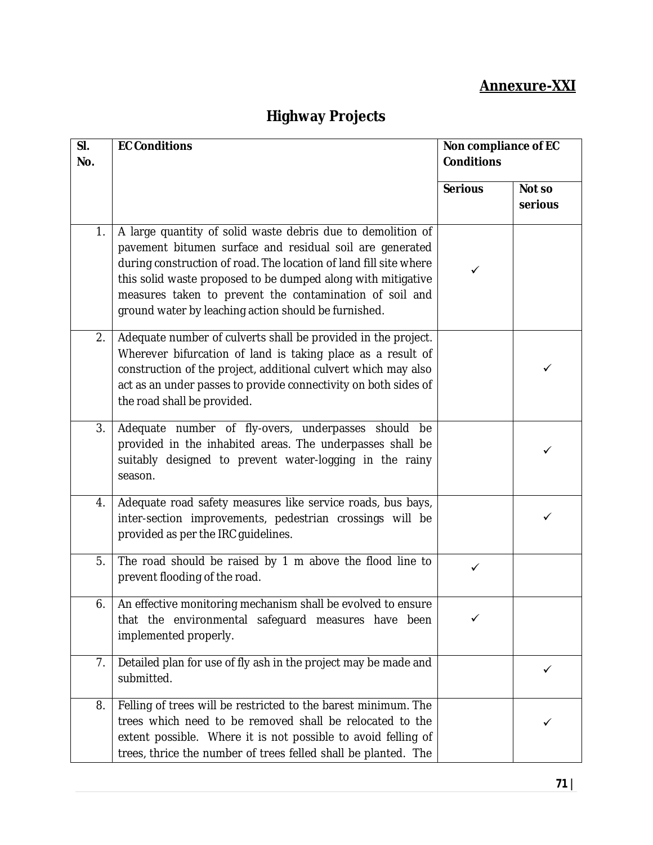# **Annexure-XXI**

# **Highway Projects**

| SI.<br>No. | <b>EC Conditions</b>                                                                                                                                                                                                                                                                                                                                                            | Non compliance of EC<br><b>Conditions</b> |                   |
|------------|---------------------------------------------------------------------------------------------------------------------------------------------------------------------------------------------------------------------------------------------------------------------------------------------------------------------------------------------------------------------------------|-------------------------------------------|-------------------|
|            |                                                                                                                                                                                                                                                                                                                                                                                 | <b>Serious</b>                            | Not so<br>serious |
| 1.         | A large quantity of solid waste debris due to demolition of<br>pavement bitumen surface and residual soil are generated<br>during construction of road. The location of land fill site where<br>this solid waste proposed to be dumped along with mitigative<br>measures taken to prevent the contamination of soil and<br>ground water by leaching action should be furnished. | ✓                                         |                   |
| 2.         | Adequate number of culverts shall be provided in the project.<br>Wherever bifurcation of land is taking place as a result of<br>construction of the project, additional culvert which may also<br>act as an under passes to provide connectivity on both sides of<br>the road shall be provided.                                                                                |                                           |                   |
| 3.         | Adequate number of fly-overs, underpasses should be<br>provided in the inhabited areas. The underpasses shall be<br>suitably designed to prevent water-logging in the rainy<br>season.                                                                                                                                                                                          |                                           |                   |
| 4.         | Adequate road safety measures like service roads, bus bays,<br>inter-section improvements, pedestrian crossings will be<br>provided as per the IRC guidelines.                                                                                                                                                                                                                  |                                           |                   |
| 5.         | The road should be raised by 1 m above the flood line to<br>prevent flooding of the road.                                                                                                                                                                                                                                                                                       | ✓                                         |                   |
| 6.         | An effective monitoring mechanism shall be evolved to ensure<br>that the environmental safeguard measures have been<br>implemented properly.                                                                                                                                                                                                                                    |                                           |                   |
| 7.         | Detailed plan for use of fly ash in the project may be made and<br>submitted.                                                                                                                                                                                                                                                                                                   |                                           | ✓                 |
| 8.         | Felling of trees will be restricted to the barest minimum. The<br>trees which need to be removed shall be relocated to the<br>extent possible. Where it is not possible to avoid felling of<br>trees, thrice the number of trees felled shall be planted. The                                                                                                                   |                                           |                   |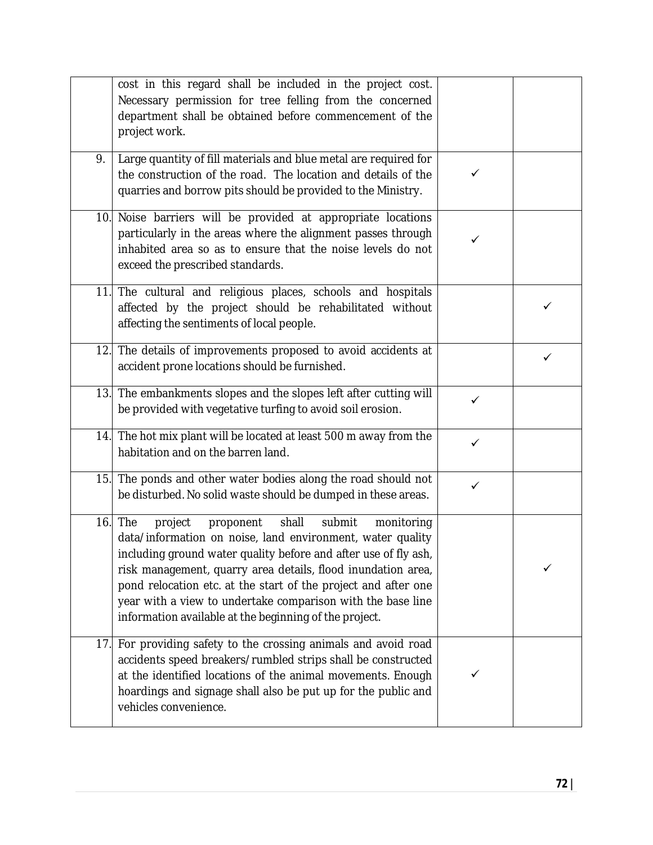|     | cost in this regard shall be included in the project cost.<br>Necessary permission for tree felling from the concerned<br>department shall be obtained before commencement of the<br>project work.                                                                                                                                                                                                                                                             |              |   |
|-----|----------------------------------------------------------------------------------------------------------------------------------------------------------------------------------------------------------------------------------------------------------------------------------------------------------------------------------------------------------------------------------------------------------------------------------------------------------------|--------------|---|
| 9.  | Large quantity of fill materials and blue metal are required for<br>the construction of the road. The location and details of the<br>quarries and borrow pits should be provided to the Ministry.                                                                                                                                                                                                                                                              | $\checkmark$ |   |
|     | 10. Noise barriers will be provided at appropriate locations<br>particularly in the areas where the alignment passes through<br>inhabited area so as to ensure that the noise levels do not<br>exceed the prescribed standards.                                                                                                                                                                                                                                | ✓            |   |
|     | 11. The cultural and religious places, schools and hospitals<br>affected by the project should be rehabilitated without<br>affecting the sentiments of local people.                                                                                                                                                                                                                                                                                           |              | ✓ |
|     | 12. The details of improvements proposed to avoid accidents at<br>accident prone locations should be furnished.                                                                                                                                                                                                                                                                                                                                                |              | ✓ |
|     | 13. The embankments slopes and the slopes left after cutting will<br>be provided with vegetative turfing to avoid soil erosion.                                                                                                                                                                                                                                                                                                                                | $\checkmark$ |   |
|     | 14. The hot mix plant will be located at least 500 m away from the<br>habitation and on the barren land.                                                                                                                                                                                                                                                                                                                                                       | ✓            |   |
|     | 15. The ponds and other water bodies along the road should not<br>be disturbed. No solid waste should be dumped in these areas.                                                                                                                                                                                                                                                                                                                                | ✓            |   |
|     | $16.$ The<br>project<br>proponent<br>shall<br>submit<br>monitoring<br>data/information on noise, land environment, water quality<br>including ground water quality before and after use of fly ash,<br>risk management, quarry area details, flood inundation area,<br>pond relocation etc. at the start of the project and after one<br>year with a view to undertake comparison with the base line<br>information available at the beginning of the project. |              |   |
| 17. | For providing safety to the crossing animals and avoid road<br>accidents speed breakers/rumbled strips shall be constructed<br>at the identified locations of the animal movements. Enough<br>hoardings and signage shall also be put up for the public and<br>vehicles convenience.                                                                                                                                                                           | ✓            |   |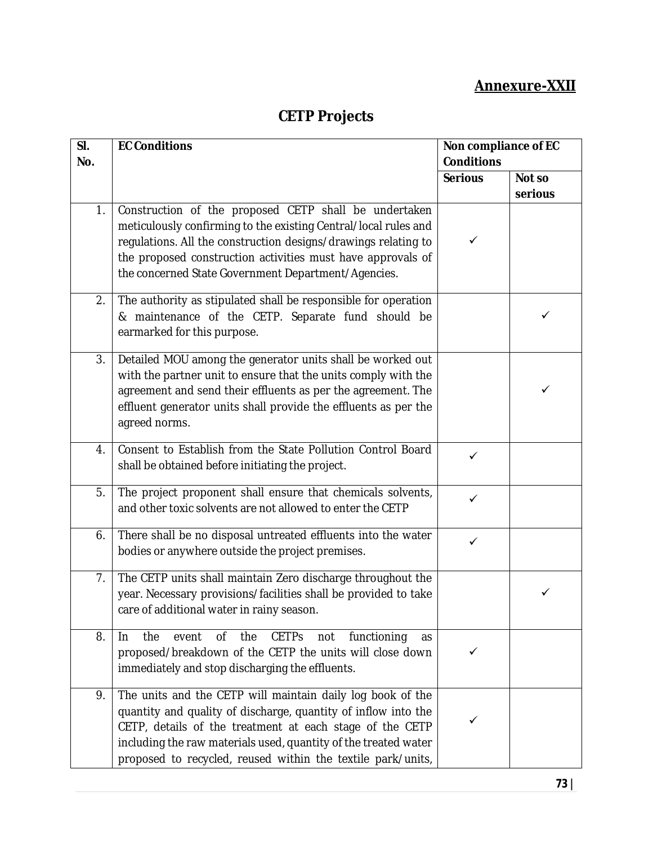## **Annexure-XXII**

# **CETP Projects**

| SI.<br>No. | <b>EC Conditions</b>                                                                                                                                                                                                                                                                                                       | Non compliance of EC<br><b>Conditions</b> |         |
|------------|----------------------------------------------------------------------------------------------------------------------------------------------------------------------------------------------------------------------------------------------------------------------------------------------------------------------------|-------------------------------------------|---------|
|            |                                                                                                                                                                                                                                                                                                                            | <b>Serious</b>                            | Not so  |
|            |                                                                                                                                                                                                                                                                                                                            |                                           | serious |
| 1.         | Construction of the proposed CETP shall be undertaken<br>meticulously confirming to the existing Central/local rules and<br>regulations. All the construction designs/drawings relating to<br>the proposed construction activities must have approvals of<br>the concerned State Government Department/Agencies.           | ✓                                         |         |
| 2.         | The authority as stipulated shall be responsible for operation<br>& maintenance of the CETP. Separate fund should be<br>earmarked for this purpose.                                                                                                                                                                        |                                           | ✓       |
| 3.         | Detailed MOU among the generator units shall be worked out<br>with the partner unit to ensure that the units comply with the<br>agreement and send their effluents as per the agreement. The<br>effluent generator units shall provide the effluents as per the<br>agreed norms.                                           |                                           | ✓       |
| 4.         | Consent to Establish from the State Pollution Control Board<br>shall be obtained before initiating the project.                                                                                                                                                                                                            | ✓                                         |         |
| 5.         | The project proponent shall ensure that chemicals solvents,<br>and other toxic solvents are not allowed to enter the CETP                                                                                                                                                                                                  | $\checkmark$                              |         |
| 6.         | There shall be no disposal untreated effluents into the water<br>bodies or anywhere outside the project premises.                                                                                                                                                                                                          | ✓                                         |         |
| 7.         | The CETP units shall maintain Zero discharge throughout the<br>year. Necessary provisions/facilities shall be provided to take<br>care of additional water in rainy season.                                                                                                                                                |                                           | ✓       |
| 8.         | the<br><b>CETPS</b><br>functioning<br>the<br>event<br>0f<br>not<br>In.<br>as<br>proposed/breakdown of the CETP the units will close down<br>immediately and stop discharging the effluents.                                                                                                                                | ✓                                         |         |
| 9.         | The units and the CETP will maintain daily log book of the<br>quantity and quality of discharge, quantity of inflow into the<br>CETP, details of the treatment at each stage of the CETP<br>including the raw materials used, quantity of the treated water<br>proposed to recycled, reused within the textile park/units, |                                           |         |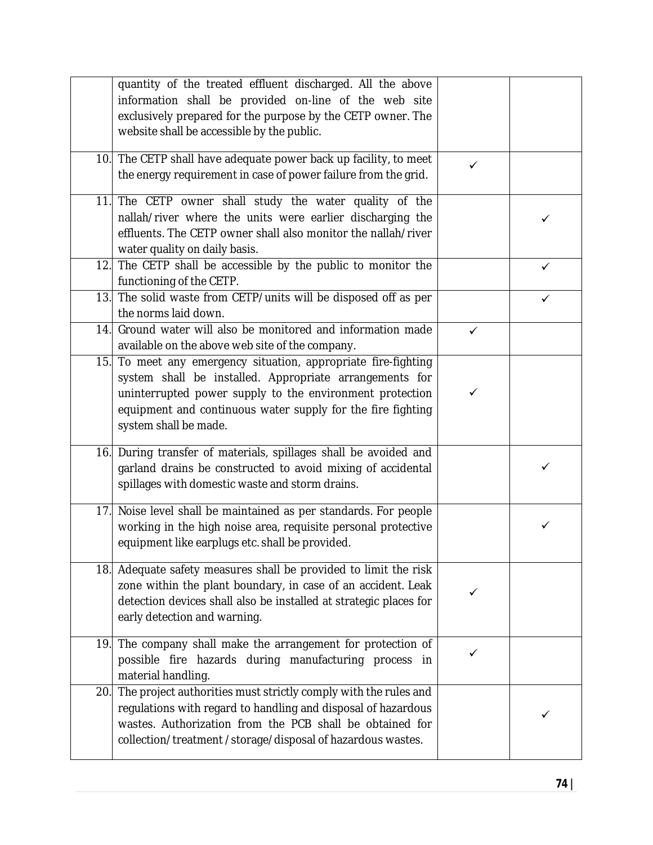|     | quantity of the treated effluent discharged. All the above<br>information shall be provided on-line of the web site<br>exclusively prepared for the purpose by the CETP owner. The<br>website shall be accessible by the public.                                          |              |   |
|-----|---------------------------------------------------------------------------------------------------------------------------------------------------------------------------------------------------------------------------------------------------------------------------|--------------|---|
|     | 10. The CETP shall have adequate power back up facility, to meet<br>the energy requirement in case of power failure from the grid.                                                                                                                                        |              |   |
| 11. | The CETP owner shall study the water quality of the<br>nallah/river where the units were earlier discharging the<br>effluents. The CETP owner shall also monitor the nallah/river<br>water quality on daily basis.                                                        |              | ✓ |
| 12. | The CETP shall be accessible by the public to monitor the<br>functioning of the CETP.                                                                                                                                                                                     |              | ✓ |
| 13. | The solid waste from CETP/units will be disposed off as per<br>the norms laid down.                                                                                                                                                                                       |              | ✓ |
| 14. | Ground water will also be monitored and information made<br>available on the above web site of the company.                                                                                                                                                               | $\checkmark$ |   |
| 15. | To meet any emergency situation, appropriate fire-fighting<br>system shall be installed. Appropriate arrangements for<br>uninterrupted power supply to the environment protection<br>equipment and continuous water supply for the fire fighting<br>system shall be made. | $\checkmark$ |   |
| 16. | During transfer of materials, spillages shall be avoided and<br>garland drains be constructed to avoid mixing of accidental<br>spillages with domestic waste and storm drains.                                                                                            |              | ✓ |
| 17. | Noise level shall be maintained as per standards. For people<br>working in the high noise area, requisite personal protective<br>equipment like earplugs etc. shall be provided.                                                                                          |              | ✓ |
|     | 18. Adequate safety measures shall be provided to limit the risk<br>zone within the plant boundary, in case of an accident. Leak<br>detection devices shall also be installed at strategic places for<br>early detection and warning.                                     |              |   |
|     | 19. The company shall make the arrangement for protection of<br>possible fire hazards during manufacturing process in<br>material handling.                                                                                                                               | ✓            |   |
|     | 20. The project authorities must strictly comply with the rules and<br>regulations with regard to handling and disposal of hazardous<br>wastes. Authorization from the PCB shall be obtained for<br>collection/treatment/storage/disposal of hazardous wastes.            |              |   |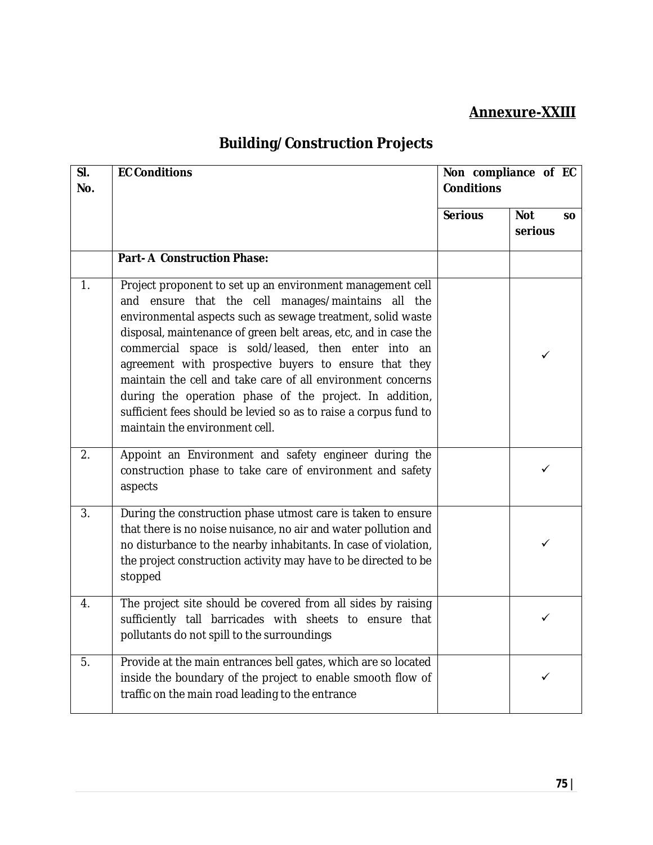### **Annexure-XXIII**

# **Building/Construction Projects**

| SI.<br>No.       | <b>EC Conditions</b>                                                                                                                                                                                                                                                                                                                                                                                                                                                                                                                                                                               | Non compliance of EC<br><b>Conditions</b> |                                    |
|------------------|----------------------------------------------------------------------------------------------------------------------------------------------------------------------------------------------------------------------------------------------------------------------------------------------------------------------------------------------------------------------------------------------------------------------------------------------------------------------------------------------------------------------------------------------------------------------------------------------------|-------------------------------------------|------------------------------------|
|                  |                                                                                                                                                                                                                                                                                                                                                                                                                                                                                                                                                                                                    | <b>Serious</b>                            | <b>Not</b><br><b>SO</b><br>serious |
|                  | <b>Part-A Construction Phase:</b>                                                                                                                                                                                                                                                                                                                                                                                                                                                                                                                                                                  |                                           |                                    |
| 1.               | Project proponent to set up an environment management cell<br>and ensure that the cell manages/maintains all the<br>environmental aspects such as sewage treatment, solid waste<br>disposal, maintenance of green belt areas, etc, and in case the<br>commercial space is sold/leased, then enter into an<br>agreement with prospective buyers to ensure that they<br>maintain the cell and take care of all environment concerns<br>during the operation phase of the project. In addition,<br>sufficient fees should be levied so as to raise a corpus fund to<br>maintain the environment cell. |                                           | ✓                                  |
| 2.               | Appoint an Environment and safety engineer during the<br>construction phase to take care of environment and safety<br>aspects                                                                                                                                                                                                                                                                                                                                                                                                                                                                      |                                           | ✓                                  |
| $\overline{3}$ . | During the construction phase utmost care is taken to ensure<br>that there is no noise nuisance, no air and water pollution and<br>no disturbance to the nearby inhabitants. In case of violation,<br>the project construction activity may have to be directed to be<br>stopped                                                                                                                                                                                                                                                                                                                   |                                           | ✓                                  |
| 4.               | The project site should be covered from all sides by raising<br>sufficiently tall barricades with sheets to ensure that<br>pollutants do not spill to the surroundings                                                                                                                                                                                                                                                                                                                                                                                                                             |                                           | ✓                                  |
| 5.               | Provide at the main entrances bell gates, which are so located<br>inside the boundary of the project to enable smooth flow of<br>traffic on the main road leading to the entrance                                                                                                                                                                                                                                                                                                                                                                                                                  |                                           | ✓                                  |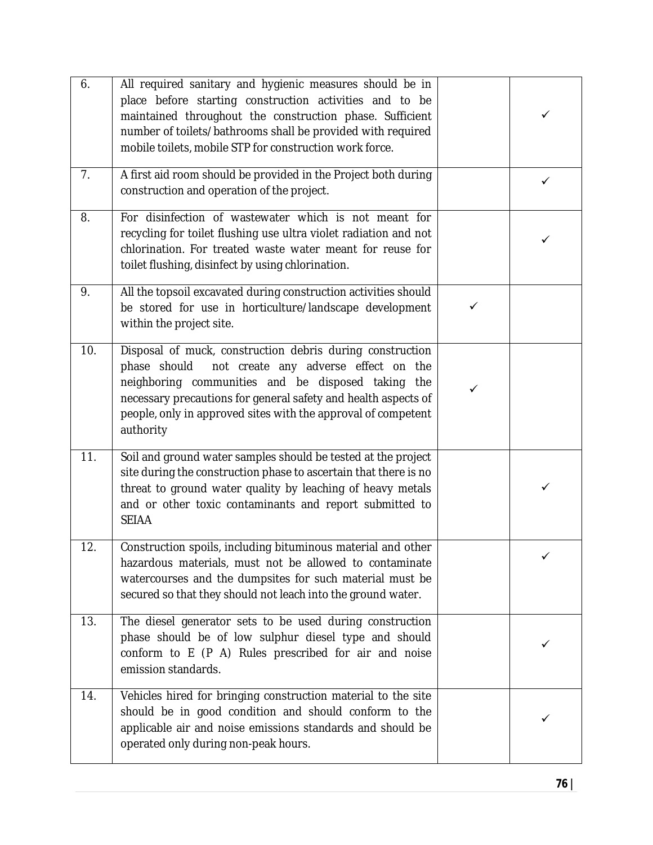| 6.  | All required sanitary and hygienic measures should be in<br>place before starting construction activities and to be<br>maintained throughout the construction phase. Sufficient<br>number of toilets/bathrooms shall be provided with required<br>mobile toilets, mobile STP for construction work force.                  |   |   |
|-----|----------------------------------------------------------------------------------------------------------------------------------------------------------------------------------------------------------------------------------------------------------------------------------------------------------------------------|---|---|
| 7.  | A first aid room should be provided in the Project both during<br>construction and operation of the project.                                                                                                                                                                                                               |   | ✓ |
| 8.  | For disinfection of wastewater which is not meant for<br>recycling for toilet flushing use ultra violet radiation and not<br>chlorination. For treated waste water meant for reuse for<br>toilet flushing, disinfect by using chlorination.                                                                                |   |   |
| 9.  | All the topsoil excavated during construction activities should<br>be stored for use in horticulture/landscape development<br>within the project site.                                                                                                                                                                     | ✓ |   |
| 10. | Disposal of muck, construction debris during construction<br>not create any adverse effect on the<br>phase should<br>neighboring communities and be disposed taking<br>the<br>necessary precautions for general safety and health aspects of<br>people, only in approved sites with the approval of competent<br>authority | ✓ |   |
| 11. | Soil and ground water samples should be tested at the project<br>site during the construction phase to ascertain that there is no<br>threat to ground water quality by leaching of heavy metals<br>and or other toxic contaminants and report submitted to<br><b>SEIAA</b>                                                 |   | ✓ |
| 12. | Construction spoils, including bituminous material and other<br>hazardous materials, must not be allowed to contaminate<br>watercourses and the dumpsites for such material must be<br>secured so that they should not leach into the ground water.                                                                        |   |   |
| 13. | The diesel generator sets to be used during construction<br>phase should be of low sulphur diesel type and should<br>conform to E (P A) Rules prescribed for air and noise<br>emission standards.                                                                                                                          |   |   |
| 14. | Vehicles hired for bringing construction material to the site<br>should be in good condition and should conform to the<br>applicable air and noise emissions standards and should be<br>operated only during non-peak hours.                                                                                               |   |   |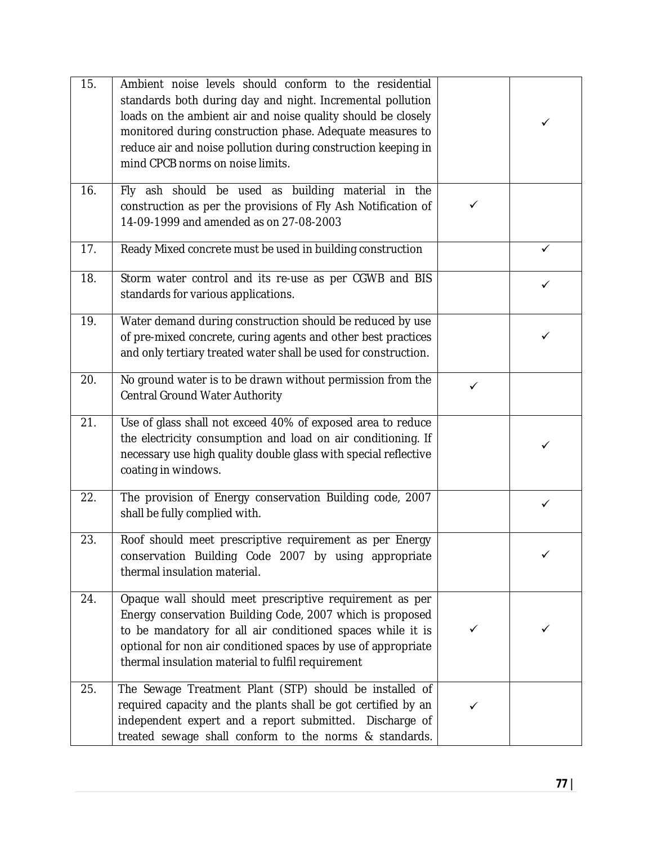| 15. | Ambient noise levels should conform to the residential<br>standards both during day and night. Incremental pollution<br>loads on the ambient air and noise quality should be closely<br>monitored during construction phase. Adequate measures to<br>reduce air and noise pollution during construction keeping in<br>mind CPCB norms on noise limits. |              | ✓ |
|-----|--------------------------------------------------------------------------------------------------------------------------------------------------------------------------------------------------------------------------------------------------------------------------------------------------------------------------------------------------------|--------------|---|
| 16. | Fly ash should be used as building material in the<br>construction as per the provisions of Fly Ash Notification of<br>14-09-1999 and amended as on 27-08-2003                                                                                                                                                                                         | $\checkmark$ |   |
| 17. | Ready Mixed concrete must be used in building construction                                                                                                                                                                                                                                                                                             |              | ✓ |
| 18. | Storm water control and its re-use as per CGWB and BIS<br>standards for various applications.                                                                                                                                                                                                                                                          |              | ✓ |
| 19. | Water demand during construction should be reduced by use<br>of pre-mixed concrete, curing agents and other best practices<br>and only tertiary treated water shall be used for construction.                                                                                                                                                          |              | ✓ |
| 20. | No ground water is to be drawn without permission from the<br>Central Ground Water Authority                                                                                                                                                                                                                                                           | $\checkmark$ |   |
| 21. | Use of glass shall not exceed 40% of exposed area to reduce<br>the electricity consumption and load on air conditioning. If<br>necessary use high quality double glass with special reflective<br>coating in windows.                                                                                                                                  |              |   |
| 22. | The provision of Energy conservation Building code, 2007<br>shall be fully complied with.                                                                                                                                                                                                                                                              |              | ✓ |
| 23. | Roof should meet prescriptive requirement as per Energy<br>conservation Building Code 2007 by using appropriate<br>thermal insulation material.                                                                                                                                                                                                        |              |   |
| 24. | Opaque wall should meet prescriptive requirement as per<br>Energy conservation Building Code, 2007 which is proposed<br>to be mandatory for all air conditioned spaces while it is<br>optional for non air conditioned spaces by use of appropriate<br>thermal insulation material to fulfil requirement                                               | ✓            |   |
| 25. | The Sewage Treatment Plant (STP) should be installed of<br>required capacity and the plants shall be got certified by an<br>independent expert and a report submitted. Discharge of<br>treated sewage shall conform to the norms & standards.                                                                                                          |              |   |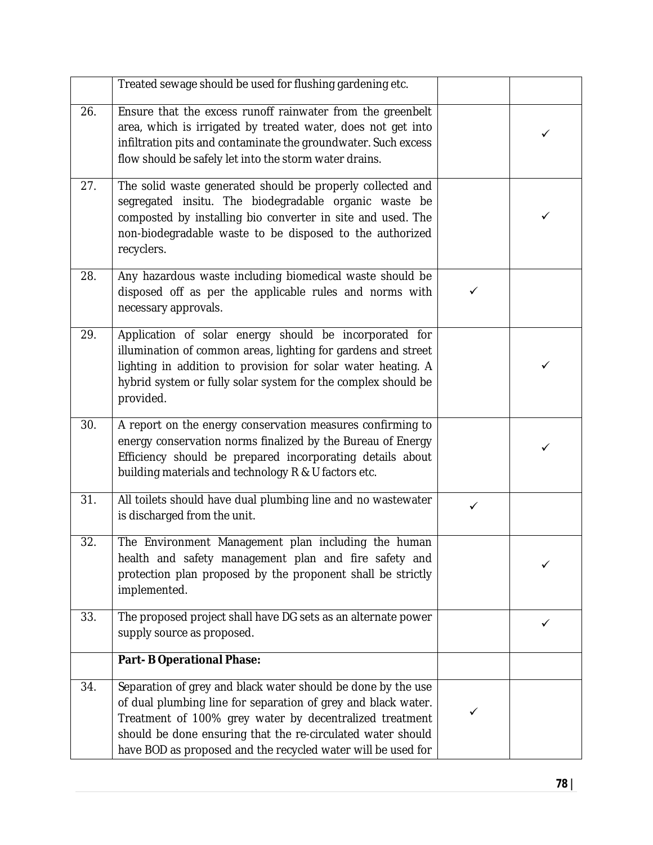|     | Treated sewage should be used for flushing gardening etc.                                                                                                                                                                                                                                                               |   |   |
|-----|-------------------------------------------------------------------------------------------------------------------------------------------------------------------------------------------------------------------------------------------------------------------------------------------------------------------------|---|---|
| 26. | Ensure that the excess runoff rainwater from the greenbelt<br>area, which is irrigated by treated water, does not get into<br>infiltration pits and contaminate the groundwater. Such excess<br>flow should be safely let into the storm water drains.                                                                  |   | ✓ |
| 27. | The solid waste generated should be properly collected and<br>segregated insitu. The biodegradable organic waste be<br>composted by installing bio converter in site and used. The<br>non-biodegradable waste to be disposed to the authorized<br>recyclers.                                                            |   | ✓ |
| 28. | Any hazardous waste including biomedical waste should be<br>disposed off as per the applicable rules and norms with<br>necessary approvals.                                                                                                                                                                             | ✓ |   |
| 29. | Application of solar energy should be incorporated for<br>illumination of common areas, lighting for gardens and street<br>lighting in addition to provision for solar water heating. A<br>hybrid system or fully solar system for the complex should be<br>provided.                                                   |   | ✓ |
| 30. | A report on the energy conservation measures confirming to<br>energy conservation norms finalized by the Bureau of Energy<br>Efficiency should be prepared incorporating details about<br>building materials and technology R & U factors etc.                                                                          |   |   |
| 31. | All toilets should have dual plumbing line and no wastewater<br>is discharged from the unit.                                                                                                                                                                                                                            | ✓ |   |
| 32. | The Environment Management plan including the human<br>health and safety management plan and fire safety and<br>protection plan proposed by the proponent shall be strictly<br>implemented.                                                                                                                             |   | ✓ |
| 33. | The proposed project shall have DG sets as an alternate power<br>supply source as proposed.                                                                                                                                                                                                                             |   | ✓ |
|     | <b>Part-B Operational Phase:</b>                                                                                                                                                                                                                                                                                        |   |   |
| 34. | Separation of grey and black water should be done by the use<br>of dual plumbing line for separation of grey and black water.<br>Treatment of 100% grey water by decentralized treatment<br>should be done ensuring that the re-circulated water should<br>have BOD as proposed and the recycled water will be used for | ✓ |   |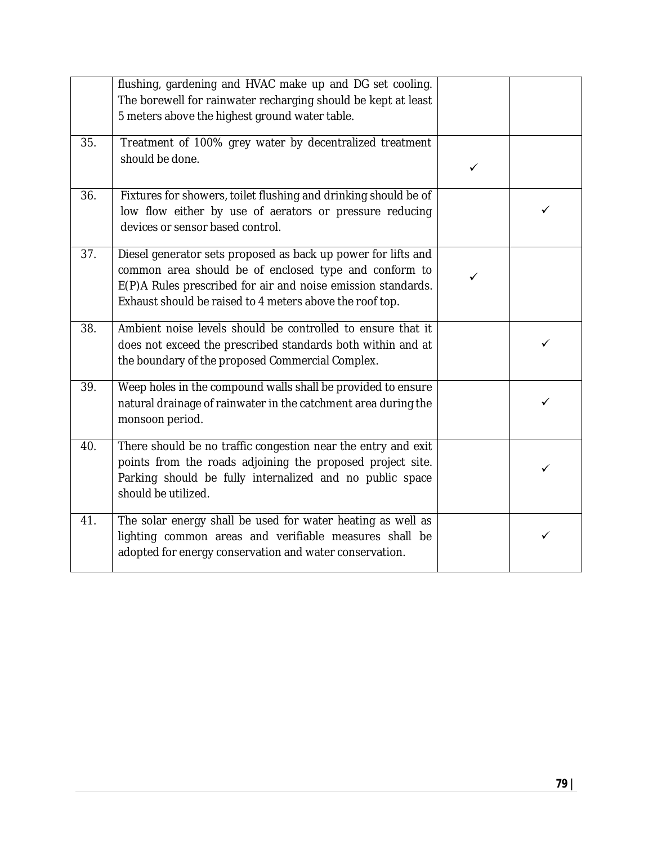|     | flushing, gardening and HVAC make up and DG set cooling.<br>The borewell for rainwater recharging should be kept at least<br>5 meters above the highest ground water table.                                                                        |              |   |
|-----|----------------------------------------------------------------------------------------------------------------------------------------------------------------------------------------------------------------------------------------------------|--------------|---|
| 35. | Treatment of 100% grey water by decentralized treatment<br>should be done.                                                                                                                                                                         | $\checkmark$ |   |
| 36. | Fixtures for showers, toilet flushing and drinking should be of<br>low flow either by use of aerators or pressure reducing<br>devices or sensor based control.                                                                                     |              | ✓ |
| 37. | Diesel generator sets proposed as back up power for lifts and<br>common area should be of enclosed type and conform to<br>E(P)A Rules prescribed for air and noise emission standards.<br>Exhaust should be raised to 4 meters above the roof top. | ✓            |   |
| 38. | Ambient noise levels should be controlled to ensure that it<br>does not exceed the prescribed standards both within and at<br>the boundary of the proposed Commercial Complex.                                                                     |              | ✓ |
| 39. | Weep holes in the compound walls shall be provided to ensure<br>natural drainage of rainwater in the catchment area during the<br>monsoon period.                                                                                                  |              | ✓ |
| 40. | There should be no traffic congestion near the entry and exit<br>points from the roads adjoining the proposed project site.<br>Parking should be fully internalized and no public space<br>should be utilized.                                     |              | ✓ |
| 41. | The solar energy shall be used for water heating as well as<br>lighting common areas and verifiable measures shall be<br>adopted for energy conservation and water conservation.                                                                   |              | ✓ |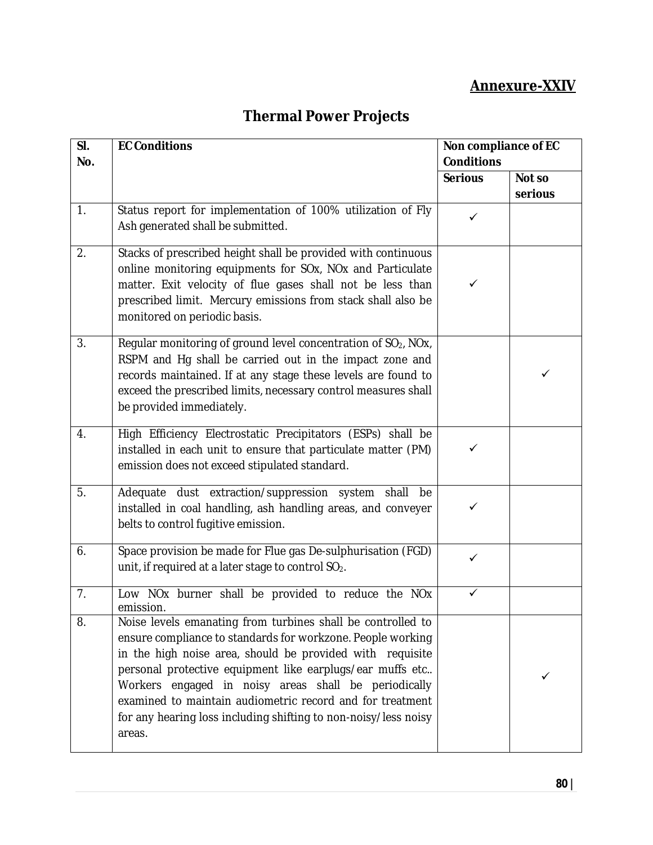## **Annexure-XXIV**

# **Thermal Power Projects**

| SI. | <b>EC Conditions</b>                                                                                                                                                                                                                                                                                                                                                                                                                                   | Non compliance of EC |         |
|-----|--------------------------------------------------------------------------------------------------------------------------------------------------------------------------------------------------------------------------------------------------------------------------------------------------------------------------------------------------------------------------------------------------------------------------------------------------------|----------------------|---------|
| No. |                                                                                                                                                                                                                                                                                                                                                                                                                                                        | <b>Conditions</b>    |         |
|     |                                                                                                                                                                                                                                                                                                                                                                                                                                                        | <b>Serious</b>       | Not so  |
|     |                                                                                                                                                                                                                                                                                                                                                                                                                                                        |                      | serious |
| 1.  | Status report for implementation of 100% utilization of Fly<br>Ash generated shall be submitted.                                                                                                                                                                                                                                                                                                                                                       | $\checkmark$         |         |
| 2.  | Stacks of prescribed height shall be provided with continuous<br>online monitoring equipments for SOx, NOx and Particulate<br>matter. Exit velocity of flue gases shall not be less than<br>prescribed limit. Mercury emissions from stack shall also be<br>monitored on periodic basis.                                                                                                                                                               | ✓                    |         |
| 3.  | Regular monitoring of ground level concentration of SO <sub>2</sub> , NOx,<br>RSPM and Hg shall be carried out in the impact zone and<br>records maintained. If at any stage these levels are found to<br>exceed the prescribed limits, necessary control measures shall<br>be provided immediately.                                                                                                                                                   |                      | ✓       |
| 4.  | High Efficiency Electrostatic Precipitators (ESPs) shall be<br>installed in each unit to ensure that particulate matter (PM)<br>emission does not exceed stipulated standard.                                                                                                                                                                                                                                                                          | $\checkmark$         |         |
| 5.  | Adequate dust extraction/suppression system shall<br>be<br>installed in coal handling, ash handling areas, and conveyer<br>belts to control fugitive emission.                                                                                                                                                                                                                                                                                         | ✓                    |         |
| 6.  | Space provision be made for Flue gas De-sulphurisation (FGD)<br>unit, if required at a later stage to control SO <sub>2</sub> .                                                                                                                                                                                                                                                                                                                        | ✓                    |         |
| 7.  | Low NOx burner shall be provided to reduce the NOx<br>emission.                                                                                                                                                                                                                                                                                                                                                                                        | ✓                    |         |
| 8.  | Noise levels emanating from turbines shall be controlled to<br>ensure compliance to standards for workzone. People working<br>in the high noise area, should be provided with requisite<br>personal protective equipment like earplugs/ear muffs etc<br>Workers engaged in noisy areas shall be periodically<br>examined to maintain audiometric record and for treatment<br>for any hearing loss including shifting to non-noisy/less noisy<br>areas. |                      | ✓       |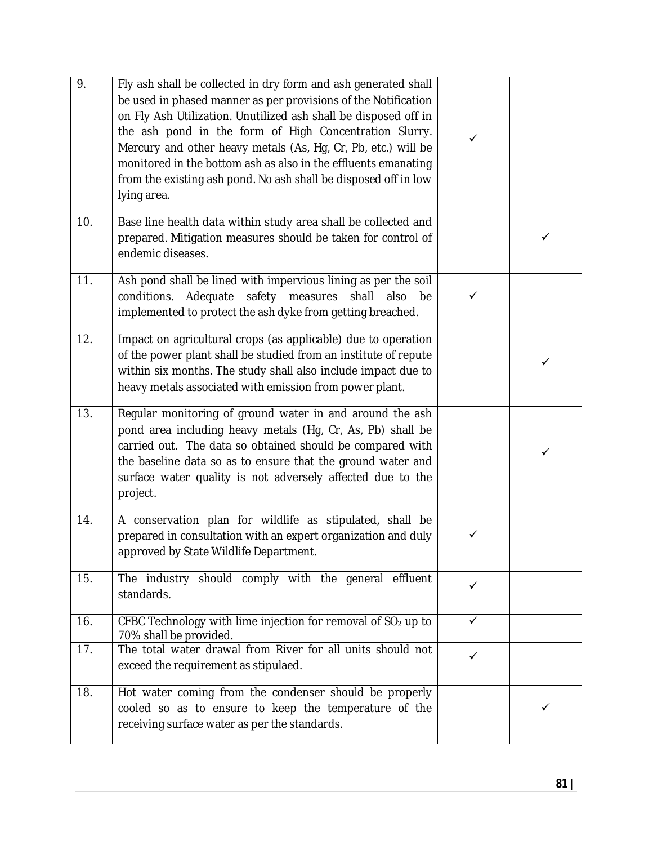| 9.  | Fly ash shall be collected in dry form and ash generated shall<br>be used in phased manner as per provisions of the Notification<br>on Fly Ash Utilization. Unutilized ash shall be disposed off in<br>the ash pond in the form of High Concentration Slurry.<br>Mercury and other heavy metals (As, Hg, Cr, Pb, etc.) will be<br>monitored in the bottom ash as also in the effluents emanating<br>from the existing ash pond. No ash shall be disposed off in low<br>lying area. | ✓ |   |
|-----|------------------------------------------------------------------------------------------------------------------------------------------------------------------------------------------------------------------------------------------------------------------------------------------------------------------------------------------------------------------------------------------------------------------------------------------------------------------------------------|---|---|
| 10. | Base line health data within study area shall be collected and<br>prepared. Mitigation measures should be taken for control of<br>endemic diseases.                                                                                                                                                                                                                                                                                                                                |   | ✓ |
| 11. | Ash pond shall be lined with impervious lining as per the soil<br>conditions. Adequate safety measures<br>shall<br>also<br>be<br>implemented to protect the ash dyke from getting breached.                                                                                                                                                                                                                                                                                        | ✓ |   |
| 12. | Impact on agricultural crops (as applicable) due to operation<br>of the power plant shall be studied from an institute of repute<br>within six months. The study shall also include impact due to<br>heavy metals associated with emission from power plant.                                                                                                                                                                                                                       |   |   |
| 13. | Regular monitoring of ground water in and around the ash<br>pond area including heavy metals (Hg, Cr, As, Pb) shall be<br>carried out. The data so obtained should be compared with<br>the baseline data so as to ensure that the ground water and<br>surface water quality is not adversely affected due to the<br>project.                                                                                                                                                       |   | ✓ |
| 14. | A conservation plan for wildlife as stipulated, shall be<br>prepared in consultation with an expert organization and duly<br>approved by State Wildlife Department.                                                                                                                                                                                                                                                                                                                | ✓ |   |
| 15. | The industry should comply with the general effluent<br>standards.                                                                                                                                                                                                                                                                                                                                                                                                                 | ✓ |   |
| 16. | CFBC Technology with lime injection for removal of SO <sub>2</sub> up to<br>70% shall be provided.                                                                                                                                                                                                                                                                                                                                                                                 | ✓ |   |
| 17. | The total water drawal from River for all units should not<br>exceed the requirement as stipulaed.                                                                                                                                                                                                                                                                                                                                                                                 | ✓ |   |
| 18. | Hot water coming from the condenser should be properly<br>cooled so as to ensure to keep the temperature of the<br>receiving surface water as per the standards.                                                                                                                                                                                                                                                                                                                   |   |   |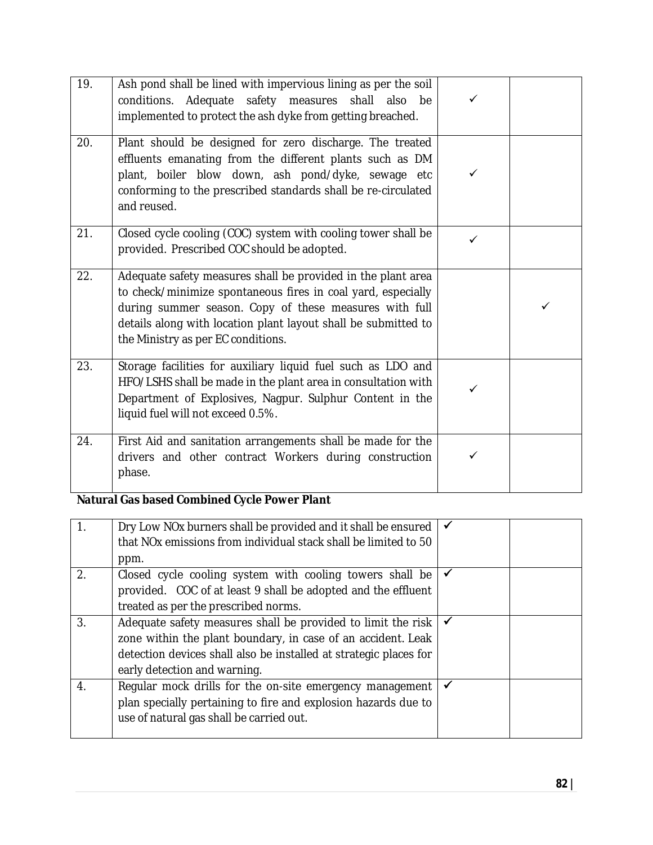| 19. | Ash pond shall be lined with impervious lining as per the soil<br>conditions. Adequate safety measures shall also be<br>implemented to protect the ash dyke from getting breached.                                                                                                             | ✓            |   |
|-----|------------------------------------------------------------------------------------------------------------------------------------------------------------------------------------------------------------------------------------------------------------------------------------------------|--------------|---|
| 20. | Plant should be designed for zero discharge. The treated<br>effluents emanating from the different plants such as DM<br>plant, boiler blow down, ash pond/dyke, sewage etc<br>conforming to the prescribed standards shall be re-circulated<br>and reused.                                     | ✓            |   |
| 21. | Closed cycle cooling (COC) system with cooling tower shall be<br>provided. Prescribed COC should be adopted.                                                                                                                                                                                   | $\checkmark$ |   |
| 22. | Adequate safety measures shall be provided in the plant area<br>to check/minimize spontaneous fires in coal yard, especially<br>during summer season. Copy of these measures with full<br>details along with location plant layout shall be submitted to<br>the Ministry as per EC conditions. |              | ✓ |
| 23. | Storage facilities for auxiliary liquid fuel such as LDO and<br>HFO/LSHS shall be made in the plant area in consultation with<br>Department of Explosives, Nagpur. Sulphur Content in the<br>liquid fuel will not exceed 0.5%.                                                                 | ✓            |   |
| 24. | First Aid and sanitation arrangements shall be made for the<br>drivers and other contract Workers during construction<br>phase.                                                                                                                                                                | ✓            |   |

### **Natural Gas based Combined Cycle Power Plant**

|                  | Dry Low NOx burners shall be provided and it shall be ensured<br>that NO <sub>x</sub> emissions from individual stack shall be limited to 50<br>ppm. |  |
|------------------|------------------------------------------------------------------------------------------------------------------------------------------------------|--|
| 2.               | Closed cycle cooling system with cooling towers shall be                                                                                             |  |
|                  | provided. COC of at least 9 shall be adopted and the effluent<br>treated as per the prescribed norms.                                                |  |
|                  |                                                                                                                                                      |  |
| $\mathfrak{Z}$ . | Adequate safety measures shall be provided to limit the risk                                                                                         |  |
|                  | zone within the plant boundary, in case of an accident. Leak                                                                                         |  |
|                  | detection devices shall also be installed at strategic places for                                                                                    |  |
|                  | early detection and warning.                                                                                                                         |  |
| 4.               | Regular mock drills for the on-site emergency management                                                                                             |  |
|                  | plan specially pertaining to fire and explosion hazards due to                                                                                       |  |
|                  | use of natural gas shall be carried out.                                                                                                             |  |
|                  |                                                                                                                                                      |  |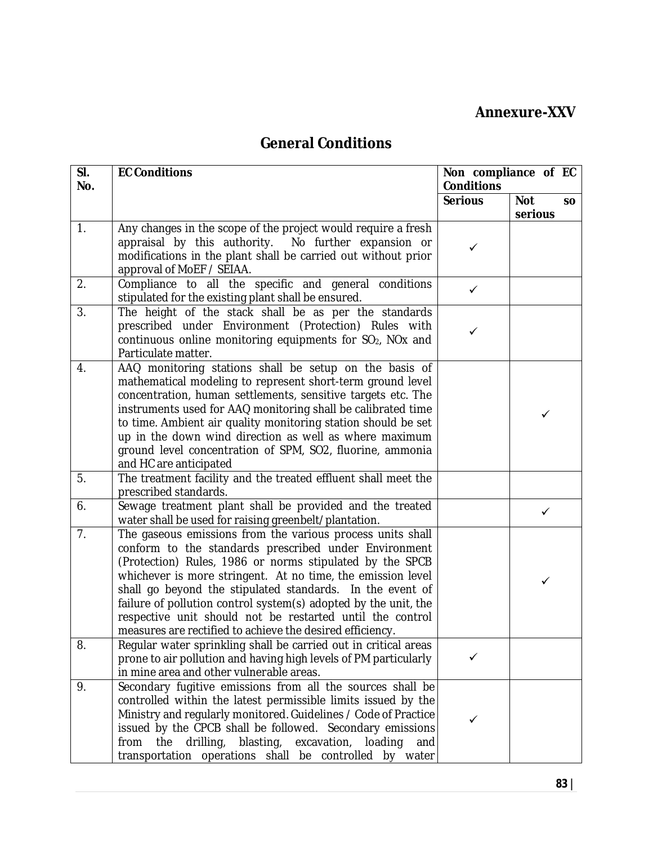### **Annexure-XXV**

## **General Conditions**

| SI.<br>No. | <b>EC Conditions</b>                                                                                                                                                                                                                                                                                                                                                                                                                                                                                     | <b>Conditions</b> | Non compliance of EC               |
|------------|----------------------------------------------------------------------------------------------------------------------------------------------------------------------------------------------------------------------------------------------------------------------------------------------------------------------------------------------------------------------------------------------------------------------------------------------------------------------------------------------------------|-------------------|------------------------------------|
|            |                                                                                                                                                                                                                                                                                                                                                                                                                                                                                                          | <b>Serious</b>    | <b>Not</b><br><b>SO</b><br>serious |
| 1.         | Any changes in the scope of the project would require a fresh<br>appraisal by this authority. No further expansion or<br>modifications in the plant shall be carried out without prior<br>approval of MoEF / SEIAA.                                                                                                                                                                                                                                                                                      | $\checkmark$      |                                    |
| 2.         | Compliance to all the specific and general conditions<br>stipulated for the existing plant shall be ensured.                                                                                                                                                                                                                                                                                                                                                                                             | $\checkmark$      |                                    |
| 3.         | The height of the stack shall be as per the standards<br>prescribed under Environment (Protection) Rules with<br>continuous online monitoring equipments for SO <sub>2</sub> , NO <sub>x</sub> and<br>Particulate matter.                                                                                                                                                                                                                                                                                | ✓                 |                                    |
| 4.         | AAQ monitoring stations shall be setup on the basis of<br>mathematical modeling to represent short-term ground level<br>concentration, human settlements, sensitive targets etc. The<br>instruments used for AAQ monitoring shall be calibrated time<br>to time. Ambient air quality monitoring station should be set<br>up in the down wind direction as well as where maximum<br>ground level concentration of SPM, SO2, fluorine, ammonia<br>and HC are anticipated                                   |                   | ✓                                  |
| 5.         | The treatment facility and the treated effluent shall meet the<br>prescribed standards.                                                                                                                                                                                                                                                                                                                                                                                                                  |                   |                                    |
| 6.         | Sewage treatment plant shall be provided and the treated<br>water shall be used for raising greenbelt/plantation.                                                                                                                                                                                                                                                                                                                                                                                        |                   | ✓                                  |
| 7.         | The gaseous emissions from the various process units shall<br>conform to the standards prescribed under Environment<br>(Protection) Rules, 1986 or norms stipulated by the SPCB<br>whichever is more stringent. At no time, the emission level<br>shall go beyond the stipulated standards. In the event of<br>failure of pollution control system(s) adopted by the unit, the<br>respective unit should not be restarted until the control<br>measures are rectified to achieve the desired efficiency. |                   | ✓                                  |
| 8.         | Regular water sprinkling shall be carried out in critical areas<br>prone to air pollution and having high levels of PM particularly<br>in mine area and other vulnerable areas.                                                                                                                                                                                                                                                                                                                          |                   |                                    |
| 9.         | Secondary fugitive emissions from all the sources shall be<br>controlled within the latest permissible limits issued by the<br>Ministry and regularly monitored. Guidelines / Code of Practice<br>issued by the CPCB shall be followed. Secondary emissions<br>drilling,<br>blasting,<br>excavation,<br>loading<br>from<br>the<br>and<br>transportation operations shall be controlled by water                                                                                                          |                   |                                    |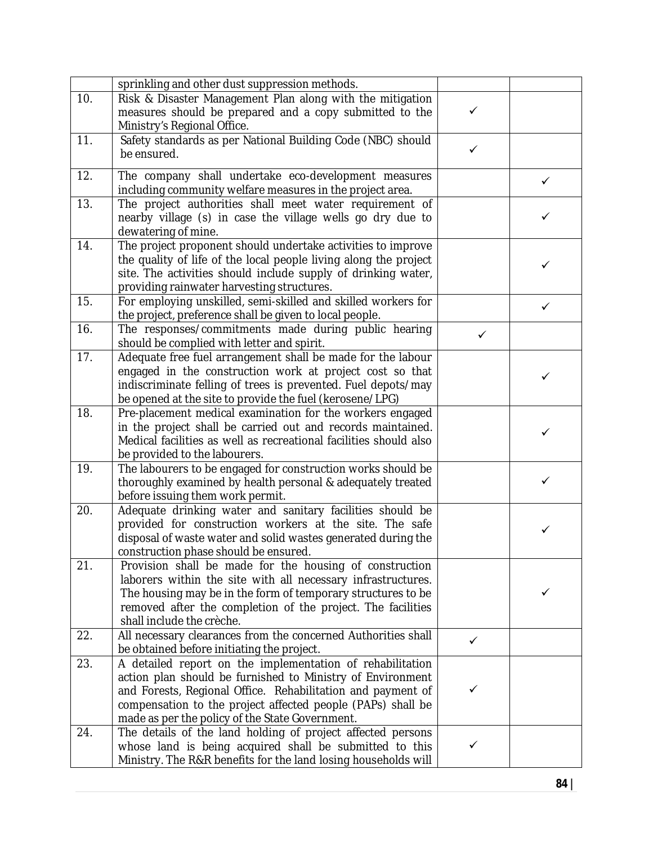|     | sprinkling and other dust suppression methods.                                                                       |              |              |
|-----|----------------------------------------------------------------------------------------------------------------------|--------------|--------------|
| 10. | Risk & Disaster Management Plan along with the mitigation                                                            |              |              |
|     | measures should be prepared and a copy submitted to the                                                              | ✓            |              |
|     | Ministry's Regional Office.                                                                                          |              |              |
| 11. | Safety standards as per National Building Code (NBC) should                                                          |              |              |
|     | be ensured.                                                                                                          | ✓            |              |
| 12. | The company shall undertake eco-development measures                                                                 |              |              |
|     | including community welfare measures in the project area.                                                            |              | ✓            |
| 13. | The project authorities shall meet water requirement of                                                              |              |              |
|     | nearby village (s) in case the village wells go dry due to                                                           |              | ✓            |
|     | dewatering of mine.                                                                                                  |              |              |
| 14. | The project proponent should undertake activities to improve                                                         |              |              |
|     | the quality of life of the local people living along the project                                                     |              |              |
|     | site. The activities should include supply of drinking water,                                                        |              | ✓            |
|     | providing rainwater harvesting structures.                                                                           |              |              |
| 15. | For employing unskilled, semi-skilled and skilled workers for                                                        |              | $\checkmark$ |
|     | the project, preference shall be given to local people.                                                              |              |              |
| 16. | The responses/commitments made during public hearing                                                                 | ✓            |              |
|     | should be complied with letter and spirit.                                                                           |              |              |
| 17. | Adequate free fuel arrangement shall be made for the labour                                                          |              |              |
|     | engaged in the construction work at project cost so that                                                             |              | ✓            |
|     | indiscriminate felling of trees is prevented. Fuel depots/may                                                        |              |              |
|     | be opened at the site to provide the fuel (kerosene/LPG)                                                             |              |              |
| 18. | Pre-placement medical examination for the workers engaged                                                            |              |              |
|     | in the project shall be carried out and records maintained.                                                          |              | ✓            |
|     | Medical facilities as well as recreational facilities should also                                                    |              |              |
|     | be provided to the labourers.                                                                                        |              |              |
| 19. | The labourers to be engaged for construction works should be                                                         |              |              |
|     | thoroughly examined by health personal & adequately treated                                                          |              | ✓            |
|     | before issuing them work permit.                                                                                     |              |              |
| 20. | Adequate drinking water and sanitary facilities should be<br>provided for construction workers at the site. The safe |              |              |
|     | disposal of waste water and solid wastes generated during the                                                        |              | ✓            |
|     | construction phase should be ensured.                                                                                |              |              |
| 21. | Provision shall be made for the housing of construction                                                              |              |              |
|     | laborers within the site with all necessary infrastructures.                                                         |              |              |
|     | The housing may be in the form of temporary structures to be                                                         |              | ✓            |
|     | removed after the completion of the project. The facilities                                                          |              |              |
|     | shall include the crèche.                                                                                            |              |              |
| 22. | All necessary clearances from the concerned Authorities shall                                                        |              |              |
|     | be obtained before initiating the project.                                                                           | ✓            |              |
| 23. | A detailed report on the implementation of rehabilitation                                                            |              |              |
|     | action plan should be furnished to Ministry of Environment                                                           |              |              |
|     | and Forests, Regional Office. Rehabilitation and payment of                                                          | ✓            |              |
|     | compensation to the project affected people (PAPs) shall be                                                          |              |              |
|     | made as per the policy of the State Government.                                                                      |              |              |
| 24. | The details of the land holding of project affected persons                                                          |              |              |
|     | whose land is being acquired shall be submitted to this                                                              | $\checkmark$ |              |
|     | Ministry. The R&R benefits for the land losing households will                                                       |              |              |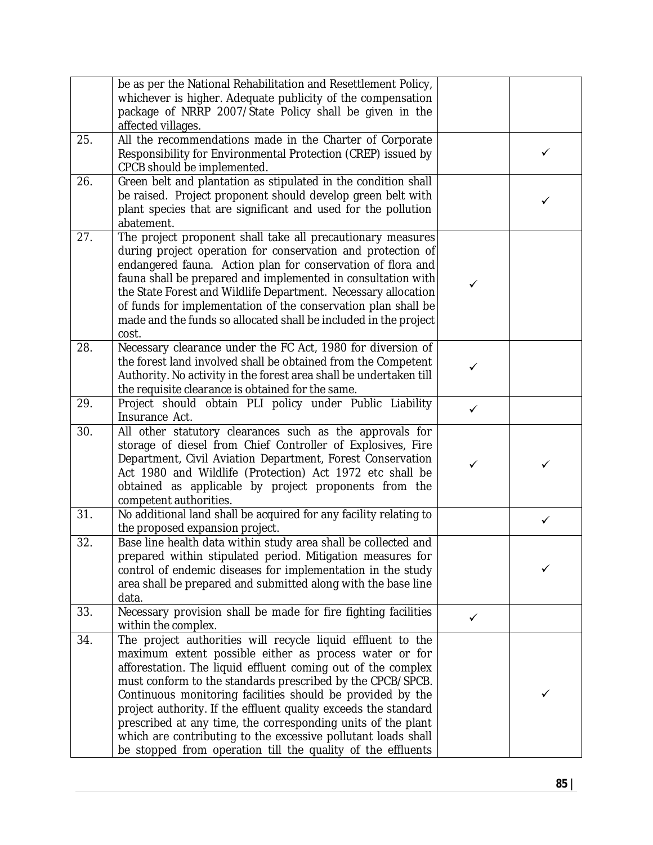|     | be as per the National Rehabilitation and Resettlement Policy,                                                                |              |              |
|-----|-------------------------------------------------------------------------------------------------------------------------------|--------------|--------------|
|     | whichever is higher. Adequate publicity of the compensation                                                                   |              |              |
|     | package of NRRP 2007/State Policy shall be given in the                                                                       |              |              |
| 25. | affected villages.<br>All the recommendations made in the Charter of Corporate                                                |              |              |
|     | Responsibility for Environmental Protection (CREP) issued by                                                                  |              | $\checkmark$ |
|     | CPCB should be implemented.                                                                                                   |              |              |
| 26. | Green belt and plantation as stipulated in the condition shall                                                                |              |              |
|     | be raised. Project proponent should develop green belt with                                                                   |              |              |
|     | plant species that are significant and used for the pollution                                                                 |              | ✓            |
|     | abatement.                                                                                                                    |              |              |
| 27. | The project proponent shall take all precautionary measures                                                                   |              |              |
|     | during project operation for conservation and protection of                                                                   |              |              |
|     | endangered fauna. Action plan for conservation of flora and                                                                   |              |              |
|     | fauna shall be prepared and implemented in consultation with                                                                  | ✓            |              |
|     | the State Forest and Wildlife Department. Necessary allocation                                                                |              |              |
|     | of funds for implementation of the conservation plan shall be                                                                 |              |              |
|     | made and the funds so allocated shall be included in the project                                                              |              |              |
|     | cost.                                                                                                                         |              |              |
| 28. | Necessary clearance under the FC Act, 1980 for diversion of<br>the forest land involved shall be obtained from the Competent  |              |              |
|     | Authority. No activity in the forest area shall be undertaken till                                                            | $\checkmark$ |              |
|     | the requisite clearance is obtained for the same.                                                                             |              |              |
| 29. | Project should obtain PLI policy under Public Liability                                                                       |              |              |
|     | Insurance Act.                                                                                                                | $\checkmark$ |              |
| 30. | All other statutory clearances such as the approvals for                                                                      |              |              |
|     | storage of diesel from Chief Controller of Explosives, Fire                                                                   |              |              |
|     | Department, Civil Aviation Department, Forest Conservation                                                                    | ✓            | ✓            |
|     | Act 1980 and Wildlife (Protection) Act 1972 etc shall be                                                                      |              |              |
|     | obtained as applicable by project proponents from the                                                                         |              |              |
|     | competent authorities.                                                                                                        |              |              |
| 31. | No additional land shall be acquired for any facility relating to<br>the proposed expansion project.                          |              | ✓            |
| 32. | Base line health data within study area shall be collected and                                                                |              |              |
|     | prepared within stipulated period. Mitigation measures for                                                                    |              |              |
|     | control of endemic diseases for implementation in the study                                                                   |              |              |
|     | area shall be prepared and submitted along with the base line                                                                 |              |              |
|     | data.                                                                                                                         |              |              |
| 33. | Necessary provision shall be made for fire fighting facilities                                                                | ✓            |              |
|     | within the complex.                                                                                                           |              |              |
| 34. | The project authorities will recycle liquid effluent to the                                                                   |              |              |
|     | maximum extent possible either as process water or for                                                                        |              |              |
|     | afforestation. The liquid effluent coming out of the complex                                                                  |              |              |
|     | must conform to the standards prescribed by the CPCB/SPCB.                                                                    |              | ✓            |
|     | Continuous monitoring facilities should be provided by the<br>project authority. If the effluent quality exceeds the standard |              |              |
|     | prescribed at any time, the corresponding units of the plant                                                                  |              |              |
|     | which are contributing to the excessive pollutant loads shall                                                                 |              |              |
|     | be stopped from operation till the quality of the effluents                                                                   |              |              |
|     |                                                                                                                               |              |              |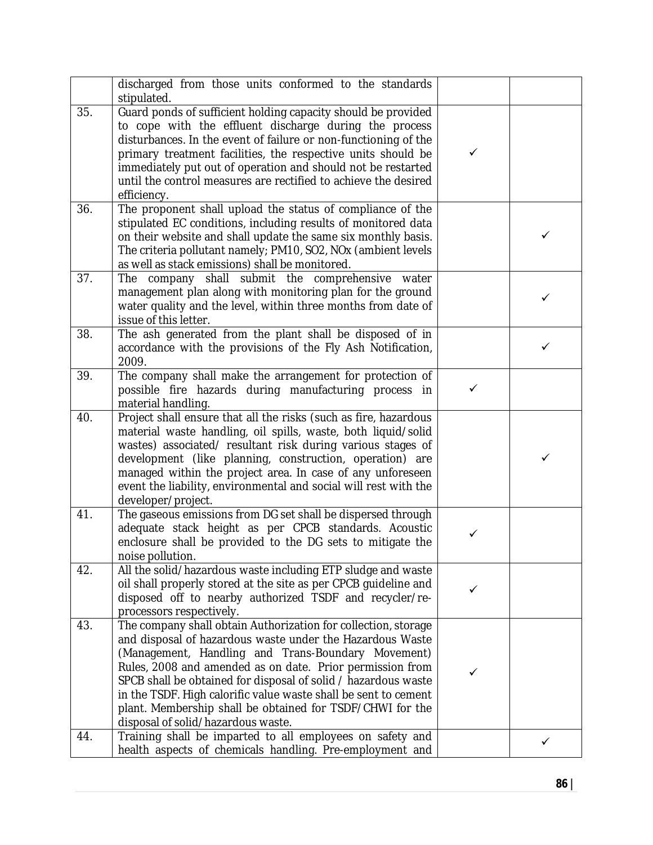|     | discharged from those units conformed to the standards<br>stipulated.                                                                                                                                                                                                                                                                                                                                                                                                                  |              |   |
|-----|----------------------------------------------------------------------------------------------------------------------------------------------------------------------------------------------------------------------------------------------------------------------------------------------------------------------------------------------------------------------------------------------------------------------------------------------------------------------------------------|--------------|---|
| 35. | Guard ponds of sufficient holding capacity should be provided<br>to cope with the effluent discharge during the process<br>disturbances. In the event of failure or non-functioning of the<br>primary treatment facilities, the respective units should be<br>immediately put out of operation and should not be restarted<br>until the control measures are rectified to achieve the desired<br>efficiency.                                                                           | ✓            |   |
| 36. | The proponent shall upload the status of compliance of the<br>stipulated EC conditions, including results of monitored data<br>on their website and shall update the same six monthly basis.<br>The criteria pollutant namely; PM10, SO2, NOx (ambient levels<br>as well as stack emissions) shall be monitored.                                                                                                                                                                       |              | ✓ |
| 37. | The company shall submit the comprehensive water<br>management plan along with monitoring plan for the ground<br>water quality and the level, within three months from date of<br>issue of this letter.                                                                                                                                                                                                                                                                                |              | ✓ |
| 38. | The ash generated from the plant shall be disposed of in<br>accordance with the provisions of the Fly Ash Notification,<br>2009.                                                                                                                                                                                                                                                                                                                                                       |              | ✓ |
| 39. | The company shall make the arrangement for protection of<br>possible fire hazards during manufacturing process in<br>material handling.                                                                                                                                                                                                                                                                                                                                                | $\checkmark$ |   |
| 40. | Project shall ensure that all the risks (such as fire, hazardous<br>material waste handling, oil spills, waste, both liquid/solid<br>wastes) associated/ resultant risk during various stages of<br>development (like planning, construction, operation) are<br>managed within the project area. In case of any unforeseen<br>event the liability, environmental and social will rest with the<br>developer/project.                                                                   |              | ✓ |
| 41. | The gaseous emissions from DG set shall be dispersed through<br>adequate stack height as per CPCB standards. Acoustic<br>enclosure shall be provided to the DG sets to mitigate the<br>noise pollution.                                                                                                                                                                                                                                                                                | $\checkmark$ |   |
| 42. | All the solid/hazardous waste including ETP sludge and waste<br>oil shall properly stored at the site as per CPCB guideline and<br>disposed off to nearby authorized TSDF and recycler/re-<br>processors respectively.                                                                                                                                                                                                                                                                 | ✓            |   |
| 43. | The company shall obtain Authorization for collection, storage<br>and disposal of hazardous waste under the Hazardous Waste<br>(Management, Handling and Trans-Boundary Movement)<br>Rules, 2008 and amended as on date. Prior permission from<br>SPCB shall be obtained for disposal of solid / hazardous waste<br>in the TSDF. High calorific value waste shall be sent to cement<br>plant. Membership shall be obtained for TSDF/CHWI for the<br>disposal of solid/hazardous waste. | ✓            |   |
| 44. | Training shall be imparted to all employees on safety and<br>health aspects of chemicals handling. Pre-employment and                                                                                                                                                                                                                                                                                                                                                                  |              | ✓ |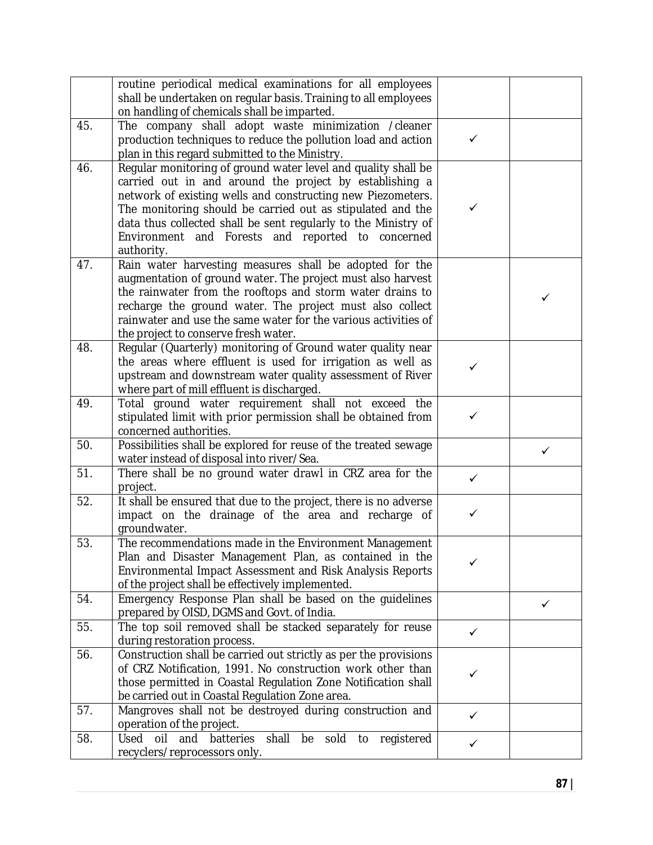|     | routine periodical medical examinations for all employees                                              |              |   |
|-----|--------------------------------------------------------------------------------------------------------|--------------|---|
|     | shall be undertaken on regular basis. Training to all employees                                        |              |   |
|     | on handling of chemicals shall be imparted.                                                            |              |   |
| 45. | The company shall adopt waste minimization /cleaner                                                    |              |   |
|     | production techniques to reduce the pollution load and action                                          | $\checkmark$ |   |
|     | plan in this regard submitted to the Ministry.                                                         |              |   |
| 46. | Regular monitoring of ground water level and quality shall be                                          |              |   |
|     | carried out in and around the project by establishing a                                                |              |   |
|     | network of existing wells and constructing new Piezometers.                                            |              |   |
|     | The monitoring should be carried out as stipulated and the                                             | ✓            |   |
|     | data thus collected shall be sent regularly to the Ministry of                                         |              |   |
|     | Environment and Forests and reported to concerned                                                      |              |   |
|     | authority.                                                                                             |              |   |
| 47. | Rain water harvesting measures shall be adopted for the                                                |              |   |
|     | augmentation of ground water. The project must also harvest                                            |              |   |
|     | the rainwater from the rooftops and storm water drains to                                              |              | ✓ |
|     | recharge the ground water. The project must also collect                                               |              |   |
|     | rainwater and use the same water for the various activities of<br>the project to conserve fresh water. |              |   |
| 48. | Regular (Quarterly) monitoring of Ground water quality near                                            |              |   |
|     | the areas where effluent is used for irrigation as well as                                             |              |   |
|     | upstream and downstream water quality assessment of River                                              | $\checkmark$ |   |
|     | where part of mill effluent is discharged.                                                             |              |   |
| 49. | Total ground water requirement shall not exceed the                                                    |              |   |
|     | stipulated limit with prior permission shall be obtained from                                          | $\checkmark$ |   |
|     | concerned authorities.                                                                                 |              |   |
| 50. | Possibilities shall be explored for reuse of the treated sewage                                        |              | ✓ |
|     | water instead of disposal into river/Sea.                                                              |              |   |
| 51. | There shall be no ground water drawl in CRZ area for the                                               | $\checkmark$ |   |
|     | project.                                                                                               |              |   |
| 52. | It shall be ensured that due to the project, there is no adverse                                       |              |   |
|     | impact on the drainage of the area and recharge of                                                     | $\checkmark$ |   |
|     | groundwater.                                                                                           |              |   |
| 53. | The recommendations made in the Environment Management                                                 |              |   |
|     | Plan and Disaster Management Plan, as contained in the                                                 | ✓            |   |
|     | Environmental Impact Assessment and Risk Analysis Reports                                              |              |   |
|     | of the project shall be effectively implemented.                                                       |              |   |
| 54. | Emergency Response Plan shall be based on the guidelines                                               |              | ✓ |
|     | prepared by OISD, DGMS and Govt. of India.                                                             |              |   |
| 55. | The top soil removed shall be stacked separately for reuse<br>during restoration process.              | ✓            |   |
| 56. | Construction shall be carried out strictly as per the provisions                                       |              |   |
|     | of CRZ Notification, 1991. No construction work other than                                             |              |   |
|     | those permitted in Coastal Regulation Zone Notification shall                                          | ✓            |   |
|     | be carried out in Coastal Regulation Zone area.                                                        |              |   |
| 57. | Mangroves shall not be destroyed during construction and                                               |              |   |
|     | operation of the project.                                                                              | $\checkmark$ |   |
| 58. | Used oil and<br>batteries<br>shall<br>be<br>sold to registered                                         | $\checkmark$ |   |
|     | recyclers/reprocessors only.                                                                           |              |   |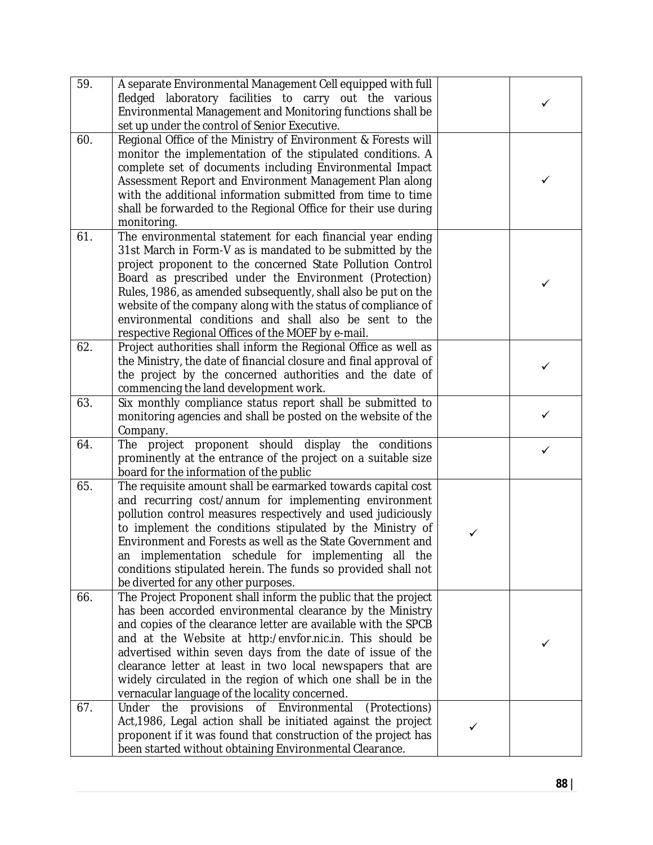| 59. | A separate Environmental Management Cell equipped with full<br>fledged laboratory facilities to carry out the various<br>Environmental Management and Monitoring functions shall be<br>set up under the control of Senior Executive.                                                                                                                                                                                                                                                                     |   | ✓ |
|-----|----------------------------------------------------------------------------------------------------------------------------------------------------------------------------------------------------------------------------------------------------------------------------------------------------------------------------------------------------------------------------------------------------------------------------------------------------------------------------------------------------------|---|---|
| 60. | Regional Office of the Ministry of Environment & Forests will<br>monitor the implementation of the stipulated conditions. A<br>complete set of documents including Environmental Impact<br>Assessment Report and Environment Management Plan along<br>with the additional information submitted from time to time<br>shall be forwarded to the Regional Office for their use during<br>monitoring.                                                                                                       |   | ✓ |
| 61. | The environmental statement for each financial year ending<br>31st March in Form-V as is mandated to be submitted by the<br>project proponent to the concerned State Pollution Control<br>Board as prescribed under the Environment (Protection)<br>Rules, 1986, as amended subsequently, shall also be put on the<br>website of the company along with the status of compliance of<br>environmental conditions and shall also be sent to the<br>respective Regional Offices of the MOEF by e-mail.      |   | ✓ |
| 62. | Project authorities shall inform the Regional Office as well as<br>the Ministry, the date of financial closure and final approval of<br>the project by the concerned authorities and the date of<br>commencing the land development work.                                                                                                                                                                                                                                                                |   | ✓ |
| 63. | Six monthly compliance status report shall be submitted to<br>monitoring agencies and shall be posted on the website of the<br>Company.                                                                                                                                                                                                                                                                                                                                                                  |   | ✓ |
| 64. | The project proponent should display the conditions<br>prominently at the entrance of the project on a suitable size<br>board for the information of the public                                                                                                                                                                                                                                                                                                                                          |   | ✓ |
| 65. | The requisite amount shall be earmarked towards capital cost<br>and recurring cost/annum for implementing environment<br>pollution control measures respectively and used judiciously<br>to implement the conditions stipulated by the Ministry of<br>Environment and Forests as well as the State Government and<br>an implementation schedule for implementing all the<br>conditions stipulated herein. The funds so provided shall not<br>be diverted for any other purposes.                         | ✓ |   |
| 66. | The Project Proponent shall inform the public that the project<br>has been accorded environmental clearance by the Ministry<br>and copies of the clearance letter are available with the SPCB<br>and at the Website at http:/envfor.nic.in. This should be<br>advertised within seven days from the date of issue of the<br>clearance letter at least in two local newspapers that are<br>widely circulated in the region of which one shall be in the<br>vernacular language of the locality concerned. |   | ✓ |
| 67. | Under the provisions of Environmental<br>(Protections)<br>Act, 1986, Legal action shall be initiated against the project<br>proponent if it was found that construction of the project has<br>been started without obtaining Environmental Clearance.                                                                                                                                                                                                                                                    | ✓ |   |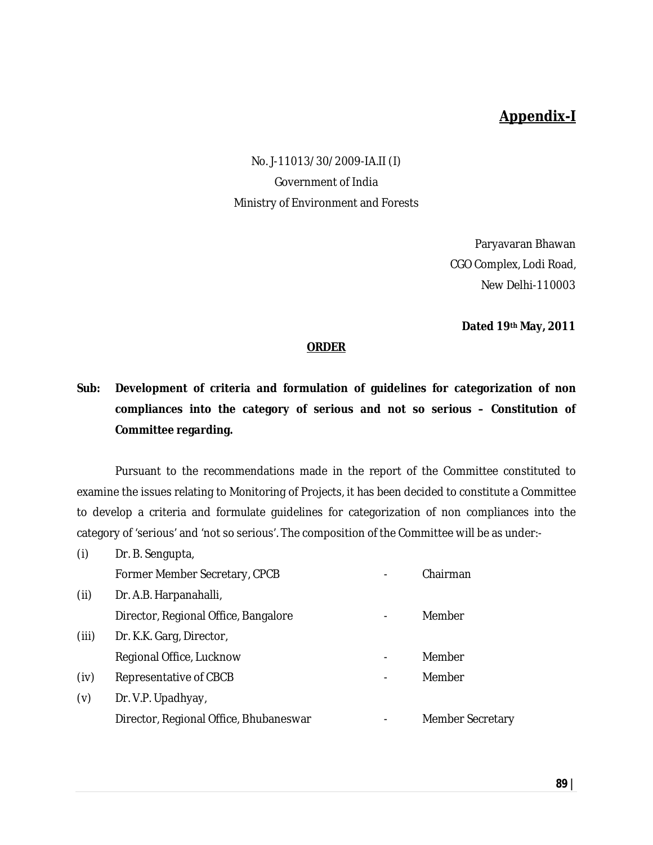### **Appendix-I**

No. J-11013/30/2009-IA.II (I) Government of India Ministry of Environment and Forests

> Paryavaran Bhawan CGO Complex, Lodi Road, New Delhi-110003

**Dated 19th May, 2011**

#### **ORDER**

### **Sub: Development of criteria and formulation of guidelines for categorization of non compliances into the category of serious and not so serious – Constitution of Committee regarding.**

Pursuant to the recommendations made in the report of the Committee constituted to examine the issues relating to Monitoring of Projects, it has been decided to constitute a Committee to develop a criteria and formulate guidelines for categorization of non compliances into the category of 'serious' and 'not so serious'. The composition of the Committee will be as under:-

| (i)   | Dr. B. Sengupta,                       |                         |
|-------|----------------------------------------|-------------------------|
|       | Former Member Secretary, CPCB          | Chairman                |
| (ii)  | Dr. A.B. Harpanahalli,                 |                         |
|       | Director, Regional Office, Bangalore   | Member                  |
| (iii) | Dr. K.K. Garg, Director,               |                         |
|       | Regional Office, Lucknow               | Member                  |
| (iv)  | Representative of CBCB                 | Member                  |
| (v)   | Dr. V.P. Upadhyay,                     |                         |
|       | Director, Regional Office, Bhubaneswar | <b>Member Secretary</b> |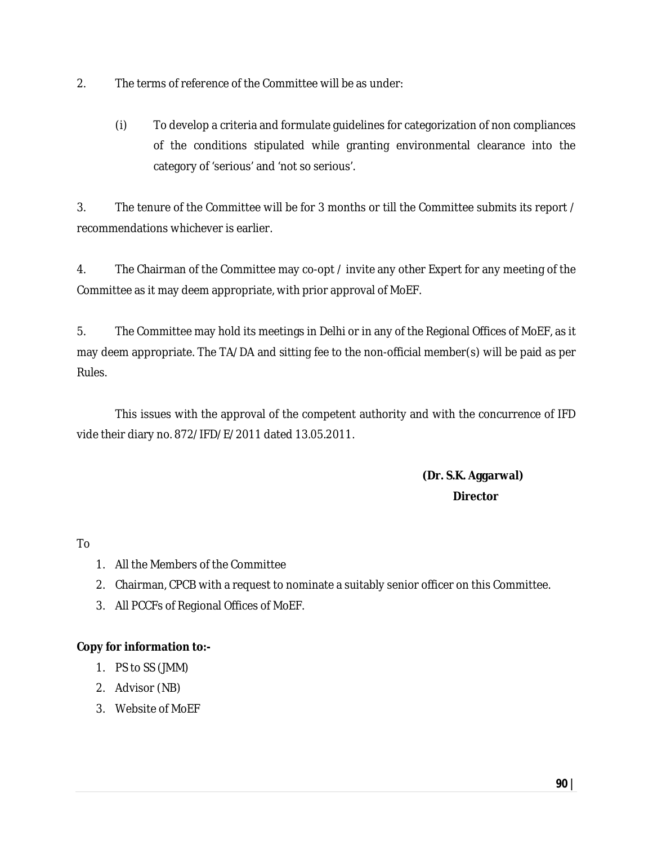- 2. The terms of reference of the Committee will be as under:
	- (i) To develop a criteria and formulate guidelines for categorization of non compliances of the conditions stipulated while granting environmental clearance into the category of 'serious' and 'not so serious'.

3. The tenure of the Committee will be for 3 months or till the Committee submits its report / recommendations whichever is earlier.

4. The Chairman of the Committee may co-opt / invite any other Expert for any meeting of the Committee as it may deem appropriate, with prior approval of MoEF.

5. The Committee may hold its meetings in Delhi or in any of the Regional Offices of MoEF, as it may deem appropriate. The TA/DA and sitting fee to the non-official member(s) will be paid as per Rules.

This issues with the approval of the competent authority and with the concurrence of IFD vide their diary no. 872/IFD/E/2011 dated 13.05.2011.

> **(Dr. S.K. Aggarwal) Director**

To

- 1. All the Members of the Committee
- 2. Chairman, CPCB with a request to nominate a suitably senior officer on this Committee.
- 3. All PCCFs of Regional Offices of MoEF.

#### **Copy for information to:-**

- 1. PS to SS (JMM)
- 2. Advisor (NB)
- 3. Website of MoEF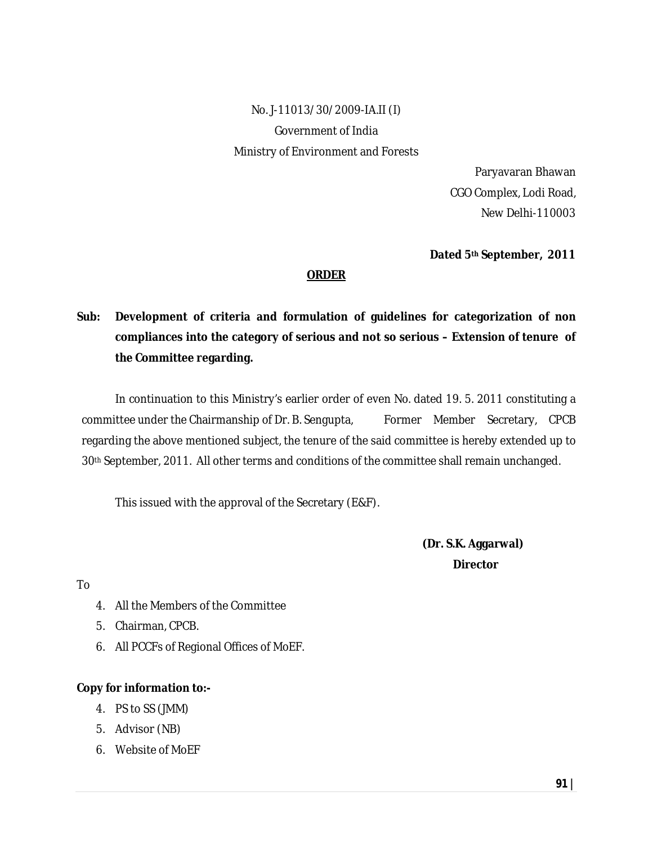No. J-11013/30/2009-IA.II (I) Government of India Ministry of Environment and Forests

> Paryavaran Bhawan CGO Complex, Lodi Road, New Delhi-110003

**Dated 5th September, 2011**

#### **ORDER**

### **Sub: Development of criteria and formulation of guidelines for categorization of non compliances into the category of serious and not so serious – Extension of tenure of the Committee regarding.**

In continuation to this Ministry's earlier order of even No. dated 19. 5. 2011 constituting a committee under the Chairmanship of Dr. B. Sengupta, Former Member Secretary, CPCB regarding the above mentioned subject, the tenure of the said committee is hereby extended up to 30th September, 2011. All other terms and conditions of the committee shall remain unchanged.

This issued with the approval of the Secretary (E&F).

**(Dr. S.K. Aggarwal) Director** 

To

- 4. All the Members of the Committee
- 5. Chairman, CPCB.
- 6. All PCCFs of Regional Offices of MoEF.

#### **Copy for information to:-**

- 4. PS to SS (JMM)
- 5. Advisor (NB)
- 6. Website of MoEF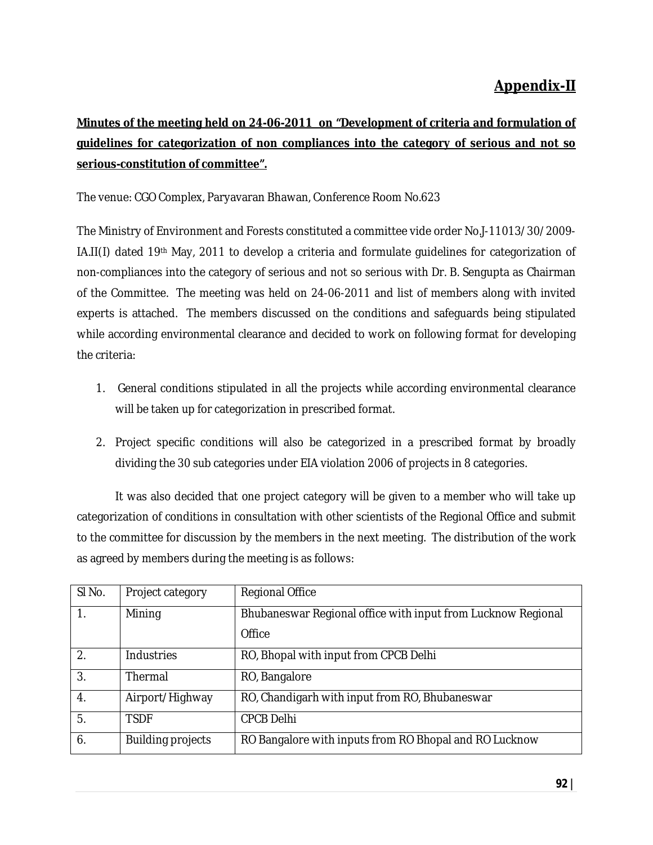## **Appendix-II**

## **Minutes of the meeting held on 24-06-2011 on "Development of criteria and formulation of guidelines for categorization of non compliances into the category of serious and not so serious-constitution of committee".**

#### The venue: CGO Complex, Paryavaran Bhawan, Conference Room No.623

The Ministry of Environment and Forests constituted a committee vide order No.J-11013/30/2009- IA.II(I) dated 19th May, 2011 to develop a criteria and formulate guidelines for categorization of non-compliances into the category of serious and not so serious with Dr. B. Sengupta as Chairman of the Committee. The meeting was held on 24-06-2011 and list of members along with invited experts is attached. The members discussed on the conditions and safeguards being stipulated while according environmental clearance and decided to work on following format for developing the criteria:

- 1. General conditions stipulated in all the projects while according environmental clearance will be taken up for categorization in prescribed format.
- 2. Project specific conditions will also be categorized in a prescribed format by broadly dividing the 30 sub categories under EIA violation 2006 of projects in 8 categories.

It was also decided that one project category will be given to a member who will take up categorization of conditions in consultation with other scientists of the Regional Office and submit to the committee for discussion by the members in the next meeting. The distribution of the work as agreed by members during the meeting is as follows:

| SI No.           | Project category         | <b>Regional Office</b>                                       |
|------------------|--------------------------|--------------------------------------------------------------|
| $\mathbf{1}$ .   | Mining                   | Bhubaneswar Regional office with input from Lucknow Regional |
|                  |                          | Office                                                       |
| $\overline{2}$ . | Industries               | RO, Bhopal with input from CPCB Delhi                        |
| 3.               | Thermal                  | RO, Bangalore                                                |
| 4.               | Airport/Highway          | RO, Chandigarh with input from RO, Bhubaneswar               |
| 5.               | <b>TSDF</b>              | <b>CPCB Delhi</b>                                            |
| 6.               | <b>Building projects</b> | RO Bangalore with inputs from RO Bhopal and RO Lucknow       |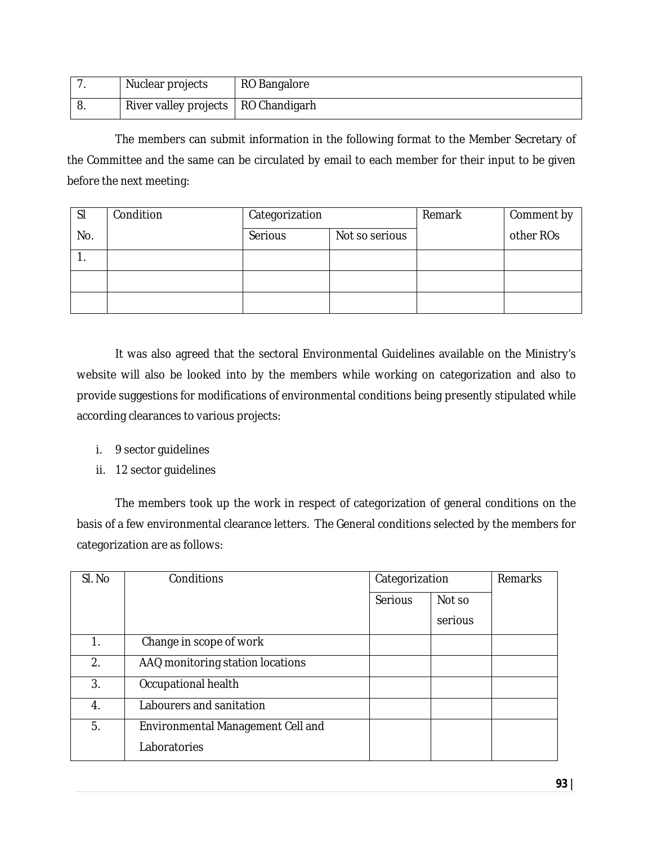|    | Nuclear projects                      | RO Bangalore |
|----|---------------------------------------|--------------|
| U. | River valley projects   RO Chandigarh |              |

The members can submit information in the following format to the Member Secretary of the Committee and the same can be circulated by email to each member for their input to be given before the next meeting:

| <sub>SI</sub> | Condition | Categorization |                | Remark | Comment by |
|---------------|-----------|----------------|----------------|--------|------------|
| No.           |           | Serious        | Not so serious |        | other ROs  |
| . .           |           |                |                |        |            |
|               |           |                |                |        |            |
|               |           |                |                |        |            |

It was also agreed that the sectoral Environmental Guidelines available on the Ministry's website will also be looked into by the members while working on categorization and also to provide suggestions for modifications of environmental conditions being presently stipulated while according clearances to various projects:

- i. 9 sector guidelines
- ii. 12 sector guidelines

The members took up the work in respect of categorization of general conditions on the basis of a few environmental clearance letters. The General conditions selected by the members for categorization are as follows:

| SI. No | Conditions                        |         | Categorization |  |
|--------|-----------------------------------|---------|----------------|--|
|        |                                   | Serious | Not so         |  |
|        |                                   |         | serious        |  |
| 1.     | Change in scope of work           |         |                |  |
| 2.     | AAQ monitoring station locations  |         |                |  |
| 3.     | Occupational health               |         |                |  |
| 4.     | Labourers and sanitation          |         |                |  |
| 5.     | Environmental Management Cell and |         |                |  |
|        | Laboratories                      |         |                |  |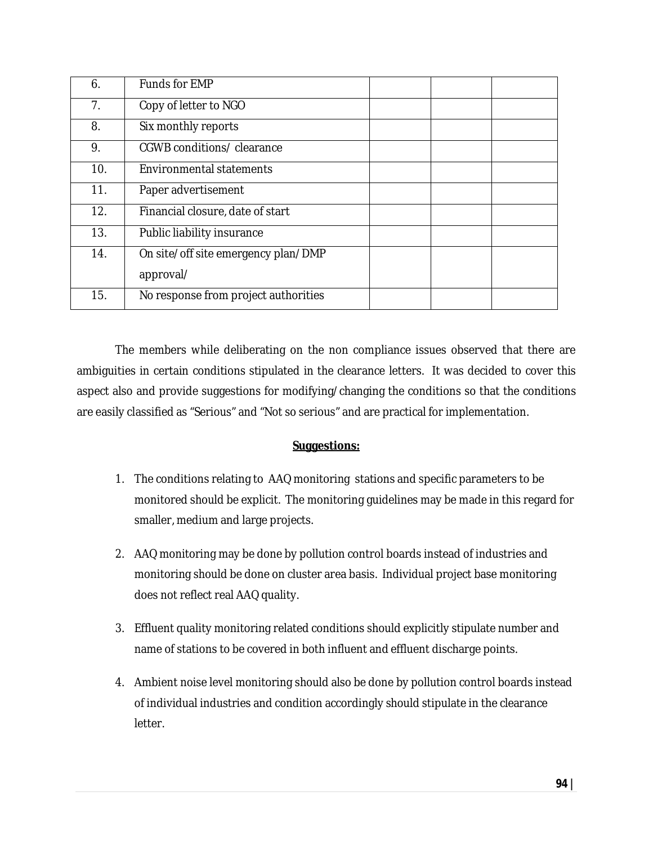| 6.             | Funds for EMP                        |
|----------------|--------------------------------------|
| 7 <sub>1</sub> | Copy of letter to NGO                |
| 8.             | Six monthly reports                  |
| 9.             | CGWB conditions/ clearance           |
| 10.            | <b>Environmental statements</b>      |
| 11.            | Paper advertisement                  |
| 12.            | Financial closure, date of start     |
| 13.            | Public liability insurance           |
| 14.            | On site/off site emergency plan/DMP  |
|                | approval/                            |
| 15.            | No response from project authorities |

The members while deliberating on the non compliance issues observed that there are ambiguities in certain conditions stipulated in the clearance letters. It was decided to cover this aspect also and provide suggestions for modifying/changing the conditions so that the conditions are easily classified as "Serious" and "Not so serious" and are practical for implementation.

#### **Suggestions:**

- 1. The conditions relating to AAQ monitoring stations and specific parameters to be monitored should be explicit. The monitoring guidelines may be made in this regard for smaller, medium and large projects.
- 2. AAQ monitoring may be done by pollution control boards instead of industries and monitoring should be done on cluster area basis. Individual project base monitoring does not reflect real AAQ quality.
- 3. Effluent quality monitoring related conditions should explicitly stipulate number and name of stations to be covered in both influent and effluent discharge points.
- 4. Ambient noise level monitoring should also be done by pollution control boards instead of individual industries and condition accordingly should stipulate in the clearance letter.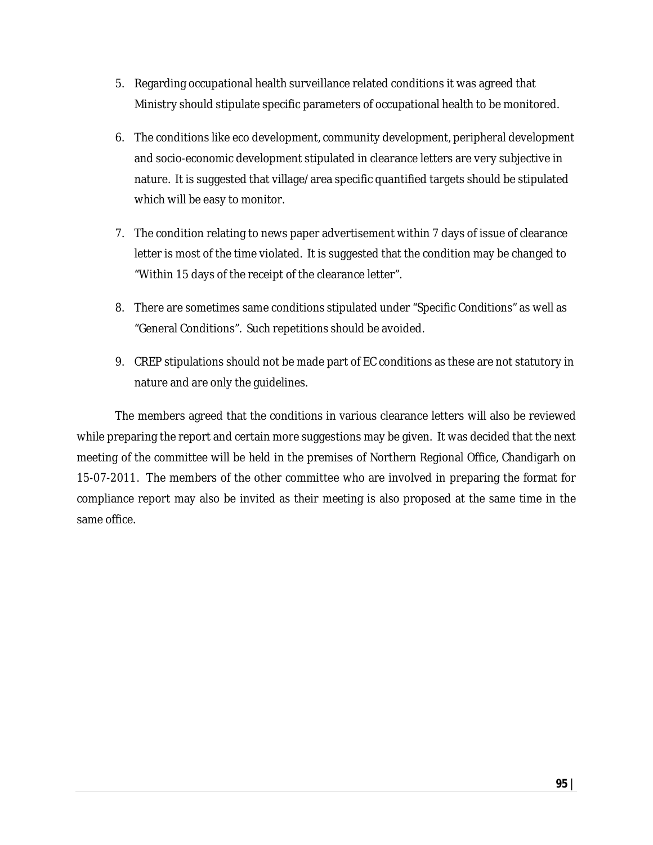- 5. Regarding occupational health surveillance related conditions it was agreed that Ministry should stipulate specific parameters of occupational health to be monitored.
- 6. The conditions like eco development, community development, peripheral development and socio-economic development stipulated in clearance letters are very subjective in nature. It is suggested that village/area specific quantified targets should be stipulated which will be easy to monitor.
- 7. The condition relating to news paper advertisement within 7 days of issue of clearance letter is most of the time violated. It is suggested that the condition may be changed to "Within 15 days of the receipt of the clearance letter".
- 8. There are sometimes same conditions stipulated under "Specific Conditions" as well as "General Conditions". Such repetitions should be avoided.
- 9. CREP stipulations should not be made part of EC conditions as these are not statutory in nature and are only the guidelines.

The members agreed that the conditions in various clearance letters will also be reviewed while preparing the report and certain more suggestions may be given. It was decided that the next meeting of the committee will be held in the premises of Northern Regional Office, Chandigarh on 15-07-2011. The members of the other committee who are involved in preparing the format for compliance report may also be invited as their meeting is also proposed at the same time in the same office.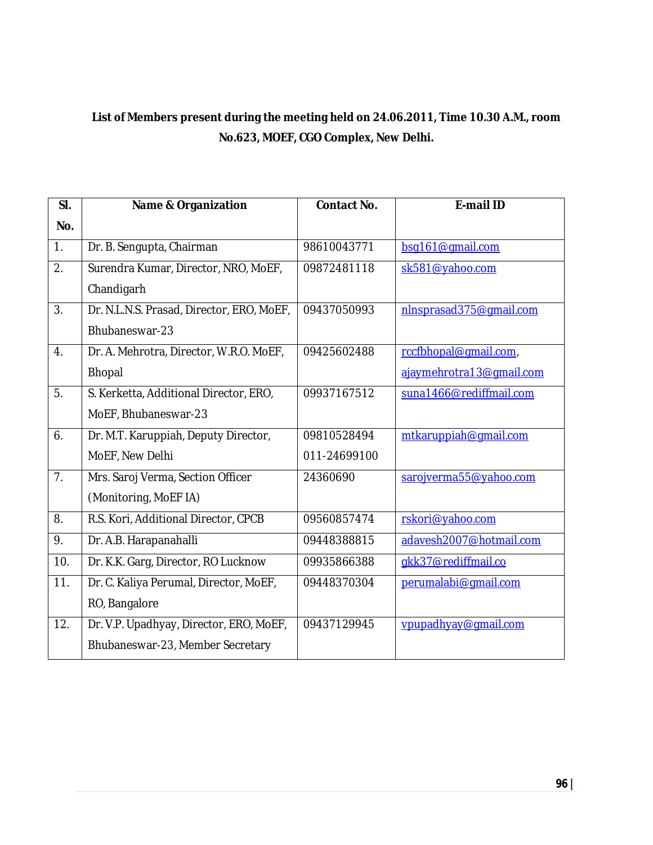### **List of Members present during the meeting held on 24.06.2011, Time 10.30 A.M., room No.623, MOEF, CGO Complex, New Delhi.**

| SI. | <b>Name &amp; Organization</b>            | <b>Contact No.</b> | <b>E-mail ID</b>         |
|-----|-------------------------------------------|--------------------|--------------------------|
| No. |                                           |                    |                          |
| 1.  | Dr. B. Sengupta, Chairman                 | 98610043771        | bsq161@qmail.com         |
| 2.  | Surendra Kumar, Director, NRO, MoEF,      | 09872481118        | sk581@yahoo.com          |
|     | Chandigarh                                |                    |                          |
| 3.  | Dr. N.L.N.S. Prasad, Director, ERO, MoEF, | 09437050993        | nlnsprasad375@gmail.com  |
|     | Bhubaneswar-23                            |                    |                          |
| 4.  | Dr. A. Mehrotra, Director, W.R.O. MoEF,   | 09425602488        | rccfbhopal@gmail.com,    |
|     | <b>Bhopal</b>                             |                    | ajaymehrotra13@gmail.com |
| 5.  | S. Kerketta, Additional Director, ERO,    | 09937167512        | suna1466@rediffmail.com  |
|     | MoEF, Bhubaneswar-23                      |                    |                          |
| 6.  | Dr. M.T. Karuppiah, Deputy Director,      | 09810528494        | mtkaruppiah@gmail.com    |
|     | MoEF, New Delhi                           | 011-24699100       |                          |
| 7.  | Mrs. Saroj Verma, Section Officer         | 24360690           | sarojverma55@yahoo.com   |
|     | (Monitoring, MoEF IA)                     |                    |                          |
| 8.  | R.S. Kori, Additional Director, CPCB      | 09560857474        | rskori@yahoo.com         |
| 9.  | Dr. A.B. Harapanahalli                    | 09448388815        | adavesh2007@hotmail.com  |
| 10. | Dr. K.K. Garg, Director, RO Lucknow       | 09935866388        | gkk37@rediffmail.co      |
| 11. | Dr. C. Kaliya Perumal, Director, MoEF,    | 09448370304        | perumalabi@gmail.com     |
|     | RO, Bangalore                             |                    |                          |
| 12. | Dr. V.P. Upadhyay, Director, ERO, MoEF,   | 09437129945        | vpupadhyay@gmail.com     |
|     | Bhubaneswar-23, Member Secretary          |                    |                          |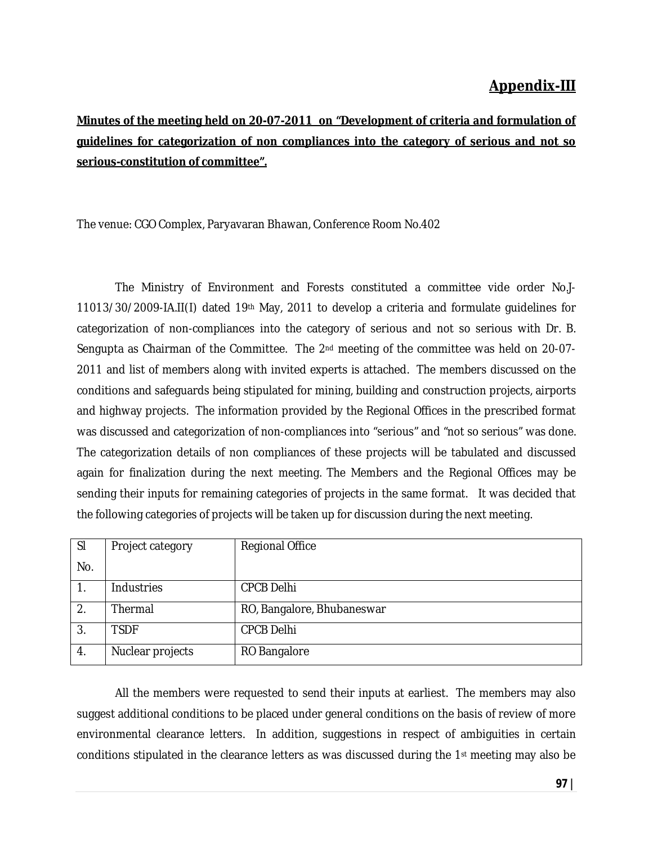### **Appendix-III**

## **Minutes of the meeting held on 20-07-2011 on "Development of criteria and formulation of guidelines for categorization of non compliances into the category of serious and not so serious-constitution of committee".**

The venue: CGO Complex, Paryavaran Bhawan, Conference Room No.402

The Ministry of Environment and Forests constituted a committee vide order No.J-11013/30/2009-IA.II(I) dated 19th May, 2011 to develop a criteria and formulate guidelines for categorization of non-compliances into the category of serious and not so serious with Dr. B. Sengupta as Chairman of the Committee. The 2nd meeting of the committee was held on 20-07- 2011 and list of members along with invited experts is attached. The members discussed on the conditions and safeguards being stipulated for mining, building and construction projects, airports and highway projects. The information provided by the Regional Offices in the prescribed format was discussed and categorization of non-compliances into "serious" and "not so serious" was done. The categorization details of non compliances of these projects will be tabulated and discussed again for finalization during the next meeting. The Members and the Regional Offices may be sending their inputs for remaining categories of projects in the same format. It was decided that the following categories of projects will be taken up for discussion during the next meeting.

| <sub>SI</sub>    | Project category | <b>Regional Office</b>     |
|------------------|------------------|----------------------------|
| No.              |                  |                            |
| 1.               | Industries       | <b>CPCB Delhi</b>          |
| $\overline{2}$ . | Thermal          | RO, Bangalore, Bhubaneswar |
| 3.               | <b>TSDF</b>      | <b>CPCB Delhi</b>          |
| 4.               | Nuclear projects | RO Bangalore               |

All the members were requested to send their inputs at earliest. The members may also suggest additional conditions to be placed under general conditions on the basis of review of more environmental clearance letters. In addition, suggestions in respect of ambiguities in certain conditions stipulated in the clearance letters as was discussed during the 1st meeting may also be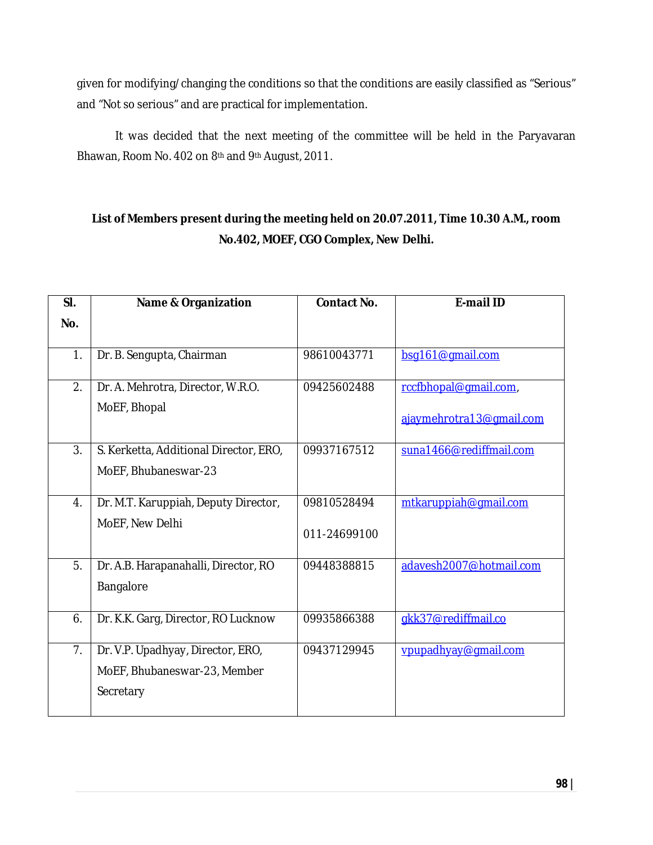given for modifying/changing the conditions so that the conditions are easily classified as "Serious" and "Not so serious" and are practical for implementation.

It was decided that the next meeting of the committee will be held in the Paryavaran Bhawan, Room No. 402 on 8<sup>th</sup> and 9<sup>th</sup> August, 2011.

### **List of Members present during the meeting held on 20.07.2011, Time 10.30 A.M., room No.402, MOEF, CGO Complex, New Delhi.**

| SI. | <b>Name &amp; Organization</b>         | <b>Contact No.</b> | <b>E-mail ID</b>         |
|-----|----------------------------------------|--------------------|--------------------------|
| No. |                                        |                    |                          |
|     |                                        |                    |                          |
| 1.  | Dr. B. Sengupta, Chairman              | 98610043771        | bsg161@gmail.com         |
| 2.  | Dr. A. Mehrotra, Director, W.R.O.      | 09425602488        | rccfbhopal@gmail.com,    |
|     | MoEF, Bhopal                           |                    |                          |
|     |                                        |                    | ajaymehrotra13@gmail.com |
| 3.  | S. Kerketta, Additional Director, ERO, | 09937167512        | suna1466@rediffmail.com  |
|     | MoEF, Bhubaneswar-23                   |                    |                          |
|     |                                        |                    |                          |
| 4.  | Dr. M.T. Karuppiah, Deputy Director,   | 09810528494        | mtkaruppiah@gmail.com    |
|     | MoEF, New Delhi                        |                    |                          |
|     |                                        | 011-24699100       |                          |
| 5.  | Dr. A.B. Harapanahalli, Director, RO   | 09448388815        | adavesh2007@hotmail.com  |
|     | Bangalore                              |                    |                          |
|     |                                        |                    |                          |
| 6.  | Dr. K.K. Garg, Director, RO Lucknow    | 09935866388        | gkk37@rediffmail.co      |
|     |                                        |                    |                          |
| 7.  | Dr. V.P. Upadhyay, Director, ERO,      | 09437129945        | vpupadhyay@qmail.com     |
|     | MoEF, Bhubaneswar-23, Member           |                    |                          |
|     | Secretary                              |                    |                          |
|     |                                        |                    |                          |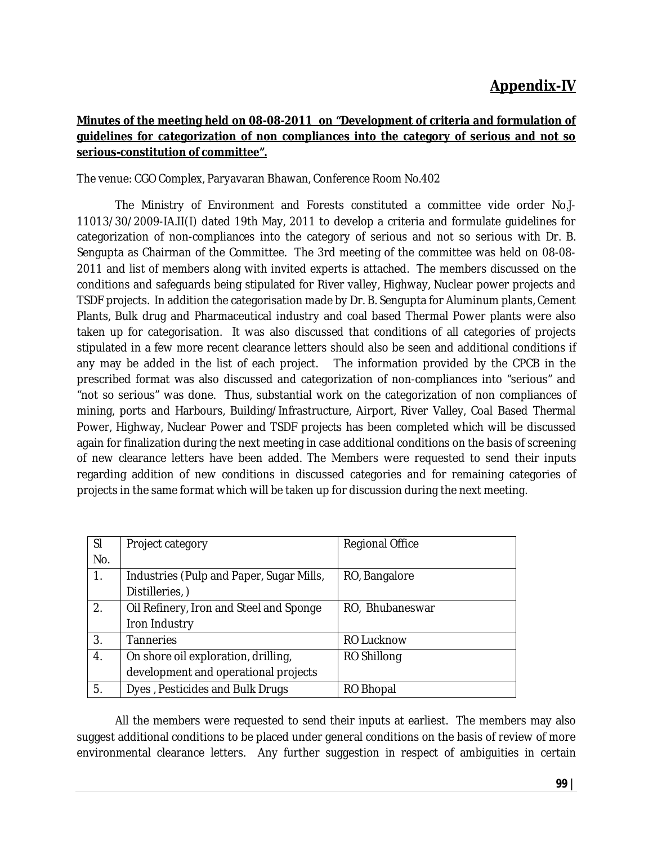### **Appendix-IV**

#### **Minutes of the meeting held on 08-08-2011 on "Development of criteria and formulation of guidelines for categorization of non compliances into the category of serious and not so serious-constitution of committee".**

The venue: CGO Complex, Paryavaran Bhawan, Conference Room No.402

The Ministry of Environment and Forests constituted a committee vide order No.J-11013/30/2009-IA.II(I) dated 19th May, 2011 to develop a criteria and formulate guidelines for categorization of non-compliances into the category of serious and not so serious with Dr. B. Sengupta as Chairman of the Committee. The 3rd meeting of the committee was held on 08-08- 2011 and list of members along with invited experts is attached. The members discussed on the conditions and safeguards being stipulated for River valley, Highway, Nuclear power projects and TSDF projects. In addition the categorisation made by Dr. B. Sengupta for Aluminum plants, Cement Plants, Bulk drug and Pharmaceutical industry and coal based Thermal Power plants were also taken up for categorisation. It was also discussed that conditions of all categories of projects stipulated in a few more recent clearance letters should also be seen and additional conditions if any may be added in the list of each project. The information provided by the CPCB in the prescribed format was also discussed and categorization of non-compliances into "serious" and "not so serious" was done. Thus, substantial work on the categorization of non compliances of mining, ports and Harbours, Building/Infrastructure, Airport, River Valley, Coal Based Thermal Power, Highway, Nuclear Power and TSDF projects has been completed which will be discussed again for finalization during the next meeting in case additional conditions on the basis of screening of new clearance letters have been added. The Members were requested to send their inputs regarding addition of new conditions in discussed categories and for remaining categories of projects in the same format which will be taken up for discussion during the next meeting.

| <b>SI</b> | Project category                         | <b>Regional Office</b> |
|-----------|------------------------------------------|------------------------|
| No.       |                                          |                        |
| 1.        | Industries (Pulp and Paper, Sugar Mills, | RO, Bangalore          |
|           | Distilleries,)                           |                        |
| 2.        | Oil Refinery, Iron and Steel and Sponge  | RO, Bhubaneswar        |
|           | Iron Industry                            |                        |
| 3.        | <b>Tanneries</b>                         | <b>RO Lucknow</b>      |
| 4.        | On shore oil exploration, drilling,      | RO Shillong            |
|           | development and operational projects     |                        |
| 5.        | Dyes, Pesticides and Bulk Drugs          | RO Bhopal              |

All the members were requested to send their inputs at earliest. The members may also suggest additional conditions to be placed under general conditions on the basis of review of more environmental clearance letters. Any further suggestion in respect of ambiguities in certain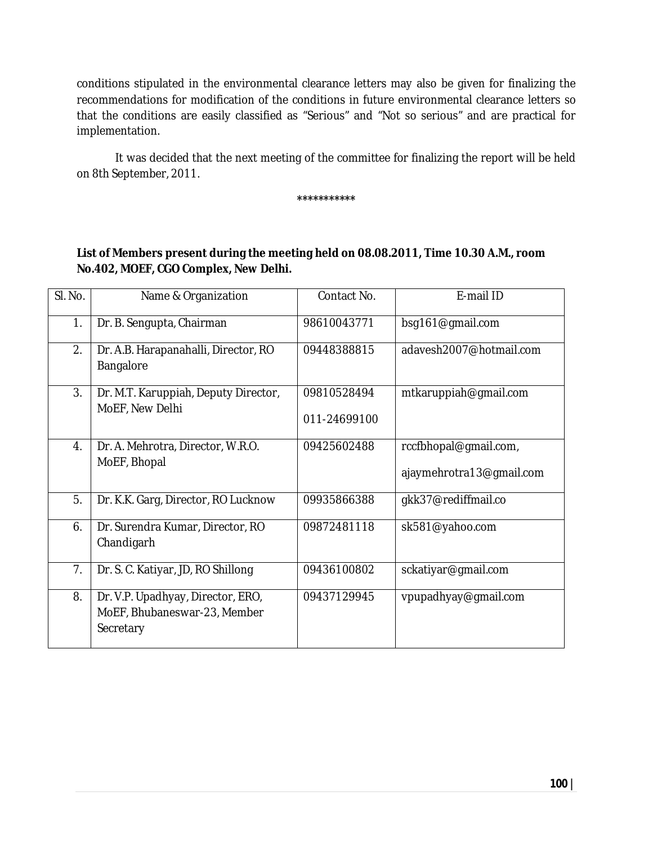conditions stipulated in the environmental clearance letters may also be given for finalizing the recommendations for modification of the conditions in future environmental clearance letters so that the conditions are easily classified as "Serious" and "Not so serious" and are practical for implementation.

It was decided that the next meeting of the committee for finalizing the report will be held on 8th September, 2011.

**\*\*\*\*\*\*\*\*\*\*\***

#### **List of Members present during the meeting held on 08.08.2011, Time 10.30 A.M., room No.402, MOEF, CGO Complex, New Delhi.**

| SI. No.          | Name & Organization                                                            | Contact No.                 | E-mail ID                                         |
|------------------|--------------------------------------------------------------------------------|-----------------------------|---------------------------------------------------|
| 1.               | Dr. B. Sengupta, Chairman                                                      | 98610043771                 | bsg161@gmail.com                                  |
| 2.               | Dr. A.B. Harapanahalli, Director, RO<br>Bangalore                              | 09448388815                 | adavesh2007@hotmail.com                           |
| 3.               | Dr. M.T. Karuppiah, Deputy Director,<br>MoEF, New Delhi                        | 09810528494<br>011-24699100 | mtkaruppiah@gmail.com                             |
| $\overline{4}$ . | Dr. A. Mehrotra, Director, W.R.O.<br>MoEF, Bhopal                              | 09425602488                 | rccfbhopal@gmail.com,<br>ajaymehrotra13@gmail.com |
| 5.               | Dr. K.K. Garg, Director, RO Lucknow                                            | 09935866388                 | gkk37@rediffmail.co                               |
| 6.               | Dr. Surendra Kumar, Director, RO<br>Chandigarh                                 | 09872481118                 | sk581@yahoo.com                                   |
| 7.               | Dr. S. C. Katiyar, JD, RO Shillong                                             | 09436100802                 | sckatiyar@gmail.com                               |
| 8.               | Dr. V.P. Upadhyay, Director, ERO,<br>MoEF, Bhubaneswar-23, Member<br>Secretary | 09437129945                 | vpupadhyay@gmail.com                              |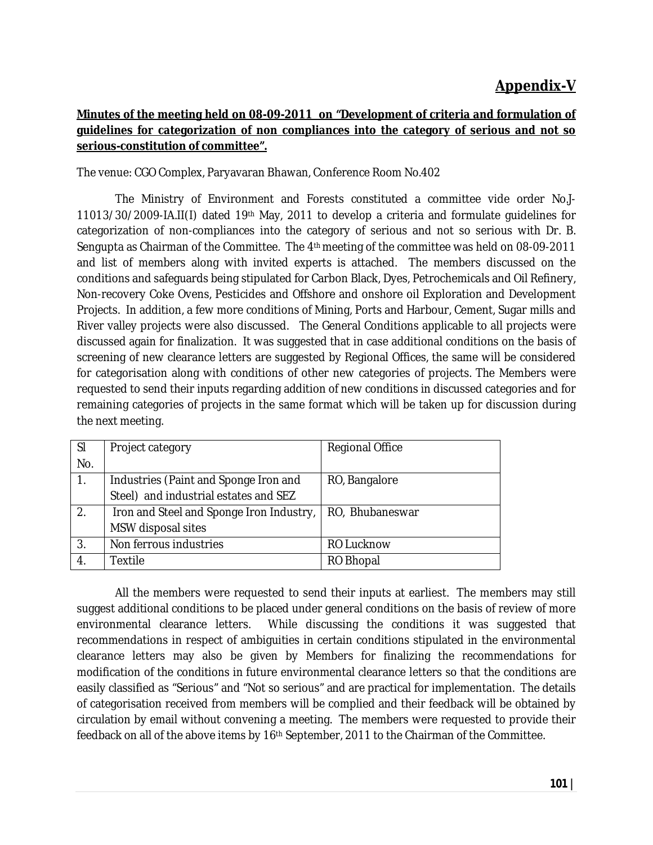### **Appendix-V**

#### **Minutes of the meeting held on 08-09-2011 on "Development of criteria and formulation of guidelines for categorization of non compliances into the category of serious and not so serious-constitution of committee".**

The venue: CGO Complex, Paryavaran Bhawan, Conference Room No.402

The Ministry of Environment and Forests constituted a committee vide order No.J-11013/30/2009-IA.II(I) dated 19th May, 2011 to develop a criteria and formulate guidelines for categorization of non-compliances into the category of serious and not so serious with Dr. B. Sengupta as Chairman of the Committee. The 4th meeting of the committee was held on 08-09-2011 and list of members along with invited experts is attached. The members discussed on the conditions and safeguards being stipulated for Carbon Black, Dyes, Petrochemicals and Oil Refinery, Non-recovery Coke Ovens, Pesticides and Offshore and onshore oil Exploration and Development Projects. In addition, a few more conditions of Mining, Ports and Harbour, Cement, Sugar mills and River valley projects were also discussed. The General Conditions applicable to all projects were discussed again for finalization. It was suggested that in case additional conditions on the basis of screening of new clearance letters are suggested by Regional Offices, the same will be considered for categorisation along with conditions of other new categories of projects. The Members were requested to send their inputs regarding addition of new conditions in discussed categories and for remaining categories of projects in the same format which will be taken up for discussion during the next meeting.

| <b>SI</b> | Project category                         | <b>Regional Office</b> |
|-----------|------------------------------------------|------------------------|
| No.       |                                          |                        |
| 1.        | Industries (Paint and Sponge Iron and    | RO, Bangalore          |
|           | Steel) and industrial estates and SEZ    |                        |
| 2.        | Iron and Steel and Sponge Iron Industry, | RO, Bhubaneswar        |
|           | MSW disposal sites                       |                        |
| 3.        | Non ferrous industries                   | <b>RO Lucknow</b>      |
| 4.        | Textile                                  | RO Bhopal              |

All the members were requested to send their inputs at earliest. The members may still suggest additional conditions to be placed under general conditions on the basis of review of more environmental clearance letters. While discussing the conditions it was suggested that recommendations in respect of ambiguities in certain conditions stipulated in the environmental clearance letters may also be given by Members for finalizing the recommendations for modification of the conditions in future environmental clearance letters so that the conditions are easily classified as "Serious" and "Not so serious" and are practical for implementation. The details of categorisation received from members will be complied and their feedback will be obtained by circulation by email without convening a meeting. The members were requested to provide their feedback on all of the above items by 16th September, 2011 to the Chairman of the Committee.